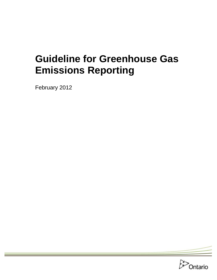# **Guideline for Greenhouse Gas Emissions Reporting**

February 2012

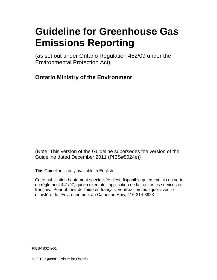# **Guideline for Greenhouse Gas Emissions Reporting**

(as set out under Ontario Regulation 452/09 under the Environmental Protection Act)

**Ontario Ministry of the Environment** 

(Note: This version of the Guideline supersedes the version of the Guideline dated December 2011 (PIBS#8024e))

This Guideline is only available in English

Cette publication hautement spécialisée n'est disponible qu'en anglais en vertu du règlement 441/97, qui en exempte l'application de la Loi sur les services en français. Pour obtenir de l'aide en français, veuillez communiquer avec le ministère de l'Environnement au Catherine How, 416-314-3923

PIBS# 8024e01

© 2012, Queen's Printer for Ontario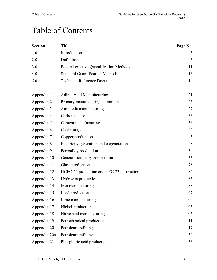## Table of Contents

| <b>Section</b> | <b>Title</b>                                   | Page No. |
|----------------|------------------------------------------------|----------|
| 1.0            | Introduction                                   | 5        |
| 2.0            | Definitions                                    | 5        |
| 3.0            | <b>Best Alternative Quantification Methods</b> | 11       |
| 4.0            | <b>Standard Quantification Methods</b>         | 13       |
| 5.0            | <b>Technical Reference Documents</b>           | 14       |
| Appendix 1     | Adipic Acid Manufacturing                      | 21       |
| Appendix 2     | Primary manufacturing aluminum                 | 26       |
| Appendix 3     | Ammonia manufacturing                          | 27       |
| Appendix 4     | Carbonate use                                  | 33       |
| Appendix 5     | Cement manufacturing                           | 36       |
| Appendix 6     | Coal storage                                   | 42       |
| Appendix 7     | Copper production                              | 45       |
| Appendix 8     | Electricity generation and cogeneration        | 48       |
| Appendix 9     | Ferroalloy production                          | 54       |
| Appendix 10    | General stationary combustion                  | 55       |
| Appendix 11    | Glass production                               | 78       |
| Appendix 12    | HCFC-22 production and HFC-23 destruction      | 82       |
| Appendix 13    | Hydrogen production                            | 83       |
| Appendix 14    | Iron manufacturing                             | 88       |
| Appendix 15    | Lead production                                | 97       |
| Appendix 16    | Lime manufacturing                             | 100      |
| Appendix 17    | Nickel production                              | 105      |
| Appendix 18    | Nitric acid manufacturing                      | 106      |
| Appendix 19    | Petrochemical production                       | 111      |
| Appendix 20    | Petroleum refining                             | 117      |
| Appendix 20a   | Petroleum refining                             | 139      |
| Appendix 21    | Phosphoric acid production                     | 153      |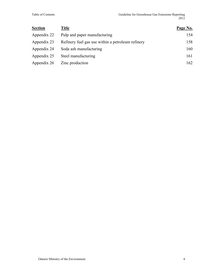| <b>Section</b> | <b>Title</b>                                      | Page No. |
|----------------|---------------------------------------------------|----------|
| Appendix 22    | Pulp and paper manufacturing                      | 154      |
| Appendix 23    | Refinery fuel gas use within a petroleum refinery | 158      |
| Appendix 24    | Soda ash manufacturing                            | 160      |
| Appendix 25    | Steel manufacturing                               | 161      |
| Appendix 26    | Zinc production                                   | 162      |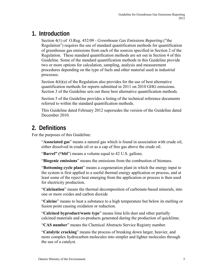## **1. Introduction**

Section 4(1) of O.Reg. 452/09 - *Greenhouse Gas Emissions Reporting* ("the Regulation") requires the use of standard quantification methods for quantification of greenhouse gas emissions from each of the sources specified in Section 2 of the Regulation. These standard quantification methods are set out in Section 4 of this Guideline. Some of the standard quantification methods in this Guideline provide two or more options for calculation, sampling, analysis and measurement procedures depending on the type of fuels and other material used in industrial processes.

Section 4(6)(a) of the Regulation also provides for the use of best alternative quantification methods for reports submitted in 2011 on 2010 GHG emissions. Section 3 of the Guideline sets out these best alternative quantification methods.

Section 5 of the Guideline provides a listing of the technical reference documents referred to within the standard quantification methods.

This Guideline dated February 2012 supersedes the version of the Guideline dated December 2010.

## **2. Definitions**

For the purposes of this Guideline:

"**Associated gas**" means a natural gas which is found in association with crude oil, either dissolved in crude oil or as a cap of free gas above the crude oil.

"**Barrel" ("bbl**") means a volume equal to 42 U.S. gallons.

"**Biogenic emissions**" means the emissions from the combustion of biomass.

"**Bottoming cycle plant**" means a cogeneration plant in which the energy input to the system is first applied to a useful thermal energy application or process, and at least some of the reject heat emerging from the application or process is then used for electricity production.

"**Calcination**" means the thermal decomposition of carbonate-based minerals, into one or more oxides and carbon dioxide

"**Calcine**" means to heat a substance to a high temperature but below its melting or fusion point causing oxidation or reduction.

"**Calcined byproduct/waste type**" means lime kiln dust and other partially calcined materials and co-products generated during the production of quicklime.

"**CAS number**" means the Chemical Abstracts Service Registry number.

"**Catalytic cracking**" means the process of breaking down larger, heavier, and more complex hydrocarbon molecules into simpler and lighter molecules through the use of a catalyst.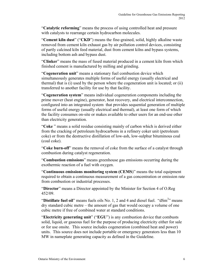"**Catalytic reforming**" means the process of using controlled heat and pressure with catalysts to rearrange certain hydrocarbon molecules.

"**Cement kiln dust**" ("**CKD**") means the fine-grained, solid, highly alkaline waste removed from cement kiln exhaust gas by air pollution control devices, consisting of partly calcined kiln feed material, dust from cement kilns and bypass systems, including bottom ash and bypass dust.

"**Clinker**" means the mass of fused material produced in a cement kiln from which finished cement is manufactured by milling and grinding.

"**Cogeneration unit**" means a stationary fuel combustion device which simultaneously generates multiple forms of useful energy (usually electrical and thermal) that is (i) used by the person where the cogeneration unit is located; or (ii) transferred to another facility for use by that facility.

"**Cogeneration system**" means individual cogeneration components including the prime mover (heat engine), generator, heat recovery, and electrical interconnection, configured into an integrated system that provides sequential generation of multiple forms of useful energy (usually electrical and thermal), at least one form of which the facility consumes on-site or makes available to other users for an end-use other than electricity generation.

"**Coke** " means a solid residue consisting mainly of carbon which is derived either from the cracking of petroleum hydrocarbons in a refinery coker unit (petroleum coke) or from the destructive distillation of low-ash, low-sulphur bituminous coal (coal coke).

"**Coke burn-off**" means the removal of coke from the surface of a catalyst through combustion during catalyst regeneration.

"**Combustion emissions**" means greenhouse gas emissions occurring during the exothermic reaction of a fuel with oxygen.

"**Continuous emissions monitoring system (CEMS**)" means the total equipment required to obtain a continuous measurement of a gas concentration or emission rate from combustion or industrial processes.

"**Director**" means a Director appointed by the Minister for Section 4 of O.Reg 452/09.

"Distillate fuel oil" means fuels oils No. 1, 2 and 4 and diesel fuel. "dSm<sup>3</sup>" means dry standard cubic metre – the amount of gas that would occupy a volume of one cubic metre if free of combined water at standard conditions.

"**Electricity generating unit**" ("**EGU**") is any combustion device that combusts solid, liquid, or gaseous fuel for the purpose of producing electricity either for sale or for use onsite. This source includes cogeneration (combined heat and power) units. This source does not include portable or emergency generators less than 10 MW in nameplate generating capacity as defined in the Guideline.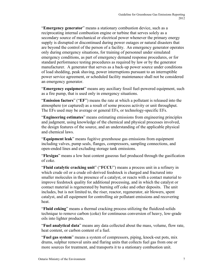"**Emergency generator**" means a stationary combustion device, such as a reciprocating internal combustion engine or turbine that serves solely as a secondary source of mechanical or electrical power whenever the primary energy supply is disrupted or discontinued during power outages or natural disasters that are beyond the control of the person of a facility. An emergency generator operates only during emergency situations, for training of personnel under simulated emergency conditions, as part of emergency demand response procedures, or for standard performance testing procedures as required by law or by the generator manufacturer. A generator that serves as a back-up power source under conditions of load shedding, peak shaving, power interruptions pursuant to an interruptible power service agreement, or scheduled facility maintenance shall not be considered an emergency generator.

"**Emergency equipment**" means any auxiliary fossil fuel-powered equipment, such as a fire pump, that is used only in emergency situations.

"**Emission factors**" ("**EF**") means the rate at which a pollutant is released into the atmosphere (or captured) as a result of some process activity or unit throughput. The EFs used may be average or general EFs, or technology-specific EFs.

"**Engineering estimates**" means estimating emissions from engineering principles and judgment, using knowledge of the chemical and physical processes involved, the design features of the source, and an understanding of the applicable physical and chemical laws.

"**Equipment leak**" means fugitive greenhouse gas emissions from equipment including valves, pump seals, flanges, compressors, sampling connections, and open-ended lines and excluding storage tank emissions.

"**Flexigas**" means a low heat content gaseous fuel produced through the gasification of coke.

"**Fluid catalytic cracking unit**" ("**FCCU**") means a process unit in a refinery in which crude oil or a crude oil-derived feedstock is charged and fractured into smaller molecules in the presence of a catalyst, or reacts with a contact material to improve feedstock quality for additional processing, and in which the catalyst or contact material is regenerated by burning off coke and other deposits. The unit includes, but is not limited to, the riser, reactor, regenerator, air blowers, spent catalyst, and all equipment for controlling air pollutant emissions and recovering heat.

"**Fluid coking**" means a thermal cracking process utilizing the fluidized-solids technique to remove carbon (coke) for continuous conversion of heavy, low-grade oils into lighter products.

"**Fuel analytical data**" means any data collected about the mass, volume, flow rate, heat content, or carbon content of a fuel.

"**Fuel gas system**" means a system of compressors, piping, knock-out pots, mix drums, sulphur removal units and flaring units that collects fuel gas from one or more sources for treatment, and transports it to a stationary combustion unit.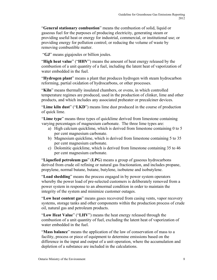"**General stationary combustion**" means the combustion of solid, liquid or gaseous fuel for the purposes of producing electricity, generating steam or providing useful heat or energy for industrial, commercial, or institutional use; or providing energy for pollution control; or reducing the volume of waste by removing combustible matter.

"**GJ**" means gigajoules or billion joules.

"**High heat value**" ("**HHV**") means the amount of heat energy released by the combustion of a unit quantity of a fuel, including the latent heat of vaporization of water embedded in the fuel.

"**Hydrogen plant**" means a plant that produces hydrogen with steam hydrocarbon reforming, partial oxidation of hydrocarbons, or other processes.

"**Kiln**" means thermally insulated chambers, or [ovens](http://en.wikipedia.org/wiki/Oven), in which controlled temperature regimes are produced, used in the production of clinker, lime and other products, and which includes any associated preheater or precalciner devices.

"**Lime kiln dust**" ("**LKD**") means lime dust produced in the course of production of quick lime.

"**Lime type**" means three types of quicklime derived from limestone containing varying percentages of magnesium carbonate. The three lime types are:

- a) High calcium quicklime, which is derived from limestone containing 0 to 5 per cent magnesium carbonate.
- b) Magnesium quicklime, which is derived from limestone containing 5 to 35 per cent magnesium carbonate.
- c) Dolomitic quicklime, which is derived from limestone containing 35 to 46 per cent magnesium carbonate.

"**Liquefied petroleum gas**" (**LPG**) means a group of gaseous hydrocarbons derived from crude oil refining or natural gas fractionation, and includes propane, propylene, normal butane, butane, butylene, isobutene and isobutylene.

"**Load shedding**" means the process engaged in by power system operators whereby the power load of pre-selected customers is deliberately removed from a power system in response to an abnormal condition in order to maintain the integrity of the system and minimize customer outages.

"**Low heat content gas**" means gases recovered from casing vents, vapor recovery systems, storage tanks and other components within the production process of crude oil, natural gas and petroleum products.

"**Low Heat Value**" ("**LHV**") means the heat energy released through the combustion of a unit quantity of fuel, excluding the latent heat of vaporization of water embedded in the fuel.

"**Mass balance**" means the application of the law of conservation of mass to a facility, process or piece of equipment to determine emissions based on the difference in the input and output of a unit operation, where the accumulation and depletion of a substance are included in the calculations.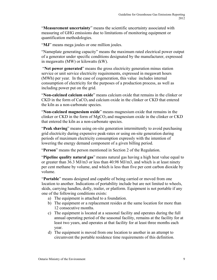"**Measurement uncertainty**" means the scientific uncertainty associated with measuring of GHG emissions due to limitations of monitoring equipment or quantification methodologies.

"**MJ**" means mega joules or one million joules.

"Nameplate generating capacity" means the maximum rated electrical power output of a generator under specific conditions designated by the manufacturer, expressed in megawatts (MW) or kilowatts (kW).

 "**Net power generated**" means the gross electricity generation minus station service or unit service electricity requirements, expressed in megawatt hours (MWh) per year. In the case of cogeneration, this value includes internal consumption of electricity for the purposes of a production process, as well as including power put on the grid.

"**Non-calcined calcium oxide**" means calcium oxide that remains in the clinker or CKD in the form of  $CaCO<sub>3</sub>$  and calcium oxide in the clinker or CKD that entered the kiln as a non-carbonate species.

"**Non-calcined magnesium oxide**" means magnesium oxide that remains in the clinker or CKD in the form of  $MgCO<sub>3</sub>$  and magnesium oxide in the clinker or CKD that entered the kiln as a non-carbonate species.

"**Peak shaving**" means using on-site generation intermittently to avoid purchasing grid electricity during expensive peak-rates or using on-site generation during periods of maximum electricity consumption expressly with the intention of lowering the energy demand component of a given billing period.

"**Person**" means the person mentioned in Section 2 of the Regulation.

"**Pipeline quality natural gas**" means natural gas having a high heat value equal to or greater than 36.3 MJ/m3 or less than 40.98 MJ/m3, and which is at least ninety per cent methane by volume, and which is less than five per cent carbon dioxide by volume.

"**Portable**" means designed and capable of being carried or moved from one location to another. Indications of portability include but are not limited to wheels, skids, carrying handles, dolly, trailer, or platform. Equipment is not portable if any one of the following conditions exists:

- a) The equipment is attached to a foundation.
- b) The equipment or a replacement resides at the same location for more than 12 consecutive months.
- c) The equipment is located at a seasonal facility and operates during the full annual operating period of the seasonal facility, remains at the facility for at least two years, and operates at that facility for at least three months each year.
- d) The equipment is moved from one location to another in an attempt to circumvent the portable residence time requirements of this definition.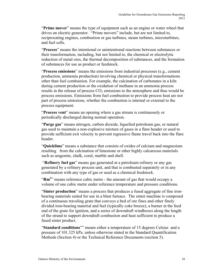"**Prime mover**" means the type of equipment such as an engine or water wheel that drives an electric generator. "Prime movers" include, but are not limited to, reciprocating engines, combustion or gas turbines, steam turbines, microturbines, and fuel cells.

"**Process**" means the intentional or unintentional reactions between substances or their transformation, including, but not limited to, the chemical or electrolytic reduction of metal ores, the thermal decomposition of substances, and the formation of substances for use as product or feedstock.

"**Process emissions**" means the emissions from industrial processes (e.g., cement production, ammonia production) involving chemical or physical transformations other than fuel combustion. For example, the calcination of carbonates in a kiln during cement production or the oxidation of methane in an ammonia process results in the release of process  $CO<sub>2</sub>$  emissions to the atmosphere and thus would be process emissions. Emissions from fuel combustion to provide process heat are not part of process emissions, whether the combustion is internal or external to the process equipment.

"**Process vent**" means an opening where a gas stream is continuously or periodically discharged during normal operation.

"**Purge gas**" means nitrogen, carbon dioxide, liquefied petroleum gas, or natural gas used to maintain a non-explosive mixture of gases in a flare header or used to provide sufficient exit velocity to prevent regressive flame travel back into the flare header.

"**Quicklime**" means a substance that consists of oxides of calcium and magnesium resulting from the calcination of limestone or other highly calcareous materials such as aragonite, chalk, coral, marble and shell.

 "**Refinery fuel gas**" means gas generated at a petroleum refinery or any gas generated by a refinery process unit, and that is combusted separately or in any combination with any type of gas or used as a chemical feedstock.

"Rm<sup>3</sup>" means reference cubic metre - the amount of gas that would occupy a volume of one cubic metre under reference temperature and pressure conditions.

"**Sinter production**" means a process that produces a fused aggregate of fine ironbearing materials suited for use in a blast furnace. The sinter machine is composed of a continuous traveling grate that conveys a bed of ore fines and other finely divided iron-bearing material and fuel (typically coke breeze), a burner at the feed end of the grate for ignition, and a series of downdraft windboxes along the length of the strand to support downdraft combustion and heat sufficient to produce a fused sinter product.

"**Standard conditions**"" means either a temperature of 15 degrees Celsius and a pressure of 101.325 kPa. unless otherwise stated in the Standard Quantification Methods (Section 4) or the Technical Reference Documents (section 5).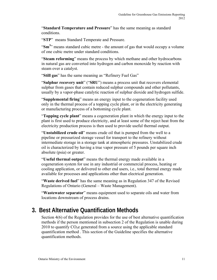"**Standard Temperature and Pressure**" has the same meaning as standard conditions.

"**STP**" means Standard Temperate and Pressure.

"Sm<sup>3</sup>" means standard cubic metre - the amount of gas that would occupy a volume of one cubic metre under standard conditions.

"**Steam reforming**" means the process by which methane and other hydrocarbons in natural gas are converted into hydrogen and carbon monoxide by reaction with steam over a catalyst.

"**Still gas**" has the same meaning as "Refinery Fuel Gas"

"**Sulphur recovery unit**" ("**SRU**") means a process unit that recovers elemental sulphur from gases that contain reduced sulphur compounds and other pollutants, usually by a vapor-phase catalytic reaction of sulphur dioxide and hydrogen sulfide.

"**Supplemental firing**" means an energy input to the cogeneration facility used only in the thermal process of a topping cycle plant, or in the electricity generating or manufacturing process of a bottoming cycle plant.

"**Topping cycle plant**" means a cogeneration plant in which the energy input to the plant is first used to produce electricity, and at least some of the reject heat from the electricity production process is then used to provide useful thermal output.

"**Unstabilized crude oil**" means crude oil that is pumped from the well to a pipeline or pressurized storage vessel for transport to the refinery without intermediate storage in a storage tank at atmospheric pressures. Unstabilized crude oil is characterized by having a true vapor pressure of 5 pounds per square inch absolute (psia) or greater.

"**Useful thermal output**" means the thermal energy made available in a cogeneration system for use in any industrial or commercial process, heating or cooling application, or delivered to other end users, i.e., total thermal energy made available for processes and applications other than electrical generation.

"**Waste derived fuel**" has the same meaning as in Regulation 347 of the Revised Regulations of Ontario (General – Waste Management).

"**Wastewater separator**" means equipment used to separate oils and water from locations downstream of process drains.

## **3. Best Alternative Quantification Methods**

Section 4(6) of the Regulation provides for the use of best alternative quantification methods if the person mentioned in subsection 2 of the Regulation is unable during 2010 to quantify  $CO<sub>2</sub>e$  generated from a source using the applicable standard quantification method . This section of the Guideline specifies the alternative quantification methods.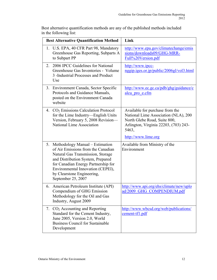| <b>Best Alternative Quantification Method</b>                                                                                                                                                                                                                                      | Link                                                                                                                                                                             |
|------------------------------------------------------------------------------------------------------------------------------------------------------------------------------------------------------------------------------------------------------------------------------------|----------------------------------------------------------------------------------------------------------------------------------------------------------------------------------|
| 1. U.S. EPA, 40 CFR Part 98, Mandatory<br>Greenhouse Gas Reporting, Subparts A<br>to Subpart PP                                                                                                                                                                                    | http://www.epa.gov/climatechange/emis<br>sions/downloads09/GHG-MRR-<br>Full%20Version.pdf                                                                                        |
| 2006 IPCC Guidelines for National<br>2.<br>Greenhouse Gas Inventories - Volume<br>3 - Industrial Processes and Product<br>Use                                                                                                                                                      | http://www.ipcc-<br>nggip.iges.or.jp/public/2006gl/vol3.html                                                                                                                     |
| 3. Environment Canada, Sector Specific<br>Protocols and Guidance Manuals,<br>posted on the Environment Canada<br>website                                                                                                                                                           | http://www.ec.gc.ca/pdb/ghg/guidance/c<br>alcu pro e.cfm                                                                                                                         |
| 4. $CO2$ Emissions Calculation Protocol<br>for the Lime Industry—English Units<br>Version, February 5, 2008 Revision-<br>National Lime Association                                                                                                                                 | Available for purchase from the<br>National Lime Association (NLA), 200<br>North Glebe Road, Suite 800,<br>Arlington, Virginia 22203, (703) 243-<br>5463,<br>http://www.lime.org |
| 5. Methodology Manual – Estimation<br>of Air Emissions from the Canadian<br>Natural Gas Transmission, Storage<br>and Distribution System, Prepared<br>for Canadian Energy Partnership for<br>Environmental Innovation (CEPEI),<br>by Clearstone Engineering,<br>September 25, 2007 | Available from Ministry of the<br>Environment                                                                                                                                    |
| 6. American Petroleum Institute (API)<br>Compendium of GHG Emission<br>Methodology for the Oil and Gas<br>Industry, August 2009                                                                                                                                                    | http://www.api.org/ehs/climate/new/uplo<br>ad/2009 GHG COMPENDIUM.pdf                                                                                                            |
| 7. $CO2$ Accounting and Reporting<br>Standard for the Cement Industry,<br>June 2005, Version 2.0, World<br><b>Business Council for Sustainable</b><br>Development                                                                                                                  | http://www.wbcsd.org/web/publications/<br>cement-tf1.pdf                                                                                                                         |

Best alternative quantification methods are any of the published methods included in the following list: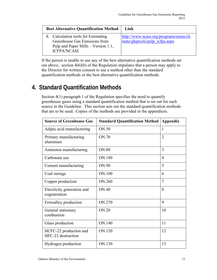| <b>Best Alternative Quantification Method</b>                                                                                     | Link                                                                     |
|-----------------------------------------------------------------------------------------------------------------------------------|--------------------------------------------------------------------------|
| 8. Calculation tools for Estimating<br>Greenhouse Gas Emissions from<br>Pulp and Paper Mills – Version 1.1,<br><b>ICFPA/NCASI</b> | http://www.ncasi.org/programs/areas/cli<br>mate/ghgtools/pulp icfpa.aspx |

If the person is unable to use any of the best alternative quantification methods set out above, section 4(6)(b) of the Regulation stipulates that a person may apply to the Director for written consent to use a method other than the standard quantification methods or the best alternative quantification methods.

## **4. Standard Quantification Methods**

Section 4(1) paragraph 1 of the Regulation specifies the need to quantify greenhouse gases using a standard quantification method that is set out for each source in the Guideline. This section sets out the standard quantification methods that are to be used. Copies of the methods are provided in the appendices.

| <b>Source of Greenhouse Gas</b>              | <b>Standard Quantification Method</b> | Appendix       |
|----------------------------------------------|---------------------------------------|----------------|
| Adipic acid manufacturing                    | ON.50                                 | 1              |
| Primary manufacturing<br>aluminum            | ON.70                                 | $\overline{2}$ |
| Ammonia manufacturing                        | ON.80                                 | 3              |
| Carbonate use                                | ON.180                                | $\overline{4}$ |
| Cement manufacturing                         | ON.90                                 | 5              |
| Coal storage                                 | ON.100                                | 6              |
| Copper production                            | ON.260                                | $\overline{7}$ |
| Electricity generation and<br>cogeneration   | ON.40                                 | 8              |
| Ferroalloy production                        | ON.270                                | 9              |
| General stationary<br>combustion             | ON.20                                 | 10             |
| Glass production                             | ON.140                                | 11             |
| HCFC-22 production and<br>HFC-23 destruction | ON.120                                | 12             |
| Hydrogen production                          | ON.130                                | 13             |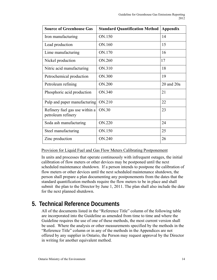| <b>Source of Greenhouse Gas</b>                      | <b>Standard Quantification Method</b> | <b>Appendix</b> |
|------------------------------------------------------|---------------------------------------|-----------------|
| Iron manufacturing                                   | ON.150                                | 14              |
| Lead production                                      | ON.160                                | 15              |
| Lime manufacturing                                   | ON.170                                | 16              |
| Nickel production                                    | ON.260                                | 17              |
| Nitric acid manufacturing                            | ON.310                                | 18              |
| Petrochemical production                             | ON.300                                | 19              |
| Petroleum refining                                   | ON.200                                | 20 and 20a      |
| Phosphoric acid production                           | ON.340                                | 21              |
| Pulp and paper manufacturing                         | ON.210                                | 22              |
| Refinery fuel gas use within a<br>petroleum refinery | ON.30                                 | 23              |
| Soda ash manufacturing                               | ON.220                                | 24              |
| Steel manufacturing                                  | ON.150                                | 25              |
| Zinc production                                      | ON.240                                | 26              |

#### Provision for Liquid Fuel and Gas Flow Meters Calibrating Postponement

In units and processes that operate continuously with infrequent outages, the initial calibration of flow meters or other devices may be postponed until the next scheduled maintenance shutdown. If a person intends to postpone the calibration of flow meters or other devices until the next scheduled maintenance shutdown, the person shall prepare a plan documenting any postponements from the dates that the standard quantification methods require the flow meters to be in place and shall submit the plan to the Director by June 1, 2011. The plan shall also include the date for the next planned shutdown.

## **5. Technical Reference Documents**

All of the documents listed in the "Reference Title" column of the following table are incorporated into the Guideline as amended from time to time and where the Guideline requires the use of one of these methods, the most current version shall be used. Where the analysis or other measurements specified by the methods in the "Reference Title" column or in any of the methods in the Appendices are not offered by any supplier in Ontario, the Person may request approval by the Director in writing for another equivalent method.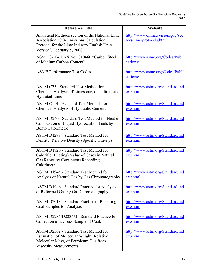| <b>Reference Title</b>                                                                                                                                                              | Website                                                      |
|-------------------------------------------------------------------------------------------------------------------------------------------------------------------------------------|--------------------------------------------------------------|
| Analytical Methods section of the National Lime<br>Association 'CO <sub>2</sub> Emissions Calculation<br>Protocol for the Lime Industry English Units<br>Version', February 5, 2008 | http://www.climatevision.gov/sec<br>tors/lime/protocols.html |
| ASM CS-104 UNS No. G10460 "Carbon Steel                                                                                                                                             | http://www.asme.org/Codes/Publi                              |
| of Medium Carbon Content".                                                                                                                                                          | cations/                                                     |
| <b>ASME Performance Test Codes</b>                                                                                                                                                  | http://www.asme.org/Codes/Publi<br>cations/                  |
| <b>ASTM C25 - Standard Test Method for</b><br>Chemical Analysis of Limestone, quicklime, and<br><b>Hydrated Lime</b>                                                                | http://www.astm.org/Standard/ind<br>ex.shtml                 |
| <b>ASTM C114 - Standard Test Methods for</b>                                                                                                                                        | http://www.astm.org/Standard/ind                             |
| Chemical Analysis of Hydraulic Cement                                                                                                                                               | ex.shtml                                                     |
| ASTM D240 - Standard Test Method for Heat of<br>Combustion of Liquid Hydrocarbon Fuels by<br><b>Bomb Calorimetre</b>                                                                | http://www.astm.org/Standard/ind<br>ex.shtml                 |
| <b>ASTM D1298 - Standard Test Method for</b>                                                                                                                                        | http://www.astm.org/Standard/ind                             |
| Density, Relative Density (Specific Gravity)                                                                                                                                        | ex.shtml                                                     |
| <b>ASTM D1826 - Standard Test Method for</b><br>Calorific (Heating) Value of Gases in Natural<br>Gas Range by Continuous Recording<br>Calorimetre                                   | http://www.astm.org/Standard/ind<br>ex.shtml                 |
| ASTM D1945 - Standard Test Method for                                                                                                                                               | http://www.astm.org/Standard/ind                             |
| Analysis of Natural Gas by Gas Chromatography                                                                                                                                       | ex.shtml                                                     |
| <b>ASTM D1946 - Standard Practice for Analysis</b>                                                                                                                                  | http://www.astm.org/Standard/ind                             |
| of Reformed Gas by Gas Chromatography                                                                                                                                               | ex.shtml                                                     |
| ASTM D2013 - Standard Practice of Preparing                                                                                                                                         | http://www.astm.org/Standard/ind                             |
| Coal Samples for Analysis.                                                                                                                                                          | ex.shtml                                                     |
| ASTM D2234/D2234M - Standard Practice for                                                                                                                                           | http://www.astm.org/Standard/ind                             |
| Collection of a Gross Sample of Coal.                                                                                                                                               | ex.shtml                                                     |
| ASTM D2502 - Standard Test Method for<br>Estimation of Molecular Weight (Relative<br>Molecular Mass) of Petroleum Oils from<br><b>Viscosity Measurements</b>                        | http://www.astm.org/Standard/ind<br>ex.shtml                 |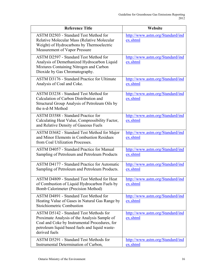| <b>Reference Title</b>                                                                                                                                                                                            | Website                                      |
|-------------------------------------------------------------------------------------------------------------------------------------------------------------------------------------------------------------------|----------------------------------------------|
| <b>ASTM D2503 - Standard Test Method for</b><br>Relative Molecular Mass (Relative Molecular<br>Weight) of Hydrocarbons by Thermoelectric<br>Measurement of Vapor Pressure                                         | http://www.astm.org/Standard/ind<br>ex.shtml |
| <b>ASTM D2597 - Standard Test Method for</b><br>Analysis of Demethanized Hydrocarbon Liquid<br>Mixtures Containing Nitrogen and Carbon<br>Dioxide by Gas Chromatography.                                          | http://www.astm.org/Standard/ind<br>ex.shtml |
| <b>ASTM D3176 - Standard Practice for Ultimate</b><br>Analysis of Coal and Coke.                                                                                                                                  | http://www.astm.org/Standard/ind<br>ex.shtml |
| ASTM D3238 - Standard Test Method for<br>Calculation of Carbon Distribution and<br>Structural Group Analysis of Petroleum Oils by<br>the n-d-M Method                                                             | http://www.astm.org/Standard/ind<br>ex.shtml |
| <b>ASTM D3588 - Standard Practice for</b><br>Calculating Heat Value, Compressibility Factor,<br>and Relative Density of Gaseous Fuels                                                                             | http://www.astm.org/Standard/ind<br>ex.shtml |
| ASTM D3682 - Standard Test Method for Major<br>and Minor Elements in Combustion Residues<br>from Coal Utilization Processes.                                                                                      | http://www.astm.org/Standard/ind<br>ex.shtml |
| <b>ASTM D4057 - Standard Practice for Manual</b><br>Sampling of Petroleum and Petroleum Products                                                                                                                  | http://www.astm.org/Standard/ind<br>ex.shtml |
| <b>ASTM D4177 - Standard Practice for Automatic</b><br>Sampling of Petroleum and Petroleum Products.                                                                                                              | http://www.astm.org/Standard/ind<br>ex.shtml |
| ASTM D4809 - Standard Test Method for Heat<br>of Combustion of Liquid Hydrocarbon Fuels by<br>Bomb Calorimeter (Precision Method)                                                                                 | http://www.astm.org/Standard/ind<br>ex.shtml |
| ASTM D4891 - Standard Test Method for<br>Heating Value of Gases in Natural Gas Range by<br>Stoichiometric Combustion                                                                                              | http://www.astm.org/Standard/ind<br>ex.shtml |
| <b>ASTM D5142 - Standard Test Methods for</b><br>Proximate Analysis of the Analysis Sample of<br>Coal and Coke by Instrumental Procedures, for<br>petroleum liquid based fuels and liquid waste-<br>derived fuels | http://www.astm.org/Standard/ind<br>ex.shtml |
| <b>ASTM D5291 - Standard Test Methods for</b><br>Instrumental Determination of Carbon,                                                                                                                            | http://www.astm.org/Standard/ind<br>ex.shtml |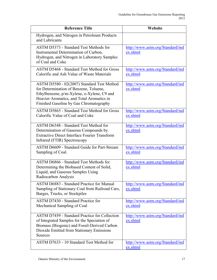| <b>Reference Title</b>                                                                                                                                                                                                     | Website                                      |
|----------------------------------------------------------------------------------------------------------------------------------------------------------------------------------------------------------------------------|----------------------------------------------|
| Hydrogen, and Nitrogen in Petroleum Products<br>and Lubricants                                                                                                                                                             |                                              |
| <b>ASTM D5373 - Standard Test Methods for</b><br>Instrumental Determination of Carbon,<br>Hydrogen, and Nitrogen in Laboratory Samples<br>of Coal and Coke                                                                 | http://www.astm.org/Standard/ind<br>ex.shtml |
| <b>ASTM D5468 - Standard Test Method for Gross</b><br>Calorific and Ash Value of Waste Materials                                                                                                                           | http://www.astm.org/Standard/ind<br>ex.shtml |
| ASTM D5580 - 02(2007) Standard Test Method<br>for Determination of Benzene, Toluene,<br>Ethylbenzene, p/m-Xylene, o-Xylene, C9 and<br>Heavier Aromatics, and Total Aromatics in<br>Finished Gasoline by Gas Chromatography | http://www.astm.org/Standard/ind<br>ex.shtml |
| <b>ASTM D5865 - Standard Test Method for Gross</b><br>Calorific Value of Coal and Coke                                                                                                                                     | http://www.astm.org/Standard/ind<br>ex.shtml |
| ASTM D6348 - Standard Test Method for<br>Determination of Gaseous Compounds by<br><b>Extractive Direct Interface Fourier Transform</b><br>Infrared (FTIR) Spectroscopy                                                     | http://www.astm.org/Standard/ind<br>ex.shtml |
| ASTM D6609 - Standard Guide for Part-Stream<br>Sampling of Coal.                                                                                                                                                           | http://www.astm.org/Standard/ind<br>ex.shtml |
| ASTM D6866 - Standard Test Methods for<br>Determining the Biobased Content of Solid,<br>Liquid, and Gaseous Samples Using<br>Radiocarbon Analysis                                                                          | http://www.astm.org/Standard/ind<br>ex.shtml |
| <b>ASTM D6883 - Standard Practice for Manual</b><br>Sampling of Stationary Coal from Railroad Cars,<br>Barges, Trucks, or Stockpiles                                                                                       | http://www.astm.org/Standard/ind<br>ex.shtml |
| ASTM D7430 - Standard Practice for<br>Mechanical Sampling of Coal                                                                                                                                                          | http://www.astm.org/Standard/ind<br>ex.shtml |
| <b>ASTM D7459 - Standard Practice for Collection</b><br>of Integrated Samples for the Speciation of<br>Biomass (Biogenic) and Fossil-Derived Carbon<br>Dioxide Emitted from Stationary Emissions<br>Sources                | http://www.astm.org/Standard/ind<br>ex.shtml |
| ASTM D7633 - 10 Standard Test Method for                                                                                                                                                                                   | http://www.astm.org/Standard/ind<br>ex.shtml |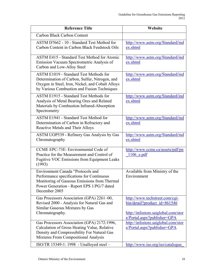| <b>Reference Title</b>                                                                                                                                                                               | Website                                                                                                                              |
|------------------------------------------------------------------------------------------------------------------------------------------------------------------------------------------------------|--------------------------------------------------------------------------------------------------------------------------------------|
| Carbon Black Carbon Content                                                                                                                                                                          |                                                                                                                                      |
| ASTM D7662 - 10 - Standard Test Method for<br>Carbon Content in Carbon Black Feedstock Oils                                                                                                          | http://www.astm.org/Standard/ind<br>ex.shtml                                                                                         |
| <b>ASTM E415 - Standard Test Method for Atomic</b><br>Emission Vacuum Spectrometric Analysis of<br>Carbon and Low-Alloy Steel                                                                        | http://www.astm.org/Standard/ind<br>ex.shtml                                                                                         |
| <b>ASTM E1019 - Standard Test Methods for</b><br>Determination of Carbon, Sulfur, Nitrogen, and<br>Oxygen in Steel, Iron, Nickel, and Cobalt Alloys<br>by Various Combustion and Fusion Techniques   | http://www.astm.org/Standard/ind<br>ex.shtml                                                                                         |
| ASTM E1915 - Standard Test Methods for<br>Analysis of Metal Bearing Ores and Related<br>Materials by Combustion Infrared-Absorption<br>Spectrometry                                                  | http://www.astm.org/Standard/ind<br>ex.shtml                                                                                         |
| <b>ASTM E1941 - Standard Test Method for</b><br>Determination of Carbon in Refractory and<br>Reactive Metals and Their Alloys                                                                        | http://www.astm.org/Standard/ind<br>ex.shtml                                                                                         |
| ASTM UOP539 - Refinery Gas Analysis by Gas<br>Chromatography                                                                                                                                         | http://www.astm.org/Standard/ind<br>ex.shtml                                                                                         |
| CCME EPC-73E: Environmental Code of<br>Practice for the Measurement and Control of<br><b>Fugitive VOC Emissions from Equipment Leaks</b><br>(1993)                                                   | http://www.ccme.ca/assets/pdf/pn<br>1106 e.pdf                                                                                       |
| <b>Environment Canada "Protocols and</b><br>Performance specifications for Continuous<br>Monitoring of Gaseous Emissions from Thermal<br>Power Generation - Report EPS 1/PG/7 dated<br>December 2005 | Available from Ministry of the<br>Environment                                                                                        |
| Gas Processors Association (GPA) 2261-00,<br>Revised 2000 - Analysis for Natural Gas and<br>Similar Gaseous Mixtures by Gas<br>Chromatography.                                                       | http://www.techstreet.com/cgi-<br>bin/detail?product_id=861546<br>http://infostore.saiglobal.com/stor<br>e/Portal.aspx?publisher=GPA |
| Gas Processors Association (GPA) 2172:1996,<br>Calculation of Gross Heating Value, Relative<br>Density and Compressibility For Natural Gas<br><b>Mixtures From Compositional Analysis</b>            | http://infostore.saiglobal.com/stor<br>e/Portal.aspx?publisher=GPA                                                                   |
| ISO/TR 15349-1: 1998 - Unalloyed steel -                                                                                                                                                             | http://www.iso.org/iso/catalogue                                                                                                     |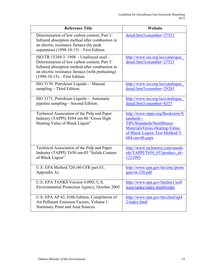| <b>Reference Title</b>                                                                                                                                                                                                           | Website                                                                                                                                                            |
|----------------------------------------------------------------------------------------------------------------------------------------------------------------------------------------------------------------------------------|--------------------------------------------------------------------------------------------------------------------------------------------------------------------|
| Determination of low carbon content, Part 1:<br>Infrared absorption method after combustion in<br>an electric resistance furnace (by peak<br>separation) $(1998-10-15)$ – First Edition                                          | detail.htm?csnumber=27521                                                                                                                                          |
| ISO/TR 15349-3: 1998 - Unalloyed steel -<br>Determination of low carbon content, Part 3:<br>Infrared absorption method after combustion in<br>an electric resistance furnace (with preheating)<br>$(1998-10-15)$ – First Edition | http://www.iso.org/iso/catalogue<br>detail.htm?csnumber=27523                                                                                                      |
| ISO 3170: Petroleum Liquids-Manual                                                                                                                                                                                               | http://www.iso.org/iso/catalogue                                                                                                                                   |
| sampling-Third Edition.                                                                                                                                                                                                          | detail.htm?csnumber=29283                                                                                                                                          |
| ISO 3171: Petroleum Liquids-Automatic                                                                                                                                                                                            | http://www.iso.org/iso/catalogue                                                                                                                                   |
| pipeline sampling—Second Edition.                                                                                                                                                                                                | detail.htm?csnumber=8357                                                                                                                                           |
| Technical Association of the Pulp and Paper<br>Industry (TAPPI) T684 om-06 "Gross High<br>Heating Value of Black Liquor"                                                                                                         | http://www.tappi.org/Bookstore/S<br>tandards--<br>TIPs/Standards/Nonfibrous-<br>Materials/Gross-Heating-Value-<br>of-Black-Liquor-Test-Method-T-<br>684-om-06.aspx |
| Technical Association of the Pulp and Paper                                                                                                                                                                                      | http://www.techstreet.com/standa                                                                                                                                   |
| Industry (TAPPI) T650 om-05 "Solids Content                                                                                                                                                                                      | $rds/TAPPI/T650$ 05?product id=                                                                                                                                    |
| of Black Liquor"                                                                                                                                                                                                                 | 1221095                                                                                                                                                            |
| U.S. EPA Method 320 (40 CFR part 63,                                                                                                                                                                                             | http://www.epa.gov/ttn/emc/prom                                                                                                                                    |
| Appendix A)                                                                                                                                                                                                                      | gate/m-320.pdf                                                                                                                                                     |
| U.S. EPA TANKS Version 4.09D, U.S.                                                                                                                                                                                               | http://www.epa.gov/ttnchie1/soft                                                                                                                                   |
| Environmental Protection Agency, October 2005                                                                                                                                                                                    | ware/tanks/index.html#order                                                                                                                                        |
| U.S. EPA AP 42, Fifth Edition, Compilation of<br>Air Pollutant Emission Factors, Volume 1:<br><b>Stationary Point and Area Sources</b>                                                                                           | http://www.epa.gov/ttn/chief/ap4<br>2/index.html                                                                                                                   |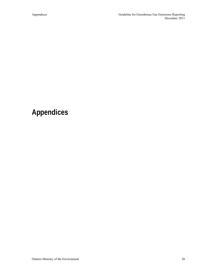## **Appendices**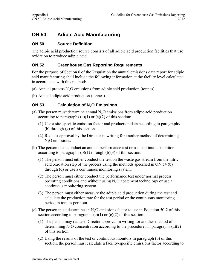## **ON.50 Adipic Acid Manufacturing**

#### **ON.50 Source Definition**

The adipic acid production source consists of all adipic acid production facilities that use oxidation to produce adipic acid.

#### **ON.52 Greenhouse Gas Reporting Requirements**

For the purpose of Section 6 of the Regulation the annual emissions data report for adipic acid manufacturing shall include the following information at the facility level calculated in accordance with this method:

- (a) Annual process  $N<sub>2</sub>O$  emissions from adipic acid production (tonnes).
- (b) Annual adipic acid production (tonnes).

#### **ON.53** Calculation of N<sub>2</sub>O Emissions

- (a) The person must determine annual  $N_2O$  emissions from adipic acid production according to paragraphs  $(a)(1)$  or  $(a)(2)$  of this section:
	- (1) Use a site-specific emission factor and production data according to paragraphs (b) through (g) of this section.
	- (2) Request approval by the Director in writing for another method of determining  $N<sub>2</sub>O$  emissions.
- (b) The person must conduct an annual performance test or use continuous monitors according to paragraphs  $(b)(1)$  through  $(b)(3)$  of this section.
	- (1) The person must either conduct the test on the waste gas stream from the nitric acid oxidation step of the process using the methods specified in ON.54 (b) through (d) or use a continuous monitoring system.
	- (2) The person must either conduct the performance test under normal process operating conditions and without using  $N<sub>2</sub>O$  abatement technology or use a continuous monitoring system.
	- (3) The person must either measure the adipic acid production during the test and calculate the production rate for the test period or the continuous monitoring period in tonnes per hour.
- (c) The person must determine an  $N_2O$  emissions factor to use in Equation 50-2 of this section according to paragraphs  $(c)(1)$  or  $(c)(2)$  of this section.
	- (1) The person may request Director approval in writing for another method of determining  $N_2O$  concentration according to the procedures in paragraphs (a)(2) of this section.
	- (2) Using the results of the test or continuous monitors in paragraph (b) of this section, the person must calculate a facility-specific emissions factor according to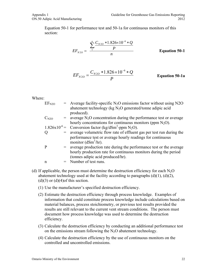Equation 50-1 for performance test and 50-1a for continuous monitors of this section:

$$
EF_{N2O} = \frac{\sum_{1}^{n} \frac{C_{N2O} * 1.826 \times 10^{-6} * Q}{P}}{n}
$$
 Equation 50-1

$$
EF_{N2O} = \frac{C_{N2O} * 1.826 \times 10^{-6} * Q}{P}
$$
 Equation 50-1a

Where:

| EF <sub>N2O</sub> | $=$ Average facility-specific N <sub>2</sub> O emissions factor without using N2O<br>abatement technology ( $kg N2O$ generated/tonne adipic acid |
|-------------------|--------------------------------------------------------------------------------------------------------------------------------------------------|
|                   | produced).                                                                                                                                       |
| $C_{N2O}$         | $=$ average N <sub>2</sub> O concentration during the performance test or average                                                                |
|                   | hourly concentrations for continuous monitors (ppm $N_2O$ ).                                                                                     |
|                   | 1.826x10 <sup>-6</sup> = Conversion factor (kg/dSm <sup>3</sup> -ppm N <sub>2</sub> O).                                                          |
| Q                 | = average volumetric flow rate of effluent gas per test run during the                                                                           |
|                   | performance test or average hourly readings for continuous                                                                                       |
|                   | monitor $(dSm3/hr)$ .                                                                                                                            |
| P                 | = average production rate during the performance test or the average                                                                             |
|                   | hourly production rate for continuous monitors during the period                                                                                 |
|                   | (tonnes adipic acid produced/hr).                                                                                                                |
| n                 | $=$ Number of test runs.                                                                                                                         |
|                   |                                                                                                                                                  |

- (d) If applicable, the person must determine the destruction efficiency for each  $N_2O$ abatement technology used at the facility according to paragraphs  $(d)(1)$ ,  $(d)(2)$ ,  $(d)(3)$  or  $(d)(4)$ of this section.
	- (1) Use the manufacturer's specified destruction efficiency.
	- (2) Estimate the destruction efficiency through process knowledge. Examples of information that could constitute process knowledge include calculations based on material balances, process stoichiometry, or previous test results provided the results are still relevant to the current vent stream conditions. The person must document how process knowledge was used to determine the destruction efficiency.
	- (3) Calculate the destruction efficiency by conducting an additional performance test on the emissions stream following the  $N_2O$  abatement technology.
	- (4) Calculate the destruction efficiency by the use of continuous monitors on the controlled and uncontrolled emissions.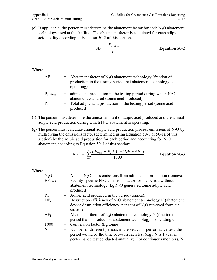(e) If applicable, the person must determine the abatement factor for each  $N_2O$  abatement technology used at the facility. The abatement factor is calculated for each adipic acid facility according to Equation 50-2 of this section.

$$
AF = \frac{P_{a \text{ Abate}}}{P_a}
$$
 **Equation 50-2**

Where:

- $AF =$  Abatement factor of N<sub>2</sub>O abatement technology (fraction of production in the testing period that abatement technology is operating).
- $P_{a \text{ Abate}}$  = adipic acid production in the testing period during which N<sub>2</sub>O abatement was used (tonne acid produced).
- $P_a$  = Total adipic acid production in the testing period (tonne acid produced).
- (f) The person must determine the annual amount of adipic acid produced and the annual adipic acid production during which  $N_2O$  abatement is operating.
- (g) The person must calculate annual adipic acid production process emissions of  $N_2O$  by multiplying the emissions factor (determined using Equation 50-1 or 50-1a of this section) by the adipic acid production for each period and accounting for  $N_2O$ abatement, according to Equation 50-3 of this section:

$$
N_2O = \sum_{i=1}^{N} \frac{EF_{N20i} \cdot P_{ai} \cdot (1 - (DF_i \cdot AF_i))}{1000}
$$
 Equation 50-3

Where:

| $N_2O$             | $=$ Annual N <sub>2</sub> O mass emissions from adipic acid production (tonnes). |
|--------------------|----------------------------------------------------------------------------------|
| EF <sub>N2Oi</sub> | Facility-specific $N_2O$ emissions factor for the period without                 |
|                    | abatement technology ( $kg N2O$ generated/tonne adipic acid                      |
|                    | produced).                                                                       |
| $P_{\rm ai}$       | $=$ Adipic acid produced in the period (tonnes).                                 |
| $DF_i$             | $=$ Destruction efficiency of N <sub>2</sub> O abatement technology N (abatement |
|                    | device destruction efficiency, per cent of $N_2O$ removed from air               |
|                    | stream).                                                                         |
| $AF_i$             | $=$ Abatement factor of N <sub>2</sub> O abatement technology N (fraction of     |
|                    | period that is production abatement technology is operating).                    |
| 1000               | $=$ Conversion factor (kg/tonne).                                                |
| N                  | = Number of different periods in the year. For performance test, the             |
|                    | period would be the time between each test (e.g., N is 1 year if                 |
|                    | performance test conducted annually). For continuous monitors, N                 |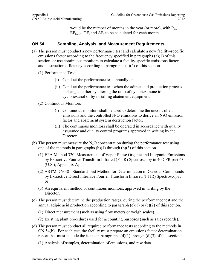would be the number of months in the year (or more), with  $P_{ai}$ ,  $EF_{N2Oi}$ ,  $DF_i$  and  $AF_i$  to be calculated for each month.

#### **ON.54 Sampling, Analysis, and Measurement Requirements**

- (a) The person must conduct a new performance test and calculate a new facility-specific emissions factor according to the frequency specified in paragraphs (a)(1) of this section, or use continuous monitors to calculate a facility-specific emissions factor and destruction efficiency according to paragraphs (a)(2) of this section.
	- (1) Performance Test
		- (i) Conduct the performance test annually or
		- (ii) Conduct the performance test when the adipic acid production process is changed either by altering the ratio of cyclohexanone to cyclohexanol or by installing abatement equipment.
	- (2) Continuous Monitors
		- (i) Continuous monitors shall be used to determine the uncontrolled emissions and the controlled  $N_2O$  emissions to derive an  $N_2O$  emission factor and abatement system destruction factor.
		- (ii) The continuous monitors shall be operated in accordance with quality assurance and quality control programs approved in writing by the Director.
- (b) The person must measure the  $N_2O$  concentration during the performance test using one of the methods in paragraphs  $(b)(1)$  through  $(b)(3)$  of this section.
	- (1) EPA Method 320, Measurement of Vapor Phase Organic and Inorganic Emissions by Extractive Fourier Transform Infrared (FTIR) Spectroscopy in 40 CFR part 63 (U.S.), Appendix A;
	- (2) ASTM D6348 Standard Test Method for Determination of Gaseous Compounds by Extractive Direct Interface Fourier Transform Infrared (FTIR) Spectroscopy; or
	- (3) An equivalent method or continuous monitors, approved in writing by the Director.
- (c) The person must determine the production rate(s) during the performance test and the annual adipic acid production according to paragraph  $(c)(1)$  or  $(c)(2)$  of this section.
	- (1) Direct measurement (such as using flow meters or weigh scales).
	- (2) Existing plant procedures used for accounting purposes (such as sales records).
- (d) The person must conduct all required performance tests according to the methods in ON.54(b). For each test, the facility must prepare an emissions factor determination report that must include the items in paragraphs  $(d)(1)$  through  $(d)(3)$  of this section:
	- (1) Analysis of samples, determination of emissions, and raw data.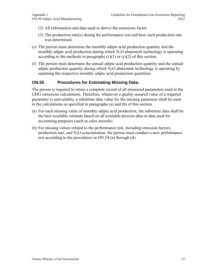- (2) All information and data used to derive the emissions factor.
- (3) The production rate(s) during the performance test and how each production rate was determined.
- (e) The person must determine the monthly adipic acid production quantity and the monthly adipic acid production during which  $N_2O$  abatement technology is operating according to the methods in paragraphs  $(c)(1)$  or  $(c)(2)$  of this section.
- (f) The person must determine the annual adipic acid production quantity and the annual adipic production quantity during which  $N_2O$  abatement technology is operating by summing the respective monthly adipic acid production quantities.

#### **ON.55 Procedures for Estimating Missing Data.**

The person is required to retain a complete record of all measured parameters used in the GHG emissions calculations. Therefore, whenever a quality-assured value of a required parameter is unavailable, a substitute data value for the missing parameter shall be used in the calculations as specified in paragraphs (a) and (b) of this section.

- (a) For each missing value of monthly adipic acid production, the substitute data shall be the best available estimate based on all available process data or data used for accounting purposes (such as sales records).
- (b) For missing values related to the performance test, including emission factors, production rate, and  $N<sub>2</sub>O$  concentration, the person must conduct a new performance test according to the procedures in ON.54 (a) through (d).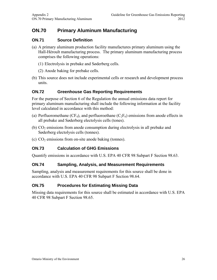## **ON.70 Primary Aluminum Manufacturing**

#### **ON.71 Source Definition**

- (a) A primary aluminum production facility manufactures primary aluminum using the Hall-Héroult manufacturing process. The primary aluminum manufacturing process comprises the following operations:
	- (1) Electrolysis in prebake and Søderberg cells.
	- (2) Anode baking for prebake cells.
- (b) This source does not include experimental cells or research and development process units.

#### **ON.72 Greenhouse Gas Reporting Requirements**

For the purpose of Section 6 of the Regulation the annual emissions data report for primary aluminum manufacturing shall include the following information at the facility level calculated in accordance with this method:

- (a) Perfluoromethane (CF<sub>4</sub>), and perfluoroethane (C<sub>2</sub>F<sub>6</sub>) emissions from anode effects in all prebake and Søderberg electolysis cells (tones).
- (b)  $CO<sub>2</sub>$  emissions from anode consumption during electrolysis in all prebake and Søderberg electolysis cells (tonnes).
- (c)  $CO<sub>2</sub>$  emissions from on-site anode baking (tonnes).

#### **ON.73 Calculation of GHG Emissions**

Quantify emissions in accordance with U.S. EPA 40 CFR 98 Subpart F Section 98.63.

#### **ON.74 Sampling, Analysis, and Measurement Requirements**

Sampling, analysis and measurement requirements for this source shall be done in accordance with U.S. EPA 40 CFR 98 Subpart F Section 98.64.

#### **ON.75 Procedures for Estimating Missing Data**

Missing data requirements for this source shall be estimated in accordance with U.S. EPA 40 CFR 98 Subpart F Section 98.65.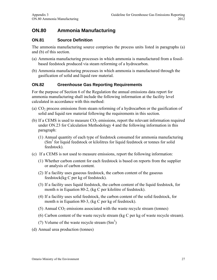### **ON.80 Ammonia Manufacturing**

#### **ON.81 Source Definition**

The ammonia manufacturing source comprises the process units listed in paragraphs (a) and (b) of this section.

- (a) Ammonia manufacturing processes in which ammonia is manufactured from a fossilbased feedstock produced via steam reforming of a hydrocarbon.
- (b) Ammonia manufacturing processes in which ammonia is manufactured through the gasification of solid and liquid raw material.

#### **ON.82 Greenhouse Gas Reporting Requirements**

For the purpose of Section 6 of the Regulation the annual emissions data report for ammonia manufacturing shall include the following information at the facility level calculated in accordance with this method:

- (a)  $CO<sub>2</sub>$  process emissions from steam reforming of a hydrocarbon or the gasification of solid and liquid raw material following the requirements in this section.
- (b) If a CEMS is used to measure  $CO<sub>2</sub>$  emissions, report the relevant information required under ON.23 for Calculation Methodology 4 and the following information in this paragraph:
	- (1) Annual quantity of each type of feedstock consumed for ammonia manufacturing (Sm<sup>3</sup> for liquid feedstock or kilolitres for liquid feedstock or tonnes for solid feedstock).
- (c) If a CEMS is not used to measure emissions, report the following information:
	- (1) Whether carbon content for each feedstock is based on reports from the supplier or analysis of carbon content.
	- (2) If a facility uses gaseous feedstock, the carbon content of the gaseous feedstock(kg C per kg of feedstock).
	- (3) If a facility uses liquid feedstock, the carbon content of the liquid feedstock, for month n in Equation 80-2, (kg C per kilolitre of feedstock).
	- (4) If a facility uses solid feedstock, the carbon content of the solid feedstock, for month n in Equation 80-3, (kg C per kg of feedstock).
	- (5) Annual  $CO<sub>2</sub>$  emissions associated with the waste recycle stream (tonnes)
	- (6) Carbon content of the waste recycle stream (kg C per kg of waste recycle stream).
	- (7) Volume of the waste recycle stream  $(Sm<sup>3</sup>)$
- (d) Annual urea production (tonnes)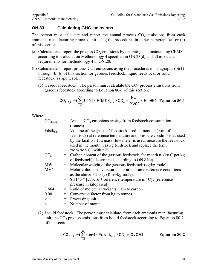#### **ON.83 Calculating GHG emissions**

The person must calculate and report the annual process  $CO<sub>2</sub>$  emissions from each ammonia manufacturing process unit using the procedures in either paragraph (a) or (b) of this section.

- (a) Calculate and report the process  $CO<sub>2</sub>$  emissions by operating and maintaining CEMS according to Calculation Methodology 4 specified in ON.23(d) and all associated requirements for methodology 4 in ON.20.
- (b) Calculate and report process  $CO<sub>2</sub>$  emissions using the procedures in paragraphs (b)(1) through (b)(6) of this section for gaseous feedstock, liquid feedstock, or solid feedstock, as applicable.
	- (1) Gaseous feedstock. The person must calculate the  $CO<sub>2</sub>$  process emissions from gaseous feedstock according to Equation 80-1 of this section:

$$
CO_{2,G,k} = (\sum_{n=1}^{12} 3.664 * Fdstk_{n,k} * CC_n * \frac{MW}{MVC}) * 0.001
$$
 Equation 80-1

Where:

|                                                                                                                            | $=$ Annual CO <sub>2</sub> emissions arising from feedstock consumption<br>(tonnes).                                                                                                                                                                                                                          |  |  |
|----------------------------------------------------------------------------------------------------------------------------|---------------------------------------------------------------------------------------------------------------------------------------------------------------------------------------------------------------------------------------------------------------------------------------------------------------|--|--|
|                                                                                                                            | $=$ Volume of the gaseous' feedstock used in month n (Rm <sup>3</sup> of<br>feedstock) at reference temperature and pressure conditions as used<br>by the facility. If a mass flow meter is used, measure the feedstock<br>used in the month n as kg feedstock and replace the term<br>" $M$ W/MVC" with "1". |  |  |
|                                                                                                                            | $=$ Carbon content of the gaseous feedstock, for month n, (kg C per kg)<br>of feedstock), determined according to ON.84(c).                                                                                                                                                                                   |  |  |
| $=$                                                                                                                        | Molecular weight of the gaseous feedstock (kg/kg-mole).                                                                                                                                                                                                                                                       |  |  |
| Molar volume conversion factor at the same reference conditions<br><b>MVC</b><br>as the above $Fdstk_{n,k}$ (Rm3/kg-mole). |                                                                                                                                                                                                                                                                                                               |  |  |
|                                                                                                                            | $=$ 8.3145 $*$ [273.16 + reference temperature in $^{\circ}$ C] / [reference<br>pressure in kilopascal]                                                                                                                                                                                                       |  |  |
| $=$                                                                                                                        | Ratio of molecular weights, $CO2$ to carbon.                                                                                                                                                                                                                                                                  |  |  |
| $=$                                                                                                                        | Conversion factor from kg to tonnes.                                                                                                                                                                                                                                                                          |  |  |
| $=$                                                                                                                        | Processing unit.                                                                                                                                                                                                                                                                                              |  |  |
|                                                                                                                            | $=$ Number of month                                                                                                                                                                                                                                                                                           |  |  |
|                                                                                                                            |                                                                                                                                                                                                                                                                                                               |  |  |

(2) Liquid feedstock. The person must calculate, from each ammonia manufacturing unit, the  $CO<sub>2</sub>$  process emissions from liquid feedstock according to Equation 80-2 of this section:

$$
CO_{2,L,k} = (\sum_{n=1}^{12} 3.664 * F \text{dstk}_{n,k} * CC_n) * 0.001
$$
 **Equation 80-2**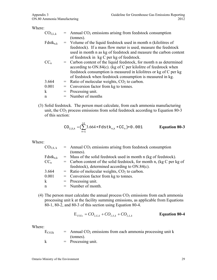Where:

| CO <sub>2,L,k</sub> |     | $=$ Annual CO <sub>2</sub> emissions arising from feedstock consumption |  |
|---------------------|-----|-------------------------------------------------------------------------|--|
|                     |     | (tonnes).                                                               |  |
| $Fdstk_{n,k}$       |     | = Volume of the liquid feedstock used in month n (kilolitres of         |  |
|                     |     | feedstock). If a mass flow meter is used, measure the feedstock         |  |
|                     |     | used in month n as kg of feedstock and measure the carbon content       |  |
|                     |     | of feedstock in kg C per kg of feedstock.                               |  |
| $CC_{n}$            |     | = Carbon content of the liquid feedstock, for month n as determined     |  |
|                     |     | according to $ON.84(c)$ . (kg of C per kilolitre of feedstock when      |  |
|                     |     | feedstock consumption is measured in kilolitres or kg of C per kg       |  |
|                     |     | of feedstock when feedstock consumption is measured in kg.              |  |
| 3.664               |     | $=$ Ratio of molecular weights, $CO2$ to carbon.                        |  |
| 0.001               | $=$ | Conversion factor from kg to tonnes.                                    |  |
| k                   |     | $=$ Processing unit.                                                    |  |
| n                   |     | $=$ Number of months                                                    |  |
|                     |     |                                                                         |  |

(3) Solid feedstock. The person must calculate, from each ammonia manufacturing unit, the CO<sub>2</sub> process emissions from solid feedstock according to Equation 80-3 of this section:

$$
CO_{2, S, k} = (\sum_{n=1}^{12} 3.664 * F \text{dstk}_{n,k} * CC_n) * 0.001
$$
 **Equation 80-3**

Where:

| $CO_{2,S, k}$ | $=$ Annual CO <sub>2</sub> emissions arising from feedstock consumption |  |
|---------------|-------------------------------------------------------------------------|--|
|               | (tonnes).                                                               |  |
| $Fdstk_{n,k}$ | $=$ Mass of the solid feedstock used in month n (kg of feedstock).      |  |
| $CC_n$        | $=$ Carbon content of the solid feedstock, for month n, (kg C per kg of |  |
|               | feedstock), determined according to ON.84(c).                           |  |
| 3.664         | $=$ Ratio of molecular weights, $CO2$ to carbon.                        |  |
| 0.001         | $=$ Conversion factor from kg to tonnes.                                |  |
| $\mathbf k$   | $=$ Processing unit.                                                    |  |
| n             | $=$ Number of month.                                                    |  |
|               |                                                                         |  |

(4) The person must calculate the annual process  $CO<sub>2</sub>$  emissions from each ammonia processing unit k at the facility summing emissions, as applicable from Equations 80-1, 80-2, and 80-3 of this section using Equation 80-4.

$$
E_{CO2_k} = CO_{2,G,k} + CO_{2,S,k} + CO_{2,L,k}
$$
 Equation 80-4

Where:

| $E_{CO2k}$ | $=$ Annual CO <sub>2</sub> emissions from each ammonia processing unit k |
|------------|--------------------------------------------------------------------------|
|            | (tonnes).                                                                |
|            | $=$ Processing unit.                                                     |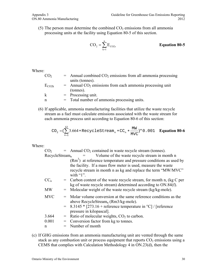(5) The person must determine the combined  $CO<sub>2</sub>$  emissions from all ammonia processing units at the facility using Equation 80-5 of this section.

$$
CO_2 = \sum_{k=1}^{n} E_{CO2k}
$$
 **Equation 80-5**

Where:

| CO <sub>2</sub> | $=$ Annual combined $CO2$ emissions from all ammonia processing        |  |
|-----------------|------------------------------------------------------------------------|--|
|                 | units (tonnes).                                                        |  |
| $E_{CO2k}$      | $=$ Annual CO <sub>2</sub> emissions from each ammonia processing unit |  |
|                 | (tonnes).                                                              |  |
| k               | $=$ Processing unit.                                                   |  |
| n               | = Total number of ammonia processing units.                            |  |

(6) If applicable, ammonia manufacturing facilities that utilize the waste recycle stream as a fuel must calculate emissions associated with the waste stream for each ammonia process unit according to Equation 80-6 of this section:

$$
\mathrm{CO}_2 = (\sum_{n=1}^{12} 3.664*\mathrm{RecyclesStream}_n*\mathrm{CC}_n*\frac{\text{MW}}{\text{MVC}})*0.001 \quad \text{Equation 80-6}
$$

Where:

| CO <sub>2</sub>   | $=$ Annual CO <sub>2</sub> contained in waste recycle stream (tonnes).                                                                                                                                                 |  |  |
|-------------------|------------------------------------------------------------------------------------------------------------------------------------------------------------------------------------------------------------------------|--|--|
| $RecycleStream_n$ | Volume of the waste recycle stream in month n<br>$=$ $-$                                                                                                                                                               |  |  |
|                   | $(Rm3)$ at reference temperature and pressure conditions as used by<br>the facility. If a mass flow meter is used, measure the waste<br>recycle stream in month n as kg and replace the term "MW/MVC"<br>with " $1$ ". |  |  |
| $CC_n$            | $=$ Carbon content of the waste recycle stream, for month n, (kg C per<br>kg of waste recycle stream) determined according to ON.84(f).                                                                                |  |  |
| <b>MW</b>         | $=$ Molecular weight of the waste recycle stream (kg/kg-mole).                                                                                                                                                         |  |  |
| <b>MVC</b>        | = Molar volume conversion at the same reference conditions as the<br>above RecycleStream <sub>n</sub> (Rm $3$ /kg-mole).                                                                                               |  |  |
|                   | $=$ 8.3145 $*$ [273.16 + reference temperature in °C] / [reference<br>pressure in kilopascal].                                                                                                                         |  |  |
| 3.664             | = Ratio of molecular weights, $CO2$ to carbon.                                                                                                                                                                         |  |  |
| 0.001             | Conversion factor from kg to tonnes.                                                                                                                                                                                   |  |  |
| n                 | Number of month                                                                                                                                                                                                        |  |  |

(c) If GHG emissions from an ammonia manufacturing unit are vented through the same stack as any combustion unit or process equipment that reports  $CO<sub>2</sub>$  emissions using a CEMS that complies with Calculation Methodology 4 in ON.23(d), then the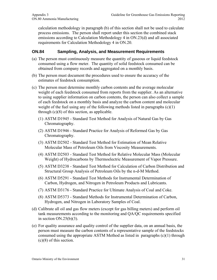calculation methodology in paragraph (b) of this section shall not be used to calculate process emissions. The person shall report under this section the combined stack emissions according to Calculation Methodology 4 in ON.23(d) and all associated requirements for Calculation Methodology 4 in ON.20.

#### **ON.84 Sampling, Analysis, and Measurement Requirements**

- (a) The person must continuously measure the quantity of gaseous or liquid feedstock consumed using a flow meter. The quantity of solid feedstock consumed can be obtained from company records and aggregated on a monthly basis.
- (b) The person must document the procedures used to ensure the accuracy of the estimates of feedstock consumption.
- (c) The person must determine monthly carbon contents and the average molecular weight of each feedstock consumed from reports from the supplier. As an alternative to using supplier information on carbon contents, the person can also collect a sample of each feedstock on a monthly basis and analyze the carbon content and molecular weight of the fuel using any of the following methods listed in paragraphs  $(c)(1)$ through  $(c)(8)$  of this section, as applicable.
	- (1) ASTM D1945 Standard Test Method for Analysis of Natural Gas by Gas Chromatography.
	- (2) ASTM D1946 Standard Practice for Analysis of Reformed Gas by Gas Chromatography.
	- (3) ASTM D2502 Standard Test Method for Estimation of Mean Relative Molecular Mass of Petroleum Oils from Viscosity Measurements.
	- (4) ASTM D2503 Standard Test Method for Relative Molecular Mass (Molecular Weight) of Hydrocarbons by Thermoelectric Measurement of Vapor Pressure.
	- (5) ASTM D3238 Standard Test Method for Calculation of Carbon Distribution and Structural Group Analysis of Petroleum Oils by the n-d-M Method.
	- (6) ASTM D5291 Standard Test Methods for Instrumental Determination of Carbon, Hydrogen, and Nitrogen in Petroleum Products and Lubricants.
	- (7) ASTM D3176 Standard Practice for Ultimate Analysis of Coal and Coke.
	- (8) ASTM D5373 Standard Methods for Instrumental Determination of Carbon, Hydrogen, and Nitrogen in Laboratory Samples of Coal.
- (d) Calibrate all oil and gas flow meters (except for gas billing meters) and perform oil tank measurements according to the monitoring and QA/QC requirements specified in section  $ON.25(b)(3)$ .
- (e) For quality assurance and quality control of the supplier data, on an annual basis, the person must measure the carbon contents of a representative sample of the feedstocks consumed using the appropriate ASTM Method as listed in paragraphs (c)(1) through (c)(8) of this section.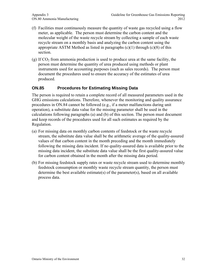- (f) Facilities must continuously measure the quantity of waste gas recycled using a flow meter, as applicable. The person must determine the carbon content and the molecular weight of the waste recycle stream by collecting a sample of each waste recycle stream on a monthly basis and analyzing the carbon content using the appropriate ASTM Method as listed in paragraphs  $(c)(1)$  through  $(c)(8)$  of this section.
- (g) If  $CO<sub>2</sub>$  from ammonia production is used to produce urea at the same facility, the person must determine the quantity of urea produced using methods or plant instruments used for accounting purposes (such as sales records). The person must document the procedures used to ensure the accuracy of the estimates of urea produced.

#### **ON.85 Procedures for Estimating Missing Data**

The person is required to retain a complete record of all measured parameters used in the GHG emissions calculations. Therefore, whenever the monitoring and quality assurance procedures in ON.84 cannot be followed (e.g., if a meter malfunctions during unit operation), a substitute data value for the missing parameter shall be used in the calculations following paragraphs (a) and (b) of this section. The person must document and keep records of the procedures used for all such estimates as required by the Regulation.

- (a) For missing data on monthly carbon contents of feedstock or the waste recycle stream, the substitute data value shall be the arithmetic average of the quality-assured values of that carbon content in the month preceding and the month immediately following the missing data incident. If no quality-assured data is available prior to the missing data incident, the substitute data value shall be the first quality-assured value for carbon content obtained in the month after the missing data period.
- (b) For missing feedstock supply rates or waste recycle stream used to determine monthly feedstock consumption or monthly waste recycle stream quantity, the person must determine the best available estimate(s) of the parameter(s), based on all available process data.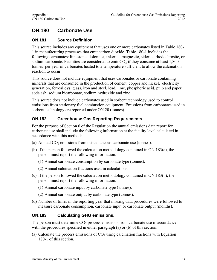## **ON.180 Carbonate Use**

#### **ON.181 Source Definition**

This source includes any equipment that uses one or more carbonates listed in Table 180- 1 in manufacturing processes that emit carbon dioxide. Table 180-1 includes the following carbonates: limestone, dolomite, ankerite, magnesite, siderite, rhodochrosite, or sodium carbonate. Facilities are considered to emit  $CO<sub>2</sub>$  if they consume at least 1,800 tonnes per year of carbonates heated to a temperature sufficient to allow the calcination reaction to occur.

This source does not include equipment that uses carbonates or carbonate containing minerals that are consumed in the production of cement, copper and nickel, electricity generation, ferroalloys, glass, iron and steel, lead, lime, phosphoric acid, pulp and paper, soda ash, sodium bicarbonate, sodium hydroxide and zinc

This source does not include carbonates used in sorbent technology used to control emissions from stationary fuel combustion equipment. Emissions from carbonates used in sorbent technology are reported under ON.20 (tonnes).

#### **ON.182 Greenhouse Gas Reporting Requirements**

For the purpose of Section 6 of the Regulation the annual emissions data report for carbonate use shall include the following information at the facility level calculated in accordance with this method:

- (a) Annual  $CO<sub>2</sub>$  emissions from miscellaneous carbonate use (tonnes).
- (b) If the person followed the calculation methodology contained in ON.183(a), the person must report the following information:
	- (1) Annual carbonate consumption by carbonate type (tonnes).
	- (2) Annual calcination fractions used in calculations.
- (c) If the person followed the calculation methodology contained in ON.183(b), the person must report the following information:
	- (1) Annual carbonate input by carbonate type (tonnes).
	- (2) Annual carbonate output by carbonate type (tonnes).
- (d) Number of times in the reporting year that missing data procedures were followed to measure carbonate consumption, carbonate input or carbonate output (months).

#### **ON.183 Calculating GHG emissions.**

The person must determine  $CO<sub>2</sub>$  process emissions from carbonate use in accordance with the procedures specified in either paragraph (a) or (b) of this section.

(a) Calculate the process emissions of  $CO<sub>2</sub>$  using calcination fractions with Equation 180-1 of this section.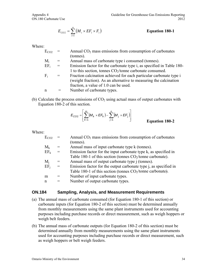$$
E_{CO2} = \sum_{i=1}^{n} (M_i \times EF_i \times F_i)
$$
 Equation 180-1

Where:

| $E_{CO2}$ |          | Annual $CO2$ mass emissions from consumption of carbonates                                                                                                                       |
|-----------|----------|----------------------------------------------------------------------------------------------------------------------------------------------------------------------------------|
|           |          | (tonnes).                                                                                                                                                                        |
| $M_i$     | $=$      | Annual mass of carbonate type i consumed (tonnes).                                                                                                                               |
| $EF_i$    | $\equiv$ | Emission factor for the carbonate type i, as specified in Table 180-<br>1 to this section, tonnes $CO2/tonne$ carbonate consumed.                                                |
| $F_i$     | $=$      | Fraction calcination achieved for each particular carbonate type i<br>(weight fraction). As an alternative to measuring the calcination<br>fraction, a value of 1.0 can be used. |
| n         |          | Number of carbonate types.                                                                                                                                                       |

(b) Calculate the process emissions of  $CO<sub>2</sub>$  using actual mass of output carbonates with Equation 180-2 of this section.

$$
E_{CO2} = \left[ \sum_{k=1}^{m} (M_k \times EF_k) - \sum_{j=1}^{n} (M_j \times EF_j) \right]
$$
 Equation 180-2

Where:

| $E_{CO2}$ |     | Annual $CO2$ mass emissions from consumption of carbonates               |  |
|-----------|-----|--------------------------------------------------------------------------|--|
|           |     | (tonnes).                                                                |  |
| $M_{k}$   | =   | Annual mass of input carbonate type k (tonnes).                          |  |
| $EF_k$    | $=$ | Emission factor for the input carbonate type k, as specified in          |  |
|           |     | Table 180-1 of this section (tonnes $CO2/tonne$ carbonate).              |  |
| $M_i$     | $=$ | Annual mass of output carbonate type <i>j</i> (tonnes).                  |  |
| $EF_i$    | $=$ | Emission factor for the output carbonate type <i>j</i> , as specified in |  |
|           |     | Table 180-1 of this section (tonnes $CO2/tonne$ carbonate).              |  |
| m         |     | Number of input carbonate types.                                         |  |
| n         |     | Number of output carbonate types.                                        |  |
|           |     |                                                                          |  |

#### **ON.184 Sampling, Analysis, and Measurement Requirements**

- (a) The annual mass of carbonate consumed (for Equation 180-1 of this section) or carbonate inputs (for Equation 180-2 of this section) must be determined annually from monthly measurements using the same plant instruments used for accounting purposes including purchase records or direct measurement, such as weigh hoppers or weigh belt feeders.
- (b) The annual mass of carbonate outputs (for Equation 180-2 of this section) must be determined annually from monthly measurements using the same plant instruments used for accounting purposes including purchase records or direct measurement, such as weigh hoppers or belt weigh feeders.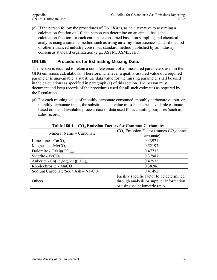(c) If the person follow the procedures of ON.183(a), as an alternative to assuming a calcination fraction of 1.0, the person can determine on an annual basis the calcination fraction for each carbonate consumed based on sampling and chemical analysis using a suitable method such as using an x-ray fluorescence standard method or other enhanced industry consensus standard method published by an industry consensus standard organization (e.g., ASTM, ASME, etc.).

#### **ON.185 Procedures for Estimating Missing Data.**

The person is required to retain a complete record of all measured parameters used in the GHG emissions calculations. Therefore, whenever a quality-assured value of a required parameter is unavailable, a substitute data value for the missing parameter shall be used in the calculations as specified in paragraph (a) of this section. The person must document and keep records of the procedures used for all such estimates as required by the Regulation.

(a) For each missing value of monthly carbonate consumed, monthly carbonate output, or monthly carbonate input, the substitute data value must be the best available estimate based on the all available process data or data used for accounting purposes (such as sales records).

| Mineral Name – Carbonate                                      | $CO2$ Emission Factor (tonnes $CO2/tonne$ |
|---------------------------------------------------------------|-------------------------------------------|
|                                                               | carbonate)                                |
| Limestone - $CaCO3$                                           | 0.43971                                   |
| Magnesite - $MgCO3$                                           | 0.52197                                   |
| Dolomite - Ca $Mg(CO_3)_2$                                    | 0.47732                                   |
| Siderite - FeCO <sub>3</sub>                                  | 0.37987                                   |
| Ankerite - Ca(Fe,Mg,Mn) $(CO_3)_2$                            | 0.47572                                   |
| Rhodochrosite - $MnCO3$                                       | 0.38286                                   |
| Sodium Carbonate/Soda Ash $-$ Na <sub>2</sub> CO <sub>3</sub> | 0.41492                                   |
|                                                               | Facility specific factor to be determined |
| Others                                                        | through analysis or supplier information  |
|                                                               | or using stoichiometric ratio             |

**Table 180-1—CO2 Emission Factors for Common Carbonates**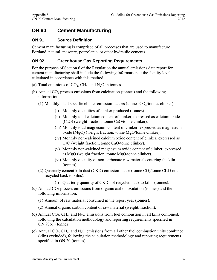### **ON.90 Cement Manufacturing**

#### **ON.91 Source Definition**

Cement manufacturing is comprised of all processes that are used to manufacture Portland, natural, masonry, pozzolanic, or other hydraulic cements.

#### **ON.92 Greenhouse Gas Reporting Requirements**

For the purpose of Section 6 of the Regulation the annual emissions data report for cement manufacturing shall include the following information at the facility level calculated in accordance with this method:

- (a) Total emissions of  $CO<sub>2</sub>$ , CH<sub>4</sub>, and N<sub>2</sub>O in tonnes.
- (b) Annual  $CO<sub>2</sub>$  process emissions from calcination (tonnes) and the following information:
	- (1) Monthly plant specific clinker emission factors (tonnes  $CO<sub>2</sub>/tonnes$  clinker).
		- (i) Monthly quantities of clinker produced (tonnes).
		- (ii) Monthly total calcium content of clinker, expressed as calcium oxide (CaO) (weight fraction, tonne CaO/tonne clinker).
		- (iii) Monthly total magnesium content of clinker, expressed as magnesium oxide (MgO) (weight fraction, tonne MgO/tonne clinker).
		- (iv) Monthly non-calcined calcium oxide content of clinker, expressed as CaO (weight fraction, tonne CaO/tonne clinker).
		- (v) Monthly non-calcined magnesium oxide content of clinker, expressed as MgO (weight fraction, tonne MgO/tonne clinker).
		- (vi) Monthly quantity of non-carbonate raw materials entering the kiln (tonnes).
	- (2) Quarterly cement kiln dust (CKD) emission factor (tonne  $CO<sub>2</sub>/tonne$  CKD not recycled back to kilns).
		- (i) Quarterly quantity of CKD not recycled back to kilns (tonnes).
- (c) Annual  $CO<sub>2</sub>$  process emissions from organic carbon oxidation (tonnes) and the following information:
	- (1) Amount of raw material consumed in the report year (tonnes).
	- (2) Annual organic carbon content of raw material (weight. fraction).
- (d) Annual  $CO<sub>2</sub>$ , CH<sub>4</sub>, and N<sub>2</sub>O emissions from fuel combustion in all kilns combined, following the calculation methodology and reporting requirements specified in ON.93(c) (tonnes).
- (e) Annual  $CO<sub>2</sub>$ , CH<sub>4</sub>, and N<sub>2</sub>O emissions from all other fuel combustion units combined (kilns excluded), following the calculation methodology and reporting requirements specified in ON.20 (tonnes).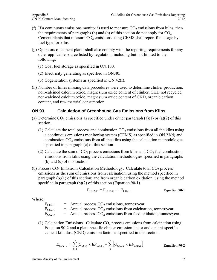- (f) If a continuous emissions monitor is used to measure  $CO<sub>2</sub>$  emissions from kilns, then the requirements of paragraphs (b) and (c) of this section do not apply for  $CO<sub>2</sub>$ . Cement plants that measure  $CO<sub>2</sub>$  emissions using CEMS shall report fuel usage by fuel type for kilns.
- (g) Operators of cement plants shall also comply with the reporting requirements for any other applicable source listed by regulation, including but not limited to the following:
	- (1) Coal fuel storage as specified in ON.100.
	- (2) Electricity generating as specified in ON.40.
	- (3) Cogeneration systems as specified in ON.42(f).
- (h) Number of times missing data procedures were used to determine clinker production, non-calcined calcium oxide, magnesium oxide content of clinker, CKD not recycled, non-calcined calcium oxide, magnesium oxide content of CKD, organic carbon content, and raw material consumption.

#### **ON.93 Calculation of Greenhouse Gas Emissions from Kilns**

- (a) Determine  $CO_2$  emissions as specified under either paragraph (a)(1) or (a)(2) of this section.
	- (1) Calculate the total process and combustion  $CO<sub>2</sub>$  emissions from all the kilns using a continuous emissions monitoring system (CEMS) as specified in ON.23(d) and combustion  $CO<sub>2</sub>$  emissions from all the kilns using the calculation methodologies specified in paragraph (c) of this section.
	- (2) Calculate the sum of  $CO_2$  process emissions from kilns and  $CO_2$  fuel combustion emissions from kilns using the calculation methodologies specified in paragraphs (b) and (c) of this section.
- (b) Process  $CO<sub>2</sub>$  Emissions Calculation Methodology. Calculate total  $CO<sub>2</sub>$  process emissions as the sum of emissions from calcination, using the method specified in paragraph (b)(1) of this section; and from organic carbon oxidation, using the method specified in paragraph (b)(2) of this section (Equation 90-1).

$$
E_{CO2-P} = E_{CO2-C} + E_{CO2-F}
$$
 **Equation 90-1**

Where:

| $E_{CO2-P}$ | $=$ Annual process $CO2$ emissions, tonnes/year.                     |
|-------------|----------------------------------------------------------------------|
| $E_{CO2-C}$ | $=$ Annual process $CO2$ emissions from calcination, tonnes/year.    |
| $E_{CO2-F}$ | $=$ Annual process $CO2$ emissions from feed oxidation, tonnes/year. |

(1) Calcination Emissions. Calculate  $CO<sub>2</sub>$  process emissions from calcination using Equation 90-2 and a plant-specific clinker emission factor and a plant-specific cement kiln dust (CKD) emission factor as specified in this section.

$$
E_{CO2-C} = \sum_{m=1}^{12} \left[ Q_{Cli,m} \times EF_{Cli,m} \right] + \sum_{q}^{4} \left[ Q_{CKD,q} \times EF_{CKD,q} \right]
$$
 **Equation 90-2**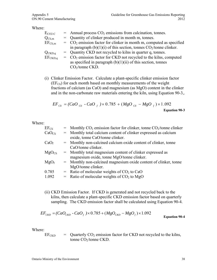#### Where:

| $=$ Annual process $CO2$ emissions from calcination, tonnes.                      |
|-----------------------------------------------------------------------------------|
| = Quantity of clinker produced in month m, tonnes.                                |
| $=$ CO <sub>2</sub> emission factor for clinker in month m, computed as specified |
| in paragraph (b)(1)(i) of this section, tonnes $CO_2$ /tonne clinker.             |
| $=$ Quantity CKD not recycled to kilns in quarter q, tonnes.                      |
| $=$ CO <sub>2</sub> emission factor for CKD not recycled to the kilns, computed   |
| as specified in paragraph $(b)(1)(ii)$ of this section, tonnes                    |
| $CO2/tonne$ CKD.                                                                  |
|                                                                                   |

(i) Clinker Emission Factor. Calculate a plant-specific clinker emission factor (EF<sub>Cli</sub>) for each month based on monthly measurements of the weight fractions of calcium (as CaO) and magnesium (as MgO) content in the clinker and in the non-carbonate raw materials entering the kiln, using Equation 90-3,.

$$
EF_{\text{Cli}} = (CaO_{\text{Cli}} - CaO_{\text{f}}) \times 0.785 + (MgO_{\text{Cli}} - MgO_{\text{f}}) \times 1.092
$$
  
Equation 90-3

Where:

| $EF_{\text{Cli}}$  | $=$ Monthly CO <sub>2</sub> emission factor for clinker, tonne CO <sub>2</sub> /tonne clinker |
|--------------------|-----------------------------------------------------------------------------------------------|
| CaO <sub>Cli</sub> | = Monthly total calcium content of clinker expressed as calcium                               |
|                    | oxide, tonne CaO/tonne clinker.                                                               |
| CaO <sub>f</sub>   | = Monthly non-calcined calcium oxide content of clinker, tonne                                |
|                    | CaO/tonne clinker.                                                                            |
| $MgO_{\rm Cli}$    | = Monthly total magnesium content of clinker expressed as                                     |
|                    | magnesium oxide, tonne MgO/tonne clinker.                                                     |
| MgO <sub>f</sub>   | = Monthly non-calcined magnesium oxide content of clinker, tonne                              |
|                    | MgO/tonne clinker.                                                                            |
| 0.785              | $=$ Ratio of molecular weights of CO <sub>2</sub> to CaO                                      |
| 1.092              | = Ratio of molecular weights of $CO2$ to MgO                                                  |
|                    |                                                                                               |

(ii) CKD Emission Factor. If CKD is generated and not recycled back to the kilns, then calculate a plant-specific CKD emission factor based on quarterly sampling. The CKD emission factor shall be calculated using Equation 90-4.

$$
EF_{CKD} = (CaO_{CKD} - CaO_f) \times 0.785 + (MgO_{CKD} - MgO_f) \times 1.092
$$
 Equation 90-4

Where:

 $EF_{\text{CKD}}$  = Quarterly  $CO_2$  emission factor for CKD not recycled to the kilns, tonne CO<sub>2</sub>/tonne CKD.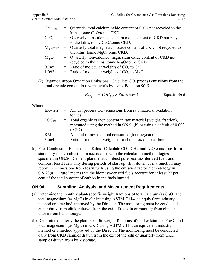| CaO <sub>CKD</sub> | = Quarterly total calcium oxide content of CKD not recycled to the |
|--------------------|--------------------------------------------------------------------|
|                    | kilns, tonne CaO/tonne CKD.                                        |
| CaO <sub>f</sub>   | = Quarterly non-calcined calcium oxide content of CKD not recycled |
|                    | to the kilns, tonne CaO/tonne CKD.                                 |
| $MgO_{CKD}$        | = Quarterly total magnesium oxide content of CKD not recycled to   |
|                    | the kilns, tonne MgO/tonne CKD.                                    |
| MgO <sub>f</sub>   | = Quarterly non-calcined magnesium oxide content of CKD not        |
|                    | recycled to the kilns, tonne MgO/tonne CKD.                        |
| 0.785              | $=$ Ratio of molecular weights of CO <sub>2</sub> to CaO           |
| 1.092              | = Ratio of molecular weights of $CO2$ to MgO                       |
|                    |                                                                    |

(2) Organic Carbon Oxidation Emissions. Calculate  $CO<sub>2</sub>$  process emissions from the total organic content in raw materials by using Equation 90-5.

$$
E_{CO_{2-RM}} = TOC_{RM} \times RM \times 3.664
$$
 Equation 90-5

Where:

| $E_{CO2-RM}$        | $=$ Annual process $CO2$ emissions from raw material oxidation,       |
|---------------------|-----------------------------------------------------------------------|
|                     | tonnes.                                                               |
| $\mathrm{TOC_{RM}}$ | = Total organic carbon content in raw material (weight, fraction),    |
|                     | measured using the method in $ON.94(b)$ or using a default of $0.002$ |
|                     | $(0.2\%)$ .                                                           |
| <b>RM</b>           | $=$ Amount of raw material consumed (tonnes/year).                    |
| 3.664               | $=$ Ratio of molecular weights of carbon dioxide to carbon.           |

(c) Fuel Combustion Emissions in Kilns. Calculate  $CO<sub>2</sub>$ , CH<sub>4</sub>, and N<sub>2</sub>O emissions from stationary fuel combustion in accordance with the calculation methodologies specified in ON.20. Cement plants that combust pure biomass-derived fuels and combust fossil fuels only during periods of start-up, shut-down, or malfunction may report  $CO<sub>2</sub>$  emissions from fossil fuels using the emission factor methodology in ON.23(a). "Pure" means that the biomass-derived fuels account for at least 97 per cent of the total amount of carbon in the fuels burned.

#### **ON.94 Sampling, Analysis, and Measurement Requirements**

- (a) Determine the monthly plant-specific weight fractions of total calcium (as CaO) and total magnesium (as MgO) in clinker using ASTM C114, an equivalent industry method or a method approved by the Director. The monitoring must be conducted either daily from clinker drawn from the exit of the kiln or monthly from clinker drawn from bulk storage.
- (b) Determine quarterly the plant-specific weight fractions of total calcium (as CaO) and total magnesium (as MgO) in CKD using ASTM C114, an equivalent industry method or a method approved by the Director. The monitoring must be conducted daily from CKD samples drawn from the exit of the kiln or quarterly from CKD samples drawn from bulk storage.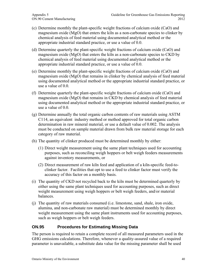- (c) Determine monthly the plant-specific weight fractions of calcium oxide (CaO) and magnesium oxide (MgO) that enters the kiln as a non-carbonate species to clinker by chemical analysis of feed material using documented analytical method or the appropriate industrial standard practice, or use a value of 0.0.
- (d) Determine quarterly the plant-specific weight fractions of calcium oxide (CaO) and magnesium oxide (MgO) that enters the kiln as a non-carbonate species to CKD by chemical analysis of feed material using documented analytical method or the appropriate industrial standard practice, or use a value of 0.0.
- (e) Determine monthly the plant-specific weight fractions of calcium oxide (CaO) and magnesium oxide (MgO) that remains in clinker by chemical analysis of feed material using documented analytical method or the appropriate industrial standard practice, or use a value of 0.0.
- (f) Determine quarterly the plant-specific weight fractions of calcium oxide (CaO) and magnesium oxide (MgO) that remains in CKD by chemical analysis of feed material using documented analytical method or the appropriate industrial standard practice, or use a value of 0.0.
- (g) Determine annually the total organic carbon contents of raw materials using ASTM C114, an equivalent industry method or method approved for total organic carbon determination in raw mineral material, or use a default value of 0.002. The analysis must be conducted on sample material drawn from bulk raw material storage for each category of raw material.
- (h) The quantity of clinker produced must be determined monthly by either:
	- (1) Direct weight measurement using the same plant techniques used for accounting purposes, such as reconciling weigh hoppers or belt weigh feeders measurements against inventory measurements, or
	- (2) Direct measurement of raw kiln feed and application of a kiln-specific feed-toclinker factor. Facilities that opt to use a feed to clinker factor must verify the accuracy of this factor on a monthly basis.
- (i) The quantity of CKD not recycled back to the kiln must be determined quarterly by either using the same plant techniques used for accounting purposes, such as direct weight measurement using weigh hoppers or belt weigh feeders, and/or material balances.
- (j) The quantity of raw materials consumed (i.e. limestone, sand, shale, iron oxide, alumina, and non-carbonate raw material) must be determined monthly by direct weight measurement using the same plant instruments used for accounting purposes, such as weigh hoppers or belt weigh feeders.

## **ON.95 Procedures for Estimating Missing Data**

The person is required to retain a complete record of all measured parameters used in the GHG emissions calculations. Therefore, whenever a quality-assured value of a required parameter is unavailable, a substitute data value for the missing parameter shall be used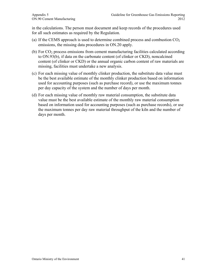in the calculations. The person must document and keep records of the procedures used for all such estimates as required by the Regulation.

- (a) If the CEMS approach is used to determine combined process and combustion  $CO<sub>2</sub>$ emissions, the missing data procedures in ON.20 apply.
- (b) For  $CO<sub>2</sub>$  process emissions from cement manufacturing facilities calculated according to ON.93(b), if data on the carbonate content (of clinker or CKD), noncalcined content (of clinker or CKD) or the annual organic carbon content of raw materials are missing, facilities must undertake a new analysis.
- (c) For each missing value of monthly clinker production, the substitute data value must be the best available estimate of the monthly clinker production based on information used for accounting purposes (such as purchase record), or use the maximum tonnes per day capacity of the system and the number of days per month.
- (d) For each missing value of monthly raw material consumption, the substitute data value must be the best available estimate of the monthly raw material consumption based on information used for accounting purposes (such as purchase records), or use the maximum tonnes per day raw material throughput of the kiln and the number of days per month.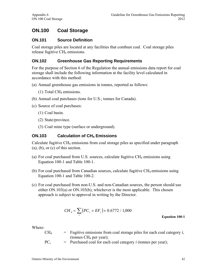# **ON.100 Coal Storage**

#### **ON.101 Source Definition**

Coal storage piles are located at any facilities that combust coal. Coal storage piles release fugitive CH<sub>4</sub> emissions.

## **ON.102 Greenhouse Gas Reporting Requirements**

For the purpose of Section 6 of the Regulation the annual emissions data report for coal storage shall include the following information at the facility level calculated in accordance with this method:

- (a) Annual greenhouse gas emissions in tonnes, reported as follows:
	- (1) Total CH4 emissions.
- (b) Annual coal purchases (tons for U.S.; tonnes for Canada).
- (c) Source of coal purchases:
	- (1) Coal basin.
	- (2) State/province.
	- (3) Coal mine type (surface or underground).

#### **ON.103** Calculation of CH<sub>4</sub> Emissions

Calculate fugitive CH4 emissions from coal storage piles as specified under paragraph  $(a)$ ,  $(b)$ , or  $(c)$  of this section.

- (a) For coal purchased from U.S. sources, calculate fugitive  $CH_4$  emissions using Equation 100-1 and Table 100-1.
- (b) For coal purchased from Canadian sources, calculate fugitive  $CH_4$  emissions using Equation 100-1 and Table 100-2.
- (c) For coal purchased from non-U.S. and non-Canadian sources, the person should use either ON.103(a) or ON.103(b), whichever is the most applicable. This chosen approach is subject to approval in writing by the Director.

$$
CH_4 = \sum_{i} \left( PC_i \times EF_i \right) \times 0.6772 / 1,000
$$

**Equation 100-1** 

- $CH<sub>4</sub>$  = Fugitive emissions from coal storage piles for each coal category *i*, (tonnes CH4 per year);
- $PC_i$  = Purchased coal for each coal category *i* (tonnes per year);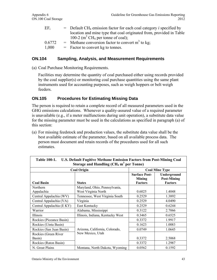| $EF_i$ | $=$ Default CH <sub>4</sub> emission factor for each coal category <i>i</i> specified by |
|--------|------------------------------------------------------------------------------------------|
|        | location and mine type that coal originated from, provided in Table                      |
|        | 100-2 (m <sup>3</sup> CH <sub>4</sub> per tonne of coal);                                |
| 0.6772 | $=$ Methane conversion factor to convert m <sup>3</sup> to kg.                           |
| 1,000  | $=$ Factor to convert kg to tonnes.                                                      |

#### **ON.104 Sampling, Analysis, and Measurement Requirements**

(a) Coal Purchase Monitoring Requirements.

Facilities may determine the quantity of coal purchased either using records provided by the coal supplier(s) or monitoring coal purchase quantities using the same plant instruments used for accounting purposes, such as weigh hoppers or belt weigh feeders.

#### **ON.105 Procedures for Estimating Missing Data**

The person is required to retain a complete record of all measured parameters used in the GHG emissions calculations. Whenever a quality-assured value of a required parameter is unavailable (e.g., if a meter malfunctions during unit operation), a substitute data value for the missing parameter must be used in the calculations as specified in paragraph (a) of this section:

(a) For missing feedstock and production values, the substitute data value shall be the best available estimate of the parameter, based on all available process data. The person must document and retain records of the procedures used for all such estimates.

| THUIL TAA TI<br><b>City, Definite against Methane Emission Factors from Fost Mining Coal</b><br>Storage and Handling $(CH_4 \text{ m}^3 \text{ per Tonne})$ |                                                      |                                                  |                                                     |  |
|-------------------------------------------------------------------------------------------------------------------------------------------------------------|------------------------------------------------------|--------------------------------------------------|-----------------------------------------------------|--|
| <b>Coal Origin</b>                                                                                                                                          | <b>Coal Mine Type</b>                                |                                                  |                                                     |  |
| <b>Coal Basin</b>                                                                                                                                           | <b>States</b>                                        | <b>Surface Post-</b><br>Mining<br><b>Factors</b> | Underground<br><b>Post-Mining</b><br><b>Factors</b> |  |
| Northern<br>Appalachia                                                                                                                                      | Maryland, Ohio, Pennsylvania,<br>West Virginia North | 0.6025                                           | 1.4048                                              |  |
| Central Appalachia (WV)                                                                                                                                     | Tennessee, West Virginia South                       | 0.2529                                           | 1.3892                                              |  |
| Central Appalachia (VA)                                                                                                                                     | Virginia                                             | 0.2529                                           | 4.0490                                              |  |
| Central Appalachia (E KY)                                                                                                                                   | East Kentucky                                        | 0.2529                                           | 0.6244                                              |  |
| Warrior                                                                                                                                                     | Alabama, Mississippi                                 | 0.3122                                           | 2.7066                                              |  |
| Illinois                                                                                                                                                    | Illinois, Indiana, Kentucky West                     | 0.3465                                           | 0.6525                                              |  |
| Rockies (Piceance Basin)                                                                                                                                    |                                                      | 0.3372                                           | 1.9917                                              |  |
| Rockies (Uinta Basin)                                                                                                                                       |                                                      | 0.1623                                           | 1.0083                                              |  |
| Rockies (San Juan Basin)                                                                                                                                    | Arizona, California, Colorado,                       | 0.0749                                           | 1.0645                                              |  |
| Rockies (Green River)<br>Basin)                                                                                                                             | New Mexico, Utah                                     | 0.3372                                           | 2.5068                                              |  |
| Rockies (Raton Basin)                                                                                                                                       |                                                      | 0.3372                                           | 1.2987                                              |  |
| N. Great Plains                                                                                                                                             | Montana, North Dakota, Wyoming                       | 0.0562                                           | 0.1592                                              |  |

| Table 100-1. U.S. Default Fugitive Methane Emission Factors from Post-Mining Coal |
|-----------------------------------------------------------------------------------|
| Storage and Handling $(CH_4 \text{ m}^3 \text{ per Tonne})$                       |
|                                                                                   |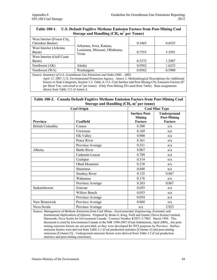Г

┑

| <b>Table 100-1.</b>                                                                                                                                                                                                                                                                                                  | U.S. Default Fugitive Methane Emission Factors from Post-Mining Coal<br>Storage and Handling ( $CH4$ m <sup>3</sup> per Tonne) |        |        |
|----------------------------------------------------------------------------------------------------------------------------------------------------------------------------------------------------------------------------------------------------------------------------------------------------------------------|--------------------------------------------------------------------------------------------------------------------------------|--------|--------|
| West Interior (Forest City,<br>Cherokee Basins)                                                                                                                                                                                                                                                                      | Arkansas, Iowa, Kansas,<br>Louisiana, Missouri, Oklahoma,<br>Texas                                                             | 0.3465 | 0.6525 |
| West Interior (Arkoma<br>Basin)                                                                                                                                                                                                                                                                                      |                                                                                                                                | 0.7555 | 3.3591 |
| West Interior (Gulf Coast<br>Basin)                                                                                                                                                                                                                                                                                  |                                                                                                                                | 0.3372 | 1.2987 |
| Northwest (AK)                                                                                                                                                                                                                                                                                                       | Alaska                                                                                                                         | 0.0562 | 1.6233 |
| Northwest (WA)                                                                                                                                                                                                                                                                                                       | Washington                                                                                                                     | 0.0562 | 0.5900 |
| Source: Inventory of U.S. Greenhouse Gas Emissions and Sinks: 1990 - 2005<br>April 15, 2007, U.S. Environmental Protection Agency. Annex 3, Methodological Descriptions for Additional<br>Source or Sink Categories, Section 3.3, Table A-115, Coal Surface and Post-Mining CH <sub>4</sub> Emission Factors ( $ft3$ |                                                                                                                                |        |        |

per Short Ton; converted to  $m<sup>3</sup>$  per tonne). (Only Post-Mining EFs used from Table). State assignments shown from Table 113 of Annex 3.

| Table 100-2. Canada Default Fugitive Methane Emission Factors from Post-Mining Coal<br>Storage and Handling ( $CH_4$ m <sup>3</sup> per tonne) |                     |                                                         |                                                     |
|------------------------------------------------------------------------------------------------------------------------------------------------|---------------------|---------------------------------------------------------|-----------------------------------------------------|
|                                                                                                                                                | <b>Coal Origin</b>  | <b>Coal Mine Type</b>                                   |                                                     |
| <b>Province</b>                                                                                                                                | Coalfield           | <b>Surface Post-</b><br><b>Mining</b><br><b>Factors</b> | Underground<br><b>Post-Mining</b><br><b>Factors</b> |
| <b>British Columbia</b>                                                                                                                        | Comox               | 0.500                                                   | n/a                                                 |
|                                                                                                                                                | Crowness            | 0.169                                                   | n/a                                                 |
|                                                                                                                                                | Elk Valley          | 0.900                                                   | n/a                                                 |
|                                                                                                                                                | Peace River         | 0.361                                                   | n/a                                                 |
|                                                                                                                                                | Province Average    | 0.521                                                   | n/a                                                 |
| Alberta                                                                                                                                        | <b>Battle River</b> | 0.067                                                   | n/a                                                 |
|                                                                                                                                                | Cadomin-Luscar      | 0.709                                                   | n/a                                                 |
|                                                                                                                                                | Coalspur            | 0.314                                                   | n/a                                                 |
|                                                                                                                                                | Obed Mountain       | 0.238                                                   | n/a                                                 |
|                                                                                                                                                | Sheerness           | 0.048                                                   | n/a                                                 |
|                                                                                                                                                | <b>Smokey River</b> | 0.125                                                   | 0.067                                               |
|                                                                                                                                                | Wabamun             | 0.176                                                   | n/a                                                 |
|                                                                                                                                                | Province Average    | 0.263                                                   | 0.067                                               |
| Saskatchewan                                                                                                                                   | Estavan             | 0.055                                                   | n/a                                                 |
|                                                                                                                                                | Willow Bunch        | 0.053                                                   | n/a                                                 |
|                                                                                                                                                | Province Average    | 0.054                                                   | n/a                                                 |
| New Brunswick                                                                                                                                  | Province Average    | 0.060                                                   | n/a                                                 |
| Nova Scotia                                                                                                                                    | Province Average    | n/a                                                     | 2.923                                               |

Source: *Management of Methane Emissions from Coal Mines: Environmental, Engineering, Economic and Institutional Implications of Options*. Prepared by Brian G. King, Neill and Gunter (Nova Scotia) Limited, Darmouth, Nova Scotia for Environment Canada. Contract Number K2031-3-7062. March 1994. This document is cited by Environment Canada in the NIR 1990-2007 (Final Submission, April 2009), , but postmining emission factors are not provided, so they were developed for WCI purposes by Province. Surface emission factors were derived from Table 3.1 (Coal production statistics [Column A] and post-mining emissions [Column F]). Underground emission factors were derived from Table 3.2 (Coal production statistics and post-mining emissions).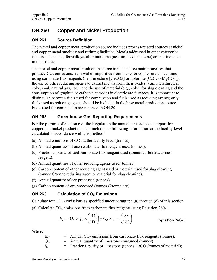# **ON.260 Copper and Nickel Production**

# **ON.261 Source Definition**

The nickel and copper metal production source includes process-related sources at nickel and copper metal smelting and refining facilities. Metals addressed in other categories (i.e., iron and steel, ferroalloys, aluminum, magnesium, lead, and zinc) are not included in this source.

The nickel and copper metal production source includes three main processes that produce  $CO<sub>2</sub>$  emissions: removal of impurities from nickel or copper ore concentrate using carbonate flux reagents (i.e., limestone [CaCO3] or dolomite [CaCO3·MgCO3]), the use of other reducing agents to extract metals from their oxides (e.g., metallurgical coke, coal, natural gas, etc.), and the use of material (e.g., coke) for slag cleaning and the consumption of graphite or carbon electrodes in electric arc furnaces. It is important to distinguish between fuels used for combustion and fuels used as reducing agents; only fuels used as reducing agents should be included in the base metal production source. Fuels used for combustion are reported in ON.20.

# **ON.262 Greenhouse Gas Reporting Requirements**

For the purpose of Section 6 of the Regulation the annual emissions data report for copper and nickel production shall include the following information at the facility level calculated in accordance with this method:

- (a) Annual emissions of  $CO<sub>2</sub>$  at the facility level (tonnes).
- (b) Annual quantities of each carbonate flux reagent used (tonnes).
- (c) Fractional purity of each carbonate flux reagent used (tonnes carbonate/tonnes reagent).
- (d) Annual quantities of other reducing agents used (tonnes).
- (e) Carbon content of other reducing agent used or material used for slag cleaning (tonnes C/tonne reducing agent or material for slag cleaning).
- (f) Annual quantity of ore processed (tonnes).
- (g) Carbon content of ore processed (tonnes C/tonne ore).

# **ON.263** Calculation of CO<sub>2</sub> Emissions

Calculate total  $CO<sub>2</sub>$  emissions as specified under paragraph (a) through (d) of this section.

(a) Calculate  $CO<sub>2</sub>$  emissions from carbonate flux reagents using Equation 260-1.

$$
E_{cf} = Q_{ls} \times f_{ls} \times \left(\frac{44}{100}\right) + Q_d \times f_d \times \left(\frac{88}{184}\right)
$$
 **Equation 260-1**

| $E_{cf}$ | $=$ Annual CO <sub>2</sub> emissions from carbonate flux reagents (tonnes);        |
|----------|------------------------------------------------------------------------------------|
| $Q_{ls}$ | $=$ Annual quantity of limestone consumed (tonnes);                                |
| $f_{ls}$ | $=$ Fractional purity of limestone (tonnes CaCO <sub>3</sub> /tonnes of material); |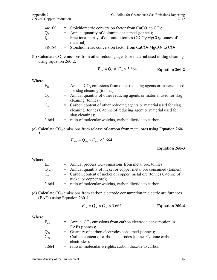| 44/100 | $=$ Stoichiometric conversion factor from CaCO <sub>3</sub> to CO <sub>2</sub> ;          |
|--------|-------------------------------------------------------------------------------------------|
| $Q_d$  | $=$ Annual quantity of dolomite consumed (tonnes);                                        |
| $f_d$  | $=$ Fractional purity of dolomite (tonnes CaCO <sub>3</sub> ·MgCO <sub>3</sub> /tonnes of |
|        | $material)$ ;                                                                             |
| 88/184 | = Stoichiometric conversion factor from $CaCO3 \cdot MgCO3$ to $CO2$ .                    |

(b) Calculate  $CO<sub>2</sub>$  emissions from other reducing agents or material used in slag cleaning using Equation 260-2.

$$
E_{ra} = Q_a \times C_a \times 3.664
$$
 Equation 260-2

Where:

| $E_{ra}$    | $=$ Annual CO <sub>2</sub> emissions from other reducing agents or material used<br>for slag cleaning (tonnes);                                           |
|-------------|-----------------------------------------------------------------------------------------------------------------------------------------------------------|
| $Q_{a}$     | = Annual quantity of other reducing agents or material used for slag<br>cleaning (tonnes);                                                                |
| $C_{\rm a}$ | = Carbon content of other reducing agents or material used for slag<br>cleaning (tonnes C/tonne of reducing agent or material used for<br>slag cleaning); |
| 3.664       | = ratio of molecular weights, carbon dioxide to carbon.                                                                                                   |

(c) Calculate  $CO<sub>2</sub>$  emissions from release of carbon from metal ores using Equation 260-3.

$$
E_{\text{ore}} = Q_{\text{ore}} \times C_{\text{ore}} \times 3.664
$$

#### **Equation 260-3**

#### Where:

| $E_{\text{ore}}$ | $=$ Annual process $CO2$ emissions from metal ore, tonnes          |
|------------------|--------------------------------------------------------------------|
| Q <sub>ore</sub> | = Annual quantity of nickel or copper metal ore consumed (tonnes); |
| C <sub>ore</sub> | = Carbon content of nickel or copper metal ore (tonnes C/tonne of  |
|                  | nickel or copper ore);                                             |
| 3.664            | = ratio of molecular weights, carbon dioxide to carbon.            |

(d) Calculate  $CO<sub>2</sub>$  emissions from carbon electrode consumption in electric arc furnaces (EAFs) using Equation 260-4.

$$
E_{ce} = Q_{ce} \times C_{ce} \times 3.664
$$
 **Equation 260-4**

| $E_{ce}$ | $=$ Annual CO <sub>2</sub> emissions from carbon electrode consumption in |
|----------|---------------------------------------------------------------------------|
|          | EAFs (tonnes);                                                            |
| $Q_{ce}$ | = Quantity of carbon electrodes consumed (tonnes);                        |
| $C_{ce}$ | = Carbon content of carbon electrodes (tonnes C/tonne carbon              |
|          | electrodes);                                                              |
| 3.664    | = ratio of molecular weights, carbon dioxide to carbon.                   |
|          |                                                                           |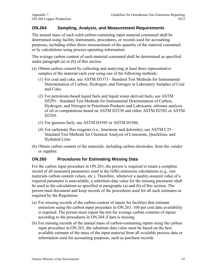## **ON.264 Sampling, Analysis, and Measurement Requirements**

The annual mass of each solid carbon-containing input material consumed shall be determined using facility instruments, procedures, or records used for accounting purposes, including either direct measurement of the quantity of the material consumed or by calculations using process operating information.

The average carbon content of each material consumed shall be determined as specified under paragraph (a) or (b) of this section.

- (a) Obtain carbon content by collecting and analyzing at least three representative samples of the material each year using one of the following methods:
	- (1) For coal and coke, use ASTM D5373 Standard Test Methods for Instrumental Determination of Carbon, Hydrogen, and Nitrogen in Laboratory Samples of Coal and Coke.
	- (2) For petroleum-based liquid fuels and liquid waste-derived fuels, use ASTM D5291 - Standard Test Methods for Instrumental Determination of Carbon, Hydrogen, and Nitrogen in Petroleum Products and Lubricants, ultimate analysis of oil or computations based on ASTM D3238 and either ASTM D2502 or ASTM D<sub>2503</sub>.
	- (3) For gaseous fuels, use ASTM D1945 or ASTM D1946.
	- (4) For carbonate flux reagents (i.e., limestone and dolomite), use ASTM C25 Standard Test Methods for Chemical Analysis of Limestone, Quicklime, and Hydrated Lime.
- (b) Obtain carbon content of the materials, including carbon electrodes, from the vendor or supplier.

#### **ON.265 Procedures for Estimating Missing Data**

For the carbon input procedure in ON.263, the person is required to retain a complete record of all measured parameters used in the GHG emissions calculations (e.g., raw materials carbon content values, etc.). Therefore, whenever a quality-assured value of a required parameter is unavailable, a substitute data value for the missing parameter shall be used in the calculations as specified in paragraphs (a) and (b) of this section. The person must document and keep records of the procedures used for all such estimates as required by the Regulation.

- (a) For missing records of the carbon content of inputs for facilities that estimate emissions using the carbon input procedure in ON.263, 100 per cent data availability is required. The person must repeat the test for average carbon contents of inputs according to the procedures in ON.264 if data is missing.
- (b) For missing records of the annual mass of carbon-containing inputs using the carbon input procedure in ON.263, the substitute data value must be based on the best available estimate of the mass of the input material from all available process data or information used for accounting purposes, such as purchase records.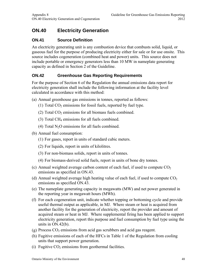# **ON.40 Electricity Generation**

# **ON.41 Source Definition**

An electricity generating unit is any combustion device that combusts solid, liquid, or gaseous fuel for the purpose of producing electricity either for sale or for use onsite. This source includes cogeneration (combined heat and power) units. This source does not include portable or emergency generators less than 10 MW in nameplate generating capacity as defined in Section 2 of the Guideline.

# **ON.42 Greenhouse Gas Reporting Requirements**

For the purpose of Section 6 of the Regulation the annual emissions data report for electricity generation shall include the following information at the facility level calculated in accordance with this method:

- (a) Annual greenhouse gas emissions in tonnes, reported as follows:
	- (1) Total  $CO<sub>2</sub>$  emissions for fossil fuels, reported by fuel type.
	- (2) Total  $CO<sub>2</sub>$  emissions for all biomass fuels combined.
	- (3) Total CH4 emissions for all fuels combined.
	- (4) Total  $N_2O$  emissions for all fuels combined.
- (b) Annual fuel consumption:
	- (1) For gases, report in units of standard cubic meters.
	- (2) For liquids, report in units of kilolitres.
	- (3) For non-biomass solids, report in units of tonnes.
	- (4) For biomass-derived solid fuels, report in units of bone dry tonnes.
- (c) Annual weighted average carbon content of each fuel, if used to compute  $CO<sub>2</sub>$ emissions as specified in ON.43.
- (d) Annual weighted average high heating value of each fuel, if used to compute  $CO<sub>2</sub>$ emissions as specified ON.43.
- (e) The nameplate generating capacity in megawatts (MW) and net power generated in the reporting year in megawatt hours (MWh).
- (f) For each cogeneration unit, indicate whether topping or bottoming cycle and provide useful thermal output as applicable, in MJ. Where steam or heat is acquired from another facility for the generation of electricity, report the provider and amount of acquired steam or heat in MJ. Where supplemental firing has been applied to support electricity generation, report this purpose and fuel consumption by fuel type using the units in ON.42(b).
- $(g)$  Process  $CO<sub>2</sub>$  emissions from acid gas scrubbers and acid gas reagent.
- (h) Fugitive emissions of each of the HFCs in Table 1 of the Regulation from cooling units that support power generation.
- (i) Fugitive  $CO<sub>2</sub>$  emissions from geothermal facilities.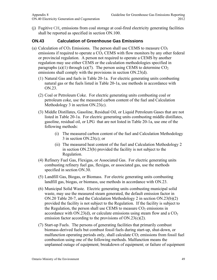(i) Fugitive  $CH_4$  emissions from coal storage at coal-fired electricity generating facilities shall be reported as specified in section ON.100.

## **ON.43 Calculation of Greenhouse Gas Emissions**

- (a) Calculation of  $CO<sub>2</sub>$  Emissions. The person shall use CEMS to measure  $CO<sub>2</sub>$ emissions if required to operate a  $CO<sub>2</sub>$  CEMS with flow monitors by any other federal or provincial regulation. A person not required to operate a CEMS by another regulation may use either CEMS or the calculation methodologies specified in paragraphs (a)(1) through (a)(7). The person using CEMS to determine  $CO<sub>2</sub>$ emissions shall comply with the provisions in section ON.23(d).
	- (1) Natural Gas and fuels in Table 20-1a. For electric generating units combusting natural gas or the fuels listed in Table 20-1a, use methods in accordance with ON.23.
	- (2) Coal or Petroleum Coke. For electric generating units combusting coal or petroleum coke, use the measured carbon content of the fuel and Calculation Methodology 3 in section ON.23(c).
	- (3) Middle Distillates, Gasoline, Residual Oil, or Liquid Petroleum Gases that are not listed in Table 20-1a. For electric generating units combusting middle distillates, gasoline, residual oil, or LPG that are not listed in Table 20-1a, use one of the following methods:
		- (i) The measured carbon content of the fuel and Calculation Methodology 3 in section ON.23(c); or
		- (ii) The measured heat content of the fuel and Calculation Methodology 2 in section ON.23(b) provided the facility is not subject to the Regulation.
	- (4) Refinery Fuel Gas, Flexigas, or Associated Gas. For electric generating units combusting refinery fuel gas, flexigas, or associated gas, use the methods specified in section ON.30.
	- (5) Landfill Gas, Biogas, or Biomass. For electric generating units combusting landfill gas, biogas, or biomass, use methods in accordance with ON.23.
	- (6) Municipal Solid Waste. Electric generating units combusting municipal solid waste, may use the measured steam generated, the default emission factor in ON.20 Table 20-7, and the Calculation Methodology 2 in section ON.23(b)(2) provided the facility is not subject to the Regulation. If the facility is subject to the Regulation, the person shall use CEMS to measure  $CO<sub>2</sub>$  emissions in accordance with ON.23(d), or calculate emissions using steam flow and a  $CO<sub>2</sub>$ emission factor according to the provisions of  $ON.23(c)(2)$ .
	- (7) Start-up Fuels. The persons of generating facilities that primarily combust biomass-derived fuels but combust fossil fuels during start-up, shut-down, or malfunction operating periods only, shall calculate  $CO<sub>2</sub>$  emissions from fossil fuel combustion using one of the following methods. Malfunction means the unplanned outage of equipment; breakdown of equipment; or failure of equipment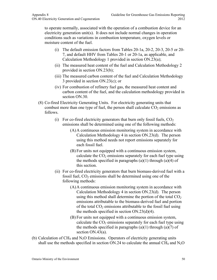to operate normally, associated with the operation of a combustion device for an electricity generation unit(s). It does not include normal changes in operation conditions such as variations in combustion temperature, oxygen levels or moisture content of the fuel.

- (i) The default emission factors from Tables 20-1a, 20-2, 20-3, 20-5 or 20- 7, and default HHV from Tables 20-1 or 20-1a, as applicable, and Calculation Methodology 1 provided in section ON.23(a);
- (ii) The measured heat content of the fuel and Calculation Methodology 2 provided in section ON.23(b);
- (iii) The measured carbon content of the fuel and Calculation Methodology 3 provided in section ON.23(c); or
- (iv) For combustion of refinery fuel gas, the measured heat content and carbon content of the fuel, and the calculation methodology provided in section ON.30.
- (8) Co-fired Electricity Generating Units. For electricity generating units that combust more than one type of fuel, the person shall calculate  $CO<sub>2</sub>$  emissions as follows.
	- (i) For co-fired electricity generators that burn only fossil fuels, CO*<sup>2</sup>* emissions shall be determined using one of the following methods:
		- (A)A continuous emission monitoring system in accordance with Calculation Methodology 4 in section ON.23(d). The person using this method needs not report emissions separately for each fossil fuel.
		- (B) For units not equipped with a continuous emission system, calculate the CO*2* emissions separately for each fuel type using the methods specified in paragraphs  $(a)(1)$  through  $(a)(4)$  of this section.
	- (ii) For co-fired electricity generators that burn biomass-derived fuel with a fossil fuel, CO*2* emissions shall be determined using one of the following methods:
		- (A)A continuous emission monitoring system in accordance with Calculation Methodology 4 in section ON.23(d). The person using this method shall determine the portion of the total CO*<sup>2</sup>* emissions attributable to the biomass-derived fuel and portion of the total CO*2* emissions attributable to the fossil fuel using the methods specified in section ON.23(d)(4).
		- (B) For units not equipped with a continuous emission system, calculate the CO*2* emissions separately for each fuel type using the methods specified in paragraphs  $(a)(1)$  through  $(a)(7)$  of section ON.43(a).
- (b) Calculation of  $CH_4$  and  $N_2O$  Emissions. Operators of electricity generating units shall use the methods specified in section ON.24 to calculate the annual CH<sub>4</sub> and N<sub>2</sub>O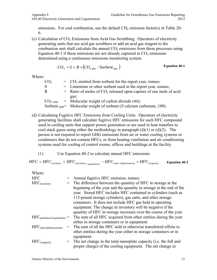emissions. For coal combustion, use the default  $CH_4$  emission factor(s) in Table 20-6.

(c) Calculation of  $CO<sub>2</sub>$  Emissions from Acid Gas Scrubbing. Operators of electricity generating units that use acid gas scrubbers or add an acid gas reagent to the combustion unit shall calculate the annual  $CO<sub>2</sub>$  emissions from these processes using Equation 40-1 if these emissions are not already captured in  $CO<sub>2</sub>$  emissions determined using a continuous emissions monitoring system.

$$
CO_2 = S \times R \times (CO_{2MW} / \text{Sorbent}_{MW})
$$
 Equation 40-1

| $=$ CO <sub>2</sub> emitted from sorbent for the report year, tonnes;           |
|---------------------------------------------------------------------------------|
| = Limestone or other sorbent used in the report year, tonnes;                   |
| $=$ Ratio of moles of CO <sub>2</sub> released upon capture of one mole of acid |
| gas;                                                                            |
| $CO2 MW$ = Molecular weight of carbon dioxide (44);                             |
| Sorbent $_{\text{MW}}$ Molecular weight of sorbent (if calcium carbonate, 100). |
|                                                                                 |

- (d) Calculating Fugitive HFC Emissions from Cooling Units. Operators of electricity generating facilities shall calculate fugitive HFC emissions for each HFC compound used in cooling units that support power generation or are used in heat transfers to cool stack gases using either the methodology in paragraph  $(d)(1)$  or  $(d)(2)$ . The person is not required to report GHG emissions from air or water cooling systems or condensers that do not contain HFCs, or from heating ventilation and air conditioning systems used for cooling of control rooms, offices and buildings at the facility.
	- (1) Use Equation 40-2 to calculate annual HFC emissions:

$$
HFC = HFC_{\text{inventory}} + HFC_{\text{purchases}}_{\text{acquisitions}} - HFC_{\text{sales/disbursements}} + HFC_{\text{Acapacity}} \qquad \text{Equation 40-2}
$$

| Where:                                        |                                                                       |
|-----------------------------------------------|-----------------------------------------------------------------------|
| <b>HFC</b>                                    | Annual fugitive HFC emission, tonnes;                                 |
| <b>HFC</b> inventory                          | The difference between the quantity of HFC in storage at the          |
|                                               | beginning of the year and the quantity in storage at the end of the   |
|                                               | year. Stored HFC includes HFC contained in cylinders (such as         |
|                                               | 115-pound storage cylinders), gas carts, and other storage            |
|                                               | containers. It does not include HFC gas held in operating             |
|                                               | equipment. The change in inventory will be negative if the            |
|                                               | quantity of HFC in storage increases over the course of the year.     |
| $HFC_{\text{purchases}/\text{acquistions}} =$ | The sum of all HFC acquired from other entities during the year       |
|                                               | either in storage containers or in equipment.                         |
| HFC <sub>sales</sub> /disbursements           | The sum of all the HFC sold or otherwise transferred offsite to       |
|                                               | other entities during the year either in storage containers or in     |
|                                               | equipment.                                                            |
| $HFC_{\Delta capacity}$                       | $=$ The net change in the total nameplate capacity (i.e. the full and |
|                                               | proper charge) of the cooling equipment. The net change in            |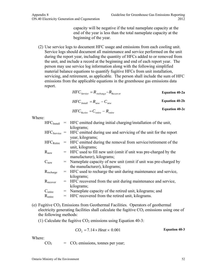capacity will be negative if the total nameplate capacity at the end of the year is less than the total nameplate capacity at the beginning of the year.

(2) Use service logs to document HFC usage and emissions from each cooling unit. Service logs should document all maintenance and service performed on the unit during the report year, including the quantity of HFCs added to or removed from the unit, and include a record at the beginning and end of each report year. The person may use service log information along with the following simplified material balance equations to quantify fugitive HFCs from unit installation, servicing, and retirement, as applicable. The person shall include the sum of HFC emissions from the applicable equations in the greenhouse gas emissions data report.

$$
HFC_{Service} = R_{recharge} - R_{Recover}
$$
  
Equation 40-2a  
HPC<sub>Insball</sub> = R<sub>new</sub> - C<sub>new</sub>  
Equation 40-2b

$$
HFC_{Reference} = C_{reire} - R_{reire}
$$
 Equation 40-2c

Where:

| $\rm{HFC}_{\rm{Install}}$      | = HFC emitted during initial charging/installation of the unit,                   |
|--------------------------------|-----------------------------------------------------------------------------------|
|                                | kilograms;                                                                        |
|                                | $HFC_{Service}$ = HFC emitted during use and servicing of the unit for the report |
|                                | year, kilograms;                                                                  |
| $\rm{HFC}_{\rm{Retire}}$       | = HFC emitted during the removal from service/retirement of the                   |
|                                | unit, kilograms;                                                                  |
| $R_{\mathrm{new}}$             | = HFC used to fill new unit (omit if unit was pre-charged by the                  |
|                                | manufacturer), kilograms;                                                         |
| $C_{\text{new}}$               | = Nameplate capacity of new unit (omit if unit was pre-charged by                 |
|                                | the manufacturer), kilograms;                                                     |
| $R_{\text{recharge}}$          | = HFC used to recharge the unit during maintenance and service,                   |
|                                | kilograms;                                                                        |
| $\rm R_{recover}$              | = HFC recovered from the unit during maintenance and service,                     |
|                                | kilograms;                                                                        |
| $\mathrm{C}_{\mathrm{retire}}$ | = Nameplate capacity of the retired unit, kilograms; and                          |
| $\rm R_{\rm retire}$           | HFC recovered from the retired unit, kilograms.                                   |
|                                |                                                                                   |

(e) Fugitive  $CO<sub>2</sub>$  Emissions from Geothermal Facilities. Operators of geothermal electricity generating facilities shall calculate the fugitive  $CO<sub>2</sub>$  emissions using one of the following methods:

(1) Calculate the fugitive  $CO<sub>2</sub>$  emissions using Equation 40-3:

$$
CO_2 = 7.14 \times Heat \times 0.001
$$
  Equation 40-3

Where:

 $CO<sub>2</sub>$  =  $CO<sub>2</sub>$  emissions, tonnes per year;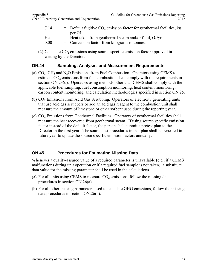- 7.14  $=$  Default fugitive CO<sub>2</sub> emission factor for geothermal facilities, kg per GJ
- Heat  $=$  Heat taken from geothermal steam and/or fluid, GJ/yr.
- 0.001 = Conversion factor from kilograms to tonnes.
- (2) Calculate  $CO<sub>2</sub>$  emissions using source specific emission factor approved in writing by the Director.

## **ON.44 Sampling, Analysis, and Measurement Requirements**

- (a)  $CO<sub>2</sub>$ , CH<sub>4</sub> and N<sub>2</sub>O Emissions from Fuel Combustion. Operators using CEMS to estimate  $CO<sub>2</sub>$  emissions from fuel combustion shall comply with the requirements in section ON.23(d). Operators using methods other than CEMS shall comply with the applicable fuel sampling, fuel consumption monitoring, heat content monitoring, carbon content monitoring, and calculation methodologies specified in section ON.25.
- (b)  $CO<sub>2</sub>$  Emissions from Acid Gas Scrubbing. Operators of electricity generating units that use acid gas scrubbers or add an acid gas reagent to the combustion unit shall measure the amount of limestone or other sorbent used during the reporting year.
- (c) CO2 Emissions from Geothermal Facilities. Operators of geothermal facilities shall measure the heat recovered from geothermal steam. If using source specific emission factor instead of the default factor, the person shall submit a pretest plan to the Director in the first year. The source test procedures in that plan shall be repeated in future year to update the source specific emission factors annually.

## **ON.45 Procedures for Estimating Missing Data**

Whenever a quality-assured value of a required parameter is unavailable (e.g., if a CEMS malfunctions during unit operation or if a required fuel sample is not taken), a substitute data value for the missing parameter shall be used in the calculations.

- (a) For all units using CEMS to measure  $CO<sub>2</sub>$  emissions, follow the missing data procedures in section ON.26(a)
- (b) For all other missing parameters used to calculate GHG emissions, follow the missing data procedures in section ON.26(b).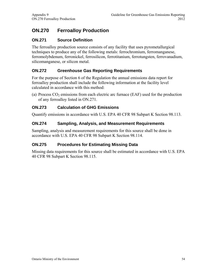# **ON.270 Ferroalloy Production**

## **ON.271 Source Definition**

The ferroalloy production source consists of any facility that uses pyrometallurgical techniques to produce any of the following metals: ferrochromium, ferromanganese, ferromolybdenum, ferronickel, ferrosilicon, ferrotitanium, ferrotungsten, ferrovanadium, silicomanganese, or silicon metal.

## **ON.272 Greenhouse Gas Reporting Requirements**

For the purpose of Section 6 of the Regulation the annual emissions data report for ferroalloy production shall include the following information at the facility level calculated in accordance with this method:

(a) Process  $CO<sub>2</sub>$  emissions from each electric arc furnace (EAF) used for the production of any ferroalloy listed in ON.271.

# **ON.273 Calculation of GHG Emissions**

Quantify emissions in accordance with U.S. EPA 40 CFR 98 Subpart K Section 98.113.

## **ON.274 Sampling, Analysis, and Measurement Requirements**

Sampling, analysis and measurement requirements for this source shall be done in accordance with U.S. EPA 40 CFR 98 Subpart K Section 98.114.

## **ON.275 Procedures for Estimating Missing Data**

Missing data requirements for this source shall be estimated in accordance with U.S. EPA 40 CFR 98 Subpart K Section 98.115.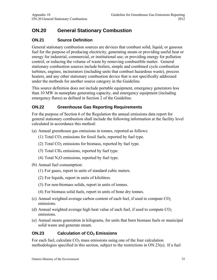# **ON.20 General Stationary Combustion**

# **ON.21 Source Definition**

General stationary combustion sources are devices that combust solid, liquid, or gaseous fuel for the purpose of producing electricity, generating steam or providing useful heat or energy for industrial, commercial, or institutional use; or providing energy for pollution control; or reducing the volume of waste by removing combustible matter. General stationary combustion sources include boilers, simple and combined cycle combustion turbines, engines, incinerators (including units that combust hazardous waste), process heaters, and any other stationary combustion device that is not specifically addressed under the methods for another source category in the Guideline.

This source definition does not include portable equipment, emergency generators less than 10 MW in nameplate generating capacity, and emergency equipment (including emergency flares) as defined in Section 2 of the Guideline.

## **ON.22 Greenhouse Gas Reporting Requirements**

For the purpose of Section 6 of the Regulation the annual emissions data report for general stationary combustion shall include the following information at the facility level calculated in accordance this method:

- (a) Annual greenhouse gas emissions in tonnes, reported as follows:
	- (1) Total  $CO<sub>2</sub>$  emissions for fossil fuels, reported by fuel type.
	- (2) Total  $CO<sub>2</sub>$  emissions for biomass, reported by fuel type.
	- (3) Total CH4 emissions, reported by fuel type.
	- (4) Total  $N<sub>2</sub>O$  emissions, reported by fuel type.
- (b) Annual fuel consumption:
	- (1) For gases, report in units of standard cubic meters.
	- (2) For liquids, report in units of kilolitres.
	- (3) For non-biomass solids, report in units of tonnes.
	- (4) For biomass solid fuels, report in units of bone dry tonnes.
- (c) Annual weighted average carbon content of each fuel, if used to compute  $CO<sub>2</sub>$ emissions.
- (d) Annual weighted average high heat value of each fuel, if used to compute  $CO<sub>2</sub>$ emissions.
- (e) Annual steam generation in kilograms, for units that burn biomass fuels or municipal solid waste and generate steam.

## **ON.23** Calculation of CO<sub>2</sub> Emissions

For each fuel, calculate  $CO<sub>2</sub>$  mass emissions using one of the four calculation methodologies specified in this section, subject to the restrictions in ON.23(e). If a fuel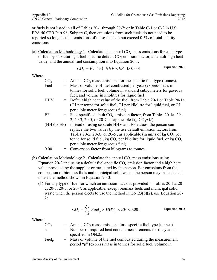or fuels is not listed in all of Tables 20-1 through 20-7; or in Table C-1 or C-2 in U.S. EPA 40 CFR Part 98, Subpart C, then emissions from such fuels do not need to be reported so long as total emissions of these fuels do not exceed 0.5% of total facility emissions.

(a) Calculation Methodology 1. Calculate the annual  $CO<sub>2</sub>$  mass emissions for each type of fuel by substituting a fuel-specific default  $CO<sub>2</sub>$  emission factor, a default high heat value, and the annual fuel consumption into Equation 20-1:

$$
CO_2 = Fuel \times (HHV \times EF) \times 0.001
$$
 Equation 20-1

Where:

| CO <sub>2</sub> |     | Annual $CO2$ mass emissions for the specific fuel type (tonnes).            |
|-----------------|-----|-----------------------------------------------------------------------------|
| Fuel            |     | Mass or volume of fuel combusted per year (express mass in                  |
|                 |     | tonnes for solid fuel, volume in standard cubic meters for gaseous          |
|                 |     | fuel, and volume in kilolitres for liquid fuel).                            |
| HHV             |     | = Default high heat value of the fuel, from Table 20-1 or Table 20-1 a      |
|                 |     | (GJ per tonne for solid fuel, GJ per kilolitre for liquid fuel, or GJ       |
|                 |     | per cubic meter for gaseous fuel).                                          |
| ΕF              |     | $=$ Fuel-specific default $CO2$ emission factor, from Tables 20-1a, 20-     |
|                 |     | 2, 20-3, 20-5, or 20-7, as applicable (kg $CO_2/GJ$ ).                      |
| (HHV x EF)      |     | instead of using separate HHV and EF values, the person can                 |
|                 |     | replace the two values by the use default emission factors from             |
|                 |     | Tables 20-2, 20-3, or 20-5, as applicable (in units of kg $CO2$ per         |
|                 |     | tonne for solid fuel, kg $CO_2$ per kilolitre for liquid fuel, or kg $CO_2$ |
|                 |     | per cubic meter for gaseous fuel)                                           |
| 0.001           | $=$ | Conversion factor from kilograms to tonnes.                                 |
|                 |     |                                                                             |

- (b) Calculation Methodology 2. Calculate the annual  $CO<sub>2</sub>$  mass emissions using Equation 20-2 and using a default fuel-specific  $CO<sub>2</sub>$  emission factor and a high heat value provided by the supplier or measured by the person. For emissions from the combustion of biomass fuels and municipal solid waste, the person may instead elect to use the method shown in Equation 20-3.
	- (1) For any type of fuel for which an emission factor is provided in Tables 20-1a, 20- 2, 20-3, 20-5, or 20-7, as applicable, except biomass fuels and municipal solid waste when the person elects to use the method in ON.23(b)(2), use Equation 20-  $2:$

$$
CO_2 = \sum_{p=1}^{n} \left[ Fuel_p \times HHV_p \times EF \times 0.001 \right]
$$
 Equation 20-2

| CO <sub>2</sub> | $=$ Annual CO <sub>2</sub> mass emissions for a specific fuel type (tonnes). |
|-----------------|------------------------------------------------------------------------------|
| n               | $=$ Number of required heat content measurements for the year as             |
|                 | specified in ON.25.                                                          |
| $Fuel_{p}$      | $=$ Mass or volume of the fuel combusted during the measurement              |
|                 | period "p" (express mass in tonnes for solid fuel, volume in                 |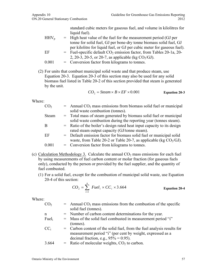standard cubic meters for gaseous fuel, and volume in kilolitres for liquid fuel).

- $HHV_p$  = High heat value of the fuel for the measurement period (GJ per tonne for solid fuel, GJ per bone-dry tonne biomass solid fuel, GJ per kilolitre for liquid fuel, or GJ per cubic meter for gaseous fuel). EF  $=$  Fuel-specific default  $CO<sub>2</sub>$  emission factor, from Tables 20-1a, 20-
- 2, 20-3, 20-5, or 20-7, as applicable (kg  $CO_2/GJ$ ).
- $0.001$  = Conversion factor from kilograms to tonnes.
- (2) For units that combust municipal solid waste and that produce steam, use Equation 20-3. Equation 20-3 of this section may also be used for any solid biomass fuel listed in Table 20-2 of this section provided that steam is generated by the unit.

$$
CO_2 = Steam \times B \times EF \times 0.001
$$
 Equation 20-3

Where:

| CO <sub>2</sub> | $=$ Annual CO <sub>2</sub> mass emissions from biomass solid fuel or municipal |
|-----------------|--------------------------------------------------------------------------------|
|                 | solid waste combustion (tonnes).                                               |
| <b>Steam</b>    | = Total mass of steam generated by biomass solid fuel or municipal             |
|                 | solid waste combustion during the reporting year (tonnes steam).               |
| B               | = Ratio of the boiler's design rated heat input capacity to its design         |
|                 | rated steam output capacity (GJ/tonne steam).                                  |
| EF              | = Default emission factor for biomass solid fuel or municipal solid            |
|                 | waste, from Table 20-2 or Table 20-7, as applicable (kg $CO2/GI$ ).            |
| 0.001           | = Conversion factor from kilograms to tonnes.                                  |
|                 |                                                                                |

- (c) Calculation Methodology 3. Calculate the annual  $CO<sub>2</sub>$  mass emissions for each fuel by using measurements of fuel carbon content or molar fraction (for gaseous fuels only), conducted by the person or provided by the fuel supplier, and the quantity of fuel combusted.
	- (1) For a solid fuel, except for the combustion of municipal solid waste, use Equation 20-4 of this section:

$$
CO_2 = \sum_{i=1}^{n} \; Fuel_i \times CC_i \times 3.664
$$
 Equation 20-4

| CO <sub>2</sub> | $=$ Annual CO <sub>2</sub> mass emissions from the combustion of the specific<br>solid fuel (tonnes).                                                                            |
|-----------------|----------------------------------------------------------------------------------------------------------------------------------------------------------------------------------|
| $\mathbf n$     | = Number of carbon content determinations for the year.                                                                                                                          |
| Fuel            | = Mass of the solid fuel combusted in measurement period "i"<br>(tonnes).                                                                                                        |
| $CC_i$          | = Carbon content of the solid fuel, from the fuel analysis results for<br>measurement period "i" (per cent by weight, expressed as a<br>decimal fraction, e.g., $95\% = 0.95$ ). |
| 3.664           | $=$ Ratio of molecular weights, $CO2$ to carbon.                                                                                                                                 |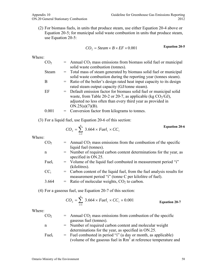(2) For biomass fuels, in units that produce steam, use either Equation 20-4 above or Equation 20-5; for municipal solid waste combustion in units that produce steam, use Equation 20-5:

$$
CO_2 = Steam \times B \times EF \times 0.001
$$
 Equation 20-5

Where:

| CO <sub>2</sub> | $=$ Annual CO <sub>2</sub> mass emissions from biomass solid fuel or municipal |
|-----------------|--------------------------------------------------------------------------------|
|                 | solid waste combustion (tonnes).                                               |
| Steam           | = Total mass of steam generated by biomass solid fuel or municipal             |
|                 | solid waste combustion during the reporting year (tonnes steam).               |
| B               | = Ratio of the boiler's design rated heat input capacity to its design         |
|                 | rated steam output capacity (GJ/tonne steam).                                  |
| EF              | = Default emission factor for biomass solid fuel or municipal solid            |
|                 | waste, from Table 20-2 or 20-7, as applicable (kg $CO2/GI$ ),                  |
|                 | adjusted no less often than every third year as provided in                    |
|                 | ON.25(a)(7)(B).                                                                |
| 0.001           | = Conversion factor from kilograms to tonnes.                                  |
|                 |                                                                                |

(3) For a liquid fuel, use Equation 20-6 of this section:

$$
CO_2 = \sum_{i=1}^{n} 3.664 \times \text{Full}_i \times CC_i
$$
 Equation 20-6

Where:

| CO <sub>2</sub>   | $=$ Annual CO <sub>2</sub> mass emissions from the combustion of the specific                                                        |
|-------------------|--------------------------------------------------------------------------------------------------------------------------------------|
|                   | liquid fuel (tonnes).                                                                                                                |
| n                 | = Number of required carbon content determinations for the year, as<br>specified in ON.25.                                           |
| Fuel <sub>i</sub> | = Volume of the liquid fuel combusted in measurement period "i"<br>(kilolitres).                                                     |
| $CC_i$            | $=$ Carbon content of the liquid fuel, from the fuel analysis results for<br>measurement period "i" (tonne C per kilolitre of fuel). |
| 3.664             | $=$ Ratio of molecular weights, $CO2$ to carbon.                                                                                     |

(4) For a gaseous fuel, use Equation 20-7 of this section:

$$
CO_2 = \sum_{i=1}^{n} 3.664 \times \text{Full}_i \times CC_i \times 0.001
$$
 Equation 20-7

| CO <sub>2</sub>   | $=$ Annual CO <sub>2</sub> mass emissions from combustion of the specific                                                                     |
|-------------------|-----------------------------------------------------------------------------------------------------------------------------------------------|
|                   | gaseous fuel (tonnes).                                                                                                                        |
| $\mathbf n$       | = Number of required carbon content and molecular weight<br>determinations for the year, as specified in ON.25.                               |
| Fuel <sub>i</sub> | = Fuel combusted in period "i" (a day or month, as applicable)<br>(volume of the gaseous fuel in Rm <sup>3</sup> at reference temperature and |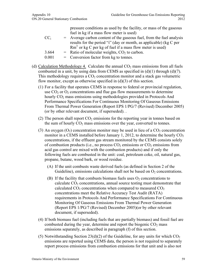pressure conditions as used by the facility, or mass of the gaseous fuel in kg if a mass flow meter is used)

- $CC_i$  = Average carbon content of the gaseous fuel, from the fuel analysis results for the period "i" (day or month, as applicable) (kg C per  $Rm<sup>3</sup>$  or kg C per kg of fuel if a mass flow meter is used)  $3.664$  = Ratio of molecular weights,  $CO<sub>2</sub>$  to carbon.
- $0.001$  = Conversion factor from kg to tonnes.
- (d) Calculation Methodology 4. Calculate the annual  $CO<sub>2</sub>$  mass emissions from all fuels combusted in a unit, by using data from CEMS as specified in  $(d)(1)$  through  $(d)(7)$ . This methodology requires a  $CO<sub>2</sub>$  concentration monitor and a stack gas volumetric flow monitor, except as otherwise specified in  $(d)(3)$  of this section.
	- (1) For a facility that operates CEMS in response to federal or provincial regulation, use  $CO<sub>2</sub>$  or  $O<sub>2</sub>$  concentrations and flue gas flow measurements to determine hourly  $CO<sub>2</sub>$  mass emissions using methodologies provided in Protocols And Performance Specifications For Continuous Monitoring Of Gaseous Emissions From Thermal Power Generation (Report EPS 1/PG/7 (Revised) December 2005) (or by other relevant document, if superseded). .
	- (2) The person shall report  $CO<sub>2</sub>$  emissions for the reporting year in tonnes based on the sum of hourly  $CO<sub>2</sub>$  mass emissions over the year, converted to tonnes.
	- (3) An oxygen  $(O_2)$  concentration monitor may be used in lieu of a  $CO_2$  concentration monitor in a CEMS installed before January 1, 2012, to determine the hourly  $CO<sub>2</sub>$ concentrations, if the effluent gas stream monitored by the CEMS consists solely of combustion products (i.e., no process  $CO<sub>2</sub>$  emissions or  $CO<sub>2</sub>$  emissions from acid gas control are mixed with the combustion products) and if only the following fuels are combusted in the unit: coal, petroleum coke, oil, natural gas, propane, butane, wood bark, or wood residue.
		- (A) If the unit combusts waste derived fuels (as defined in Section 2 of the Guideline), emissions calculations shall not be based on  $O_2$  concentrations.
		- (B) If the facility that combusts biomass fuels uses  $O_2$  concentrations to calculate  $CO<sub>2</sub>$  concentrations, annual source testing must demonstrate that calculated  $CO_2$  concentrations when compared to measured  $CO_2$ concentrations meet the Relative Accuracy Test Audit (RATA) requirements in Protocols And Performance Specifications For Continuous Monitoring Of Gaseous Emissions From Thermal Power Generation (Report EPS 1/PG/7 (Revised) December 2005)(or by other relevant document, if superseded).
	- (4) If both biomass fuel (including fuels that are partially biomass) and fossil fuel are combusted during the year, determine and report the biogenic  $CO<sub>2</sub>$  mass emissions separately, as described in paragraph (f) of this section.
	- (5) Notwithstanding Section 23(d)(2) of the Guideline, for any units for which  $CO<sub>2</sub>$ emissions are reported using CEMS data, the person is not required to separately report process emissions from combustion emissions for that unit and is also not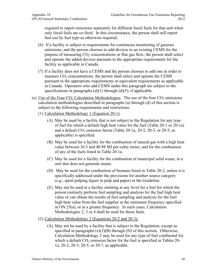required to report emissions separately for different fossil fuels for that unit when only fossil fuels are co-fired. In this circumstance, the person shall still report fuel use by fuel type as otherwise required.

- (6) If a facility is subject to requirements for continuous monitoring of gaseous emissions, and the person chooses to add devices to an existing CEMS for the purpose of measuring  $CO<sub>2</sub>$  concentrations or flue gas flow, the person shall select and operate the added devices pursuant to the appropriate requirements for the facility as applicable in Canada.
- (7) If a facility does not have a CEMS and the person chooses to add one in order to measure  $CO<sub>2</sub>$  concentrations, the person shall select and operate the CEMS pursuant to the appropriate requirements or equivalent requirements as applicable in Canada. Operators who add CEMS under this paragraph are subject to the specifications in paragraphs  $(d)(1)$  through  $(d)(5)$ , if applicable.
- (e) Use of the Four  $CO<sub>2</sub>$  Calculation Methodologies. The use of the four  $CO<sub>2</sub>$  emissions calculation methodologies described in paragraphs (a) through (d) of this section is subject to the following requirements and restrictions:
	- (1) Calculation Methodology 1 (Equation 20-1).
		- (A) May be used by a facility that is not subject to the Regulation for any type of fuel for which a default high heat value for the fuel (Table 20-1 or 20-1a) and a default  $CO_2$  emission factor (Table 20-1a, 20-2, 20-3, or 20-5, as applicable) is specified.
		- (B) May be used for a facility for the combustion of natural gas with a high heat value between 36.3 and 40.98 MJ per cubic meter, and for the combustion of any of the fuels listed in Table 20-1a.
		- (C) May be used for a facility for the combustion of municipal solid waste, in a unit that does not generate steam.
		- (D) May be used for the combustion of biomass listed in Table 20-2, unless it is specifically addressed under the provisions for another source category (e.g., spent pulping liquor in pulp and paper) in the Guideline.
		- (E) May not be used at a facility emitting at any level for a fuel for which the person routinely perform fuel sampling and analysis for the fuel high heat value or can obtain the results of fuel sampling and analysis for the fuel high heat value from the fuel supplier at the minimum frequency specified in ON.25(a), or at a greater frequency. In such cases, Calculation Methodologies 2, 3 or 4 shall be used for those fuels.
	- (2) Calculation Methodology 2 (Equations 20-2 and 20-3).
		- (A) May not be used by a facility that is subject to the Regulation, except as specified in paragraphs  $(e)(2)(B)$  through  $(D)$  of this section. Otherwise, Calculation Methodology 2 may be used for any type of fuel combusted for which a default  $CO<sub>2</sub>$  emission factor for the fuel is specified in Tables 20-1a, 20-2, 20-3, 20-5, or 20-7, as applicable.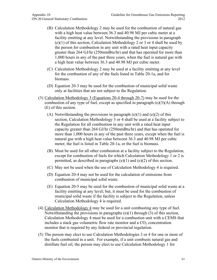- (B) Calculation Methodology 2 may be used for the combustion of natural gas with a high heat value between 36.3 and 40.98 MJ per cubic meter at a facility emitting at any level. Notwithstanding the provisions in paragraph (e)(1) of this section, Calculation Methodology 2 or 3 or 4 shall be used by the person for combustion in any unit with a rated heat input capacity greater than 264 GJ/hr (250mmBtu/hr) and that has operated for more than 1,000 hours in any of the past three years, when the fuel is natural gas with a high heat value between 36.3 and 40.98 MJ per cubic meter.
- (C) Calculation Methodology 2 may be used at a facility emitting at any level for the combustion of any of the fuels listed in Table 20-1a, and for biomass.
- (D) Equation 20-3 may be used for the combustion of municipal solid waste only at facilities that are not subject to the Regulation.
- (3) Calculation Methodology 3 (Equations 20-4 through 20-7) may be used for the combustion of any type of fuel, except as specified in paragraph  $(e)(3)(A)$  through (E) of this section.
	- (A) Notwithstanding the provisions in paragraph  $(e)(1)$  and  $(e)(2)$  of this section, Calculation Methodology 3 or 4 shall be used at a facility subject to the Regulation for all combustion in any unit with a rated heat input capacity greater than 264 GJ/hr (250mmBtu/hr) and that has operated for more than 1,000 hours in any of the past three years, except when the fuel is natural gas with a high heat value between 36.3 and 40.98 MJ per cubic meter, the fuel is listed in Table 20-1a, or the fuel is biomass.
	- (B) Must be used for all other combustion at a facility subject to the Regulation, except for combustion of fuels for which Calculation Methodology 1 or 2 is permitted, as described in paragraphs  $(e)(1)$  and  $(e)(2)$  of this section.
	- (C) May not be used when the use of Calculation Methodology 4 is required.
	- (D) Equation 20-4 may not be used for the calculation of emissions from combustion of municipal solid waste.
	- (E) Equation 20-5 may be used for the combustion of municipal solid waste at a facility emitting at any level; but, it must be used for the combustion of municipal solid waste if the facility is subject to the Regulation, unless Calculation Methodology 4 is required.
- (4) Calculation Methodology 4 may be used for a unit combusting any type of fuel. Notwithstanding the provisions in paragraphs  $(e)(1)$  through  $(3)$  of this section, Calculation Methodology 4 must be used for a combustion unit with a CEMS that includes a stack gas volumetric flow rate monitor and a  $CO<sub>2</sub>$  concentration monitor that is required by any federal or provincial regulation.
- (5) The person may elect to use Calculation Methodologies 3 or 4 for one or more of the fuels combusted in a unit. For example, if a unit combusts natural gas and distillate fuel oil, the person may elect to use Calculation Methodology 1 for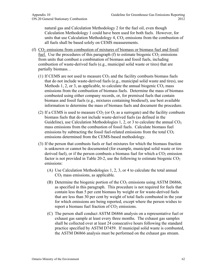natural gas and Calculation Methodology 2 for the fuel oil, even though Calculation Methodology 1 could have been used for both fuels. However, for units that use Calculation Methodology 4,  $CO<sub>2</sub>$  emissions from the combustion of all fuels shall be based solely on CEMS measurements.

- (f)  $CO<sub>2</sub>$  emissions from combustion of mixtures of biomass or biomass fuel and fossil fuel. Use the procedures of this paragraph (f) to estimate biogenic  $CO<sub>2</sub>$  emissions from units that combust a combination of biomass and fossil fuels, including combustion of waste-derived fuels (e.g., municipal solid waste or tires) that are partially biomass. .
	- (1) If CEMS are not used to measure  $CO<sub>2</sub>$  and the facility combusts biomass fuels that do not include waste-derived fuels (e.g., municipal solid waste and tires), use Methods 1, 2, or 3, as applicable, to calculate the annual biogenic  $CO<sub>2</sub>$  mass emissions from the combustion of biomass fuels. Determine the mass of biomass combusted using either company records, or, for premixed fuels that contain biomass and fossil fuels (e.g., mixtures containing biodiesel), use best available information to determine the mass of biomass fuels and document the procedure.
	- (2) If a CEMS is used to measure  $CO_2$  (or  $O_2$  as a surrogate) and the facility combusts biomass fuels that do not include waste-derived fuels (as defined in the Guideline), use Calculation Methodologies 1, 2, or 3 to calculate the annual  $CO<sub>2</sub>$ mass emissions from the combustion of fossil fuels. Calculate biomass fuel emissions by subtracting the fossil fuel-related emissions from the total  $CO<sub>2</sub>$ emissions determined from the CEMS-based methodology.
	- (3) If the person that combusts fuels or fuel mixtures for which the biomass fraction is unknown or cannot be documented (for example, municipal solid waste or tirederived fuel), or if the person combusts a biomass fuel for which a  $CO<sub>2</sub>$  emission factor is not provided in Table 20-2, use the following to estimate biogenic  $CO<sub>2</sub>$ emissions:
		- (A) Use Calculation Methodologies 1, 2, 3, or 4 to calculate the total annual  $CO<sub>2</sub>$  mass emissions, as applicable.
		- (B) Determine the biogenic portion of the  $CO<sub>2</sub>$  emissions using ASTM D6866, as specified in this paragraph. This procedure is not required for fuels that contain less than 5 per cent biomass by weight or for waste-derived fuels that are less than 30 per cent by weight of total fuels combusted in the year for which emissions are being reported, except where the person wishes to report a biomass fuel fraction of  $CO<sub>2</sub>$  emissions.
		- (C) The person shall conduct ASTM D6866 analysis on a representative fuel or exhaust gas sample at least every three months. The exhaust gas samples shall be collected over at least 24 consecutive hours following the standard practice specified by ASTM D7459. If municipal solid waste is combusted, the ASTM D6866 analysis must be performed on the exhaust gas stream.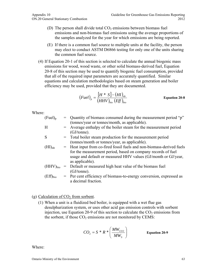- (D) The person shall divide total  $CO<sub>2</sub>$  emissions between biomass fuel emissions and non-biomass fuel emissions using the average proportions of the samples analyzed for the year for which emissions are being reported.
- (E) If there is a common fuel source to multiple units at the facility, the person may elect to conduct ASTM D6866 testing for only one of the units sharing the common fuel source.
- (4) If Equation 20-1 of this section is selected to calculate the annual biogenic mass emissions for wood, wood waste, or other solid biomass-derived fuel, Equation 20-8 of this section may be used to quantify biogenic fuel consumption, provided that all of the required input parameters are accurately quantified. Similar equations and calculation methodologies based on steam generation and boiler efficiency may be used, provided that they are documented.

$$
(Full)_p = \frac{[H * S] - (HI)_{nb}}{(HHV)_{bio} (Eff)_{bio}} \qquad \text{Equation 20-8}
$$

Where:

| $(Fuel)_p$    | $=$ Quantity of biomass consumed during the measurement period "p"<br>(tonnes/year or tonnes/month, as applicable). |
|---------------|---------------------------------------------------------------------------------------------------------------------|
| H             | = Average enthalpy of the boiler steam for the measurement period<br>$(GJ/tonne)$ .                                 |
| S             | = Total boiler steam production for the measurement period                                                          |
|               | (tonnes/month or tonnes/year, as applicable).                                                                       |
| $(HI)_{nb}$   | = Heat input from co-fired fossil fuels and non-biomass-derived fuels                                               |
|               | for the measurement period, based on company records of fuel                                                        |
|               | usage and default or measured HHV values (GJ/month or GJ/year,                                                      |
|               | as applicable).                                                                                                     |
| $(HHV)_{bio}$ | = Default or measured high heat value of the biomass fuel                                                           |
|               | (GJ/tonne).                                                                                                         |
| $(Eff)_{bio}$ | = Per cent efficiency of biomass-to-energy conversion, expressed as                                                 |
|               | a decimal fraction.                                                                                                 |

#### (g) Calculation of  $CO<sub>2</sub>$  from sorbent.

(1) When a unit is a fluidized bed boiler, is equipped with a wet flue gas desulphurization system, or uses other acid gas emission controls with sorbent injection, use Equation 20-9 of this section to calculate the  $CO<sub>2</sub>$  emissions from the sorbent, if those  $CO<sub>2</sub>$  emissions are not monitored by CEMS:

$$
CO_2 = S^* R^* \left( \frac{MW_{CO2}}{MW_S} \right)
$$
 Equation 20-9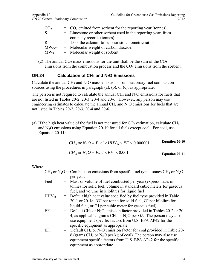| CO <sub>2</sub>        | $=$ CO <sub>2</sub> emitted from sorbent for the reporting year (tonnes). |  |
|------------------------|---------------------------------------------------------------------------|--|
| <sub>S</sub>           | $=$ Limestone or other sorbent used in the reporting year, from           |  |
|                        | company records (tonnes).                                                 |  |
| R                      | $= 1.00$ , the calcium-to-sulphur stoichiometric ratio.                   |  |
| $\text{MW}_\text{CO2}$ | $=$ Molecular weight of carbon dioxide.                                   |  |
| $MW_{S}$               | $=$ Molecular weight of sorbent.                                          |  |
|                        |                                                                           |  |

(2) The annual  $CO_2$  mass emissions for the unit shall be the sum of the  $CO_2$ emissions from the combustion process and the  $CO<sub>2</sub>$  emissions from the sorbent.

#### **ON.24** Calculation of CH<sub>4</sub> and N<sub>2</sub>O Emissions

Calculate the annual CH<sub>4</sub> and  $N_2O$  mass emissions from stationary fuel combustion sources using the procedures in paragraph (a), (b), or (c), as appropriate.

The person is not required to calculate the annual  $CH_4$  and  $N_2O$  emissions for fuels that are not listed in Tables 20-2, 20-3, 20-4 and 20-6. However, any person may use engineering estimates to calculate the annual  $CH_4$  and  $N<sub>2</sub>O$  emissions for fuels that are not listed in Tables 20-2, 20-3, 20-4 and 20-6.

(a) If the high heat value of the fuel is not measured for  $CO<sub>2</sub>$  estimation, calculate CH<sub>4</sub> and  $N_2O$  emissions using Equation 20-10 for all fuels except coal. For coal, use Equation 20-11:

| $CH_A$ or $N_2O = Fuel \times HHV_p \times EF \times 0.000001$ | <b>Equation 20-10</b> |
|----------------------------------------------------------------|-----------------------|
| $CHA$ or $N2O = Fuel \times EFA \times 0.001$                  | <b>Equation 20-11</b> |

| $CH_4$ or $N_2O =$ Combustion emissions from specific fuel type, tonnes CH <sub>4</sub> or $N_2O$ |  |                                                                                                |  |
|---------------------------------------------------------------------------------------------------|--|------------------------------------------------------------------------------------------------|--|
|                                                                                                   |  | per year.                                                                                      |  |
| Fuel                                                                                              |  | = Mass or volume of fuel combusted per year (express mass in                                   |  |
|                                                                                                   |  | tonnes for solid fuel, volume in standard cubic meters for gaseous                             |  |
|                                                                                                   |  | fuel, and volume in kilolitres for liquid fuel).                                               |  |
| $HHV_D$                                                                                           |  | = Default high heat value specified by fuel type provided in Table                             |  |
|                                                                                                   |  | 20-1 or 20-1a, (GJ per tonne for solid fuel, GJ per kilolitre for                              |  |
|                                                                                                   |  | liquid fuel, or GJ per cubic meter for gaseous fuel).                                          |  |
| EF                                                                                                |  | $=$ Default CH <sub>4</sub> or N <sub>2</sub> O emission factor provided in Tables 20-2 or 20- |  |
|                                                                                                   |  | 4, as applicable, grams $CH_4$ or $N_2O$ per GJ. The person may also                           |  |
|                                                                                                   |  | use equipment specific factors from U.S. EPA AP42 for the                                      |  |
|                                                                                                   |  | specific equipment as appropriate.                                                             |  |
| $EF_c$                                                                                            |  | $=$ Default CH <sub>4</sub> or N <sub>2</sub> O emission factor for coal provided in Table 20- |  |
|                                                                                                   |  | 6 (grams $CH_4$ or $N_2O$ per kg of coal). The person may also use                             |  |
|                                                                                                   |  | equipment specific factors from U.S. EPA AP42 for the specific                                 |  |
|                                                                                                   |  | equipment as appropriate.                                                                      |  |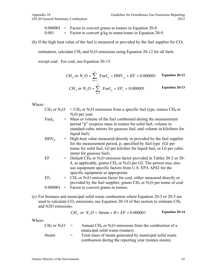$0.000001$  = Factor to convert grams to tonnes in Equation 20-8.  $0.001 =$  Factor to convert g/kg to tonne/tonne in Equation 20-9.

(b) If the high heat value of the fuel is measured or provided by the fuel supplier for  $CO<sub>2</sub>$ 

estimation, calculate CH<sub>4</sub> and N<sub>2</sub>O emissions using Equation 20-12 for all fuels

except coal. For coal, use Equation 20-13:

$$
CH_4 \text{ or } N_2O = \sum_{p=1}^{n} \text{ } Fuel_p \times HHV_p \times EF \times 0.000001
$$
 \tEquation 20-12

$$
CH_4 \text{ or } N_2O = \sum_{p=1}^{n} \text{ Fuel}_p \times EF_c \times 0.000001
$$
 Equation 20-13

Where:

- $CH_4$  or  $N_2O = CH_4$  or  $N_2O$  emissions from a specific fuel type, tonnes CH<sub>4</sub> or  $N<sub>2</sub>O$  per year.
- Fuel<sub>n</sub>  $=$  Mass or volume of the fuel combusted during the measurement period "p" (express mass in tonnes for solid fuel, volume in standard cubic meters for gaseous fuel, and volume in kilolitres for liquid fuel).
- $HHV_p$  = High heat value measured directly or provided by the fuel supplier for the measurement period, p, specified by fuel type (GJ per tonne for solid fuel, GJ per kilolitre for liquid fuel, or GJ per cubic meter for gaseous fuel).
- EF  $=$  Default CH<sub>4</sub> or N<sub>2</sub>O emission factor provided in Tables 20-2 or 20-4, as applicable, grams  $CH_4$  or  $N_2O$  per GJ. The person may also use equipment specific factors from U.S. EPA AP42 for the specific equipment as appropriate.
- $EF_c$  =  $CH_4$  or N<sub>2</sub>O emission factor for coal, either measured directly or provided by the fuel supplier, grams  $CH_4$  or  $N_2O$  per tonne of coal  $0.000001$  = Factor to convert grams to tonnes.
- (c) For biomass and municipal solid waste combustion where Equation 20-3 or 20-5 are used to calculate  $CO_2$  emissions, use Equation 20-14 of this section to estimate  $CH_4$ and N2O emissions:

$$
CH_4
$$
 or  $N_2O = Steam \times B \times EF \times 0.000001$      Equation 20-14

| $CH_4$ or $N_2O =$ |     | Annual CH <sub>4</sub> or $N_2O$ emissions from the combustion of a |
|--------------------|-----|---------------------------------------------------------------------|
|                    |     | municipal solid waste (tonnes).                                     |
| <b>Steam</b>       | $=$ | Total mass of steam generated by municipal solid waste              |
|                    |     | combustion during the reporting year (tonnes steam).                |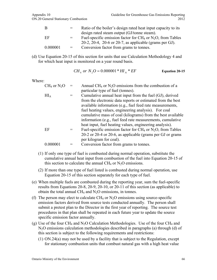| Appendix 10                         | Guideline for Greenhouse Gas Emissions Reporting |
|-------------------------------------|--------------------------------------------------|
| ON.20 General Stationary Combustion | 2012                                             |

| -B       | $=$ | Ratio of the boiler's design rated heat input capacity to its    |  |
|----------|-----|------------------------------------------------------------------|--|
|          |     | design rated steam output (GJ/tonne steam).                      |  |
| EF       | $=$ | Fuel-specific emission factor for $CH_4$ or $N_2O$ , from Tables |  |
|          |     | 20-2, 20-4, 20-6 or 20-7, as applicable (grams per GJ).          |  |
| 0.000001 | $=$ | Conversion factor from grams to tonnes.                          |  |

(d) Use Equation 20-15 of this section for units that use Calculation Methodology 4 and for which heat input is monitored on a year round basis.

$$
CH_4
$$
 or  $N_2O = 0.000001 * HI_A * EF$  Equation 20-15

| $CH_4$ or $N_2O$ |     | Annual CH <sub>4</sub> or $N_2O$ emissions from the combustion of a |  |
|------------------|-----|---------------------------------------------------------------------|--|
|                  |     | particular type of fuel (tonnes).                                   |  |
| HI <sub>A</sub>  | $=$ | Cumulative annual heat input from the fuel (GJ), derived            |  |
|                  |     | from the electronic data reports or estimated from the best         |  |
|                  |     | available information (e.g., fuel feed rate measurements,           |  |
|                  |     | fuel heating values, engineering analysis). For coal                |  |
|                  |     | cumulative mass of coal (kilograms) from the best available         |  |
|                  |     | information (e.g., fuel feed rate measurements, cumulative          |  |
|                  |     | heat input, fuel heating values, engineering analysis).             |  |
| EF               |     | Fuel-specific emission factor for $CH_4$ or $N_2O$ , from Tables    |  |
|                  |     | 20-2 or 20-4 or 20-6, as applicable (grams per GJ or grams          |  |
|                  |     | per kilogram for coal).                                             |  |
| 0.000001         |     | Conversion factor from grams to tonnes.                             |  |

- (1) If only one type of fuel is combusted during normal operation, substitute the cumulative annual heat input from combustion of the fuel into Equation 20-15 of this section to calculate the annual CH<sub>4</sub> or  $N_2O$  emissions.
- (2) If more than one type of fuel listed is combusted during normal operation, use Equation 20-15 of this section separately for each type of fuel.
- (e) When multiple fuels are combusted during the reporting year, sum the fuel-specific results from Equations 20-8, 20-9, 20-10, or 20-11 of this section (as applicable) to obtain the total annual  $CH_4$  and  $N_2O$  emissions, in tonnes.
- (f) The person may elect to calculate CH<sub>4</sub> or  $N_2O$  emissions using source-specific emission factors derived from source tests conducted annually. The person shall submit a pretest plan to the Director in the first year of reporting. The source test procedures in that plan shall be repeated in each future year to update the source specific emission factor annually.
- (g) Use of the four CH<sub>4</sub> and N<sub>2</sub>O Calculation Methodologies. Use of the four CH<sub>4</sub> and N<sub>2</sub>O emissions calculation methodologies described in paragraphs (a) through (d) of this section is subject to the following requirements and restrictions:
	- (1) ON.24(a) may not be used by a facility that is subject to the Regulation, except for stationary combustion units that combust natural gas with a high heat value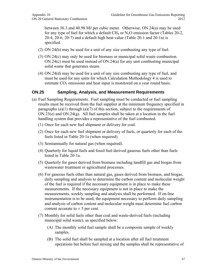between 36.3 and 40.98 MJ per cubic meter. Otherwise, ON.24(a) may be used for any type of fuel for which a default  $CH_4$  or  $N_2O$  emission factor (Tables 20-2, 20-4, 20-6, 20-7) and a default high heat value (Table 20-1 and 20-1a) is specified.

- (2) ON.24(b) may be used for a unit of any size combusting any type of fuel.
- (3) ON.24(c) may only be used for biomass or municipal solid waste combustion. ON.24(c) must be used instead of ON.24(a) for any unit combusting municipal solid waste that generates steam.
- (4) ON.24(d) may be used for a unit of any size combusting any type of fuel, and must be used for any units for which Calculation Methodology 4 is used to estimate  $CO<sub>2</sub>$  emissions and heat input is monitored on a year round basis.

#### **ON.25 Sampling, Analysis, and Measurement Requirements**

- (a) Fuel Sampling Requirements. Fuel sampling must be conducted or fuel sampling results must be received from the fuel supplier at the minimum frequency specified in paragraphs  $(a)(1)$  through  $(a)(7)$  of this section, subject to the requirements of ON.23(e) and ON.24(g). All fuel samples shall be taken at a location in the fuel handling system that provides a representative of the fuel combusted.
	- (1) Once for each new fuel shipment or delivery for coal.
	- (2) Once for each new fuel shipment or delivery of fuels, or quarterly for each of the fuels listed in Table 20-1a (when required).
	- (3) Semiannually for natural gas (when required).
	- (4) Quarterly for liquid fuels and fossil fuel derived gaseous fuels other than fuels listed in Table 20-1a.
	- (5) Quarterly for gases derived from biomass including landfill gas and biogas from wastewater treatment or agricultural processes.
	- (6) For gaseous fuels other than natural gas, gases derived from biomass, and biogas, daily sampling and analysis to determine the carbon content and molecular weight of the fuel is required if the necessary equipment is in place to make these measurements. If the necessary equipment is not in place to make the measurements, weekly sampling and analysis shall be performed. If on-line instrumentation is to be used, the equipment necessary to perform daily sampling and analysis of carbon content and molecular weight must determine fuel carbon content accurate to  $\pm$  5 per cent.
	- (7) Monthly for solid fuels other than coal and waste-derived fuels (including municipal solid waste), as specified below:
		- (A) The monthly solid fuel sample shall be a composite sample of weekly samples.
		- (B) The solid fuel shall be sampled at a location after all fuel treatment operations but before fuel mixing and the samples shall be representative of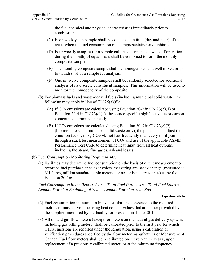the fuel chemical and physical characteristics immediately prior to combustion.

- (C) Each weekly sub-sample shall be collected at a time (day and hour) of the week when the fuel consumption rate is representative and unbiased.
- (D) Four weekly samples (or a sample collected during each week of operation during the month) of equal mass shall be combined to form the monthly composite sample.
- (E) The monthly composite sample shall be homogenized and well mixed prior to withdrawal of a sample for analysis.
- (F) One in twelve composite samples shall be randomly selected for additional analysis of its discrete constituent samples. This information will be used to monitor the homogeneity of the composite.
- (8) For biomass fuels and waste-derived fuels (including municipal solid waste), the following may apply in lieu of  $ON.25(a)(6)$ :
	- (A) If  $CO_2$  emissions are calculated using Equation 20-2 in ON.23(b)(1) or Equation 20-4 in  $ON.23(c)(1)$ , the source-specific high heat value or carbon content is determined annually.
	- (B) If  $CO_2$  emissions are calculated using Equation 20-5 in  $ON.23(c)(2)$ (biomass fuels and municipal solid waste only), the person shall adjust the emission factor, in kg  $CO<sub>2</sub>/MJ$  not less frequently than every third year, through a stack test measurement of  $CO<sub>2</sub>$  and use of the applicable ASME Performance Test Code to determine heat input from all heat outputs, including the steam, flue gases, ash and losses.
- (b) Fuel Consumption Monitoring Requirements.
	- (1) Facilities may determine fuel consumption on the basis of direct measurement or recorded fuel purchase or sales invoices measuring any stock change (measured in MJ, litres, million standard cubic meters, tonnes or bone dry tonnes) using the Equation 20-16:

*Fuel Consumption in the Report Year = Total Fuel Purchases – Total Fuel Sales + Amount Stored at Beginning of Year – Amount Stored at Year End* 

#### **Equation 20-16**

- (2) Fuel consumption measured in MJ values shall be converted to the required metrics of mass or volume using heat content values that are either provided by the supplier, measured by the facility, or provided in Table 20-1.
- (3) All oil and gas flow meters (except for meters on the natural gas delivery system, including gas billing meters) shall be calibrated prior to the first year for which GHG emissions are reported under the Regulation, using a calibration or verification procedures specified by the flow meter manufacturer or Measurement Canada. Fuel flow meters shall be recalibrated once every three years , upon replacement of a previously calibrated meter, or at the minimum frequency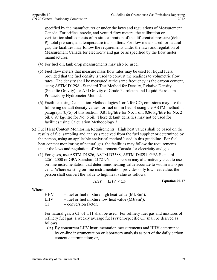specified by the manufacturer or under the laws and regulations of Measurement Canada. For orifice, nozzle, and venturi flow meters, the calibration or verification shall consists of in-situ calibration of the differential pressure (delta-P), total pressure, and temperature transmitters. For flow meters used for natural gas, the facilities may follow the requirements under the laws and regulation of Measurement Canada for electricity and gas or as specified by the flow meter manufacturer.

- (4) For fuel oil, tank drop measurements may also be used.
- (5) Fuel flow meters that measure mass flow rates may be used for liquid fuels, provided that the fuel density is used to convert the readings to volumetric flow rates. The density shall be measured at the same frequency as the carbon content, using ASTM D1298 - Standard Test Method for Density, Relative Density (Specific Gravity), or API Gravity of Crude Petroleum and Liquid Petroleum Products by Hydrometer Method.
- (6) Facilities using Calculation Methodologies 1 or 2 for  $CO<sub>2</sub>$  emissions may use the following default density values for fuel oil, in lieu of using the ASTM method in paragraph (b)(5) of this section: 0.81 kg/litre for No. 1 oil; 0.86 kg/litre for No. 2 oil; 0.97 kg/litre for No. 6 oil. These default densities may not be used for facilities using Calculation Methodology 3.
- (c) Fuel Heat Content Monitoring Requirements. High heat values shall be based on the results of fuel sampling and analysis received from the fuel supplier or determined by the person, using an applicable analytical method listed in this guideline. For fuel heat content monitoring of natural gas, the facilities may follow the requirements under the laws and regulation of Measurement Canada for electricity and gas.
	- (1) For gases, use ASTM D1826, ASTM D3588, ASTM D4891, GPA Standard 2261-2000 or GPA Standard 2172-96. The person may alternatively elect to use on-line instrumentation that determines heating value accurate to within  $\pm$  5.0 per cent. Where existing on-line instrumentation provides only low heat value, the person shall convert the value to high heat value as follows:

$$
HHV = LHV \times CF
$$
 Equation 20-17

Where:

| HHV | = fuel or fuel mixture high heat value $(MJ/Sm3)$ . |
|-----|-----------------------------------------------------|
| LHV | = fuel or fuel mixture low heat value $(MJ/Sm3)$ .  |
| CF  | $=$ conversion factor.                              |

For natural gas, a CF of 1.11 shall be used. For refinery fuel gas and mixtures of refinery fuel gas, a weekly average fuel system-specific CF shall be derived as follows:

(A) By concurrent LHV instrumentation measurements and HHV determined by on-line instrumentation or laboratory analysis as part of the daily carbon content determination; or,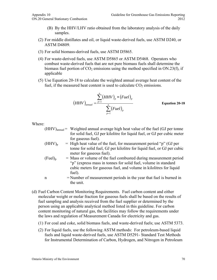- (B) By the HHV/LHV ratio obtained from the laboratory analysis of the daily samples.
- (2) For middle distillates and oil, or liquid waste-derived fuels, use ASTM D240, or ASTM D4809.
- (3) For solid biomass-derived fuels, use ASTM D5865.
- (4) For waste-derived fuels, use ASTM D5865 or ASTM D5468. Operators who combust waste-derived fuels that are not pure biomass fuels shall determine the biomass fuel portion of  $CO<sub>2</sub>$  emissions using the method specified in ON.23(f), if applicable
- (5) Use Equation 20-18 to calculate the weighted annual average heat content of the fuel, if the measured heat content is used to calculate  $CO<sub>2</sub>$  emissions.

$$
(HHV)_{annual} = \frac{\sum_{p=1}^{n} (HHV)_p * (Fuel)_p}{\sum_{p=1}^{n} (Fuel)_p}
$$
 Equation 20-18

Where:

- $(HHV)_{annual}$  = Weighted annual average high heat value of the fuel (GJ per tonne for solid fuel, GJ per kilolitre for liquid fuel, or GJ per cubic meter for gaseous fuel).
- $(HHV)_{p}$  = High heat value of the fuel, for measurement period "p" (GJ per tonne for solid fuel, GJ per kilolitre for liquid fuel, or GJ per cubic meter for gaseous fuel).
- $(Fuel)_p$  = Mass or volume of the fuel combusted during measurement period "p" (express mass in tonnes for solid fuel, volume in standard cubic meters for gaseous fuel, and volume in kilolitres for liquid fuel).

n = Number of measurement periods in the year that fuel is burned in the unit.

- (d) Fuel Carbon Content Monitoring Requirements. Fuel carbon content and either molecular weight or molar fraction for gaseous fuels shall be based on the results of fuel sampling and analysis received from the fuel supplier or determined by the person using an applicable analytical method listed in this guideline. For carbon content monitoring of natural gas, the facilities may follow the requirements under the laws and regulation of Measurement Canada for electricity and gas.
	- (1) For coal and coke, solid biomass fuels, and waste-derived fuels; use ASTM 5373.
	- (2) For liquid fuels, use the following ASTM methods: For petroleum-based liquid fuels and liquid waste-derived fuels, use ASTM D5291- Standard Test Methods for Instrumental Determination of Carbon, Hydrogen, and Nitrogen in Petroleum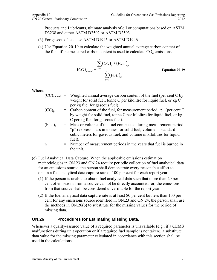Products and Lubricants, ultimate analysis of oil or computations based on ASTM D3238 and either ASTM D2502 or ASTM D2503.

- (3) For gaseous fuels, use ASTM D1945 or ASTM D1946.
- (4) Use Equation 20-19 to calculate the weighted annual average carbon content of the fuel, if the measured carbon content is used to calculate  $CO<sub>2</sub>$  emissions.

$$
(CC)_{annual} = \frac{\sum_{p=1}^{n} (CC)_{p} * (Full)_{p}}{\sum_{p=1}^{n} (Full)_{p}}
$$

<sup>1</sup> **Equation 20-19**

Where:

- $(CC)_{annual}$  = Weighted annual average carbon content of the fuel (per cent C by weight for solid fuel, tonne C per kilolitre for liquid fuel, or kg C per kg fuel for gaseous fuel).
- $(CC)_p$  = Carbon content of the fuel, for measurement period "p" (per cent C by weight for solid fuel, tonne C per kilolitre for liquid fuel, or kg C per kg fuel for gaseous fuel).
- $(Fuel)_p$  = Mass or volume of the fuel combusted during measurement period "p" (express mass in tonnes for solid fuel, volume in standard cubic meters for gaseous fuel, and volume in kilolitres for liquid fuel).
- n = Number of measurement periods in the years that fuel is burned in the unit.
- (e) Fuel Analytical Data Capture. When the applicable emissions estimation methodologies in ON.23 and ON.24 require periodic collection of fuel analytical data for an emissions source, the person shall demonstrate every reasonable effort to obtain a fuel analytical data capture rate of 100 per cent for each report year.
	- (1) If the person is unable to obtain fuel analytical data such that more than 20 per cent of emissions from a source cannot be directly accounted for, the emissions from that source shall be considered unverifiable for the report year.
	- (2) If the fuel analytical data capture rate is at least 80 per cent but less than 100 per cent for any emissions source identified in ON.23 and ON.24, the person shall use the methods in ON.26(b) to substitute for the missing values for the period of missing data.

#### **ON.26 Procedures for Estimating Missing Data.**

Whenever a quality-assured value of a required parameter is unavailable (e.g., if a CEMS malfunctions during unit operation or if a required fuel sample is not taken), a substitute data value for the missing parameter calculated in accordance with this section shall be used in the calculations.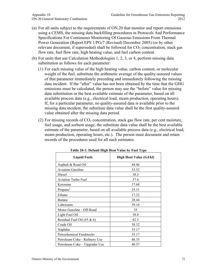- (a) For all units subject to the requirements of ON.20 that monitor and report emissions using a CEMS, the missing data backfilling procedures in Protocols And Performance Specifications For Continuous Monitoring Of Gaseous Emissions From Thermal Power Generation (Report EPS 1/PG/7 (Revised) December 2005) (or by other relevant document, if superseded) shall be followed for  $CO<sub>2</sub>$  concentration, stack gas flow rate, fuel flow rate, high heating value, and fuel carbon content.
- (b) For units that use Calculation Methodologies 1, 2, 3, or 4, perform missing data substitution as follows for each parameter:
	- (1) For each missing value of the high heating value, carbon content, or molecular weight of the fuel, substitute the arithmetic average of the quality-assured values of that parameter immediately preceding and immediately following the missing data incident. If the "after" value has not been obtained by the time that the GHG emissions must be calculated, the person may use the "before" value for missing data substitution or the best available estimate of the parameter, based on all available process data (e.g., electrical load, steam production, operating hours). If, for a particular parameter, no quality-assured data is available prior to the missing data incident, the substitute data value shall be the first quality-assured value obtained after the missing data period.
	- (2) For missing records of  $CO<sub>2</sub>$  concentration, stack gas flow rate, per cent moisture, fuel usage, and sorbent usage, the substitute data value shall be the best available estimate of the parameter, based on all available process data (e.g., electrical load, steam production, operating hours, etc.). The person must document and retain records of the procedures used for all such estimates.

| <b>Liquid Fuels</b>             | <b>High Heat Value (GJ/kl)</b> |
|---------------------------------|--------------------------------|
| Asphalt & Road Oil              | 44.46                          |
| <b>Aviation Gasoline</b>        | 33.52                          |
| Diesel                          | 38.3                           |
| <b>Aviation Turbo Fuel</b>      | 37.4                           |
| Kerosene                        | 37.68                          |
| Propane <sup>1</sup>            | 25.31                          |
| Ethane                          | 17.22                          |
| <b>Butane</b>                   | 28.44                          |
| Lubricants                      | 39.16                          |
| Motor Gasoline - Off-Road       | 35                             |
| Light Fuel Oil                  | 38.8                           |
| Residual Fuel Oil (#5 $\&$ 6)   | 42.5                           |
| Crude Oil                       | 38.32                          |
| Naphtha                         | 35.17                          |
| <b>Petrochemical Feedstocks</b> | 35.17                          |
| Petroleum Coke - Refinery Use   | 46.35                          |
| Petroleum Coke – Upgrader Use   | 40.57                          |

**Table 20-1: Default High Heat Value by Fuel Type**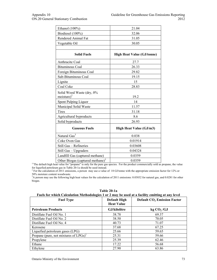| Ethanol (100%)                                | 21.04                             |
|-----------------------------------------------|-----------------------------------|
| Biodiesel (100%)                              | 32.06                             |
| Rendered Animal Fat                           | 31.05                             |
| Vegetable Oil                                 | 30.05                             |
|                                               |                                   |
| <b>Solid Fuels</b>                            | <b>High Heat Value (GJ/tonne)</b> |
| Anthracite Coal                               | 27.7                              |
| <b>Bituminous Coal</b>                        | 26.33                             |
| Foreign Bituminous Coal                       | 29.82                             |
| Sub-Bituminous Coal                           | 19.15                             |
| Lignite                                       | 15                                |
| Coal Coke                                     | 28.83                             |
| Solid Wood Waste (dry, 0%<br>moisture) $^{2}$ | 19.2                              |
| Spent Pulping Liquor                          | 14                                |
| Municipal Solid Waste                         | 11.57                             |
| Tires                                         | 31.18                             |
| Agricultural byproducts                       | 8.6                               |
| Solid byproducts                              | 26.93                             |
| <b>Gaseous Fuels</b>                          | <b>High Heat Value (GJ/m3)</b>    |
| Natural Gas <sup>3</sup>                      | 0.038                             |
| Coke Oven Gas                                 | 0.01914                           |
| Still Gas - Refineries                        | 0.03608                           |
| Still Gas - Upgraders                         | 0.04324                           |
| Landfill Gas (captured methane)               | 0.0359                            |
| Other Biogas (captured methane) <sup>3</sup>  | 0.0359                            |

 $11$ The default high heat value for "propane" is only for the pure gas species. For the product commercially sold as propane, the value for liquefied petroleum gas in Table 20-1a should be used instead.<br> $2^{2}$  For the soleulation of 2011 emissions a norson may use a value.

<sup>2</sup> For the calculation of 2011 emissions, a person may use a value of 18 GJ/tonne with the appropriate emission factor for 12% or 50% moisture content woodwaste.

<sup>3</sup>A person may use the following high heat values for the calculation of 2011 emissions: 0.03832 for natural gas, and 0.0281 for other biogas.

| <b>Fuel Type</b>                                     | <b>Default High</b><br><b>Heat Value</b> | <b>Default CO<sub>2</sub></b> Emission Factor |
|------------------------------------------------------|------------------------------------------|-----------------------------------------------|
| <b>Petroleum Products</b>                            | GJ/kilolitre                             | kg CO <sub>2</sub> /GJ                        |
| Distillate Fuel Oil No. 1                            | 38.78                                    | 69.37                                         |
| Distillate Fuel Oil No. 2                            | 38.50                                    | 70.05                                         |
| Distillate Fuel Oil No. 4                            | 40.73                                    | 71.07                                         |
| Kerosene                                             | 37.68                                    | 67.25                                         |
| Liquefied petroleum gases (LPG)                      | 25.66                                    | 59.65                                         |
| Propane (pure, not mixtures of $LPGs$ ) <sup>1</sup> | 25.31                                    | 59.66                                         |
| Propylene                                            | 25.39                                    | 62.46                                         |
| Ethane                                               | 17.22                                    | 56.68                                         |
| Ethylene                                             | 27.90                                    | 63.86                                         |

**Table 20-1a Fuels for which Calculation Methodologies 1 or 2 may be used at a facility emitting at any level**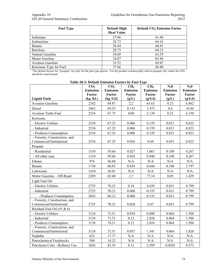| <b>Fuel Type</b>                                                                                                                                   | <b>Default High</b><br><b>Heat Value</b> | <b>Default CO<sub>2</sub></b> Emission Factor |
|----------------------------------------------------------------------------------------------------------------------------------------------------|------------------------------------------|-----------------------------------------------|
| Isobutane                                                                                                                                          | 27.06                                    | 61.48                                         |
| Isobutylene                                                                                                                                        | 28.73                                    | 64.16                                         |
| <b>Butane</b>                                                                                                                                      | 28.44                                    | 60.83                                         |
| Butylene                                                                                                                                           | 28.73                                    | 64.15                                         |
| Natural Gasoline                                                                                                                                   | 30.69                                    | 63.29                                         |
| Motor Gasoline                                                                                                                                     | 34.87                                    | 65.40                                         |
| <b>Aviation Gasoline</b>                                                                                                                           | 33.52                                    | 69.87                                         |
| Kerosene-Type Jet Fuel                                                                                                                             | 37.66                                    | 68.40                                         |
| <sup>1</sup> The default factors for "propane" are only for the pure gas species. For the product commercially sold as propane, the values for LPG |                                          |                                               |

should be used instead.

| <b>Liquid Fuels</b>                                       | CO <sub>2</sub><br><b>Emission</b><br>Factor<br>(kg/kL) | CO <sub>2</sub><br><b>Emission</b><br>Factor<br>(kg/GJ) | CH <sub>4</sub><br><b>Emission</b><br>Factor<br>(g/L) | CH <sub>4</sub><br><b>Emission</b><br>Factor<br>(g/GJ) | $N_2$ <sup>0</sup><br><b>Emission</b><br>Factor<br>(g/L) | $N_20$<br><b>Emission</b><br>Factor<br>(g/GJ) |
|-----------------------------------------------------------|---------------------------------------------------------|---------------------------------------------------------|-------------------------------------------------------|--------------------------------------------------------|----------------------------------------------------------|-----------------------------------------------|
| <b>Aviation Gasoline</b>                                  | 2342                                                    | 69.87                                                   | 2.2                                                   | 65.63                                                  | 0.23                                                     | 6.862                                         |
| Diesel                                                    | 2663                                                    | 69.53                                                   | 0.133                                                 | 3.473                                                  | 0.4                                                      | 10.44                                         |
| <b>Aviation Turbo Fuel</b>                                | 2534                                                    | 67.75                                                   | 0.08                                                  | 2.139                                                  | 0.23                                                     | 6.150                                         |
| Kerosene                                                  |                                                         |                                                         |                                                       |                                                        |                                                          |                                               |
| - Electric Utilities                                      | 2534                                                    | 67.25                                                   | 0.006                                                 | 0.159                                                  | 0.031                                                    | 0.823                                         |
| - Industrial                                              | 2534                                                    | 67.25                                                   | 0.006                                                 | 0.159                                                  | 0.031                                                    | 0.823                                         |
| - Producer Consumption                                    | 2534                                                    | 67.25                                                   | 0.006                                                 | 0.159                                                  | 0.031                                                    | 0.823                                         |
| - Forestry, Construction, and<br>Commercial/Institutional | 2534                                                    | 67.25                                                   | 0.026                                                 | 0.69                                                   | 0.031                                                    | 0.823                                         |
| Propane                                                   |                                                         |                                                         |                                                       |                                                        |                                                          |                                               |
| - Residential                                             | 1510                                                    | 59.66                                                   | 0.027                                                 | 1.067                                                  | 0.108                                                    | 4.267                                         |
| - All other uses                                          | 1510                                                    | 59.66                                                   | 0.024                                                 | 0.948                                                  | 0.108                                                    | 4.267                                         |
| Ethane                                                    | 976                                                     | 56.68                                                   | N/A                                                   | N/A                                                    | N/A                                                      | N/A                                           |
| <b>Butane</b>                                             | 1730                                                    | 60.83                                                   | 0.024                                                 | 0.844                                                  | 0.108                                                    | 3.797                                         |
| Lubricants                                                | 1410                                                    | 36.01                                                   | N/A                                                   | N/A                                                    | N/A                                                      | N/A                                           |
| Motor Gasoline - Off-Road                                 | 2289                                                    | 65.40                                                   | 2.7                                                   | 77.14                                                  | 0.05                                                     | 1.429                                         |
| Light Fuel Oil                                            |                                                         |                                                         |                                                       |                                                        |                                                          |                                               |
| - Electric Utilities                                      | 2725                                                    | 70.23                                                   | 0.18                                                  | 4.639                                                  | 0.031                                                    | 0.799                                         |
| - Industrial                                              | 2725                                                    | 70.23                                                   | 0.006                                                 | 0.155                                                  | 0.031                                                    | 0.799                                         |
| - Producer Consumption                                    | 2643                                                    | 68.12                                                   | 0.006                                                 | 0.155                                                  | 0.031                                                    | 0.799                                         |
| - Forestry, Construction, and<br>Commercial/Institutional | 2725                                                    | 70.23                                                   | 0.026                                                 | 0.67                                                   | 0.031                                                    | 0.799                                         |
| Residual Fuel Oil (#5 & 6)                                |                                                         |                                                         |                                                       |                                                        |                                                          |                                               |
| - Electric Utilities                                      | 3124                                                    | 73.51                                                   | 0.034                                                 | 0.800                                                  | 0.064                                                    | 1.506                                         |
| - Industrial                                              | 3124                                                    | 73.51                                                   | 0.12                                                  | 2.824                                                  | 0.064                                                    | 1.506                                         |
| - Producer Consumption                                    | 3158                                                    | 74.31                                                   | 0.12                                                  | 2.824                                                  | 0.064                                                    | 1.506                                         |
| - Forestry, Construction, and<br>Commercial/Institutional | 3124                                                    | 73.51                                                   | 0.057                                                 | 1.341                                                  | 0.064                                                    | 1.820                                         |
| Naphtha                                                   | 625                                                     | 17.77                                                   | N/A                                                   | N/A                                                    | N/A                                                      | N/A                                           |
| <b>Petrochemical Feedstocks</b>                           | 500                                                     | 14.22                                                   | N/A                                                   | N/A                                                    | $\rm N/A$                                                | N/A                                           |
| Petroleum Coke - Refinery Use                             | 3826                                                    | 82.55                                                   | 0.12                                                  | 2.589                                                  | 0.0265                                                   | 0.572                                         |

**Table 20-2: Default Emission Factors by Fuel Type**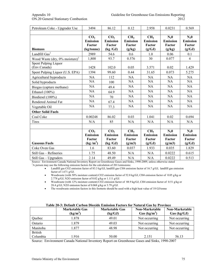| Petroleum Coke - Upgrader Use                 | 3494                                        | 86.12           | 0.12            | 2.958           | 0.0231          | 0.569           |
|-----------------------------------------------|---------------------------------------------|-----------------|-----------------|-----------------|-----------------|-----------------|
|                                               |                                             |                 |                 |                 |                 |                 |
|                                               | CO <sub>2</sub>                             | CO <sub>2</sub> | CH <sub>4</sub> | CH <sub>4</sub> | $N_20$          | $N_20$          |
|                                               | <b>Emission</b>                             | <b>Emission</b> | <b>Emission</b> | <b>Emission</b> | <b>Emission</b> | <b>Emission</b> |
|                                               | Factor                                      | Factor          | Factor          | Factor          | Factor          | Factor          |
| <b>Biomass</b>                                | (kg/tonne)                                  | (kg/GJ)         | (g/kg)          | (g/GJ)          | (g/kg)          | (g/GJ)          |
| Landfill $\text{Gas}^1$                       | 2989                                        | 54.6            | 0.6             | 1.0             | 0.06            | 0.1             |
| Wood Waste (dry, $0\%$ moisture) <sup>1</sup> | 1,800                                       | 93.7            | 0.576           | 30              | 0.077           | $\overline{4}$  |
| Spent Pulping Liquor                          |                                             |                 |                 |                 |                 |                 |
| (Env.Canada)                                  | 1428                                        | 102.0           | 0.05            | 3.571           | 0.02            | 1.429           |
| Spent Pulping Liquor (U.S. EPA)               | 1394                                        | 99.60           | 0.44            | 31.65           | 0.073           | 5.275           |
| Agricultural byproducts                       | NA                                          | 112             | NA              | NA              | NA              | NA              |
| Solid byproducts                              | NA                                          | 100             | NA              | NA              | <b>NA</b>       | NA              |
| Biogas (capture methane)                      | NA                                          | 49.4            | NA              | NA              | NA              | NA              |
| Ethanol (100%)                                | NA                                          | 64.9            | NA              | NA              | NA              | <b>NA</b>       |
| Biodiesel (100%)                              | NA                                          | 70              | NA              | NA              | NA              | <b>NA</b>       |
| Rendered Animal Fat                           | NA                                          | 67.4            | <b>NA</b>       | NA              | NA              | NA              |
| Vegetable Oil                                 | <b>NA</b>                                   | 77.3            | <b>NA</b>       | NA              | NA              | NA              |
| <b>Other Solid Fuels</b>                      |                                             |                 |                 |                 |                 |                 |
| Coal Coke                                     | 0.00248                                     | 86.02           | 0.03            | 1.041           | 0.02            | 0.694           |
| Tires                                         | N/A                                         | 85              | N/A             | N/A             | N/A             | N/A             |
|                                               |                                             |                 |                 |                 |                 |                 |
|                                               | CO <sub>2</sub>                             | CO <sub>2</sub> | CH <sub>4</sub> | CH <sub>4</sub> | $N_20$          | $N_20$          |
|                                               | <b>Emission</b>                             | <b>Emission</b> | <b>Emission</b> | <b>Emission</b> | <b>Emission</b> | <b>Emission</b> |
|                                               | Factor                                      | Factor          | Factor          | Factor          | Factor          | Factor          |
| <b>Gaseous Fuels</b>                          | $\left(\frac{\text{kg}}{\text{m}^3}\right)$ | (kg/GJ)         | (g/m3)          | (g/GJ)          | (g/m3)          | (g/GJ)          |
| Coke Oven Gas                                 | 1.6                                         | 83.60           | 0.037           | 1.933           | 0.035           | 1.829           |
| Still Gas - Refineries                        | 1.75                                        | 48.50           | N/A             | N/A             | 0.0222          | 0.615           |
| Still Gas - Upgraders                         | 2.14                                        | 49.49           | N/A             | N/A             | 0.0222          | 0.513           |

Source: Environment Canada National Inventory Report on Greenhouse Gases and Sinks, 1990-2009, unless otherwise stated 1 <sup>1</sup>A person may use the following emission factors for the calculation of 2011emissions:

- Landfill gas CO2 emission factor of 83.3 kg/GJ, landfill gas CH4 emission factor of 16.7 g/GJ, landfill gas emission factor of 1.671 g/GJ.
- Woodwaste (with 50% moisture content) CO2 emission factor of 52.8 kg/GJ, CH4 emission factor of 0.05 g/kg or 2.778 g/GJ, N2O emission factor of 0.02 g/kg or 1.111 g/GJ.
- Woodwaste (with 12% moisture content) CO2 emission factor of 88.9 kg/GJ, CH4 emission factor of 0.51 g/kg or 28.4 g/GJ, N2O emission factor of 0.068 g/kg or 3.79 g/GJ.
- The woodwaste emission factors in this footnote should be used with a high heat value of 18 GJ/tonne

|                | <b>Marketable Gas</b><br>$(kg/m^3)$ | <b>Marketable Gas</b><br>(kg/GJ) | Non-Marketable<br>Gas $(kg/m^3)$ | Non-Marketable<br>Gas (kg/GJ) |
|----------------|-------------------------------------|----------------------------------|----------------------------------|-------------------------------|
| Ouebec         | 1.878                               | 49.01                            | Not occurring                    | Not occurring                 |
| Ontario        | l.879                               | 49.03                            | Not occurring                    | Not occurring                 |
| Manitoba       | .877                                | 48.98                            | Not occurring                    | Not occurring                 |
| <b>British</b> |                                     |                                  |                                  |                               |
| Columbia       | l.916                               | 50.00                            | 2.151                            | 56.13                         |

#### **Table 20-3: Default Carbon Dioxide Emission Factors for Natural Gas by Province**

Source: Environment Canada National Inventory Report on Greenhouse Gases and Sinks, 1990-2007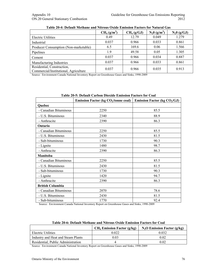|                                                                     | CH <sub>4</sub> (g/m <sup>3</sup> ) | CH <sub>4</sub> (g/GJ) | $N_2 0$ (g/m <sup>3</sup> ) | $N_20$ (g/GJ) |
|---------------------------------------------------------------------|-------------------------------------|------------------------|-----------------------------|---------------|
| <b>Electric Utilities</b>                                           | 0.49                                | 12.79                  | 0.049                       | 1.279         |
| Industrial                                                          | 0.037                               | 0.966                  | 0.033                       | 0.861         |
| Producer Consumption (Non-marketable)                               | 6.5                                 | 169.6                  | 0.06                        | 1.566         |
| Pipelines                                                           | 1.9                                 | 49.58                  | 0.05                        | 1.305         |
| Cement                                                              | 0.037                               | 0.966                  | 0.034                       | 0.887         |
| Manufacturing Industries                                            | 0.037                               | 0.966                  | 0.033                       | 0.861         |
| Residential, Construction,<br>Commercial/Institutional, Agriculture | 0.037                               | 0.966                  | 0.035                       | 0.913         |

#### **Table 20-4: Default Methane and Nitrous Oxide Emission Factors for Natural Gas**

Source: Environment Canada National Inventory Report on Greenhouse Gases and Sinks, 1990-2009

|                         | Table 20-9. Default Carboll Dioxiue Elliission Factors for Coal |                                |  |  |
|-------------------------|-----------------------------------------------------------------|--------------------------------|--|--|
|                         | <b>Emission Factor (kg <math>CO2/tonne</math> coal)</b>         | Emission Factor (kg $CO2/GJ$ ) |  |  |
| Quebec                  |                                                                 |                                |  |  |
| - Canadian Bituminous   | 2250                                                            | 85.5                           |  |  |
| - U.S. Bituminous       | 2340                                                            | 88.9                           |  |  |
| - Anthracite            | 2390                                                            | 86.3                           |  |  |
| Ontario                 |                                                                 |                                |  |  |
| - Canadian Bituminous   | 2250                                                            | 85.5                           |  |  |
| - U.S. Bituminous       | 2430                                                            | 81.5                           |  |  |
| - Sub-bituminous        | 1730                                                            | 90.3                           |  |  |
| - Lignite               | 1480                                                            | 98.7                           |  |  |
| - Anthracite            | 2390                                                            | 86.3                           |  |  |
| Manitoba                |                                                                 |                                |  |  |
| - Canadian Bituminous   | 2250                                                            | 85.5                           |  |  |
| - U.S. Bituminous       | 2430                                                            | 81.5                           |  |  |
| - Sub-bituminous        | 1730                                                            | 90.3                           |  |  |
| - Lignite               | 1420                                                            | 94.7                           |  |  |
| - Anthracite            | 2390                                                            | 86.3                           |  |  |
| <b>British Columbia</b> |                                                                 |                                |  |  |
| - Canadian Bituminous   | 2070                                                            | 78.6                           |  |  |
| - U.S. Bituminous       | 2430                                                            | 81.5                           |  |  |
| - Sub-bituminous        | 1770                                                            | 92.4                           |  |  |

### **Table 20-5: Default Carbon Dioxide Emission Factors for Coal**

Source: Environment Canada National Inventory Report on Greenhouse Gases and Sinks, 1990-2009

|                                    | $CH_4$ Emission Factor (g/kg) | $N_2O$ Emission Factor (g/kg) |
|------------------------------------|-------------------------------|-------------------------------|
| Electric Utilities                 | 0.022                         | 0.032                         |
| Industry and Heat and Steam Plants | 0.03                          | 0.02                          |
| Residential, Public Administration |                               | 0.02                          |

Source: Environment Canada National Inventory Report on Greenhouse Gases and Sinks, 1990-2009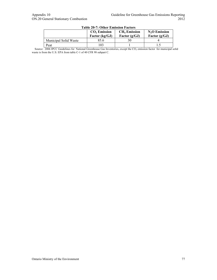|                              | $CO2$ Emission<br>Factor $(kg/GJ)$ | <b>CH<sub>4</sub></b> Emission<br>Factor $(g/GJ)$ | $N2O$ Emission<br>Factor $(g/GJ)$ |
|------------------------------|------------------------------------|---------------------------------------------------|-----------------------------------|
| <b>Municipal Solid Waste</b> | 85.6                               |                                                   |                                   |
| Peat                         | $^{\circ}$ 03                      |                                                   |                                   |

#### **Table 20-7: Other Emission Factors**

Source:  $2006$  IPCC Guidelines for National Greenhouse Gas Inventories, except the  $CO<sub>2</sub>$  emission factor for municipal solid waste is from the U.S. EPA from table C-1 of 40 CFR 98 subpart C.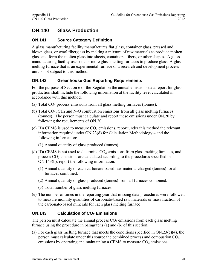# **ON.140 Glass Production**

# **ON.141 Source Category Definition**

A glass manufacturing facility manufactures flat glass, container glass, pressed and blown glass, or wool fiberglass by melting a mixture of raw materials to produce molten glass and form the molten glass into sheets, containers, fibers, or other shapes. A glass manufacturing facility uses one or more glass melting furnaces to produce glass. A glass melting furnace that is an experimental furnace or a research and development process unit is not subject to this method.

# **ON.142 Greenhouse Gas Reporting Requirements**

For the purpose of Section 6 of the Regulation the annual emissions data report for glass production shall include the following information at the facility level calculated in accordance with this method:

- (a) Total  $CO<sub>2</sub>$  process emissions from all glass melting furnaces (tonnes).
- (b) Total  $CO<sub>2</sub>$ , CH<sub>4</sub> and N<sub>2</sub>O combustion emissions from all glass melting furnaces (tonnes). The person must calculate and report these emissions under ON.20 by following the requirements of ON.20.
- (c) If a CEMS is used to measure  $CO<sub>2</sub>$  emissions, report under this method the relevant information required under ON.23(d) for Calculation Methodology 4 and the following information:
	- (1) Annual quantity of glass produced (tonnes).
- (d) If a CEMS is not used to determine  $CO<sub>2</sub>$  emissions from glass melting furnaces, and process  $CO<sub>2</sub>$  emissions are calculated according to the procedures specified in ON.143(b), report the following information:
	- (1) Annual quantity of each carbonate-based raw material charged (tonnes) for all furnaces combined.
	- (2) Annual quantity of glass produced (tonnes) from all furnaces combined.
	- (3) Total number of glass melting furnaces.
- (e) The number of times in the reporting year that missing data procedures were followed to measure monthly quantities of carbonate-based raw materials or mass fraction of the carbonate-based minerals for each glass melting furnace

# **ON.143** Calculation of CO<sub>2</sub> Emissions

The person must calculate the annual process  $CO<sub>2</sub>$  emissions from each glass melting furnace using the procedure in paragraphs (a) and (b) of this section.

(a) For each glass melting furnace that meets the conditions specified in  $ON.23(e)(4)$ , the person must calculate under this source the combined process and combustion  $CO<sub>2</sub>$ emissions by operating and maintaining a CEMS to measure  $CO<sub>2</sub>$  emissions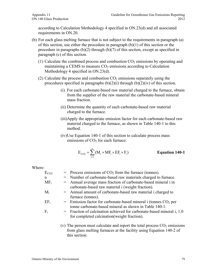according to Calculation Methodology 4 specified in ON.23(d) and all associated requirements in ON.20.

- (b) For each glass melting furnace that is not subject to the requirements in paragraph (a) of this section, use either the procedure in paragraph  $(b)(1)$  of this section or the procedure in paragraphs  $(b)(2)$  through  $(b)(7)$  of this section, except as specified in paragraph (c) of this section.
	- (1) Calculate the combined process and combustion  $CO<sub>2</sub>$  emissions by operating and maintaining a CEMS to measure  $CO<sub>2</sub>$  emissions according to Calculation Methodology 4 specified in ON.23(d).
	- (2) Calculate the process and combustion  $CO<sub>2</sub>$  emissions separately using the procedures specified in paragraphs  $(b)(2)(i)$  through  $(b)(2)(iv)$  of this section.
		- (i) For each carbonate-based raw material charged to the furnace, obtain from the supplier of the raw material the carbonate-based mineral mass fraction.
		- (ii) Determine the quantity of each carbonate-based raw material charged to the furnace.
		- (iii)Apply the appropriate emission factor for each carbonate-based raw material charged to the furnace, as shown in Table 140-1 to this method.
		- (iv)Use Equation 140-1 of this section to calculate process mass emissions of  $CO<sub>2</sub>$  for each furnace:

$$
E_{CO2} = \sum_{i=1}^{n} (M_i \times MF_i \times EF_i \times F_i)
$$
 Equation 140-1

Where:

| $E_{CO2}$ | $=$ Process emissions of $CO2$ from the furnace (tonnes).                                                                     |
|-----------|-------------------------------------------------------------------------------------------------------------------------------|
| n         | = Number of carbonate-based raw materials charged to furnace.                                                                 |
| $MF_i$    | = Annual average mass fraction of carbonate-based mineral i in<br>carbonate-based raw material i (weight fraction).           |
| $\rm M_i$ | = Annual amount of carbonate-based raw material i charged to<br>furnace (tonnes).                                             |
| $EF_i$    | $=$ Emission factor for carbonate-based mineral i (tonnes $CO2$ per<br>tonne carbonate-based mineral as shown in Table 140-1. |
| F.        | = Fraction of calcination achieved for carbonate-based mineral i, 1.0<br>for completed calcination (weight fraction).         |
|           | (v) The person must calculate and report the total process $CO2$ emissions                                                    |

(v) The person must calculate and report the total process  $CO<sub>2</sub>$  emissions from glass melting furnaces at the facility using Equation 140-2 of this section: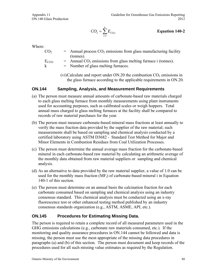$$
CO_2 = \sum_{i=1}^{k} E_{CO_2 i}
$$
 Equation 140-2

Where:

| CO <sub>2</sub> | $=$ Annual process $CO2$ emissions from glass manufacturing facility        |
|-----------------|-----------------------------------------------------------------------------|
|                 | (tonnes).                                                                   |
| $\rm E_{CO2i}$  | $=$ Annual CO <sub>2</sub> emissions from glass melting furnace i (tonnes). |
| k               | $=$ Number of glass melting furnaces.                                       |

(vi)Calculate and report under ON.20 the combustion  $CO<sub>2</sub>$  emissions in the glass furnace according to the applicable requirements in ON.20.

### **ON.144 Sampling, Analysis, and Measurement Requirements**

- (a) The person must measure annual amounts of carbonate-based raw materials charged to each glass melting furnace from monthly measurements using plant instruments used for accounting purposes, such as calibrated scales or weigh hoppers. Total annual mass charged to glass melting furnaces at the facility shall be compared to records of raw material purchases for the year.
- (b) The person must measure carbonate-based mineral mass fractions at least annually to verify the mass fraction data provided by the supplier of the raw material; such measurements shall be based on sampling and chemical analysis conducted by a certified laboratory using ASTM D3682 - Standard Test Method for Major and Minor Elements in Combustion Residues from Coal Utilization Processes.
- (c) The person must determine the annual average mass fraction for the carbonate-based mineral in each carbonate-based raw material by calculating an arithmetic average of the monthly data obtained from raw material suppliers or sampling and chemical analysis.
- (d) As an alternative to data provided by the raw material supplier, a value of 1.0 can be used for the monthly mass fraction  $(MF_i)$  of carbonate-based mineral i in Equation 140-1 of this section.
- (e) The person must determine on an annual basis the calcination fraction for each carbonate consumed based on sampling and chemical analysis using an industry consensus standard. This chemical analysis must be conducted using an x-ray fluorescence test or other enhanced testing method published by an industry consensus standards organization (e.g., ASTM, ASME, API, etc.).

# **ON.145 Procedures for Estimating Missing Data.**

The person is required to retain a complete record of all measured parameters used in the GHG emissions calculations (e.g., carbonate raw materials consumed, etc.). If the monitoring and quality assurance procedures in ON.144 cannot be followed and data is missing, the person must use the most appropriate of the missing data procedures in paragraphs (a) and (b) of this section. The person must document and keep records of the procedures used for all such missing value estimates as required by the Regulation.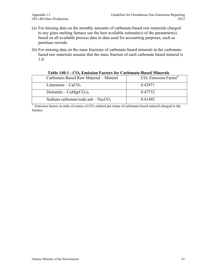- (a) For missing data on the monthly amounts of carbonate-based raw materials charged to any glass melting furnace use the best available estimate(s) of the parameter(s), based on all available process data or data used for accounting purposes, such as purchase records.
- (b) For missing data on the mass fractions of carbonate-based minerals in the carbonatebased raw materials assume that the mass fraction of each carbonate based mineral is 1.0.

| Table I to T = CO/ Emission I actors for Carbonate Dasca Rincials |                                    |
|-------------------------------------------------------------------|------------------------------------|
| Carbonate-Based Raw Material – Mineral                            | $CO2$ Emission Factor <sup>a</sup> |
| Limestone – $CaCO3$                                               | 0.43971                            |
| Dolomite – $CaMg(CO3)2$                                           | 0.47732                            |
| Sodium carbonate/soda ash $-$ Na <sub>2</sub> CO <sub>3</sub>     | 0.41492                            |

#### **Table 140-1 - CO<sub>2</sub> Emission Factors for Carbonate-Based Minerals**

 $a$  Emission factors in units of tonnes of  $CO<sub>2</sub>$  emitted per tonne of carbonate-based mineral charged to the furnace.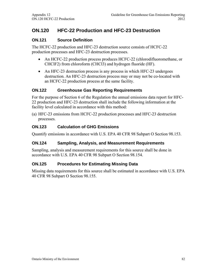# **ON.120 HFC-22 Production and HFC-23 Destruction**

## **ON.121 Source Definition**

The HCFC-22 production and HFC-23 destruction source consists of HCFC-22 production processes and HFC-23 destruction processes.

- An HCFC-22 production process produces HCFC-22 (chlorodifluoromethane, or CHClF2) from chloroform (CHCl3) and hydrogen fluoride (HF).
- An HFC-23 destruction process is any process in which HFC-23 undergoes destruction. An HFC-23 destruction process may or may not be co-located with an HCFC-22 production process at the same facility.

### **ON.122 Greenhouse Gas Reporting Requirements**

For the purpose of Section 6 of the Regulation the annual emissions data report for HFC-22 production and HFC-23 destruction shall include the following information at the facility level calculated in accordance with this method:

(a) HFC-23 emissions from HCFC-22 production processes and HFC-23 destruction processes.

### **ON.123 Calculation of GHG Emissions**

Quantify emissions in accordance with U.S. EPA 40 CFR 98 Subpart O Section 98.153.

### **ON.124 Sampling, Analysis, and Measurement Requirements**

Sampling, analysis and measurement requirements for this source shall be done in accordance with U.S. EPA 40 CFR 98 Subpart O Section 98.154.

### **ON.125 Procedures for Estimating Missing Data**

Missing data requirements for this source shall be estimated in accordance with U.S. EPA 40 CFR 98 Subpart O Section 98.155.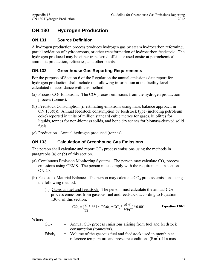# **ON.130 Hydrogen Production**

# **ON.131 Source Definition**

A hydrogen production process produces hydrogen gas by steam hydrocarbon reforming, partial oxidation of hydrocarbons, or other transformation of hydrocarbon feedstock. The hydrogen produced may be either transferred offsite or used onsite at petrochemical, ammonia production, refineries, and other plants.

# **ON.132 Greenhouse Gas Reporting Requirements**

For the purpose of Section 6 of the Regulation the annual emissions data report for hydrogen production shall include the following information at the facility level calculated in accordance with this method:

- (a) Process  $CO<sub>2</sub>$  Emissions. The  $CO<sub>2</sub>$  process emissions from the hydrogen production process (tonnes).
- (b) Feedstock Consumption (if estimating emissions using mass balance approach in ON.133(b)). Annual feedstock consumption by feedstock type (including petroleum coke) reported in units of million standard cubic metres for gases, kilolitres for liquids, tonnes for non-biomass solids, and bone dry tonnes for biomass-derived solid fuels.
- (c) Production. Annual hydrogen produced (tonnes).

# **ON.133 Calculation of Greenhouse Gas Emissions**

The person shall calculate and report  $CO<sub>2</sub>$  process emissions using the methods in paragraphs (a) or (b) of this section.

- (a) Continuous Emission Monitoring Systems. The person may calculate  $CO<sub>2</sub>$  process emissions using CEMS. The person must comply with the requirements in section ON.20.
- (b) Feedstock Material Balance. The person may calculate  $CO<sub>2</sub>$  process emissions using the following method.
	- (1) Gaseous fuel and feedstock. The person must calculate the annual  $CO<sub>2</sub>$ process emissions from gaseous fuel and feedstock according to Equation 130-1 of this section:

$$
CO_2 = (\sum_{n=1}^{k} 3.664 * Fdstk_n * CC_n * \frac{MW}{MVC}) * 0.001
$$
 Equation 130-1

- $CO<sub>2</sub>$  = Annual  $CO<sub>2</sub>$  process emissions arising from fuel and feedstock consumption (tonnes/yr).
- $Fdstk_n$  = Volume of the gaseous fuel and feedstock used in month n at reference temperature and pressure conditions  $(Rm<sup>3</sup>)$ . If a mass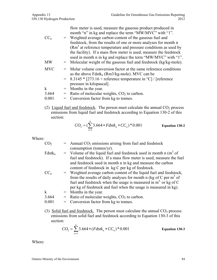|            |     | flow meter is used, measure the gaseous product produced in<br>month "n" in kg and replace the term "MW/MVC" with "1".              |
|------------|-----|-------------------------------------------------------------------------------------------------------------------------------------|
| $CC_{n}$   |     | = Weighted average carbon content of the gaseous fuel and                                                                           |
|            |     | feedstock, from the results of one or more analyses for month n                                                                     |
|            |     | $(Rm3)$ at reference temperature and pressure conditions as used by                                                                 |
|            |     | the facility). If a mass flow meter is used, measure the feedstock<br>used in month n in kg and replace the term "MW/MVC" with "1". |
| MW         |     | $=$ Molecular weight of the gaseous fuel and feedstock (kg/kg-mole).                                                                |
| <b>MVC</b> |     | = Molar volume conversion factor at the same reference conditions<br>as the above $Fdstk_n$ (Rm3/kg-mole). MVC can be               |
|            |     | $=$ 8.3145 $*$ [273.16 + reference temperature in $^{\circ}$ C] / [reference<br>pressure in kilopascal].                            |
| k          |     | $=$ Months in the year.                                                                                                             |
| 3.664      | $=$ | Ratio of molecular weights, $CO2$ to carbon.                                                                                        |
| 0.001      |     | Conversion factor from kg to tonnes.                                                                                                |
|            |     |                                                                                                                                     |

(2) Liquid fuel and feedstock. The person must calculate the annual  $CO<sub>2</sub>$  process emissions from liquid fuel and feedstock according to Equation 130-2 of this section: *k*

$$
CO_2 = (\sum_{n=1}^{k} 3.664 * Fdstk_n * CC_n) * 0.001
$$
 Equation 130-2

Where:

| CO <sub>2</sub>          | $=$ Annual CO <sub>2</sub> emissions arising from fuel and feedstock    |
|--------------------------|-------------------------------------------------------------------------|
|                          | consumption (tonnes/yr).                                                |
| $\Gamma$ datl $\epsilon$ | $\sim$ Volume of the liquid fuel and feedsteak used in month $\epsilon$ |

- Fdstk<sub>n</sub> = Volume of the liquid fuel and feedstock used in month n (m<sup>3</sup> of fuel and feedstock). If a mass flow meter is used, measure the fuel and feedstock used in month n in kg and measure the carbon content of feedstock in kg C per kg of feedstock.
- $CC_n$  = Weighted average carbon content of the liquid fuel and feedstock, from the results of daily analyses for month n (kg of C per  $m<sup>3</sup>$  of fuel and feedstock when the usage is measured in  $m<sup>3</sup>$ , or kg of C per kg of feedstock and fuel when the usage is measured in kg).  $k =$  Months in the year.
- $3.664 =$  Ratio of molecular weights,  $CO<sub>2</sub>$  to carbon.
- 0.001 = Conversion factor from kg to tonnes.
- (3) Solid fuel and feedstock. The person must calculate the annual  $CO<sub>2</sub>$  process emissions from solid fuel and feedstock according to Equation 130-3 of this section:

$$
CO_2 = \sum_{n=1}^{k} 3.664 * (Fdstk_n * CC_n) * 0.001
$$
 Equation 130-3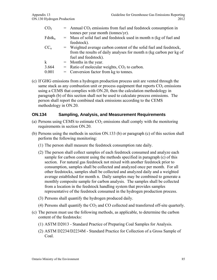| CO <sub>2</sub> | $=$ Annual CO <sub>2</sub> emissions from fuel and feedstock consumption in |
|-----------------|-----------------------------------------------------------------------------|
|                 | tonnes per year month (tonnes/yr).                                          |
| $Fdstk_n$       | = Mass of solid fuel and feedstock used in month n (kg of fuel and          |
|                 | feedstock).                                                                 |
| $CC_n$          | = Weighted average carbon content of the solid fuel and feedstock,          |
|                 | from the results of daily analyses for month n (kg carbon per kg of         |
|                 | fuel and feedstock).                                                        |
| $\mathbf{k}$    | $=$ Months in the year.                                                     |
| 3.664           | $=$ Ratio of molecular weights, $CO2$ to carbon.                            |
| 0.001           | $=$ Conversion factor from kg to tonnes.                                    |
|                 |                                                                             |

(c) If GHG emissions from a hydrogen production process unit are vented through the same stack as any combustion unit or process equipment that reports  $CO<sub>2</sub>$  emissions using a CEMS that complies with ON.20, then the calculation methodology in paragraph (b) of this section shall not be used to calculate process emissions. The person shall report the combined stack emissions according to the CEMS methodology in ON.20.

#### **ON.134 Sampling, Analysis, and Measurement Requirements**

- (a) Persons using CEMS to estimate  $CO<sub>2</sub>$  emissions shall comply with the monitoring requirements in section ON.20.
- (b) Persons using the methods in section ON.133 (b) or paragraph (c) of this section shall perform the following monitoring:
	- (1) The person shall measure the feedstock consumption rate daily.
	- (2) The person shall collect samples of each feedstock consumed and analyze each sample for carbon content using the methods specified in paragraph (c) of this section. For natural gas feedstock not mixed with another feedstock prior to consumption, samples shall be collected and analyzed once per month. For all other feedstocks, samples shall be collected and analyzed daily and a weighted average established for month n. Daily samples may be combined to generate a monthly composite sample for carbon analysis. The samples shall be collected from a location in the feedstock handling system that provides samples representative of the feedstock consumed in the hydrogen production process.
	- (3) Persons shall quantify the hydrogen produced daily.
	- (4) Persons shall quantify the  $CO<sub>2</sub>$  and CO collected and transferred off-site quarterly.
- (c) The person must use the following methods, as applicable, to determine the carbon content of the feedstocks:
	- (1) ASTM D2013 Standard Practice of Preparing Coal Samples for Analysis.
	- (2) ASTM D2234/D2234M Standard Practice for Collection of a Gross Sample of Coal.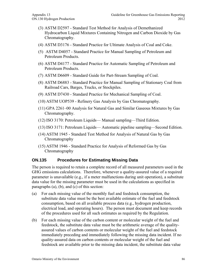- (3) ASTM D2597 Standard Test Method for Analysis of Demethanized Hydrocarbon Liquid Mixtures Containing Nitrogen and Carbon Dioxide by Gas Chromatography.
- (4) ASTM D3176 Standard Practice for Ultimate Analysis of Coal and Coke.
- (5) ASTM D4057 Standard Practice for Manual Sampling of Petroleum and Petroleum Products.
- (6) ASTM D4177 Standard Practice for Automatic Sampling of Petroleum and Petroleum Products.
- (7) ASTM D6609 Standard Guide for Part-Stream Sampling of Coal.
- (8) ASTM D6883 Standard Practice for Manual Sampling of Stationary Coal from Railroad Cars, Barges, Trucks, or Stockpiles.
- (9) ASTM D7430 Standard Practice for Mechanical Sampling of Coal.
- (10) ASTM UOP539 Refinery Gas Analysis by Gas Chromatography.
- (11) GPA 2261–00 Analysis for Natural Gas and Similar Gaseous Mixtures by Gas Chromatography.
- (12) ISO 3170: Petroleum Liquids— Manual sampling—Third Edition.
- (13) ISO 3171: Petroleum Liquids— Automatic pipeline sampling—Second Edition.
- (14) ASTM 1945 Standard Test Method for Analysis of Natural Gas by Gas Chromatography
- (15) ASTM 1946 Standard Practice for Analysis of Reformed Gas by Gas Chromatography

# **ON.135 Procedures for Estimating Missing Data**

The person is required to retain a complete record of all measured parameters used in the GHG emissions calculations. Therefore, whenever a quality-assured value of a required parameter is unavailable (e.g., if a meter malfunctions during unit operation), a substitute data value for the missing parameter must be used in the calculations as specified in paragraphs (a), (b), and (c) of this section:

- (a) For each missing value of the monthly fuel and feedstock consumption, the substitute data value must be the best available estimate of the fuel and feedstock consumption, based on all available process data (e.g., hydrogen production, electrical load, and operating hours). The person must document and keep records of the procedures used for all such estimates as required by the Regulation.
- (b) For each missing value of the carbon content or molecular weight of the fuel and feedstock, the substitute data value must be the arithmetic average of the qualityassured values of carbon contents or molecular weight of the fuel and feedstock immediately preceding and immediately following the missing data incident. If no quality-assured data on carbon contents or molecular weight of the fuel and feedstock are available prior to the missing data incident, the substitute data value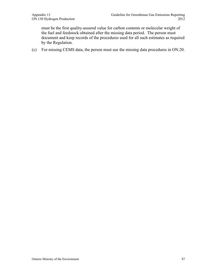must be the first quality-assured value for carbon contents or molecular weight of the fuel and feedstock obtained after the missing data period. The person must document and keep records of the procedures used for all such estimates as required by the Regulation.

(c) For missing CEMS data, the person must use the missing data procedures in ON.20.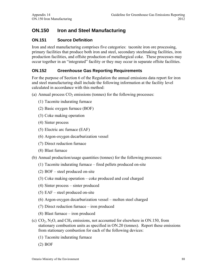# **ON.150 Iron and Steel Manufacturing**

# **ON.151 Source Definition**

Iron and steel manufacturing comprises five categories: taconite iron ore processing, primary facilities that produce both iron and steel, secondary steelmaking facilities, iron production facilities, and offsite production of metallurgical coke. These processes may occur together in an "integrated" facility or they may occur in separate offsite facilities.

# **ON.152 Greenhouse Gas Reporting Requirements**

For the purpose of Section 6 of the Regulation the annual emissions data report for iron and steel manufacturing shall include the following information at the facility level calculated in accordance with this method:

- (a) Annual process  $CO<sub>2</sub>$  emissions (tonnes) for the following processes:
	- (1) Taconite indurating furnace
	- (2) Basic oxygen furnace (BOF)
	- (3) Coke making operation
	- (4) Sinter process
	- (5) Electric arc furnace (EAF)
	- (6) Argon-oxygen decarburization vessel
	- (7) Direct reduction furnace
	- (8) Blast furnace
- (b) Annual production/usage quantities (tonnes) for the following processes:
	- (1) Taconite indurating furnace fired pellets produced on-site
	- (2) BOF steel produced on-site
	- (3) Coke making operation coke produced and coal charged
	- (4) Sinter process sinter produced
	- (5) EAF steel produced on-site
	- (6) Argon-oxygen decarburization vessel molten steel charged
	- (7) Direct reduction furnace iron produced
	- (8) Blast furnace iron produced
- (c)  $CO<sub>2</sub>$ , N<sub>2</sub>O, and CH<sub>4</sub> emissions, not accounted for elsewhere in ON.150, from stationary combustion units as specified in ON.20 (tonnes). Report these emissions from stationary combustion for each of the following devices:
	- (1) Taconite indurating furnace
	- (2) BOF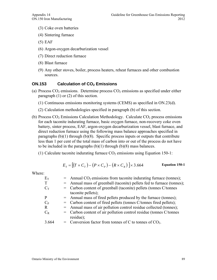- (3) Coke oven batteries
- (4) Sintering furnace
- (5) EAF
- (6) Argon-oxygen decarburization vessel
- (7) Direct reduction furnace
- (8) Blast furnace
- (9) Any other stoves, boiler, process heaters, reheat furnaces and other combustion sources.

### **ON.153** Calculation of CO<sub>2</sub> Emissions

- (a) Process  $CO_2$  emissions. Determine process  $CO_2$  emissions as specified under either paragraph (1) or (2) of this section.
	- (1) Continuous emissions monitoring systems (CEMS) as specified in ON.23(d).
	- (2) Calculation methodologies specified in paragraph (b) of this section.
- (b) Process  $CO<sub>2</sub>$  Emissions Calculation Methodology. Calculate  $CO<sub>2</sub>$  process emissions for each taconite indurating furnace, basic oxygen furnace, non-recovery coke oven battery, sinter process, EAF, argon-oxygen decarburization vessel, blast furnace, and direct reduction furnace using the following mass balance approaches specified in paragraphs  $(b)(1)$  through  $(b)(8)$ . Specific process inputs or outputs that contribute less than 1 per cent of the total mass of carbon into or out of the process do not have to be included in the paragraphs  $(b)(1)$  through  $(b)(8)$  mass balances.
	- (1) Calculate taconite indurating furnace  $CO<sub>2</sub>$  emissions using Equation 150-1:

$$
E_T = [(T \times C_T) - (P \times C_P) - (R \times C_R)] \times 3.664
$$
 Equation 150-1

| $E_T$   | $=$ Annual CO <sub>2</sub> emissions from taconite indurating furnace (tonnes); |
|---------|---------------------------------------------------------------------------------|
| T       | = Annual mass of greenball (taconite) pellets fed to furnace (tonnes);          |
| $C_T$   | = Carbon content of greenball (taconite) pellets (tonnes C/tonnes               |
|         | taconite pellets);                                                              |
| P       | = Annual mass of fired pellets produced by the furnace (tonnes);                |
| $C_{P}$ | = Carbon content of fired pellets (tonnes C/tonnes fired pellets);              |
| R       | = Annual mass of air pollution control residue collected (tonnes);              |
| $C_R$   | = Carbon content of air pollution control residue (tonnes C/tonnes              |
|         | residue);                                                                       |
| 3.664   | = Conversion factor from tonnes of C to tonnes of $CO2$ .                       |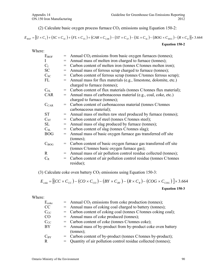(2) Calculate basic oxygen process furnace  $CO<sub>2</sub>$  emissions using Equation 150-2:

$$
E_{BOF} = [(I \times C_1) + (SC \times C_{SC}) + (FL \times C_{FL}) + (CAR \times C_{CAR}) - (ST \times C_{ST}) - (SL \times C_{SL}) - (BOG \times C_{BOG}) - (R \times C_R)] \times 3.664
$$

**Equation 150-2** 

Where:

| $E_{BOF}$    | $=$                                          | Annual $CO2$ emissions from basic oxygen furnaces (tonnes);       |
|--------------|----------------------------------------------|-------------------------------------------------------------------|
| $\mathbf{I}$ | $\displaystyle \qquad \qquad =\qquad \qquad$ | Annual mass of molten iron charged to furnace (tonnes);           |
| $C_I$        | $\qquad \qquad =\qquad$                      | Carbon content of molten iron (tonnes C/tonnes molten iron);      |
| <b>SC</b>    | $\hspace*{0.4em} = \hspace*{0.4em}$          | Annual mass of ferrous scrap charged to furnace (tonnes);         |
| $C_{SC}$     | $=$                                          | Carbon content of ferrous scrap (tonnes C/tonnes ferrous scrap);  |
| FL           | $\qquad \qquad =\qquad \qquad$               | Annual mass for flux materials (e.g., limestone, dolomite, etc.)  |
|              |                                              | charged to furnace (tonnes);                                      |
| $C_{FL}$     | $\qquad \qquad =\qquad \qquad$               | Carbon content of flux materials (tonnes C/tonnes flux material); |
| <b>CAR</b>   | $\qquad \qquad =$                            | Annual mass of carbonaceous material (e.g., coal, coke, etc.)     |
|              |                                              | charged to furnace (tonnes);                                      |
| $C_{CAR}$    | $=$                                          | Carbon content of carbonaceous material (tonnes C/tonnes          |
|              |                                              | carbonaceous material);                                           |
| <b>ST</b>    | $\displaystyle \qquad \qquad =\qquad \qquad$ | Annual mass of molten raw steel produced by furnace (tonnes);     |
| $C_{ST}$     | $\hspace*{0.4em} = \hspace*{0.4em}$          | Carbon content of steel (tonnes C/tonnes steel);                  |
| <b>SL</b>    | $\displaystyle \qquad \qquad =\qquad \qquad$ | Annual mass of slag produced by furnace (tonnes);                 |
| $C_{SL}$     | $\!\!\!=\!\!\!$                              | Carbon content of slag (tonnes C/tonnes slag);                    |
| <b>BOG</b>   | $\!\!\!=\!\!\!$                              | Annual mass of basic oxygen furnace gas transferred off site      |
|              |                                              | $(\text{tonnes})$ ;                                               |
| $C_{BOG}$    | $\qquad \qquad =\qquad$                      | Carbon content of basic oxygen furnace gas transferred off site   |
|              |                                              | (tonnes C/tonnes basic oxygen furnace gas);                       |
| $\mathbf{R}$ | $=$                                          | Annual mass of air pollution control residue collected (tonnes);  |
| $C_R$        | $\qquad \qquad =\qquad \qquad$               | Carbon content of air pollution control residue (tonnes C/tonnes  |
|              |                                              | residue);                                                         |
|              |                                              |                                                                   |

(3) Calculate coke oven battery  $CO<sub>2</sub>$  emissions using Equation 150-3:

$$
E_{\text{coke}} = \left[ (CC \times C_{CC}) - (CO \times C_{CO}) - (BY \times C_{BY}) - (R \times C_R) - (COG \times C_{COG}) \right] \times 3.664
$$
  
Equation 150-3

| Ecoke    | $=$ Annual CO <sub>2</sub> emissions from coke production (tonnes); |
|----------|---------------------------------------------------------------------|
| CC       | = Annual mass of coking coal charged to battery (tonnes);           |
| $C_{CC}$ | = Carbon content of coking coal (tonnes C/tonnes coking coal);      |
| CO       | = Annual mass of coke produced (tonnes);                            |
| $C_{CC}$ | $=$ Carbon content of coke (tonnes C/tonnes coke);                  |
| BY       | = Annual mass of by-product from by-product coke oven battery       |
|          | tonnes);                                                            |
| $C_{BY}$ | = Carbon content of by-product (tonnes C/tonnes by-product);        |
| R        | = Quantity of air pollution control residue collected (tonnes);     |
|          |                                                                     |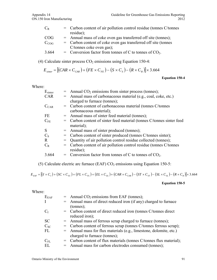| $C_R$     | $=$ Carbon content of air pollution control residue (tonnes C/tonnes |
|-----------|----------------------------------------------------------------------|
|           | residue);                                                            |
| COG       | = Annual mass of coke oven gas transferred off site (tonnes);        |
| $C_{COG}$ | $=$ Carbon content of coke oven gas transferred off site (tonnes     |
|           | C/tonnes coke oven gas);                                             |
| 3.664     | = Conversion factor from tonnes of C to tonnes of $CO2$ .            |

(4) Calculate sinter process  $CO<sub>2</sub>$  emissions using Equation 150-4:

$$
E_{\textit{sinter}} = [(CAR \times C_{\textit{CAR}}) + (FE \times C_{\textit{FE}}) - (S \times C_{\textit{s}}) - (R \times C_{\textit{R}})] \times 3.664
$$

**Equation 150-4** 

Where:

| $E_{\text{sinter}}$ | $=$ Annual CO <sub>2</sub> emissions from sinter process (tonnes);    |
|---------------------|-----------------------------------------------------------------------|
| <b>CAR</b>          | = Annual mass of carbonaceous material (e.g., coal, coke, etc.)       |
|                     | charged to furnace (tonnes);                                          |
| $C_{CAR}$           | = Carbon content of carbonaceous material (tonnes C/tonnes            |
|                     | carbonaceous material);                                               |
| FE                  | = Annual mass of sinter feed material (tonnes);                       |
| $C_{FE}$            | = Carbon content of sinter feed material (tonnes C/tonnes sinter feed |
|                     | material);                                                            |
| S                   | = Annual mass of sinter produced (tonnes);                            |
| $C_{S}$             | = Carbon content of sinter produced (tonnes C/tonnes sinter);         |
| R                   | = Quantity of air pollution control residue collected (tonnes);       |
| $C_R$               | = Carbon content of air pollution control residue (tonnes C/tonnes    |
|                     | residue);                                                             |
| 3.664               | = Conversion factor from tonnes of C to tonnes of $CO2$ .             |

(5) Calculate electric arc furnace (EAF)  $CO<sub>2</sub>$  emissions using Equation 150-5:

 $E_{EAF} = [(I \times C_I) + (SC \times C_{SC}) + (FL \times C_{FL}) + (EL \times C_{EL}) + (CAR \times C_{CAR}) - (ST \times C_{ST}) - (SL \times C_{SL}) - (R \times C_R)] \times 3.664$ 

#### **Equation 150-5**

| $E_{EAF}$<br>L | $=$ Annual CO <sub>2</sub> emissions from EAF (tonnes);<br>= Annual mass of direct reduced iron (if any) charged to furnace<br>$(\text{tonnes})$ ; |
|----------------|----------------------------------------------------------------------------------------------------------------------------------------------------|
| $C_I$          | = Carbon content of direct reduced iron (tonnes C/tonnes direct<br>reduced iron);                                                                  |
| <b>SC</b>      | = Annual mass of ferrous scrap charged to furnace (tonnes);                                                                                        |
| $C_{SC}$       | = Carbon content of ferrous scrap (tonnes C/tonnes ferrous scrap);                                                                                 |
| FL             | = Annual mass for flux materials (e.g., limestone, dolomite, etc.)<br>charged to furnace (tonnes);                                                 |
| $C_{FL}$       | = Carbon content of flux materials (tonnes C/tonnes flux material);                                                                                |
| EL             | = Annual mass for carbon electrodes consumed (tonnes);                                                                                             |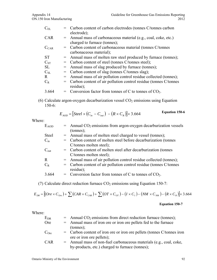|     | = Carbon content of carbon electrodes (tonnes C/tonnes carbon      |
|-----|--------------------------------------------------------------------|
|     | electrode);                                                        |
|     | $=$ Annual mass of carbonaceous material (e.g., coal, coke, etc.)  |
|     | charged to furnace (tonnes);                                       |
|     | = Carbon content of carbonaceous material (tonnes C/tonnes         |
|     | carbonaceous material);                                            |
|     | = Annual mass of molten raw steel produced by furnace (tonnes);    |
|     | = Carbon content of steel (tonnes C/tonnes steel);                 |
|     | = Annual mass of slag produced by furnace (tonnes);                |
|     | = Carbon content of slag (tonnes C/tonnes slag);                   |
| $=$ | Annual mass of air pollution control residue collected (tonnes);   |
|     | = Carbon content of air pollution control residue (tonnes C/tonnes |
|     | residue);                                                          |
|     | = Conversion factor from tonnes of C to tonnes of $CO2$ .          |
|     |                                                                    |

(6) Calculate argon-oxygen decarburization vessel  $CO<sub>2</sub>$  emissions using Equation 150-6:

$$
E_{AOD} = [Steel \times (C_{in} - C_{out}) - (R \times C_R)] \times 3.664
$$
 Equation 150-6

Where:

| $E_{AOD}$        | $=$ Annual CO <sub>2</sub> emissions from argon-oxygen decarburization vessels<br>$(\text{tonnes})$ ; |
|------------------|-------------------------------------------------------------------------------------------------------|
| <b>Steel</b>     | = Annual mass of molten steel charged to vessel (tonnes);                                             |
| $C_{in}$         | = Carbon content of molten steel before decarburization (tonnes                                       |
|                  | C/tonnes molten steel);                                                                               |
| $C_{\text{out}}$ | = Carbon content of molten steel after decarburization (tonnes                                        |
|                  | C/tonnes molten steel);                                                                               |
| R                | = Annual mass of air pollution control residue collected (tonnes);                                    |
| $C_R$            | = Carbon content of air pollution control residue (tonnes C/tonnes<br>residue);                       |
| 3.664            | Conversion factor from tonnes of C to tonnes of $CO2$ .                                               |

(7) Calculate direct reduction furnace  $CO<sub>2</sub>$  emissions using Equation 150-7:

$$
E_{DR} = [(Ore \times C_{Ore}) + \sum (CAR \times C_{CAR}) + \sum (OT \times C_{OT}) - (I \times C_I) - (NM \times C_{NM}) - (R \times C_R)] \times 3.664
$$

#### **Equation 150-7**

| $E_{DR}$         | $=$ Annual CO <sub>2</sub> emissions from direct reduction furnace (tonnes); |
|------------------|------------------------------------------------------------------------------|
| <b>Ore</b>       | = Annual mass of iron ore or iron ore pellets fed to the furnace             |
|                  | $(\text{tonnes})$ ;                                                          |
| C <sub>Ore</sub> | = Carbon content of iron ore or iron ore pellets (tonnes C/tonnes iron       |
|                  | ore or iron ore pellets);                                                    |
| <b>CAR</b>       | $=$ Annual mass of non-fuel carbonaceous materials (e.g., coal, coke,        |
|                  | by-products, etc.) charged to furnace (tonnes);                              |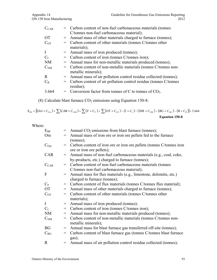| $C_{CAR}$   | = Carbon content of non-fuel carbonaceous materials (tonnes        |
|-------------|--------------------------------------------------------------------|
|             | C/tonnes non-fuel carbonaceous material);                          |
| <b>OT</b>   | = Annual mass of other materials charged to furnace (tonnes);      |
| $C_{OT}$    | = Carbon content of other materials (tonnes C/tonnes other         |
|             | materials);                                                        |
| $\bf{I}$    | = Annual mass of iron produced (tonnes);                           |
| $C_I$       | = Carbon content of iron (tonnes C/tonnes iron);                   |
| <b>NM</b>   | = Annual mass for non-metallic materials produced (tonnes);        |
| $C_{NM}$    | = Carbon content of non-metallic materials (tonnes C/tonnes non-   |
|             | metallic minerals);                                                |
| $\mathbf R$ | = Annual mass of air pollution control residue collected (tonnes); |
| $C_R$       | = Carbon content of air pollution control residue (tonnes C/tonnes |
|             | residue);                                                          |
| 3.664       | = Conversion factor from tonnes of C to tonnes of $CO2$ .          |

(8) Calculate blast furnace  $CO<sub>2</sub>$  emissions using Equation 150-8:

 $E_{BF} = [(Ore \times C_{Ore}) + \sum (CAR \times C_{CAR}) + \sum (F \times C_{F}) + \sum (OT \times C_{OT}) - (I \times C_{I}) - (NM \times C_{NM}) - (BG \times C_{BG}) - (R \times C_{R})] \times 3.664$ **Equation 150-8**

| $E_{BF}$         |     | Annual $CO2$ emissions from blast furnace (tonnes);                  |
|------------------|-----|----------------------------------------------------------------------|
| <b>Ore</b>       | $=$ | Annual mass of iron ore or iron ore pellets fed to the furnace       |
|                  |     | $(\text{tonnes})$ ;                                                  |
| C <sub>Ore</sub> |     | Carbon content of iron ore or iron ore pellets (tonnes C/tonnes iron |
|                  |     | ore or iron ore pellets);                                            |
| CAR              | $=$ | Annual mass of non-fuel carbonaceous materials (e.g., coal, coke,    |
|                  |     | by-products, etc.) charged to furnace (tonnes);                      |
| $C_{CAR}$        |     | Carbon content of non-fuel carbonaceous materials (tonnes            |
|                  |     | C/tonnes non-fuel carbonaceous material);                            |
| F                | $=$ | Annual mass for flux materials (e.g., limestone, dolomite, etc.)     |
|                  |     | charged to furnace (tonnes);                                         |
| $C_{\rm F}$      | $=$ | Carbon content of flux materials (tonnes C/tonnes flux material);    |
| <b>OT</b>        |     | Annual mass of other materials charged to furnace (tonnes);          |
| $C_{OT}$         | $=$ | Carbon content of other materials (tonnes C/tonnes other             |
|                  |     | materials);                                                          |
| I                |     | Annual mass of iron produced (tonnes);                               |
| $C_I$            | $=$ | Carbon content of iron (tonnes C/tonnes iron);                       |
| NM               | $=$ | Annual mass for non-metallic materials produced (tonnes);            |
| C <sub>NM</sub>  | $=$ | Carbon content of non-metallic materials (tonnes C/tonnes non-       |
|                  |     | metallic minerals);                                                  |
| BG               | $=$ | Annual mass for blast furnace gas transferred off-site (tonnes);     |
| $C_{BG}$         | =   | Carbon content of blast furnace gas (tonnes C/tonnes blast furnace   |
|                  |     | gas);                                                                |
| R                |     | Annual mass of air pollution control residue collected (tonnes);     |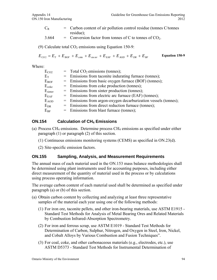- $C_R$  = Carbon content of air pollution control residue (tonnes C/tonnes residue);
- $3.664 =$  Conversion factor from tonnes of C to tonnes of CO<sub>2</sub>.

(9) Calculate total  $CO<sub>2</sub>$  emissions using Equation 150-9:

$$
E_{CO2} = E_T + E_{BOF} + E_{coke} + E_{\text{sinter}} + E_{EAF} + E_{AOD} + E_{DR} + E_{BF}
$$
 Equation 150-9

Where:

| $E_{CO2}$                  | $=$ Total CO <sub>2</sub> emissions (tonnes);                   |
|----------------------------|-----------------------------------------------------------------|
| $\rm E_T$                  | = Emissions from taconite indurating furnace (tonnes);          |
| $\rm E_{BOF}$              | = Emissions from basic oxygen furnace (BOF) (tonnes);           |
| $E_{\rm coke}$             | = Emissions from coke production (tonnes);                      |
| $E_{\text{sinter}}$        | = Emissions from sinter production (tonnes);                    |
| $\rm E_{EAF}$              | = Emissions from electric arc furnace (EAF) (tonnes);           |
| $E_{\rm AOD}$              | = Emissions from argon-oxygen decarburization vessels (tonnes); |
| $\rm{E}_{\rm{DR}}$         | = Emissions from direct reduction furnace (tonnes);             |
| $\mathrm{E}_{\mathrm{BF}}$ | = Emissions from blast furnace (tonnes);                        |
|                            |                                                                 |

# **ON.154 Calculation of CH<sub>4</sub> Emissions**

- (a) Process CH4 emissions. Determine process CH4 emissions as specified under either paragraph (1) or paragraph (2) of this section.
	- (1) Continuous emissions monitoring systems (CEMS) as specified in ON.23(d).
	- (2) Site-specific emission factors.

# **ON.155 Sampling, Analysis, and Measurement Requirements**

The annual mass of each material used in the ON.153 mass balance methodologies shall be determined using plant instruments used for accounting purposes, including either direct measurement of the quantity of material used in the process or by calculations using process operating information.

The average carbon content of each material used shall be determined as specified under paragraph (a) or (b) of this section.

- (a) Obtain carbon content by collecting and analyzing at least three representative samples of the material each year using one of the following methods:
	- (1) For iron ore, taconite pellets, and other iron-bearing materials, use ASTM E1915 Standard Test Methods for Analysis of Metal Bearing Ores and Related Materials by Combustion Infrared-Absorption Spectrometry.
	- (2) For iron and ferrous scrap, use ASTM E1019 Standard Test Methods for Determination of Carbon, Sulphur, Nitrogen, and Oxygen in Steel, Iron, Nickel, and Cobalt Alloys by Various Combustion and Fusion Techniques".
	- (3) For coal, coke, and other carbonaceous materials (e.g., electrodes, etc.), use ASTM D5373 - Standard Test Methods for Instrumental Determination of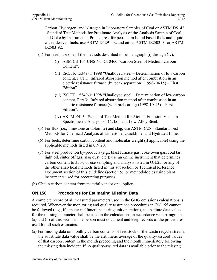Carbon, Hydrogen, and Nitrogen in Laboratory Samples of Coal or ASTM D5142 - Standard Test Methods for Proximate Analysis of the Analysis Sample of Coal and Coke by Instrumental Procedures, for petroleum liquid based fuels and liquid waste-derived fuels, use ASTM D5291-02 and either ASTM D2502-04 or ASTM D<sub>2503</sub>-9<sub>2</sub>.

- (4) For steel, use one of the methods described in subparagraph (i) through (iv):
	- (i) ASM CS-104 UNS No. G10460 "Carbon Steel of Medium Carbon Content".
	- (ii) ISO/TR 15349-1: 1998 "Unalloyed steel Determination of low carbon content, Part 1: Infrared absorption method after combustion in an electric resistance furnace (by peak separation) (1998-10-15) – First Edition".
	- (iii) ISO/TR 15349-3: 1998 "Unalloyed steel Determination of low carbon content, Part 3: Infrared absorption method after combustion in an electric resistance furnace (with preheating) (1998-10-15) – First Edition".
	- (iv) ASTM E415 Standard Test Method for Atomic Emission Vacuum Spectrometric Analysis of Carbon and Low-Alloy Steel.
- (5) For flux (i.e., limestone or dolomite) and slag, use ASTM C25 Standard Test Methods for Chemical Analysis of Limestone, Quicklime, and Hydrated Lime.
- (6) For fuels, determine carbon content and molecular weight (if applicable) using the applicable methods listed in ON.20.
- (7) For steel production by-products (e.g., blast furnace gas, coke oven gas, coal tar, light oil, sinter off gas, slag dust, etc.); use an online instrument that determines carbon content to  $\pm 5\%$ ; or use sampling and analysis listed in ON.25; or any of the other analytical methods listed in this subsection or Technical Reference Document section of this guideline (section 5); or methodologies using plant instruments used for accounting purposes.
- (b) Obtain carbon content from material vendor or supplier.

# **ON.156 Procedures for Estimating Missing Data**

A complete record of all measured parameters used in the GHG emissions calculations is required. Whenever the monitoring and quality assurance procedures in ON.155 cannot be followed (e.g., if a meter malfunctions during unit operation), a substitute data value for the missing parameter shall be used in the calculations in accordance with paragraphs (a) and (b) of this section. The person must document and keep records of the procedures used for all such estimates.

(a) For missing data on monthly carbon contents of feedstock or the waste recycle stream, the substitute data value shall be the arithmetic average of the quality-assured values of that carbon content in the month preceding and the month immediately following the missing data incident. If no quality-assured data is available prior to the missing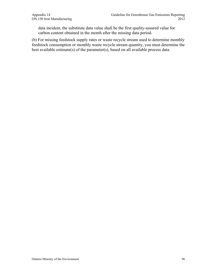data incident, the substitute data value shall be the first quality-assured value for carbon content obtained in the month after the missing data period.

(b) For missing feedstock supply rates or waste recycle stream used to determine monthly feedstock consumption or monthly waste recycle stream quantity, you must determine the best available estimate(s) of the parameter(s), based on all available process data.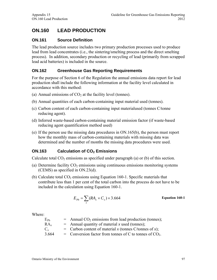# **ON.160 LEAD PRODUCTION**

## **ON.161 Source Definition**

The lead production source includes two primary production processes used to produce lead from lead concentrates (i.e., the sintering/smelting process and the direct smelting process). In addition, secondary production or recycling of lead (primarily from scrapped lead acid batteries) is included in the source.

# **ON.162 Greenhouse Gas Reporting Requirements**

For the purpose of Section 6 of the Regulation the annual emissions data report for lead production shall include the following information at the facility level calculated in accordance with this method:

- (a) Annual emissions of  $CO<sub>2</sub>$  at the facility level (tonnes).
- (b) Annual quantities of each carbon-containing input material used (tonnes).
- (c) Carbon content of each carbon-containing input materialused (tonnes C/tonne reducing agent).
- (d) Inferred waste-based carbon-containing material emission factor (if waste-based reducing agent quantification method used)
- (e) If the person use the missing data procedures in ON.165(b), the person must report how the monthly mass of carbon-containing materials with missing data was determined and the number of months the missing data procedures were used.

### **ON.163** Calculation of CO<sub>2</sub> Emissions

Calculate total  $CO<sub>2</sub>$  emissions as specified under paragraph (a) or (b) of this section.

- (a) Determine facility  $CO<sub>2</sub>$  emissions using continuous emissions monitoring systems (CEMS) as specified in ON.23(d).
- (b) Calculate total  $CO<sub>2</sub>$  emissions using Equation 160-1. Specific materials that contribute less than 1 per cent of the total carbon into the process do not have to be included in the calculation using Equation 160-1.

$$
E_{Pb} = \sum_{x} (RA_x \times C_x) \times 3.664
$$
 Equation 160-1

| $E_{Pb}$        | $=$ Annual CO <sub>2</sub> emissions from lead production (tonnes); |
|-----------------|---------------------------------------------------------------------|
| RA <sub>r</sub> | $=$ Annual quantity of material x used (tonnes);                    |
| $C_{r}$         | = Carbon content of material x (tonnes C/tonnes of x);              |
| 3.664           | = Conversion factor from tonnes of C to tonnes of $CO2$ .           |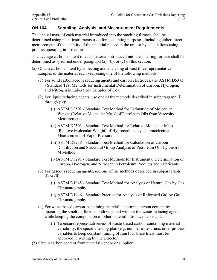# **ON.164 Sampling, Analysis, and Measurement Requirements**

The annual mass of each material introduced into the smelting furnace shall be determined using plant instruments used for accounting purposes, including either direct measurement of the quantity of the material placed in the unit or by calculations using process operating information.

The average carbon content of each material introduced into the smelting furnace shall be determined as specified under paragraph (a), (b), or (c) of this section.

- (a) Obtain carbon content by collecting and analyzing at least three representative samples of the material each year using one of the following methods:
	- (1) For solid carbonaceous reducing agents and carbon electrodes, use ASTM D5373 - Standard Test Methods for Instrumental Determination of Carbon, Hydrogen, and Nitrogen in Laboratory Samples of Coal.
	- (2) For liquid reducing agents, use one of the methods described in subparagraph (i) through (iv):
		- (i) ASTM D2502 Standard Test Method for Estimation of Molecular Weight (Relative Molecular Mass) of Petroleum Oils from Viscosity Measurements.
		- (ii) ASTM D2503 Standard Test Method for Relative Molecular Mass (Relative Molecular Weight) of Hydrocarbons by Thermoelectric Measurement of Vapor Pressure.
		- (iii)ASTM D3238 Standard Test Method for Calculation of Carbon Distribution and Structural Group Analysis of Petroleum Oils by the n-d-M Method.
		- (iv)ASTM D5291 Standard Test Methods for Instrumental Determination of Carbon, Hydrogen, and Nitrogen in Petroleum Products and Lubricants.
	- (3) For gaseous reducing agents, use one of the methods described in subparagraph  $(i)$  or  $(ii)$ :
		- (i) ASTM D1945 Standard Test Method for Analysis of Natural Gas by Gas Chromatography.
		- (ii) ASTM D1946 Standard Practice for Analysis of Reformed Gas by Gas Chromatography.
	- (4) For waste-based carbon-containing material, determine carbon content by operating the smelting furnace both with and without the waste-reducing agents while keeping the composition of other material introduced constant.
		- (i) To ensure representativeness of waste-based carbon-containing material variability, the specific testing plan (e.g. number of test runs, other process variables to keep constant, timing of runs) for these trials must be approved in writing by the Director.
- (b) Obtain carbon content from material vendor or supplier.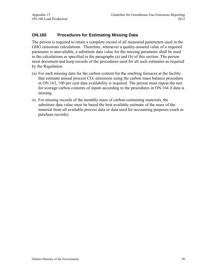# **ON.165 Procedures for Estimating Missing Data**

The person is required to retain a complete record of all measured parameters used in the GHG emissions calculations. Therefore, whenever a quality-assured value of a required parameter is unavailable, a substitute data value for the missing parameter shall be used in the calculations as specified in the paragraphs (a) and (b) of this section. The person must document and keep records of the procedures used for all such estimates as required by the Regulation.

- (a) For each missing data for the carbon content for the smelting furnaces at the facility that estimate annual process  $CO<sub>2</sub>$  emissions using the carbon mass balance procedure in ON.163, 100 per cent data availability is required. The person must repeat the test for average carbon contents of inputs according to the procedures in ON.164 if data is missing.
- (b) For missing records of the monthly mass of carbon-containing materials, the substitute data value must be based the best available estimate of the mass of the material from all available process data or data used for accounting purposes (such as purchase records).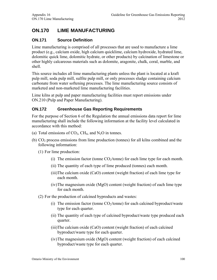# **ON.170 LIME MANUFACTURING**

# **ON.171 Source Definition**

Lime manufacturing is comprised of all processes that are used to manufacture a lime product (e.g., calcium oxide, high calcium quicklime, calcium hydroxide, hydrated lime, dolomitic quick lime, dolomitic hydrate, or other products) by calcination of limestone or other highly calcareous materials such as dolomite, aragonite, chalk, coral, marble, and shell.

This source includes all lime manufacturing plants unless the plant is located at a kraft pulp mill, soda pulp mill, sulfite pulp mill, or only processes sludge containing calcium carbonate from water softening processes. The lime manufacturing source consists of marketed and non-marketed lime manufacturing facilities.

Lime kilns at pulp and paper manufacturing facilities must report emissions under ON.210 (Pulp and Paper Manufacturing).

# **ON.172 Greenhouse Gas Reporting Requirements**

For the purpose of Section 6 of the Regulation the annual emissions data report for lime manufacturing shall include the following information at the facility level calculated in accordance with this method:

- (a) Total emissions of  $CO_2$ , CH<sub>4</sub>, and N<sub>2</sub>O in tonnes.
- (b)  $CO<sub>2</sub>$  process emissions from lime production (tonnes) for all kilns combined and the following information:
	- (1) For lime production:
		- (i) The emission factor (tonne  $CO<sub>2</sub>/tonne$ ) for each lime type for each month.
		- (ii) The quantity of each type of lime produced (tonnes) each month.
		- (iii)The calcium oxide (CaO) content (weight fraction) of each lime type for each month.
		- (iv)The magnesium oxide (MgO) content (weight fraction) of each lime type for each month.
	- (2) For the production of calcined byproducts and wastes:
		- (i) The emission factor (tonne  $CO<sub>2</sub>/tonne$ ) for each calcined byproduct/waste type for each quarter.
		- (ii) The quantity of each type of calcined byproduct/waste type produced each quarter.
		- (iii)The calcium oxide (CaO) content (weight fraction) of each calcined byproduct/waste type for each quarter.
		- (iv)The magnesium oxide (MgO) content (weight fraction) of each calcined byproduct/waste type for each quarter.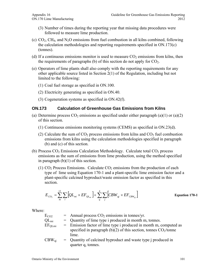- (3) Number of times during the reporting year that missing data procedures were followed to measure lime production.
- (c)  $CO<sub>2</sub>$ , CH<sub>4</sub>, and N<sub>2</sub>O emissions from fuel combustion in all kilns combined, following the calculation methodologies and reporting requirements specified in ON.173(c) (tonnes).
- (d) If a continuous emissions monitor is used to measure  $CO<sub>2</sub>$  emissions from kilns, then the requirements of paragraphs (b) of this section do not apply for  $CO<sub>2</sub>$ .
- (e) Operators of lime plants shall also comply with the reporting requirements for any other applicable source listed in Section 2(1) of the Regulation, including but not limited to the following:
	- (1) Coal fuel storage as specified in ON.100.
	- (2) Electricity generating as specified in ON.40.
	- (3) Cogeneration systems as specified in ON.42(f).

#### **ON.173 Calculation of Greenhouse Gas Emissions from Kilns**

- (a) Determine process  $CO<sub>2</sub>$  emissions as specified under either paragraph (a)(1) or (a)(2) of this section.
	- (1) Continuous emissions monitoring systems (CEMS) as specified in ON.23(d).
	- (2) Calculate the sum of  $CO<sub>2</sub>$  process emissions from kilns and  $CO<sub>2</sub>$  fuel combustion emissions from kilns using the calculation methodologies specified in paragraph (b) and (c) of this section.
- (b) Process  $CO<sub>2</sub>$  Emissions Calculation Methodology. Calculate total  $CO<sub>2</sub>$  process emissions as the sum of emissions from lime production, using the method specified in paragraph  $(b)(1)$  of this section.
	- (1)  $CO<sub>2</sub>$  Process Emissions. Calculate  $CO<sub>2</sub>$  emissions from the production of each type of lime using Equation 170-1 and a plant-specific lime emission factor and a plant-specific calcined byproduct/waste emission factor as specified in this section.

$$
E_{CO_2} = \sum_{m}^{12} \sum_{i} \left[ Q L_{mi} \times EF_{QL_{mi}} \right] + \sum_{q}^{4} \sum_{j} \left[ CBW_{qj} \times EF_{CBW_{qj}} \right]
$$
 Equation 170-1

| $E_{CO2}$   | $=$ Annual process $CO2$ emissions in tonnes/yr.                    |
|-------------|---------------------------------------------------------------------|
| $QL_{mi}$   | $=$ Quantity of lime type i produced in month m, tonnes.            |
| $EF_{OLmi}$ | $=$ Emission factor of lime type i produced in month m, computed as |
|             | specified in paragraph (b)(2) of this section, tonnes $CO2/tonne$   |
|             | lime.                                                               |
| $CBW_{qi}$  | $=$ Quantity of calcined byproduct and waste type j produced in     |
|             | quarter q, tonnes.                                                  |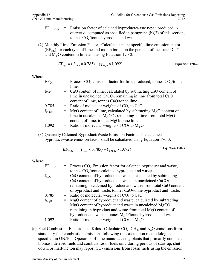- $EF_{CBW,qi}$  = Emission factor of calcined byproduct/waste type j produced in quarter q, computed as specified in paragraph (b)(3) of this section, tonnes CO2/tonne byproduct and waste.
- (2) Monthly Lime Emission Factor. Calculate a plant-specific lime emission factor  $(EF<sub>OL</sub>)$  for each type of lime and month based on the per cent of measured CaO and MgO content in lime and using Equation 170-2.

$$
EF_{QL} = (f_{CaO} \times 0.785) + (f_{MgO} \times 1.092)
$$
 Equation 170-2

Where:

| $EF_{OL}$        | $=$ Process CO <sub>2</sub> emission factor for lime produced, tonnes CO <sub>2</sub> /tonne |
|------------------|----------------------------------------------------------------------------------------------|
|                  | lime.                                                                                        |
| $f_{CaO}$        | = CaO content of lime, calculated by subtracting CaO content of                              |
|                  | lime in uncalcined CaCO <sub>3</sub> remaining in lime from total CaO                        |
|                  | content of lime, tonnes CaO/tonne lime                                                       |
| 0.785            | $=$ Ratio of molecular weights of $CO2$ to CaO.                                              |
| $f_{\text{MgO}}$ | = MgO content of lime, calculated by subtracting MgO content of                              |
|                  | lime in uncalcined $MgCO3$ remaining in lime from total $MgO$                                |
|                  | content of lime, tonnes MgO/tonne lime.                                                      |
| 1.092            | = Ratio of molecular weights of $CO2$ to MgO                                                 |
|                  |                                                                                              |

(3) Quarterly Calcined Byproduct/Waste Emission Factor. The calcined byproduct/waste emission factor shall be calculated using Equation 170-3.

$$
EF_{CBW} = (f_{CaO} \times 0.785) + (f_{MgO} \times 1.092)
$$
 Equation 170-3

Where:

| $=$ Process CO <sub>2</sub> Emission factor for calcined byproduct and waste, |
|-------------------------------------------------------------------------------|
| tonnes $CO2/tonne$ calcined byproduct and waste.                              |
| = CaO content of byproduct and waste, calculated by subtracting               |
| CaO content of byproduct and waste in uncalcined CaCO <sub>3</sub>            |
| remaining in calcined byproduct and waste from total CaO content              |
| of byproduct and waste, tonnes CaO/tonne byproduct and waste.                 |
| = Ratio of molecular weights of $CO2$ to CaO.                                 |
| = MgO content of byproduct and waste, calculated by subtracting               |
| MgO content of byproduct and waste in uncalcined $MgCO3$                      |
| remaining in byproduct and waste from total MgO content of                    |
| byproduct and waste, tonnes MgO/tonne byproduct and waste.                    |
| $=$ Ratio of molecular weights of $CO2$ to MgO                                |
|                                                                               |

(c) Fuel Combustion Emissions in Kilns. Calculate  $CO<sub>2</sub>$ , CH<sub>4</sub>, and N<sub>2</sub>O emissions from stationary fuel combustion emissions following the calculation methodologies specified in ON.20. Operators of lime manufacturing plants that primarily combust biomass-derived fuels and combust fossil fuels only during periods of start-up, shutdown, or malfunction may report  $CO<sub>2</sub>$  emissions from fossil fuels using the emission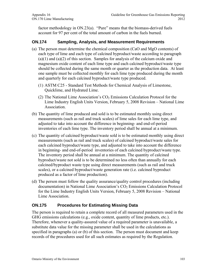factor methodology in ON.23(a). "Pure" means that the biomass-derived fuels account for 97 per cent of the total amount of carbon in the fuels burned.

### **ON.174 Sampling, Analysis, and Measurement Requirements**

- (a) The person must determine the chemical composition (CaO and MgO contents) of each type of lime and each type of calcined byproduct/waste according to paragraph  $(a)(1)$  and  $(a)(2)$  of this section. Samples for analysis of the calcium oxide and magnesium oxide content of each lime type and each calcined byproduct/waste type should be collected during the same month or quarter as the production data. At least one sample must be collected monthly for each lime type produced during the month and quarterly for each calcined byproduct/waste type produced.
	- (1) ASTM C25 Standard Test Methods for Chemical Analysis of Limestone, Quicklime, and Hydrated Lime.
	- (2) The National Lime Association's  $CO<sub>2</sub>$  Emissions Calculation Protocol for the Lime Industry English Units Version, February 5, 2008 Revision – National Lime Association.
- (b) The quantity of lime produced and sold is to be estimated monthly using direct measurements (such as rail and truck scales) of lime sales for each lime type, and adjusted to take into account the difference in beginning- and end-of-period inventories of each lime type. The inventory period shall be annual at a minimum.
- (c) The quantity of calcined byproduct/waste sold is to be estimated monthly using direct measurements (such as rail and truck scales) of calcined byproduct/waste sales for each calcined byproduct/waste type, and adjusted to take into account the difference in beginning- and end-of-period inventories of each calcined byproduct/waste type. The inventory period shall be annual at a minimum. The quantity of calcined byproduct/waste not sold is to be determined no less often than annually for each calcined/byproduct waste type using direct measurements (such as rail and truck scales), or a calcined byproduct/waste generation rate (i.e. calcined byproduct produced as a factor of lime production).
- (d) The person must follow the quality assurance/quality control procedures (including documentation) in National Lime Association's  $CO<sub>2</sub>$  Emissions Calculation Protocol for the Lime Industry English Units Version, February 5, 2008 Revision – National Lime Association.

### **ON.175 Procedures for Estimating Missing Data**

The person is required to retain a complete record of all measured parameters used in the GHG emissions calculations (e.g., oxide content, quantity of lime products, etc.). Therefore, whenever a quality-assured value of a required parameter is unavailable, a substitute data value for the missing parameter shall be used in the calculations as specified in paragraphs (a) or (b) of this section. The person must document and keep records of the procedures used for all such estimates as required by the Regulation.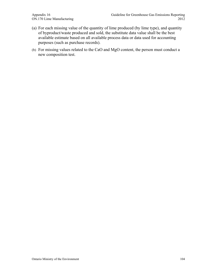- (a) For each missing value of the quantity of lime produced (by lime type), and quantity of byproduct/waste produced and sold, the substitute data value shall be the best available estimate based on all available process data or data used for accounting purposes (such as purchase records).
- (b) For missing values related to the CaO and MgO content, the person must conduct a new composition test.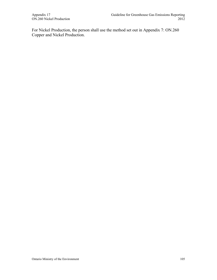For Nickel Production, the person shall use the method set out in Appendix 7: ON.260 Copper and Nickel Production.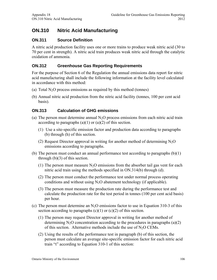# **ON.310 Nitric Acid Manufacturing**

## **ON.311 Source Definition**

A nitric acid production facility uses one or more trains to produce weak nitric acid (30 to 70 per cent in strength). A nitric acid train produces weak nitric acid through the catalytic oxidation of ammonia.

# **ON.312 Greenhouse Gas Reporting Requirements**

For the purpose of Section 6 of the Regulation the annual emissions data report for nitric acid manufacturing shall include the following information at the facility level calculated in accordance with this method:

- (a) Total  $N_2O$  process emissions as required by this method (tonnes)
- (b) Annual nitric acid production from the nitric acid facility (tonnes, 100 per cent acid basis).

### **ON.313 Calculation of GHG emissions**

- (a) The person must determine annual  $N<sub>2</sub>O$  process emissions from each nitric acid train according to paragraphs  $(a)(1)$  or  $(a)(2)$  of this section.
	- (1) Use a site-specific emission factor and production data according to paragraphs (b) through (h) of this section.
	- (2) Request Director approval in writing for another method of determining  $N_2O$ emissions according to paragraphs.
- (b) The person must conduct an annual performance test according to paragraphs (b)(1) through (b)(3) of this section.
	- (1) The person must measure  $N_2O$  emissions from the absorber tail gas vent for each nitric acid train using the methods specified in ON.314(b) through (d).
	- (2) The person must conduct the performance test under normal process operating conditions and without using  $N_2O$  abatement technology (if applicable).
	- (3) The person must measure the production rate during the performance test and calculate the production rate for the test period in tonnes (100 per cent acid basis) per hour.
- (c) The person must determine an  $N<sub>2</sub>O$  emissions factor to use in Equation 310-3 of this section according to paragraphs  $(c)(1)$  or  $(c)(2)$  of this section.
	- (1) The person may request Director approval in writing for another method of determining  $N_2O$  concentration according to the procedures in paragraphs (a)(2) of this section. Alternative methods include the use of  $N_2O$  CEMs.
	- (2) Using the results of the performance test in paragraph (b) of this section, the person must calculate an average site-specific emission factor for each nitric acid train "t" according to Equation 310-1 of this section: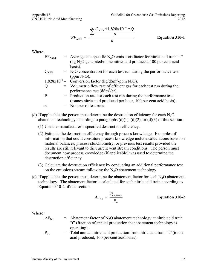$$
EF_{N2Ot} = \frac{\sum_{1}^{n} \frac{C_{N2O} * 1.828 \times 10^{-6} * Q}{P}}{n}
$$
 Equation 310-1

Where:

| $EF_{N2Ot}$ | $=$ Average site-specific N <sub>2</sub> O emissions factor for nitric acid train "t"                                               |
|-------------|-------------------------------------------------------------------------------------------------------------------------------------|
|             | (kg $N_2O$ generated/tonne nitric acid produced, 100 per cent acid                                                                  |
|             | basis).                                                                                                                             |
| $C_{N2O}$   | $=$ N <sub>2</sub> O concentration for each test run during the performance test                                                    |
|             | (ppm $N_2O$ ).                                                                                                                      |
|             | 1.828x10 <sup>-6</sup> = Conversion factor (kg/dSm <sup>3</sup> -ppm N <sub>2</sub> O).                                             |
| Q           | = Volumetric flow rate of effluent gas for each test run during the<br>performance test $(dSm3/hr)$ .                               |
| P           | = Production rate for each test run during the performance test<br>(tonnes nitric acid produced per hour, 100 per cent acid basis). |
| n           | $=$ Number of test runs.                                                                                                            |

- (d) If applicable, the person must determine the destruction efficiency for each  $N_2O$ abatement technology according to paragraphs  $(d)(1)$ ,  $(d)(2)$ , or  $(d)(3)$  of this section.
	- (1) Use the manufacturer's specified destruction efficiency.
	- (2) Estimate the destruction efficiency through process knowledge. Examples of information that could constitute process knowledge include calculations based on material balances, process stoichiometry, or previous test results provided the results are still relevant to the current vent stream conditions. The person must document how process knowledge (if applicable) was used to determine the destruction efficiency.
	- (3) Calculate the destruction efficiency by conducting an additional performance test on the emissions stream following the  $N_2O$  abatement technology.
- (e) If applicable, the person must determine the abatement factor for each  $N_2O$  abatement technology. The abatement factor is calculated for each nitric acid train according to Equation 310-2 of this section.

$$
AF_{Nt} = \frac{P_{at\text{ Abate}}}{P_{at}}
$$
 **Equation 310-2**

- $AF<sub>N</sub>$  t = Abatement factor of N<sub>2</sub>O abatement technology at nitric acid train "t" (fraction of annual production that abatement technology is operating).
- $P_{at}$  = Total annual nitric acid production from nitric acid train "t" (tonne acid produced, 100 per cent acid basis).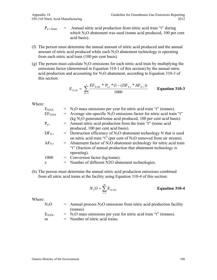- $P_{a t \text{ Abate}}$  = Annual nitric acid production from nitric acid train "t" during which  $N_2O$  abatement was used (tonne acid produced, 100 per cent acid basis).
- (f) The person must determine the annual amount of nitric acid produced and the annual amount of nitric acid produced while each  $N_2O$  abatement technology is operating from each nitric acid train (100 per cent basis).
- (g) The person must calculate  $N_2O$  emissions for each nitric acid train by multiplying the emissions factor (determined in Equation 310-1 of this section) by the annual nitric acid production and accounting for  $N_2O$  abatement, according to Equation 310-3 of this section:

$$
E_{N_2Ot} = \sum_{N=1}^{z} \frac{EF_{N20t} * P_{at} * (1 - (DF_{Nt} * AF_{Nt}))}{1000}
$$
 Equation 310-3

Where:

| $E_{N2Ot}$  | $=$ N <sub>2</sub> O mass emissions per year for nitric acid train "t" (tonnes).               |
|-------------|------------------------------------------------------------------------------------------------|
| $EF_{N2Ot}$ | $=$ Average site-specific N <sub>2</sub> O emissions factor for nitric acid train "t"          |
|             | $\left(\text{kg N}_2\text{O} \right)$ generated/tonne acid produced, 100 per cent acid basis). |
| $P_{at}$    | = Annual nitric acid production from the train "t" (tonne acid                                 |
|             | produced, 100 per cent acid basis).                                                            |
| $DF_{Nt}$   | $=$ Destruction efficiency of N <sub>2</sub> O abatement technology N that is used             |
|             | on nitric acid train "t" (per cent of $N_2O$ removed from air stream).                         |
| $AF_{Nt}$   | $=$ Abatement factor of N <sub>2</sub> O abatement technology for nitric acid train            |
|             | "t" (fraction of annual production that abatement technology is                                |
|             | operating).                                                                                    |
| 1000        | $=$ Conversion factor (kg/tonne).                                                              |
| Z           | = Number of different N2O abatement technologies.                                              |
|             |                                                                                                |

(h) The person must determine the annual nitric acid production emissions combined from all nitric acid trains at the facility using Equation 310-4 of this section:

$$
N_2 O = \sum_{t=1}^{m} E_{N2Ot}
$$
 Equation 310-4

Where:

 $N_2O$  = Annual process  $N_2O$  emissions from nitric acid production facility (tonnes)

| $E_{N2Ot}$ | $=$ N <sub>2</sub> O mass emissions per year for nitric acid train "t" (tonnes). |
|------------|----------------------------------------------------------------------------------|
| m          | $=$ Number of nitric acid trains.                                                |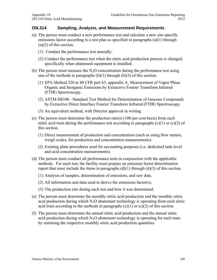#### **ON.314 Sampling, Analysis, and Measurement Requirements**

- (a) The person must conduct a new performance test and calculate a new site-specific emissions factor according to a test plan as specified in paragraphs (a)(1) through (a)(2) of this section.
	- (1) Conduct the performance test annually.
	- (2) Conduct the performance test when the nitric acid production process is changed, specifically when abatement equipment is installed.
- (b) The person must measure the  $N_2O$  concentration during the performance test using one of the methods in paragraphs  $(b)(1)$  through  $(b)(3)$  of this section.
	- (1) EPA Method 320 at 40 CFR part 63, appendix A, Measurement of Vapor Phase Organic and Inorganic Emissions by Extractive Fourier Transform Infrared (FTIR) Spectroscopy.
	- (2) ASTM D6348 Standard Test Method for Determination of Gaseous Compounds by Extractive Direct Interface Fourier Transform Infrared (FTIR) Spectroscopy.
	- (3) An equivalent method, with Director approval in writing.
- (c) The person must determine the production rate(s) (100 per cent basis) from each nitric acid train during the performance test according to paragraphs  $(c)(1)$  or  $(c)(2)$  of this section.
	- (1) Direct measurement of production and concentration (such as using flow meters, weigh scales, for production and concentration measurements).
	- (2) Existing plant procedures used for accounting purposes (i.e. dedicated tank-level and acid concentration measurements).
- (d) The person must conduct all performance tests in conjunction with the applicable methods. For each test, the facility must prepare an emission factor determination report that must include the items in paragraphs  $(d)(1)$  through  $(d)(3)$  of this section.
	- (1) Analysis of samples, determination of emissions, and raw data.
	- (2) All information and data used to derive the emissions factor(s).
	- (3) The production rate during each test and how it was determined.
- (e) The person must determine the monthly nitric acid production and the monthly nitric acid production during which  $N_2O$  abatement technology is operating from each nitric acid train according to the methods in paragraphs  $(c)(1)$  or  $(c)(2)$  of this section.
- (f) The person must determine the annual nitric acid production and the annual nitric acid production during which  $N<sub>2</sub>O$  abatement technology is operating for each train by summing the respective monthly nitric acid production quantities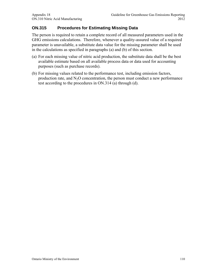# **ON.315 Procedures for Estimating Missing Data**

The person is required to retain a complete record of all measured parameters used in the GHG emissions calculations. Therefore, whenever a quality-assured value of a required parameter is unavailable, a substitute data value for the missing parameter shall be used in the calculations as specified in paragraphs (a) and (b) of this section.

- (a) For each missing value of nitric acid production, the substitute data shall be the best available estimate based on all available process data or data used for accounting purposes (such as purchase records).
- (b) For missing values related to the performance test, including emission factors, production rate, and  $N_2O$  concentration, the person must conduct a new performance test according to the procedures in ON.314 (a) through (d).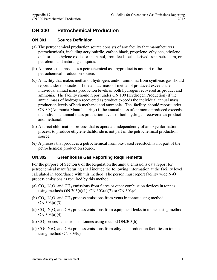# **ON.300 Petrochemical Production**

## **ON.301 Source Definition**

- (a) The petrochemical production source consists of any facility that manufacturers petrochemicals, including acrylonitrile, carbon black, propylene, ethylene, ethylene dichloride, ethylene oxide, or methanol, from feedstocks derived from petroleum, or petroleum and natural gas liquids.
- (b) A process that produces a petrochemical as a byproduct is not part of the petrochemical production source.
- (c) A facility that makes methanol, hydrogen, and/or ammonia from synthesis gas should report under this section if the annual mass of methanol produced exceeds the individual annual mass production levels of both hydrogen recovered as product and ammonia. The facility should report under ON.100 (Hydrogen Production) if the annual mass of hydrogen recovered as product exceeds the individual annual mass production levels of both methanol and ammonia. The facility should report under ON.80 (Ammonia Manufacturing) if the annual mass of ammonia produced exceeds the individual annual mass production levels of both hydrogen recovered as product and methanol.
- (d) A direct chlorination process that is operated independently of an oxychlorination process to produce ethylene dichloride is not part of the petrochemical production source.
- (e) A process that produces a petrochemical from bio-based feedstock is not part of the petrochemical production source.

#### **ON.302 Greenhouse Gas Reporting Requirements**

For the purpose of Section 6 of the Regulation the annual emissions data report for petrochemical manufacturing shall include the following information at the facility level calculated in accordance with this method. The person must report facility wide  $N_2O$ process emissions as required by this method.

- (a)  $CO<sub>2</sub>$ , N<sub>2</sub>O, and CH<sub>4</sub> emissions from flares or other combustion devices in tonnes using methods  $ON.303(a)(1)$ ,  $ON.303(a)(2)$  or  $ON.303(c)$ .
- (b)  $CO<sub>2</sub>$ , N<sub>2</sub>O, and CH<sub>4</sub> process emissions from vents in tonnes using method ON.303(a)(3).
- (c)  $CO<sub>2</sub>$ , N<sub>2</sub>O, and CH<sub>4</sub> process emissions from equipment leaks in tonnes using method ON.303(a)(4).
- (d)  $CO<sub>2</sub>$  process emissions in tonnes using method ON.303(b).
- (e)  $CO<sub>2</sub>$ , N<sub>2</sub>O, and CH<sub>4</sub> process emissions from ethylene production facilities in tonnes using method ON.303(c).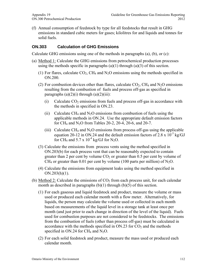(f) Annual consumption of feedstock by type for all feedstocks that result in GHG emissions in standard cubic meters for gases; kilolitres for and liquids and tonnes for solid fuels.

## **ON.303 Calculation of GHG Emissions**

Calculate GHG emissions using one of the methods in paragraphs (a), (b), or (c):

- (a) Method 1: Calculate the GHG emissions from petrochemical production processes using the methods specific in paragraphs  $(a)(1)$  through  $(a)(3)$  of this section.
	- (1) For flares, calculate  $CO<sub>2</sub>$ , CH<sub>4</sub> and N<sub>2</sub>O emissions using the methods specified in ON.200.
	- (2) For combustion devices other than flares, calculate  $CO<sub>2</sub>$ , CH<sub>4</sub> and N<sub>2</sub>O emissions resulting from the combustion of fuels and process off-gas as specified in paragraphs  $(a)(2)(i)$  through  $(a)(2)(iii)$ :
		- (i) Calculate  $CO<sub>2</sub>$  emissions from fuels and process off-gas in accordance with the methods in specified in ON.23.
		- (ii) Calculate CH<sub>4</sub> and N<sub>2</sub>O emissions from combustion of fuels using the applicable methods in ON.24. Use the appropriate default emission factors for CH<sub>4</sub> and N<sub>2</sub>O from Tables 20-2, 20-4, 20-6, and 20-7.
		- (iii) Calculate CH<sub>4</sub> and N<sub>2</sub>O emissions from process off-gas using the applicable equation 20-12 in ON.24 and the default emission factors of 2.8 x  $10^{-3}$  kg/GJ for CH<sub>4</sub> and 5.7 x  $10^{-4}$  kg/GJ for N<sub>2</sub>O.
	- (3) Calculate the emissions from process vents using the method specified in ON.203(b) for each process vent that can be reasonably expected to contain greater than 2 per cent by volume  $CO<sub>2</sub>$  or greater than 0.5 per cent by volume of  $CH_4$  or greater than 0.01 per cent by volume (100 parts per million) of N<sub>2</sub>O.
	- (4) Calculate the emissions from equipment leaks using the method specified in ON.203(h)(1).
- (b) Method 2: Calculate the emissions of  $CO<sub>2</sub>$  from each process unit, for each calendar month as described in paragraphs  $(b)(1)$  through  $(b)(5)$  of this section.
	- (1) For each gaseous and liquid feedstock and product, measure the volume or mass used or produced each calendar month with a flow meter. Alternatively, for liquids, the person may calculate the volume used or collected in each month based on measurements of the liquid level in a storage tank at least once per month (and just prior to each change in direction of the level of the liquid). Fuels used for combustion purposes are not considered to be feedstocks. The emissions from the combustion of fuels (other than process off-gas) must be calculated in accordance with the methods specified in  $ON.23$  for  $CO<sub>2</sub>$  and the methods specified in ON.24 for  $CH_4$  and N<sub>2</sub>O.
	- (2) For each solid feedstock and product, measure the mass used or produced each calendar month.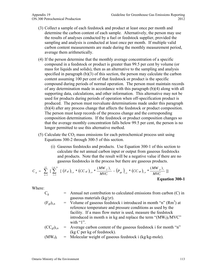- (3) Collect a sample of each feedstock and product at least once per month and determine the carbon content of each sample. Alternatively, the person may use the results of analyses conducted by a fuel or feedstock supplier, provided the sampling and analysis is conducted at least once per month. If multiple valid carbon content measurements are made during the monthly measurement period, average them arithmetically.
- (4) If the person determine that the monthly average concentration of a specific compound in a feedstock or product is greater than 99.5 per cent by volume (or mass for liquids and solids), then as an alternative to the sampling and analysis specified in paragraph (b)(3) of this section, the person may calculate the carbon content assuming 100 per cent of that feedstock or product is the specific compound during periods of normal operation. The person must maintain records of any determination made in accordance with this paragraph (b)(4) along with all supporting data, calculations, and other information. This alternative may not be used for products during periods of operation when off-specification product is produced. The person must reevaluate determinations made under this paragraph (b)(4) after any process change that affects the feedstock or product composition. The person must keep records of the process change and the corresponding composition determinations. If the feedstock or product composition changes so that the average monthly concentration falls below 99.5 per cent, the person is no longer permitted to use this alternative method.
- (5) Calculate the  $CO<sub>2</sub>$  mass emissions for each petrochemical process unit using Equations 300-2 through 300-5 of this section.
	- (i) Gaseous feedstocks and products. Use Equation 300-1 of this section to calculate the net annual carbon input or output from gaseous feedstocks and products. Note that the result will be a negative value if there are no gaseous feedstocks in the process but there are gaseous products.

$$
C_{g} = \sum_{n=1}^{12} \left[ \sum_{i=1}^{j \text{ or } k} \left[ \left( F_{gf} \right)_{i,n} * \left( CC_{gf} \right)_{i,n} * \frac{\left( MW_{f} \right)_{i}}{MVC} - \left( P_{gp} \right)_{i,n} * \left( CC_{gp} \right)_{i,n} * \frac{\left( MW_{p} \right)_{i}}{MVC} \right] \right]
$$
  
Equation 300-1

- $C_g$  = Annual net contribution to calculated emissions from carbon (C) in gaseous materials (kg/yr).
- $(F<sub>gf</sub>)<sub>i,n</sub>$  = Volume of gaseous feedstock i introduced in month "n" (Rm<sup>3</sup>) at reference temperature and pressure conditions as used by the facility. If a mass flow meter is used, measure the feedstock introduced in month n in kg and replace the term " $(MW_f)_i/MVC$ " with " $1"$ .
- $(CC<sub>gf</sub>)_{i,n}$  = Average carbon content of the gaseous feedstock i for month "n" (kg C per kg of feedstock).
- $(MW_f)$  = Molecular weight of gaseous feedstock i (kg/kg-mole).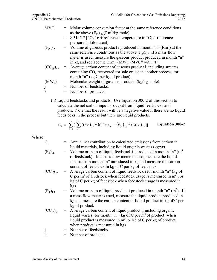- $MVC = Molar volume conversion factor at the same reference conditions$ as the above  $(F_{gf})_{i,n}$  (Rm<sup>3</sup>/kg-mole).
	- $= 8.3145 * [273.16 + \text{reference temperature in } ^{\circ}C]/[\text{reference}$ pressure in kilopascal]
- $(P_{gp})_{i,n}$  = Volume of gaseous product i produced in month "n" (Rm<sup>3</sup>) at the same reference conditions as the above  $(F_{gf})_{i,n}$ . If a mass flow meter is used, measure the gaseous product produced in month "n" in kg and replace the term " $(MW_p)_i/MVC$ " with "1".
- $(CC<sub>gp</sub>)<sub>i,n</sub>$  = Average carbon content of gaseous product i, including streams containing  $CO<sub>2</sub>$  recovered for sale or use in another process, for month "n" (kg C per kg of product).

$$
(MWp)i = Molecular weight of gaseous product i (kg/kg-mole).
$$
  
j = Number of feedbacks.

 $k =$  Number of products.

(ii) Liquid feedstocks and products. Use Equation 300-2 of this section to calculate the net carbon input or output from liquid feedstocks and products. Note that the result will be a negative value if there are no liquid feedstocks in the process but there are liquid products.

$$
C_{i} = \sum_{n=1}^{12} \left[ \sum_{i=1}^{j \text{ or } k} [(F_{ij})_{i,n} * (CC_{ij})_{i,n} - (P_{ip})_{i,n} * (CC_{ip})_{i,n} ] \right]
$$
 **Equation 300-2**

- $C_1$  = Annual net contribution to calculated emissions from carbon in liquid materials, including liquid organic wastes (kg/yr).
- $(F_{lf})_{i,n}$  = Volume or mass of liquid feedstock i introduced in month "n" (m<sup>3</sup> of feedstock). If a mass flow meter is used, measure the liquid feedstock in month "n" introduced in kg and measure the carbon content of feedstock in kg of C per kg of feedstock.
- $(CC<sub>if</sub>)<sub>in</sub>$  = Average carbon content of liquid feedstock i for month "n" (kg of C per m<sup>3</sup> of feedstock when feedstock usage is measured in  $m^3$ , or kg of C per kg of feedstock when feedstock usage is measured in kg).
- $(P_{lp})_{i,n}$  = Volume or mass of liquid product i produced in month "n" (m<sup>3</sup>). If a mass flow meter is used, measure the liquid product produced in kg and measure the carbon content of liquid product in kg of C per kg of product.
- $(CC<sub>lp</sub>)<sub>i,n</sub>$  = Average carbon content of liquid product i, including organic liquid wastes, for month "n" (kg of C per  $m<sup>3</sup>$  of product when liquid product is measured in  $m^3$ , or kg of C per kg of product when product is measured in kg)
- j = Number of feedstocks.  $k =$  Number of products.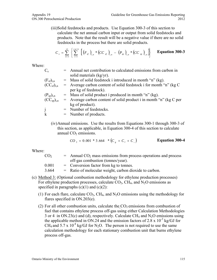(iii)Solid feedstocks and products. Use Equation 300-3 of this section to calculate the net annual carbon input or output from solid feedstocks and products. Note that the result will be a negative value if there are no solid feedstocks in the process but there are solid products.

$$
C_{s} = \sum_{n=1}^{12} \left\{ \sum_{i=1}^{j \text{ or } k} \left[ \left( F_{sf} \right)_{i,n} * \left( CC_{sf} \right)_{i,n} - \left( P_{sp} \right)_{i,n} * \left( CC_{sp} \right)_{i,n} \right] \right\}
$$
 Equation 300-3

Where:

| $C_{s}$                            | = Annual net contribution to calculated emissions from carbon in     |
|------------------------------------|----------------------------------------------------------------------|
|                                    | solid materials $(kg/yr)$ .                                          |
| $(F_{sf})_{i,n}$                   | $=$ Mass of solid feedstock i introduced in month "n" (kg).          |
| $(CC_{sf})_{i,n}$                  | $=$ Average carbon content of solid feedstock i for month "n" (kg C  |
|                                    | per kg of feedstock).                                                |
| $(P_{sp})_{i,n}$                   | $=$ Mass of solid product i produced in month "n" (kg).              |
| (CC <sub>sp</sub> ) <sub>i,n</sub> | $=$ Average carbon content of solid product i in month "n" (kg C per |
|                                    | kg of product).                                                      |
|                                    | = Number of feedstocks.                                              |
| $\mathbf k$                        | $=$ Number of products.                                              |
|                                    |                                                                      |

(iv)Annual emissions. Use the results from Equations 300-1 through 300-3 of this section, as applicable, in Equation 300-4 of this section to calculate annual  $CO<sub>2</sub>$  emissions.

$$
CO_2 = 0.001 * 3.664 * (C_g + C_l + C_s)
$$
 **Equation 300-4**

| CO <sub>2</sub> | $=$ Annual CO <sub>2</sub> mass emissions from process operations and process |
|-----------------|-------------------------------------------------------------------------------|
|                 | off-gas combustion (tonnes/year).                                             |
| 0.001           | $=$ Conversion factor from kg to tonnes.                                      |
| 3.664           | $=$ Ratio of molecular weight, carbon dioxide to carbon.                      |

- (c) Method 3: (Optional combustion methodology for ethylene production processes) For ethylene production processes, calculate  $CO<sub>2</sub>$ , CH<sub>4</sub>, and N<sub>2</sub>O emissions as specified in paragraphs  $(c)(1)$  and  $(c)(2)$ :
	- (1) For each flare, calculate  $CO_2$ , CH<sub>4</sub>, and N<sub>2</sub>O emissions using the methodology for flares specified in ON.203(e).
	- (2) For all other combustion units, calculate the  $CO<sub>2</sub>$  emissions from combustion of fuel that contains ethylene process off-gas using either Calculation Methodologies 3 or 4 in ON.23(c) and (d), respectively. Calculate CH<sub>4</sub> and N<sub>2</sub>O emissions using the applicable method in ON.24 and the emission factors of 2.8 x  $10^{-3}$  kg/GJ for CH<sub>4</sub> and 5.7 x 10<sup>-4</sup> kg/GJ for N<sub>2</sub>O. The person is not required to use the same calculation methodology for each stationary combustion unit that burns ethylene process off-gas.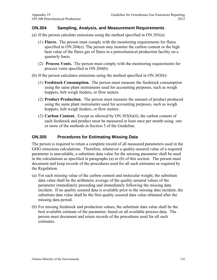#### **ON.304 Sampling, Analysis, and Measurement Requirements**

- (a) If the person calculate emissions using the method specified in ON.303(a):
	- heat value of the flares gas of flares in a petrochemical production facility on a (1) **Flares.** The person must comply with the monitoring requirements for flares specified in ON.204(e). The person may monitor the carbon content or the high quarterly basis.
	- (2) **Process Vents.** The person must comply with the monitoring requirements for process vents specified in ON.204(b).
- (b) If the person calculates emissions using the method specified in ON.303(b):
	- (1) **Feedstock Consumption.** The person must measure the feedstock consumption using the same plant instruments used for accounting purposes, such as weigh hoppers, belt weigh feeders, or flow meters.
	- (2) **Product Production.** The person must measure the amount of product produced using the same plant instruments used for accounting purposes, such as weigh hoppers, belt weigh feeders, or flow meters.
	- each feedstock and product must be measured at least once per month using one or more of the methods in Section 5 of the Guideline. (3) **Carbon Content.** Except as allowed by ON.303(b)(4), the carbon content of

## **ON.305 Procedures for Estimating Missing Data**

document and keep records of the procedures used for all such estimates as required by The person is required to retain a complete record of all measured parameters used in the GHG emissions calculations. Therefore, whenever a quality-assured value of a required parameter is unavailable, a substitute data value for the missing parameter shall be used in the calculations as specified in paragraphs (a) or (b) of this section. The person must the Regulation.

- (a) For each missing value of the carbon content and molecular weight, the substitute incident. If no quality assured data is available prior to the missing data incident, the substitute data value shall be the first quality assured data value obtained after the data value shall be the arithmetic average of the quality assured values of the parameter immediately preceding and immediately following the missing data missing data period.
- best available estimate of the parameter, based on all available process data. The person must document and retain records of the procedures used for all such **estimates** (b) For missing feedstock and production values, the substitute data value shall be the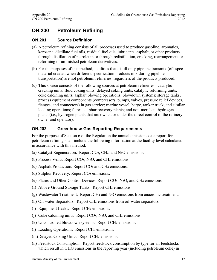# **ON.200 Petroleum Refining**

## **ON.201 Source Definition**

- (a) A petroleum refining consists of all processes used to produce gasoline, aromatics, kerosene, distillate fuel oils, residual fuel oils, lubricants, asphalt, or other products through distillation of petroleum or through redistillation, cracking, rearrangement or reforming of unfinished petroleum derivatives.
- (b) For the purposes of this method, facilities that distill only pipeline transmix (off-spec material created when different specification products mix during pipeline transportation) are not petroleum refineries, regardless of the products produced.
- (c) This source consists of the following sources at petroleum refineries: catalytic cracking units; fluid coking units; delayed coking units; catalytic reforming units; coke calcining units; asphalt blowing operations; blowdown systems; storage tanks; process equipment components (compressors, pumps, valves, pressure relief devices, flanges, and connectors) in gas service; marine vessel, barge, tanker truck, and similar loading operations; flares; sulphur recovery plants; and non-merchant hydrogen plants (i.e., hydrogen plants that are owned or under the direct control of the refinery owner and operator).

## **ON.202 Greenhouse Gas Reporting Requirements**

For the purpose of Section 6 of the Regulation the annual emissions data report for petroleum refining shall include the following information at the facility level calculated in accordance with this method:

- (a) Catalyst Regeneration. Report  $CO<sub>2</sub>$ , CH<sub>4</sub>, and N<sub>2</sub>O emissions.
- (b) Process Vents. Report  $CO<sub>2</sub>$ , N<sub>2</sub>O, and CH<sub>4</sub> emissions.
- (c) Asphalt Production. Report  $CO<sub>2</sub>$  and CH<sub>4</sub> emissions.
- (d) Sulphur Recovery. Report  $CO<sub>2</sub>$  emissions.
- (e) Flares and Other Control Devices. Report  $CO_2$ , N<sub>2</sub>O, and CH<sub>4</sub> emissions.
- (f) Above-Ground Storage Tanks. Report  $CH_4$  emissions.
- (g) Wastewater Treatment. Report CH<sub>4</sub> and  $N_2O$  emissions from anaerobic treatment.
- (h) Oil-water Separators. Report CH4 emissions from oil-water separators.
- $(i)$  Equipment Leaks. Report CH<sub>4</sub> emissions.
- (j) Coke calcining units. Report  $CO_2$ , N<sub>2</sub>O, and CH<sub>4</sub> emissions.
- $(k)$  Uncontrolled blowdown systems. Report CH<sub>4</sub> emissions.
- (l) Loading Operations. Report CH4 emissions.
- $(m)$ Delayed Coking Units. Report CH<sub>4</sub> emissions.
- (n) Feedstock Consumption: Report feedstock consumption by type for all feedstocks which result in GHG emissions in the reporting year (including petroleum coke) in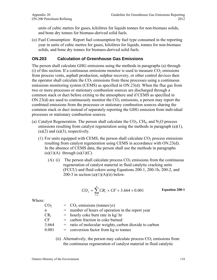units of cubic metres for gases, kilolitres for liquids tonnes for non-biomass solids, and bone dry tonnes for biomass-derived solid fuels.

(o) Fuel Consumption: Report fuel consumption by fuel type consumed in the reporting year in units of cubic metres for gases, kilolitres for liquids, tonnes for non-biomass solids, and bone dry tonnes for biomass-derived solid fuels.

## **ON.203 Calculation of Greenhouse Gas Emissions**

The person shall calculate GHG emissions using the methods in paragraphs (a) through (i) of this section. If a continuous emissions monitor is used to measure  $CO<sub>2</sub>$  emissions from process vents, asphalt production, sulphur recovery, or other control devices then the operator shall calculate the  $CO<sub>2</sub>$  emissions from these processes using a continuous emissions monitoring system (CEMS) as specified in ON.23(d). When the flue gas from two or more processes or stationary combustion sources are discharged through a common stack or duct before exiting to the atmosphere and if CEMS as specified in  $ON.23(d)$  are used to continuously monitor the  $CO<sub>2</sub>$  emissions, a person may report the combined emissions from the processes or stationary combustion sources sharing the common stack or duct instead of separately reporting the GHG emission from individual processes or stationary combustion sources.

- (a) Catalyst Regeneration. The person shall calculate the  $CO<sub>2</sub>$ , CH<sub>4</sub>, and N<sub>2</sub>O process emissions resulting from catalyst regeneration using the methods in paragraph (a)(1),  $(a)(2)$  and  $(a)(3)$ , respectively.
	- (1) For units equipped with CEMS, the person shall calculate  $CO<sub>2</sub>$  process emissions resulting from catalyst regeneration using CEMS in accordance with ON.23(d). In the absence of CEMS data, the person shall use the methods in paragraphs  $(a)(1)(A)$  through  $(a)(1)(C)$ .
		- (A) (i) The person shall calculate process  $CO<sub>2</sub>$  emissions from the continuous regeneration of catalyst material in fluid catalytic cracking units (FCCU) and fluid cokers using Equations 200-1, 200-1b, 200-2, and 200-3 in section  $(a)(1)(A)(ii)$  below.

$$
CO_2 = \sum_{i=1}^{n} CR_i \times CF \times 3.664 \times 0.001
$$
 Equation 200-1

Where:

| CO <sub>2</sub> | $=$ CO <sub>2</sub> emissions (tonnes/yr)                |
|-----------------|----------------------------------------------------------|
| n               | $=$ number of hours of operation in the report year      |
| $CR_i$          | $=$ hourly coke burn rate in kg/ hr                      |
| CF              | $=$ carbon fraction in coke burned                       |
| 3.664           | $=$ ratio of molecular weights, carbon dioxide to carbon |
| 0.001           | $=$ conversion factor from kg to tonnes                  |
|                 |                                                          |

(ii) Alternatively, the person may calculate process  $CO<sub>2</sub>$  emissions from the continuous regeneration of catalyst material in fluid catalytic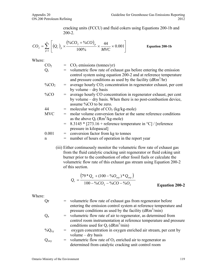cracking units (FCCU) and fluid cokers using Equations 200-1b and 200-2.

$$
CO_2 = \sum_{p=1}^{n} \left[ \left( Q_r \right)_p \times \frac{\left( \%CO_2 + \%CO \right)_p}{100\%} \times \frac{44}{MVC} \times 0.001 \right]
$$
 Equation 200-1b

Where:

| CO <sub>2</sub> |     | $=$ CO <sub>2</sub> emissions (tonnes/yr)                                                                                       |
|-----------------|-----|---------------------------------------------------------------------------------------------------------------------------------|
| $Q_{r}$         |     | = volumetric flow rate of exhaust gas before entering the emission                                                              |
|                 |     | control system using equation 200-2 and at reference temperature<br>and pressure conditions as used by the facility $(dRm3/hr)$ |
| $\%CO2$         |     | average hourly $CO2$ concentration in regenerator exhaust, per cent                                                             |
|                 |     | by volume $-$ dry basis                                                                                                         |
| $\%CO$          | $=$ | average hourly CO concentration in regenerator exhaust, per cent                                                                |
|                 |     | by volume – dry basis. When there is no post-combustion device,                                                                 |
|                 |     | assume %CO to be zero.                                                                                                          |
| 44              |     | = molecular weight of $CO_2$ (kg/kg-mole)                                                                                       |
| <b>MVC</b>      |     | molar volume conversion factor at the same reference conditions                                                                 |
|                 |     | as the above $Q_r$ (Rm <sup>3</sup> /kg-mole)                                                                                   |
|                 |     | $8.3145 * [273.16 +$ reference temperature in °C] / [reference                                                                  |
|                 |     | pressure in kilopascal]                                                                                                         |
| 0.001           |     | conversion factor from kg to tonnes                                                                                             |
| n               | $=$ | number of hours of operation in the report year                                                                                 |
|                 |     |                                                                                                                                 |

(iii) Either continuously monitor the volumetric flow rate of exhaust gas from the fluid catalytic cracking unit regenerator or fluid coking unit burner prior to the combustion of other fossil fuels or calculate the volumetric flow rate of this exhaust gas stream using Equation 200-2 of this section.

$$
Q_r = \frac{(79 * Q_a + (100 - %O_{oxy}) * Q_{oxy})}{100 - %CO_2 - %CO - %O_2}
$$
\nEquation 200-2

| Qr         | = volumetric flow rate of exhaust gas from regenerator before      |
|------------|--------------------------------------------------------------------|
|            | entering the emission control system at reference temperature and  |
|            | pressure conditions as used by the facility $(dRm3/min)$           |
| $Q_{a}$    | = volumetric flow rate of air to regenerator, as determined from   |
|            | control room instrumentation at reference temperature and pressure |
|            | conditions used for $Q_r$ (dRm <sup>3</sup> /min)                  |
| $\%Q_{xy}$ | = oxygen concentration in oxygen enriched air stream, per cent by  |
|            | volume $-$ dry basis                                               |
| $Q_{oxy}$  | = volumetric flow rate of $O_2$ enriched air to regenerator as     |
|            | determined from catalytic cracking unit control room               |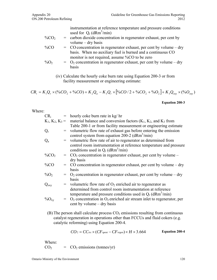instrumentation at reference temperature and pressure conditions used for  $Q_r$  (dRm<sup>3</sup>/min)

 $\%CO<sub>2</sub>$  = carbon dioxide concentration in regenerator exhaust, per cent by volume – dry basis

$$
\%CO = CO concentration in regenerator exhaust, per cent by volume - dry basis. When no auxiliary fuel is burned and a continuous CO monitor is not required, assume %CO to be zero
$$

$$
\%O_2 = O_2\text{ concentration in regenerator exhaust, per cent by volume } - \text{dry basis}
$$

(iv) Calculate the hourly coke burn rate using Equation 200-3 or from facility measurement or engineering estimate:

$$
CR_i = K_1 Q_r \times ( \%CO_2 + \%CO) + K_2 Q_a - K_3 Q_r \times [ \%CO/2 + \%CO_2 + \%O_2 ] + K_3 Q_{oxy} \times ( \%O_{oxy} )
$$

**Equation 200-3** 

Where:

| $CR_i$              |                   | $=$ hourly coke burn rate in kg/ hr                                                                                       |
|---------------------|-------------------|---------------------------------------------------------------------------------------------------------------------------|
|                     | $K_1, K_2, K_3 =$ | material balance and conversion factors $(K_1, K_2,$ and $K_3$ from                                                       |
|                     |                   | Table 200-1 or from facility measurement or engineering estimate                                                          |
| $\overline{Q_{r}}$  | $=$               | volumetric flow rate of exhaust gas before entering the emission                                                          |
|                     |                   | control system from equation 200-2 ( $dRm^3/min$ )                                                                        |
| $Q_{a}$             |                   | volumetric flow rate of air to regenerator as determined from                                                             |
|                     |                   | control room instrumentation at reference temperature and pressure<br>conditions used in $Q_r$ (dRm <sup>3</sup> /min)    |
| % $CO2$             | $=$               | $CO2$ concentration in regenerator exhaust, per cent by volume –                                                          |
|                     |                   | dry basis                                                                                                                 |
| %CO                 |                   | $=$ CO concentration in regenerator exhaust, per cent by volume – dry                                                     |
|                     |                   | basis                                                                                                                     |
| $\%$ O <sub>2</sub> | $=$               | $O_2$ concentration in regenerator exhaust, per cent by volume – dry                                                      |
|                     |                   | basis                                                                                                                     |
| $Q_{\rm oxy}$       | $=$               | volumetric flow rate of $O_2$ enriched air to regenerator as                                                              |
|                     |                   | determined from control room instrumentation at reference                                                                 |
|                     |                   | temperature and pressure conditions used in $Q_r$ (dRm <sup>3</sup> /min)                                                 |
| $\%O_{xy}$          | $=$               | $O_2$ concentration in $O_2$ enriched air stream inlet to regenerator, per<br>cent by volume – dry basis                  |
|                     |                   | (B) The person shall calculate process $CO2$ emissions resulting from continuous                                          |
|                     |                   |                                                                                                                           |
|                     |                   |                                                                                                                           |
|                     |                   | catalyst regeneration in operations other than FCCUs and fluid cokers (e.g.<br>catalytic reforming) using Equation 200-4. |

$$
CO_2 = CC_{\text{irc}} \times (CF_{\text{spent}} - CF_{\text{regen}}) \times H \times 3.664
$$
 Equation 200-4

Where:

 $CO<sub>2</sub> = CO<sub>2</sub>$  emissions (tonnes/yr)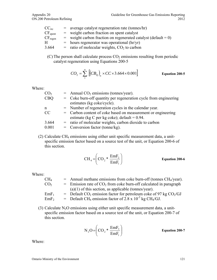| CC <sub>irc</sub>   | $=$ average catalyst regeneration rate (tonnes/hr)               |
|---------------------|------------------------------------------------------------------|
| CF <sub>spent</sub> | $=$ weight carbon fraction on spent catalyst                     |
| $CF_{regen}$        | $=$ weight carbon fraction on regenerated catalyst (default = 0) |
| H                   | $=$ hours regenerator was operational (hr/yr)                    |
| 3.664               | $=$ ratio of molecular weights, $CO2$ to carbon                  |

(C) The person shall calculate process  $CO<sub>2</sub>$  emissions resulting from periodic catalyst regeneration using Equations 200-5

$$
CO_2 = \sum_{1}^{n} \left[ \left( CB_{Q} \right)_{n} \times CC \times 3.664 \times 0.001 \right]
$$
 Equation 200-5

Where:

| $=$ Annual CO <sub>2</sub> emissions (tonnes/year).                |
|--------------------------------------------------------------------|
| $=$ Coke burn-off quantity per regeneration cycle from engineering |
| estimates (kg coke/cycle).                                         |
| = Number of regeneration cycles in the calendar year.              |
| = Carbon content of coke based on measurement or engineering       |
| estimate (kg C per kg coke); default = $0.94$ .                    |
| $=$ ratio of molecular weights, carbon dioxide to carbon           |
| $=$ Conversion factor (tonne/kg).                                  |
|                                                                    |

(2) Calculate CH4 emissions using either unit specific measurement data, a unitspecific emission factor based on a source test of the unit, or Equation 200-6 of this section.

$$
CH_4 = \left( \text{CO}_2 \ast \frac{\text{EmF}_2}{\text{EmF}_1} \right) \qquad \text{Equation 200-6}
$$

Where:

| CH <sub>4</sub>  | $=$ Annual methane emissions from coke burn-off (tonnes CH <sub>4</sub> /year).             |
|------------------|---------------------------------------------------------------------------------------------|
| CO <sub>2</sub>  | $=$ Emission rate of CO <sub>2</sub> from coke burn-off calculated in paragraph             |
|                  | $(a)(1)$ of this section, as applicable (tonnes/year).                                      |
| EmF <sub>1</sub> | $=$ Default CO <sub>2</sub> emission factor for petroleum coke of 97 kg CO <sub>2</sub> /GJ |
| EmF <sub>2</sub> | = Default CH <sub>4</sub> emission factor of 2.8 x $10^{-3}$ kg CH <sub>4</sub> /GJ.        |

(3) Calculate  $N_2O$  emissions using either unit specific measurement data, a unitspecific emission factor based on a source test of the unit, or Equation 200-7 of this section.

$$
N_2O = \left(CO_2 * \frac{EmF_3}{EmF_1}\right)
$$
 Equation 200-7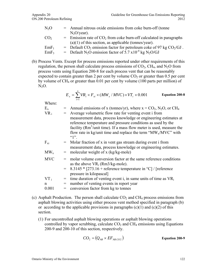| N <sub>2</sub> O | = Annual nitrous oxide emissions from coke burn-off (tonne                                 |
|------------------|--------------------------------------------------------------------------------------------|
|                  | $N2O/year$ ).                                                                              |
| CO <sub>2</sub>  | $=$ Emission rate of $CO2$ from coke burn-off calculated in paragraphs                     |
|                  | $(a)(1)$ of this section, as applicable (tonnes/year).                                     |
| EmF <sub>1</sub> | = Default $CO_2$ emission factor for petroleum coke of 97 kg $CO_2/GJ$ .                   |
| EmF <sub>3</sub> | = Default N <sub>2</sub> O emission factor of 5.7 x10 <sup>-4</sup> kg N <sub>2</sub> O/GJ |

(b) Process Vents. Except for process emissions reported under other requirements of this regulation, the person shall calculate process emissions of  $CO<sub>2</sub>$ , CH<sub>4</sub>, and N<sub>2</sub>O from process vents using Equation 200-8 for each process vent that can be reasonably expected to contain greater than 2 per cent by volume  $CO<sub>2</sub>$  or greater than 0.5 per cent by volume of CH4 or greater than 0.01 per cent by volume (100 parts per million) of  $N<sub>2</sub>O$ .

$$
E_x = \sum_{i=1}^{n} VR_i \times F_{xi} \times (MW_x / MVC) \times VT_i \times 0.001
$$
 Equation 200-8

| $E_x$        |     | = Annual emissions of x (tonnes/yr), where $x = CO_2$ , N <sub>2</sub> O, or CH <sub>4</sub> |
|--------------|-----|----------------------------------------------------------------------------------------------|
| $VR_{\perp}$ |     | Average volumetric flow rate for venting event i from                                        |
|              |     | measurement data, process knowledge or engineering estimates at                              |
|              |     | reference temperature and pressure conditions as used by the                                 |
|              |     | facility ( $Rm3/unit$ time). If a mass flow meter is used, measure the                       |
|              |     | flow rate in kg/unit time and replace the term " $MW_x/MVC$ " with<br>(1)                    |
| $F_{xi}$     |     | $=$ Molar fraction of x in vent gas stream during event i from                               |
|              |     | measurement data, process knowledge or engineering estimates.                                |
| $MW_{x}$     |     | molecular weight of x (kg/kg-mole)                                                           |
| <b>MVC</b>   |     | molar volume conversion factor at the same reference conditions                              |
|              |     | as the above $VR_i$ (Rm3/kg-mole).                                                           |
|              |     | $=$ 8.3145 $*$ [273.16 + reference temperature in °C] / [reference                           |
|              |     | pressure in kilopascal]                                                                      |
| $VT_i$       | $=$ | time duration of venting event i, in same units of time as $VR_i$                            |
| n            | $=$ | number of venting events in report year                                                      |
| 0.001        | $=$ | conversion factor from kg to tonnes                                                          |
|              |     |                                                                                              |

- (c) Asphalt Production. The person shall calculate  $CO<sub>2</sub>$  and  $CH<sub>4</sub>$  process emissions from asphalt blowing activities using either process vent method specified in paragraph (b) or according to the applicable provisions in paragraphs  $(c)(1)$  and  $(c)(2)$  of this section.
	- (1) For uncontrolled asphalt blowing operations or asphalt blowing operations controlled by vapor scrubbing, calculate  $CO<sub>2</sub>$  and  $CH<sub>4</sub>$  emissions using Equations 200-9 and 200-10 of this section, respectively.

$$
CO_2 = (Q_{AB} \times EF_{AB.CO2})
$$
 Equation 200-9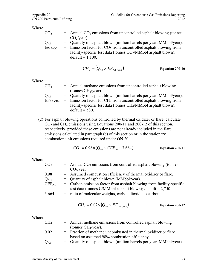| CO <sub>2</sub>   | $=$ Annual CO <sub>2</sub> emissions from uncontrolled asphalt blowing (tonnes |
|-------------------|--------------------------------------------------------------------------------|
|                   | $CO2/year$ ).                                                                  |
| $Q_{AB}$          | $=$ Quantity of asphalt blown (million barrels per year, MMbbl/year).          |
| $E_{\rm FAB,CO2}$ | $=$ Emission factor for $CO2$ from uncontrolled asphalt blowing from           |
|                   | facility-specific test data (tonnes $CO2/MMbbl$ asphalt blown);                |
|                   | $default = 1,100.$                                                             |

$$
CH_4 = (Q_{AB} \times EF_{AB,CH4})
$$
 Equation 200-10

Where:

| $\rm CH_{4}$         | = Annual methane emissions from uncontrolled asphalt blowing                   |
|----------------------|--------------------------------------------------------------------------------|
|                      | (tonnes $CH4/year$ ).                                                          |
| $Q_{AB}$             | $=$ Quantity of asphalt blown (million barrels per year, MMbbl/year).          |
| EF <sub>AB,CH4</sub> | $=$ Emission factor for CH <sub>4</sub> from uncontrolled asphalt blowing from |
|                      | facility-specific test data (tonnes CH <sub>4</sub> /MMbbl asphalt blown);     |
|                      | $default = 580.$                                                               |

(2) For asphalt blowing operations controlled by thermal oxidizer or flare, calculate CO2 and CH4 emissions using Equations 200-11 and 200-12 of this section, respectively, provided these emissions are not already included in the flare emissions calculated in paragraph (e) of this section or in the stationary combustion unit emissions required under ON.20.

$$
CO_2 = 0.98 \times (Q_{AB} \times CEF_{AB} \times 3.664)
$$
 Equation 200-11

Where:

| CO <sub>2</sub> | $=$ Annual CO <sub>2</sub> emissions from controlled asphalt blowing (tonnes |
|-----------------|------------------------------------------------------------------------------|
|                 | $CO2/year$ ).                                                                |
| 0.98            | = Assumed combustion efficiency of thermal oxidizer or flare.                |
| $Q_{AB}$        | $=$ Quantity of asphalt blown (MMbbl/year).                                  |
| $CEF_{AB}$      | = Carbon emission factor from asphalt blowing from facility-specific         |
|                 | test data (tonnes C/MMbbl asphalt blown); $default = 2,750$ .                |
| 3.664           | $=$ ratio of molecular weights, carbon dioxide to carbon                     |
|                 |                                                                              |

J.

$$
CH_4 = 0.02 \times (Q_{AB} \times EF_{AB,CH4})
$$
 Equation 200-12

| CH <sub>4</sub>            | = Annual methane emissions from controlled asphalt blowing            |
|----------------------------|-----------------------------------------------------------------------|
|                            | (tonnes $CH_4$ /year).                                                |
| 0.02                       | $=$ Fraction of methane uncombusted in thermal oxidizer or flare      |
|                            | based on assumed 98% combustion efficiency.                           |
| $\mathrm{Q}_{\mathrm{AB}}$ | $=$ Quantity of asphalt blown (million barrels per year, MMbbl/year). |
|                            |                                                                       |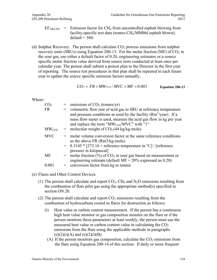- $EF_{AB,CH4}$  = Emission factor for CH<sub>4</sub> from uncontrolled asphalt blowing from facility-specific test data (tonnes CH<sub>4</sub>/MMbbl asphalt blown);  $default = 580.$
- (d) Sulphur Recovery. The person shall calculate  $CO<sub>2</sub>$  process emissions from sulphur recovery units (SRUs) using Equation 200-13. For the molar fraction (MF) of  $CO<sub>2</sub>$  in the sour gas, use either a default factor of 0.20, engineering estimates or a source specific molar fraction value derived from source tests conducted at least once per calendar year. The person shall submit a pretest plan to the Director in the first year of reporting. The source test procedures in that plan shall be repeated in each future year to update the source specific emission factors annually.

$$
CO_2 = FR \times MW_{CO2} / MVC \times MF \times 0.001
$$
 Equation 200-13

| CO <sub>2</sub>   | $=$ emissions of $CO2$ (tonnes/yr)                                                                                                                                                                                                                                  |
|-------------------|---------------------------------------------------------------------------------------------------------------------------------------------------------------------------------------------------------------------------------------------------------------------|
| <b>FR</b>         | = volumetric flow rate of acid gas to SRU at reference temperature<br>and pressure conditions as used by the facility $(Rm^3$ /year). If a<br>mass flow meter is used, measure the acid gas flow in kg per year<br>and replace the term " $MW_{CO2}/MVC$ " with "1" |
| MW <sub>CO2</sub> | = molecular weight of $CO2(44 \text{ kg/kg-mole})$                                                                                                                                                                                                                  |
| <b>MVC</b>        | molar volume conversion factor at the same reference conditions<br>as the above $FR (Rm3/kg$ -mole).                                                                                                                                                                |
|                   | $=$ 8.3145 $*$ [273.16 + reference temperature in $^{\circ}$ C] / [reference<br>pressure in kilopascal]                                                                                                                                                             |
| <b>MF</b>         | = molar fraction $\frac{9}{6}$ of CO <sub>2</sub> in sour gas based on measurement or<br>engineering estimate (default $MF = 20\%$ expressed as 0.20)                                                                                                               |
| 0.001             | $=$ conversion factor from kg to tonnes                                                                                                                                                                                                                             |

#### (e) Flares and Other Control Devices.

- (1) The person shall calculate and report  $CO<sub>2</sub>$ , CH<sub>4</sub> and N<sub>2</sub>O emissions resulting from the combustion of flare pilot gas using the appropriate method(s) specified in section ON.20.
- (2) The person shall calculate and report  $CO<sub>2</sub>$  emissions resulting from the combustion of hydrocarbons routed to flares for destruction as follows:
	- (i) Heat value or carbon content measurement. If the person has a continuous high heat value monitor or gas composition monitor on the flare or if the person monitors these parameters at least weekly, the person must use the measured heat value or carbon content value in calculating the  $CO<sub>2</sub>$ emissions from the flare using the applicable methods in paragraphs  $(e)(2)(i)(A)$  and  $(e)(2)(i)(B)$ .
		- (A) If the person monitors gas composition, calculate the  $CO<sub>2</sub>$  emissions from the flare using Equation 200-14 of this section. If daily or more frequent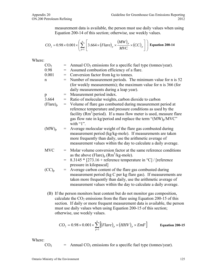measurement data is available, the person must use daily values when using Equation 200-14 of this section; otherwise, use weekly values.

$$
CO_2 = 0.98 \times 0.001 \times \left(\sum_{p=1}^{n} \left[3.664 \times (Flare)_p \times \frac{(MW)_p}{MVC} \times (CC)_p\right]\right)
$$
 Equation 200-14

Where:

| CO <sub>2</sub> | $\displaystyle \qquad \qquad =\qquad \qquad$ | Annual $CO2$ emissions for a specific fuel type (tonnes/year).                                                               |
|-----------------|----------------------------------------------|------------------------------------------------------------------------------------------------------------------------------|
| 0.98            | $=$                                          | Assumed combustion efficiency of a flare.                                                                                    |
| 0.001           | $\!\!\!=\!\!\!$                              | Conversion factor from kg to tonnes.                                                                                         |
| $\mathbf n$     | $=$                                          | Number of measurement periods. The minimum value for n is 52                                                                 |
|                 |                                              | (for weekly measurements); the maximum value for n is 366 (for                                                               |
|                 |                                              | daily measurements during a leap year).                                                                                      |
| p               | $=$                                          | Measurement period index.                                                                                                    |
| 3.664           | $=$                                          | Ratio of molecular weights, carbon dioxide to carbon                                                                         |
| $(Flare)_p$     | $=$                                          | Volume of flare gas combusted during measurement period at                                                                   |
|                 |                                              | reference temperature and pressure conditions as used by the                                                                 |
|                 |                                              | facility ( $Rm^3$ ) period). If a mass flow meter is used, measure flare                                                     |
|                 |                                              | gas flow rate in kg/period and replace the term " $(MW)_p/MVC$ "                                                             |
|                 |                                              | with " $1$ ".                                                                                                                |
| $(MW)_p$        |                                              | = Average molecular weight of the flare gas combusted during                                                                 |
|                 |                                              | measurement period (kg/kg-mole). If measurements are taken                                                                   |
|                 |                                              | more frequently than daily, use the arithmetic average of<br>measurement values within the day to calculate a daily average. |
|                 |                                              |                                                                                                                              |
| <b>MVC</b>      | $=$                                          | Molar volume conversion factor at the same reference conditions                                                              |
|                 |                                              | as the above (Flare) <sub>p</sub> ( $Rm3/kg$ -mole).                                                                         |
|                 | $=$                                          | 8.3145 * [273.16 + reference temperature in $^{\circ}$ C] / [reference                                                       |
|                 |                                              | pressure in kilopascal]                                                                                                      |
| $(CC)_{p}$      | $=$                                          | Average carbon content of the flare gas combusted during                                                                     |
|                 |                                              | measurement period (kg C per kg flare gas). If measurements are                                                              |
|                 |                                              | taken more frequently than daily, use the arithmetic average of                                                              |
|                 |                                              | measurement values within the day to calculate a daily average.                                                              |
|                 |                                              |                                                                                                                              |

(B) If the person monitors heat content but do not monitor gas composition, calculate the  $CO<sub>2</sub>$  emissions from the flare using Equation 200-15 of this section. If daily or more frequent measurement data is available, the person must use daily values when using Equation 200-15 of this section; otherwise, use weekly values.

$$
CO_2 = 0.98 \times 0.001 \times \sum_{p=1}^{n} [(Flare)_p \times (HHV)_p \times EmF]
$$
 Equation 200-15

Where:

 $CO<sub>2</sub>$  = Annual  $CO<sub>2</sub>$  emissions for a specific fuel type (tonnes/year).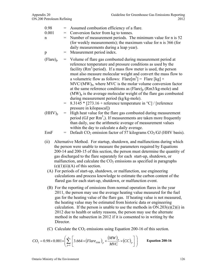- 0.98 = Assumed combustion efficiency of a flare.
- $0.001 =$  Conversion factor from kg to tonnes.
- $n =$  Number of measurement periods. The minimum value for n is 52 (for weekly measurements); the maximum value for n is 366 (for daily measurements during a leap year).
- p = Measurement period index.
- $(Flare)_p$  = Volume of flare gas combusted during measurement period at reference temperature and pressure conditions as used by the facility  $(Rm^3/period)$ . If a mass flow meter is used, the person must also measure molecular weight and convert the mass flow to a volumetric flow as follows: Flare[m<sup>3</sup>] = Flare [kg]  $\times$  $MVC/(MW)_{p}$ , where  $MVC$  is the molar volume conversion factor at the same reference conditions as  $(Flare)_p(Rm3/kg$ -mole) and  $(MW)$ <sub>n</sub> is the average molecular weight of the flare gas combusted during measurement period (kg/kg-mole).
	- $= 8.3145 * [273.16 + \text{reference temperature in } ^{\circ}C]/[\text{reference}$ pressure in kilopascal])
- $(HHV)_{p}$  = High heat value for the flare gas combusted during measurement period (GJ per  $Rm<sup>3</sup>$ ). If measurements are taken more frequently than daily, use the arithmetic average of measurement values within the day to calculate a daily average.
- $EmF = Default CO<sub>2</sub> emission factor of 57 kilograms CO<sub>2</sub>/GI (HHV basis).$
- (ii) Alternative Method. For startup, shutdown, and malfunctions during which the person were unable to measure the parameters required by Equations 200-14 and 200-15 of this section, the person must determine the quantity of gas discharged to the flare separately for each start-up, shutdown, or malfunction, and calculate the  $CO<sub>2</sub>$  emissions as specified in paragraphs  $(e)(1)(ii)(A)$  of this section.
	- (A) For periods of start-up, shutdown, or malfunction, use engineering calculations and process knowledge to estimate the carbon content of the flared gas for each start-up, shutdown, or malfunction event.
	- (B) For the reporting of emissions from normal operation flares in the year 2011, the person may use the average heating value measured for the fuel gas for the heating value of the flare gas. If heating value is not measured, the heating value may be estimated from historic data or engineering calculation. If the person is unable to use the methods in  $ON.203(e)(2)(i)$  in 2012 due to health or safety reasons, the person may use the alternate method in the subsection in 2012 if it is consented to in writing by the Director.
- (C) Calculate the  $CO<sub>2</sub>$  emissions using Equation 200-16 of this section.

$$
CO_2 = 0.98 \times 0.001 \times \left(\sum_{p=1}^n \left[3.664 \times \left(Flare_{SSM}\right)_p \times \frac{(MW)_p}{MVC} \times \left(CC\right)_p\right]\right)
$$
 Equation 200-16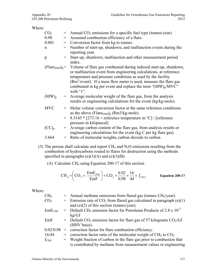|                 | $=$ Annual CO <sub>2</sub> emissions for a specific fuel type (tonnes/year).                                                                                                                                                                                                                                                                                                       |
|-----------------|------------------------------------------------------------------------------------------------------------------------------------------------------------------------------------------------------------------------------------------------------------------------------------------------------------------------------------------------------------------------------------|
| $=$             | Assumed combustion efficiency of a flare.                                                                                                                                                                                                                                                                                                                                          |
| $=$             | Conversion factor from kg to tonnes.                                                                                                                                                                                                                                                                                                                                               |
| $\!\!\!=\!\!\!$ | Number of start-up, shutdown, and malfunction events during the<br>reporting year.                                                                                                                                                                                                                                                                                                 |
|                 | Start-up, shutdown, malfunction and other measurement period<br>index.                                                                                                                                                                                                                                                                                                             |
|                 | $(Flare_{SSM})_p$ = Volume of flare gas combusted during indexed start-up, shutdown,<br>or malfunction event from engineering calculations, at reference<br>temperature and pressure conditions as used by the facility<br>$(Rm3/event)$ . If a mass flow meter is used, measure the flare gas<br>combusted in kg per event and replace the term " $(MW)_p/MVC$ "<br>with " $1$ ". |
|                 | = Average molecular weight of the flare gas, from the analysis<br>results or engineering calculations for the event (kg/kg-mole).                                                                                                                                                                                                                                                  |
|                 | = Molar volume conversion factor at the same reference conditions<br>as the above (Flare $_{SSM})_p$ (Rm3/kg-mole).                                                                                                                                                                                                                                                                |
|                 | 8.3145 * [273.16 + reference temperature in $^{\circ}$ C] / [reference<br>pressure in kilopascal]                                                                                                                                                                                                                                                                                  |
|                 | Average carbon content of the flare gas, from analysis results or<br>engineering calculations for the event (kg C per kg flare gas).                                                                                                                                                                                                                                               |
| $=$             | Ratio of molecular weights, carbon dioxide to carbon                                                                                                                                                                                                                                                                                                                               |
|                 |                                                                                                                                                                                                                                                                                                                                                                                    |

(3) The person shall calculate and report  $CH_4$  and  $N_2O$  emissions resulting from the combustion of hydrocarbons routed to flares for destruction using the methods specified in paragraphs  $(e)(3)(A)$  and  $(e)(3)(B)$ :

(A) Calculate CH4 using Equation 200-17 of this section.

$$
CH_4 = \left( \text{CO}_2 \times \frac{\text{EmF}_{\text{CH4}}}{\text{EmF}} \right) + CO_2 \times \frac{0.02}{0.98} \times \frac{16}{44} \times f_{CH4} \qquad \text{Equation 200-17}
$$

| CH <sub>4</sub>    | $=$ Annual methane emissions from flared gas (tonnes CH <sub>4</sub> /year).                 |
|--------------------|----------------------------------------------------------------------------------------------|
| CO <sub>2</sub>    | = Emission rate of $CO2$ from flared gas calculated in paragraph (e)(1)                      |
|                    | and $(e)(2)$ of this section (tonnes/year).                                                  |
| EmF <sub>CH4</sub> | $=$ Default CH <sub>4</sub> emission factor for Petroleum Products of 2.8 x 10 <sup>-3</sup> |
|                    | kg/GJ                                                                                        |
| EmF                | = Default $CO_2$ emission factor for flare gas of 57 kilograms $CO_2/GJ$                     |
|                    | (HHV basis).                                                                                 |
| 0.02/0.98          | = correction factor for flare combustion efficiency.                                         |
| 16/44              | = correction factor ratio of the molecular weight of CH <sub>4</sub> to $CO2$                |
| $f_{\rm CH4}$      | = Weight fraction of carbon in the flare gas prior to combustion that                        |
|                    | is contributed by methane from measurement values or engineering                             |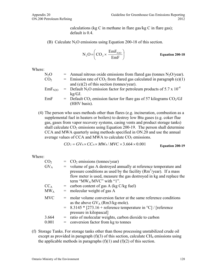calculations (kg C in methane in flare gas/kg C in flare gas); default is 0.4.

(B) Calculate  $N_2O$  emissions using Equation 200-18 of this section.

$$
N_2O = \left(CO_2 \times \frac{EmF_{N2O}}{EmF}\right)
$$
 Equation 200-18

Where:

| $=$ Annual nitrous oxide emissions from flared gas (tonnes N <sub>2</sub> O/year).            |
|-----------------------------------------------------------------------------------------------|
| $=$ Emission rate of CO <sub>2</sub> from flared gas calculated in paragraph (e)(1)           |
| and $(e)(2)$ of this section (tonnes/year).                                                   |
| = Default N <sub>2</sub> O emission factor for petroleum products of 5.7 x 10 <sup>-4</sup>   |
| $kg/GJ$ .                                                                                     |
| $=$ Default CO <sub>2</sub> emission factor for flare gas of 57 kilograms CO <sub>2</sub> /GJ |
| (HHV basis).                                                                                  |
|                                                                                               |

(4) The person who uses methods other than flares (e.g. incineration, combustion as a supplemental fuel in heaters or boilers) to destroy low Btu gases (e.g. coker flue gas, gases from vapor recovery systems, casing vents and product storage tanks) shall calculate  $CO<sub>2</sub>$  emissions using Equation 200-19. The person shall determine CCA and MWA quarterly using methods specified in ON.20 and use the annual average values of CCA and MWA to calculate  $CO<sub>2</sub>$  emissions.

$$
CO_2 = GV_A \times CC_A \times MW_A / MVC \times 3.664 \times 0.001
$$
 Equation 200-19

Where:

| CO <sub>2</sub> | $=$ CO <sub>2</sub> emissions (tonnes/year)                                                                                                                                                                                                               |
|-----------------|-----------------------------------------------------------------------------------------------------------------------------------------------------------------------------------------------------------------------------------------------------------|
| $GV_A$          | = volume of gas A destroyed annually at reference temperature and<br>pressure conditions as used by the facility $(Rm^3/\text{year})$ . If a mass<br>flow meter is used, measure the gas destroyed in kg and replace the<br>term " $MW_A/MVC$ " with "1". |
| $CC_A$          | $=$ carbon content of gas A (kg C/kg fuel)                                                                                                                                                                                                                |
| $MW_A$          | $=$ molecular weight of gas A                                                                                                                                                                                                                             |
| <b>MVC</b>      | = molar volume conversion factor at the same reference conditions<br>as the above $GV_A$ (Rm3/kg-mole).                                                                                                                                                   |
|                 | $=$ 8.3145 $*$ [273.16 + reference temperature in $°C$ ] / [reference]<br>pressure in kilopascal]                                                                                                                                                         |
| 3.664           | = ratio of molecular weights, carbon dioxide to carbon                                                                                                                                                                                                    |
| 0.001           | $=$ conversion factor from kg to tonnes                                                                                                                                                                                                                   |

(f) Storage Tanks. For storage tanks other than those processing unstabilized crude oil except as provided in paragraph  $(f)(3)$  of this section, calculate CH<sub>4</sub> emissions using the applicable methods in paragraphs  $(f)(1)$  and  $(f)(2)$  of this section.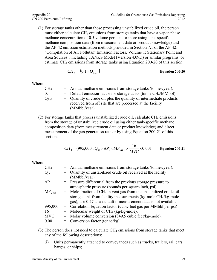(1) For storage tanks other than those processing unstabilized crude oil, the person must either calculate CH<sub>4</sub> emissions from storage tanks that have a vapor-phase methane concentration of 0.5 volume per cent or more using tank-specific methane composition data (from measurement data or product knowledge) and the AP-42 emission estimation methods provided in Section 7.1 of the AP-42: "Compilation of Air Pollutant Emission Factors, Volume 1: Stationary Point and Area Sources", including TANKS Model (Version 4.09D) or similar programs, or estimate CH<sub>4</sub> emissions from storage tanks using Equation 200-20 of this section.

$$
CH_4 = (0.1 \times Q_{\text{Re }f})
$$
 Equation 200-20

Where:

| CH <sub>4</sub> | $=$ Annual methane emissions from storage tanks (tonnes/year).                |
|-----------------|-------------------------------------------------------------------------------|
| 01              | $=$ Default emission factor for storage tanks (tonne CH <sub>4</sub> /MMbbl). |
| $Q_{\rm Ref}$   | $=$ Quantity of crude oil plus the quantity of intermediate products          |
|                 | received from off site that are processed at the facility                     |
|                 | $(MMbbl/year)$ .                                                              |

(2) For storage tanks that process unstabilized crude oil, calculate  $CH_4$  emissions from the storage of unstabilized crude oil using either tank-specific methane composition data (from measurement data or product knowledge) and direct measurement of the gas generation rate or by using Equation 200-21 of this section.

$$
CH_4 = (995,000 \times Q_{un} \times \Delta P) \times MF_{CH4} \times \frac{16}{MVC} \times 0.001
$$
 Equation 200-21

| CH <sub>4</sub>   | = Annual methane emissions from storage tanks (tonnes/year).                     |
|-------------------|----------------------------------------------------------------------------------|
| $Q_{un}$          | = Quantity of unstabilized crude oil received at the facility                    |
|                   | (MMbbl/year).                                                                    |
| $\Delta P$        | = Pressure differential from the previous storage pressure to                    |
|                   | atmospheric pressure (pounds per square inch, psi).                              |
| MF <sub>CH4</sub> | $=$ Mole fraction of CH <sub>4</sub> in vent gas from the unstabilized crude oil |
|                   | storage tank from facility measurements (kg-mole CH <sub>4</sub> /kg-mole        |
|                   | gas); use 0.27 as a default if measurement data is not available.                |
| 995,000           | = Correlation Equation factor (cubic feet gas per MMbbl per psi)                 |
| 16                | $=$ Molecular weight of CH <sub>4</sub> (kg/kg-mole).                            |
| <b>MVC</b>        | = Molar volume conversion (849.5 cubic feet/kg-mole).                            |
| 0.001             | $=$ Conversion factor (tonne/kg).                                                |
|                   |                                                                                  |

- (3) The person does not need to calculate  $CH_4$  emissions from storage tanks that meet any of the following descriptions:
	- (i) Units permanently attached to conveyances such as trucks, trailers, rail cars, barges, or ships;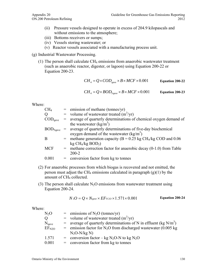- (ii) Pressure vessels designed to operate in excess of 204.9 kilopascals and without emissions to the atmosphere;
- (iii) Bottoms receivers or sumps;
- (iv) Vessels storing wastewater; or
- (v) Reactor vessels associated with a manufacturing process unit.
- (g) Industrial Wastewater Processing.
	- (1) The person shall calculate  $CH_4$  emissions from anaerobic wastewater treatment (such as anaerobic reactor, digester, or lagoon) using Equation 200-22 or Equation 200-23.

$$
CH_4 = Q \times COD_{\text{gave}} \times B \times MCF \times 0.001
$$
 Equation 200-22

$$
CH_4 = Q \times BOD_{\text{Square}} \times B \times MCF \times 0.001
$$
 Equation 200-23

| CH <sub>4</sub>              | $=$ emission of methane (tonnes/yr)                                            |
|------------------------------|--------------------------------------------------------------------------------|
| Q                            | = volume of wastewater treated $(m^3/yr)$                                      |
| $\mathrm{COD}_\mathrm{qave}$ | = average of quarterly determinations of chemical oxygen demand of             |
|                              | the wastewater $(kg/m^3)$                                                      |
|                              | $BOD5qave$ = average of quarterly determinations of five-day biochemical       |
|                              | oxygen demand of the wastewater $(kg/m^3)$                                     |
| B                            | = methane generation capacity ( $B = 0.25$ kg CH <sub>4</sub> /kg COD and 0.06 |
|                              | kg CH <sub>4</sub> /kg BOD <sub>5</sub> )                                      |
| <b>MCF</b>                   | $=$ methane correction factor for anaerobic decay $(0-1.0)$ from Table         |
|                              | $200 - 2$                                                                      |
| 0.001                        | $=$ conversion factor from kg to tonnes                                        |
|                              |                                                                                |

- (2) For anaerobic processes from which biogas is recovered and not emitted, the person must adjust the CH<sub>4</sub> emissions calculated in paragraph  $(g)(1)$  by the amount of CH<sub>4</sub> collected.
- (3) The person shall calculate  $N_2O$  emissions from wastewater treatment using Equation 200-24.

$$
N_2O = Q \times N_{\text{gave}} \times EF_{N2O} \times 1.571 \times 0.001
$$
 Equation 200-24

| $N_2O$            | = emissions of $N_2O$ (tonnes/yr)                                   |
|-------------------|---------------------------------------------------------------------|
| Q                 | = volume of wastewater treated $(m^3/yr)$                           |
| $N_{\text{gave}}$ | = average of quarterly determinations of N in effluent (kg $N/m3$ ) |
| EF <sub>N2O</sub> | = emission factor for $N_2O$ from discharged wastewater (0.005 kg)  |
|                   | $N_2O-N/kg N$                                                       |
| 1.571             | = conversion factor – kg N <sub>2</sub> O-N to kg N <sub>2</sub> O  |
| 0.001             | $=$ conversion factor from kg to tonnes                             |
|                   |                                                                     |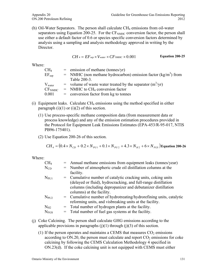(h) Oil-Water Separators. The person shall calculate  $CH_4$  emissions from oil-water separators using Equation 200-25. For the  $CF<sub>NMHC</sub>$  conversion factor, the person shall use either a default factor of 0.6 or species specific conversion factors determined by analysis using a sampling and analysis methodology approved in writing by the Director.

$$
CH_4 = EF_{sep} \times V_{water} \times CF_{NMHC} \times 0.001
$$
 Equation 200-25

Where:

| CH <sub>4</sub> | $=$ emission of methane (tonnes/yr)                                          |  |
|-----------------|------------------------------------------------------------------------------|--|
| $EF_{\rm sep}$  | $=$ NMHC (non methane hydrocarbon) emission factor (kg/m <sup>3</sup> ) from |  |
|                 | Table 200-3.                                                                 |  |
| $\rm V_{water}$ | = volume of waste water treated by the separator $(m^3/yr)$                  |  |
| $\rm CF_{NMHC}$ | $=$ NMHC to CH <sub>4</sub> conversion factor                                |  |
| 0.001           | $=$ conversion factor from kg to tonnes                                      |  |

- (i) Equipment leaks. Calculate  $CH_4$  emissions using the method specified in either paragraph  $(i)(1)$  or  $(i)(2)$  of this section.
	- (1) Use process-specific methane composition data (from measurement data or process knowledge) and any of the emission estimation procedures provided in the Protocol for Equipment Leak Emissions Estimates (EPA-453/R-95-017, NTIS PB96-175401).
	- (2) Use Equation 200-26 of this section.

$$
CH_4 = (0.4 \times N_{CD} + 0.2 \times N_{PU1} + 0.1 \times N_{PU2} + 4.3 \times N_{H2} + 6 \times N_{FGS})
$$
 Equation 200-26

| CH <sub>4</sub> | = Annual methane emissions from equipment leaks (tonnes/year)       |  |
|-----------------|---------------------------------------------------------------------|--|
| $\rm N_{CD}$    | = Number of atmospheric crude oil distillation columns at the       |  |
|                 | facility.                                                           |  |
| $\rm N_{PUI}$   | = Cumulative number of catalytic cracking units, coking units       |  |
|                 | (delayed or fluid), hydrocracking, and full-range distillation      |  |
|                 | columns (including depropanizer and debutanizer distillation        |  |
|                 | columns) at the facility.                                           |  |
| $N_{\rm PU2}$   | = Cumulative number of hydrotreating/hydrorefining units, catalytic |  |
|                 | reforming units, and visbreaking units at the facility.             |  |
| $\rm N_{H2}$    | $=$ Total number of hydrogen plants at the facility.                |  |
| ${\rm N_{FGS}}$ | = Total number of fuel gas systems at the facility.                 |  |
|                 |                                                                     |  |

- (j) Coke Calcining. The person shall calculate GHG emissions according to the applicable provisions in paragraphs  $(j)(1)$  through  $(j)(3)$  of this section.
	- (1) If the person operates and maintains a CEMS that measures  $CO<sub>2</sub>$  emissions according to  $ON.20$ , the person must calculate and report  $CO<sub>2</sub>$  emissions for coke calcining by following the CEMS Calculation Methodology 4 specified in ON.23(d). If the coke calcining unit is not equipped with CEMS must either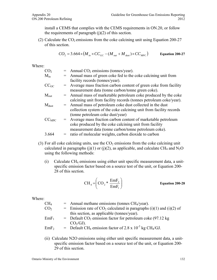install a CEMS that complies with the CEMS requirements in ON.20, or follow the requirements of paragraph  $(j)(2)$  of this section.

(2) Calculate the  $CO<sub>2</sub>$  emissions from the coke calcining unit using Equation 200-27 of this section.

$$
CO_2 = 3.664 \times (M_{in} \times CC_{GC} - (M_{out} + M_{dust}) \times CC_{MPC})
$$
 Equation 200-27

Where:

| CO <sub>2</sub>             |     | $=$ Annual CO <sub>2</sub> emissions (tonnes/year).                |  |
|-----------------------------|-----|--------------------------------------------------------------------|--|
| $\rm M_{in}$                |     | = Annual mass of green coke fed to the coke calcining unit from    |  |
|                             |     | facility records (tonnes/year).                                    |  |
| $\mathrm{CC}_{\mathrm{GC}}$ |     | = Average mass fraction carbon content of green coke from facility |  |
|                             |     | measurement data (tonne carbon/tonne green coke).                  |  |
| $\rm M_{out}$               |     | = Annual mass of marketable petroleum coke produced by the coke    |  |
|                             |     | calcining unit from facility records (tonnes petroleum coke/year). |  |
| $\rm M_{dust}$              |     | = Annual mass of petroleum coke dust collected in the dust         |  |
|                             |     | collection system of the coke calcining unit from facility records |  |
|                             |     | (tonne petroleum coke dust/year)                                   |  |
| $CC_{\mathrm{MPC}}$         |     | = Average mass fraction carbon content of marketable petroleum     |  |
|                             |     | coke produced by the coke calcining unit from facility             |  |
|                             |     | measurement data (tonne carbon/tonne petroleum coke).              |  |
| 3.664                       | $=$ | ratio of molecular weights, carbon dioxide to carbon               |  |
|                             |     |                                                                    |  |

- (3) For all coke calcining units, use the  $CO<sub>2</sub>$  emissions from the coke calcining unit calculated in paragraphs (j)(1) or (j)(2), as applicable, and calculate CH<sub>4</sub> and N<sub>2</sub>O using the following methods:
	- (i) Calculate CH4 emissions using either unit specific measurement data, a unitspecific emission factor based on a source test of the unit, or Equation 200- 28 of this section.

$$
CH_4 = \left( \text{CO}_2 \ast \frac{\text{EmF}_2}{\text{EmF}_1} \right) \qquad \text{Equation 200-28}
$$

Where:

| $\rm CH_{4}$     | $=$ Annual methane emissions (tonnes CH <sub>4</sub> /year).                         |  |
|------------------|--------------------------------------------------------------------------------------|--|
| CO <sub>2</sub>  | = Emission rate of $CO_2$ calculated in paragraphs (i)(1) and (i)(2) of              |  |
|                  | this section, as applicable (tonnes/year).                                           |  |
| EmF <sub>1</sub> | $=$ Default CO <sub>2</sub> emission factor for petroleum coke (97.12 kg)            |  |
|                  | $CO2/GI)$ .                                                                          |  |
| EmF <sub>2</sub> | = Default CH <sub>4</sub> emission factor of 2.8 x $10^{-3}$ kg CH <sub>4</sub> /GJ. |  |
|                  |                                                                                      |  |

(ii) Calculate N2O emissions using either unit specific measurement data, a unitspecific emission factor based on a source test of the unit, or Equation 200- 29 of this section.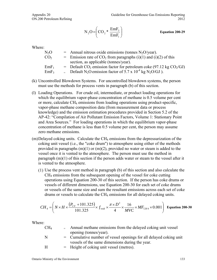$$
N_2O = \left(CO_2 * \frac{EmF_3}{EmF_1}\right)
$$
 *Equation 200-29*

| $N_2O$           | $=$ Annual nitrous oxide emissions (tonnes N <sub>2</sub> O/year).                            |  |
|------------------|-----------------------------------------------------------------------------------------------|--|
| CO <sub>2</sub>  | = Emission rate of $CO_2$ from paragraphs (i)(1) and (i)(2) of this                           |  |
|                  | section, as applicable (tonnes/year).                                                         |  |
| $EmF_1$          | = Default $CO_2$ emission factor for petroleum coke (97.12 kg $CO_2/GJ$ )                     |  |
| EmF <sub>3</sub> | = Default N <sub>2</sub> O emission factor of 5.7 x 10 <sup>-4</sup> kg N <sub>2</sub> O/GJ). |  |

- (k) Uncontrolled Blowdown Systems. For uncontrolled blowdown systems, the person must use the methods for process vents in paragraph (b) of this section.
- (l) Loading Operations. For crude oil, intermediate, or product loading operations for which the equilibrium vapor-phase concentration of methane is 0.5 volume per cent or more, calculate CH4 emissions from loading operations using product-specific, vapor-phase methane composition data (from measurement data or process knowledge) and the emission estimation procedures provided in Section 5.2 of the AP-42: "Compilation of Air Pollutant Emission Factors, Volume 1: Stationary Point and Area Sources." For loading operations in which the equilibrium vapor-phase concentration of methane is less than 0.5 volume per cent, the person may assume zero methane emissions.
- $(m)$ Delayed coking units. Calculate the CH<sub>4</sub> emissions from the depressurization of the coking unit vessel (i.e., the "coke drum") to atmosphere using either of the methods provided in paragraphs  $(m)(1)$  or  $(m)(2)$ , provided no water or steam is added to the vessel once it is vented to the atmosphere. The person must use the method in paragraph (m)(1) of this section if the person adds water or steam to the vessel after it is vented to the atmosphere.
	- (1) Use the process vent method in paragraph (b) of this section and also calculate the CH4 emissions from the subsequent opening of the vessel for coke cutting operations using Equation 200-30 of this section. If the person has coke drums or vessels of different dimensions, use Equation 200-30 for each set of coke drums or vessels of the same size and sum the resultant emissions across each set of coke drums or vessels to calculate the CH<sub>4</sub> emissions for all delayed coking units.

$$
CH_4 = \left( N \times H \times \frac{\left( P_{CV} + 101.325 \right)}{101.325} \times f_{\text{void}} \times \frac{\pi \times D^2}{4} \times \frac{16}{MVC} \times MF_{CH4} \times 0.001 \right) \text{ Equation 200-30}
$$

| CH <sub>4</sub> | Annual methane emissions from the delayed coking unit vessel       |
|-----------------|--------------------------------------------------------------------|
|                 | opening (tonnes/year).                                             |
| N               | = Cumulative number of vessel openings for all delayed coking unit |
|                 | vessels of the same dimensions during the year.                    |
| H               | $=$ Height of coking unit vessel (metres).                         |
|                 |                                                                    |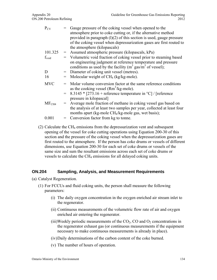| $P_{CV}$       |     | Gauge pressure of the coking vessel when opened to the                 |  |
|----------------|-----|------------------------------------------------------------------------|--|
|                |     | atmosphere prior to coke cutting or, if the alternative method         |  |
|                |     | provided in paragraph $(1)(2)$ of this section is used, gauge pressure |  |
|                |     | of the coking vessel when depressurization gases are first routed to   |  |
|                |     | the atmosphere (kilopascals)                                           |  |
| 101.325        |     | $=$ Assumed atmospheric pressure (kilopascals, kPa)                    |  |
| $f_{void}$     |     | = Volumetric void fraction of coking vessel prior to steaming based    |  |
|                |     | on engineering judgment at reference temperature and pressure          |  |
|                |     | conditions as used by the facility $(m^3$ gas/ $m^3$ of vessel);       |  |
| D              |     | = Diameter of coking unit vessel (metres).                             |  |
| 16             |     | Molecular weight of CH <sub>4</sub> (kg/kg-mole).                      |  |
| <b>MVC</b>     |     | = Molar volume conversion factor at the same reference conditions      |  |
|                |     | as the cooking vessel $(Rm^3/kg$ -mole).                               |  |
|                |     | $=$ 8.3145 $*$ [273.16 + reference temperature in °C] / [reference     |  |
|                |     | pressure in kilopascal]                                                |  |
| $\rm MF_{CH4}$ | $=$ | Average mole fraction of methane in coking vessel gas based on         |  |
|                |     | the analysis of at least two samples per year, collected at least four |  |
|                |     | months apart (kg-mole CH <sub>4</sub> /kg-mole gas, wet basis);        |  |
| 0.001          |     | Conversion factor from kg to tonne.                                    |  |
|                |     |                                                                        |  |

(2) Calculate the CH<sub>4</sub> emissions from the depressurization vent and subsequent opening of the vessel for coke cutting operations using Equation 200-30 of this section and the pressure of the coking vessel when the depressurization gases are first routed to the atmosphere. If the person has coke drums or vessels of different dimensions, use Equation 200-30 for each set of coke drums or vessels of the same size and sum the resultant emissions across each set of coke drums or vessels to calculate the CH<sub>4</sub> emissions for all delayed coking units.

#### **ON.204 Sampling, Analysis, and Measurement Requirements**

- (a) Catalyst Regeneration.
	- (1) For FCCUs and fluid coking units, the person shall measure the following parameters:
		- (i) The daily oxygen concentration in the oxygen enriched air stream inlet to the regenerator.
		- (ii) Continuous measurements of the volumetric flow rate of air and oxygen enriched air entering the regenerator.
		- (iii)Weekly periodic measurements of the  $CO<sub>2</sub>$ , CO and  $O<sub>2</sub>$  concentrations in the regenerator exhaust gas (or continuous measurements if the equipment necessary to make continuous measurements is already in place).
		- (iv)Daily determinations of the carbon content of the coke burned.
		- (v) The number of hours of operation.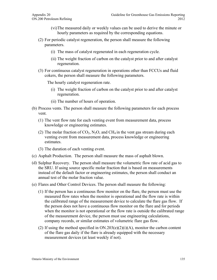- (vi)The measured daily or weekly values can be used to derive the minute or hourly parameters as required by the corresponding equations.
- (2) For periodic catalyst regeneration, the person shall measure the following parameters.
	- (i) The mass of catalyst regenerated in each regeneration cycle.
	- (ii) The weight fraction of carbon on the catalyst prior to and after catalyst regeneration.
- (3) For continuous catalyst regeneration in operations other than FCCUs and fluid cokers, the person shall measure the following parameters.

The hourly catalyst regeneration rate.

- (i) The weight fraction of carbon on the catalyst prior to and after catalyst regeneration.
- (ii) The number of hours of operation.
- (b) Process vents. The person shall measure the following parameters for each process vent.
	- (1) The vent flow rate for each venting event from measurement data, process knowledge or engineering estimates.
	- (2) The molar fraction of  $CO_2$ , N<sub>2</sub>O, and CH<sub>4</sub> in the vent gas stream during each venting event from measurement data, process knowledge or engineering estimates.
	- (3) The duration of each venting event.
- (c) Asphalt Production. The person shall measure the mass of asphalt blown.
- (d) Sulphur Recovery. The person shall measure the volumetric flow rate of acid gas to the SRU. If using source specific molar fraction that is based on measurements instead of the default factor or engineering estimates, the person shall conduct an annual test of the molar fraction value.
- (e) Flares and Other Control Devices. The person shall measure the following:
	- (1) If the person has a continuous flow monitor on the flare, the person must use the measured flow rates when the monitor is operational and the flow rate is within the calibrated range of the measurement device to calculate the flare gas flow. If the person does not have a continuous flow monitor on the flare and for periods when the monitor is not operational or the flow rate is outside the calibrated range of the measurement device, the person must use engineering calculations, company records, or similar estimates of volumetric flare gas flow.
	- (2) If using the method specified in  $ON.203(e)(2)(i)(A)$ , monitor the carbon content of the flare gas daily if the flare is already equipped with the necessary measurement devices (at least weekly if not).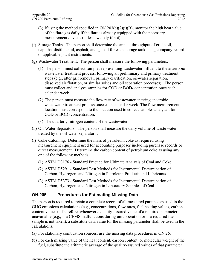- (3) If using the method specified in  $ON.203(e)(2)(i)(B)$ , monitor the high heat value of the flare gas daily if the flare is already equipped with the necessary measurement devices (at least weekly if not).
- (f) Storage Tanks. The person shall determine the annual throughput of crude oil, naphtha, distillate oil, asphalt, and gas oil for each storage tank using company record or applicable plant instruments.
- (g) Wastewater Treatment. The person shall measure the following parameters.
	- (1) The person must collect samples representing wastewater influent to the anaerobic wastewater treatment process, following all preliminary and primary treatment steps (e.g., after grit removal, primary clarification, oil-water separation, dissolved air flotation, or similar solids and oil separation processes). The person must collect and analyze samples for COD or BOD<sub>5</sub> concentration once each calendar week.
	- (2) The person must measure the flow rate of wastewater entering anaerobic wastewater treatment process once each calendar week. The flow measurement location must correspond to the location used to collect samples analyzed for  $\text{COD}$  or  $\text{BOD}_5$  concentration.
	- (3) The quarterly nitrogen content of the wastewater.
- (h) Oil-Water Separators. The person shall measure the daily volume of waste water treated by the oil-water separators .
- (i) Coke Calcining. Determine the mass of petroleum coke as required using measurement equipment used for accounting purposes including purchase records or direct measurement. Determine the carbon content of petroleum coke as using any one of the following methods:
	- (1) ASTM D3176 Standard Practice for Ultimate Analysis of Coal and Coke.
	- (2) ASTM D5291 Standard Test Methods for Instrumental Determination of Carbon, Hydrogen, and Nitrogen in Petroleum Products and Lubricants.
	- (3) ASTM D5373 Standard Test Methods for Instrumental Determination of Carbon, Hydrogen, and Nitrogen in Laboratory Samples of Coal

## **ON.205 Procedures for Estimating Missing Data**

The person is required to retain a complete record of all measured parameters used in the GHG emissions calculations (e.g., concentrations, flow rates, fuel heating values, carbon content values). Therefore, whenever a quality-assured value of a required parameter is unavailable (e.g., if a CEMS malfunctions during unit operation or if a required fuel sample is not taken), a substitute data value for the missing parameter shall be used in the calculations.

- (a) For stationary combustion sources, use the missing data procedures in ON.26.
- (b) For each missing value of the heat content, carbon content, or molecular weight of the fuel, substitute the arithmetic average of the quality-assured values of that parameter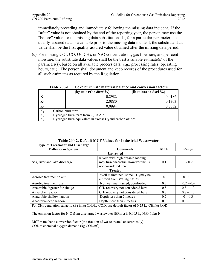immediately preceding and immediately following the missing data incident. If the "after" value is not obtained by the end of the reporting year, the person may use the "before" value for the missing data substitution. If, for a particular parameter, no quality-assured data is available prior to the missing data incident, the substitute data value shall be the first quality-assured value obtained after the missing data period.

(c) For missing  $CO_2$ ,  $CO$ ,  $O_2$ ,  $CH_4$ , or  $N_2O$  concentrations, gas flow rate, and per cent moisture, the substitute data values shall be the best available estimate(s) of the parameter(s), based on all available process data (e.g., processing rates, operating hours, etc.). The person shall document and keep records of the procedures used for all such estimates as required by the Regulation.

|       |                                                            | (kg min)/(hr dRm <sup>3</sup> %) | $(lb \text{ min})/(hr \text{ dscf } %)$ |  |  |
|-------|------------------------------------------------------------|----------------------------------|-----------------------------------------|--|--|
|       |                                                            | 0.2982                           | 0.0186                                  |  |  |
| $K_2$ |                                                            | 2.0880                           | 0.1303                                  |  |  |
| $K_3$ |                                                            | 0.0994                           | 0.0062                                  |  |  |
| $K_1$ | Carbon burn term                                           |                                  |                                         |  |  |
| $K_2$ | Hydrogen burn term from $O_2$ in Air                       |                                  |                                         |  |  |
| $K_3$ | Hydrogen burn equivalent in excess $O_2$ and carbon oxides |                                  |                                         |  |  |

**Table 200-1. Coke burn rate material balance and conversion factors** 

| Table 200-2. Default MCF Values for Industrial Wastewater |  |
|-----------------------------------------------------------|--|
|                                                           |  |

| <b>Comments</b>                                                                                                                    | <b>MCF</b>                          | Range       |  |  |  |
|------------------------------------------------------------------------------------------------------------------------------------|-------------------------------------|-------------|--|--|--|
| <b>Untreated</b>                                                                                                                   |                                     |             |  |  |  |
| Rivers with high organic loading                                                                                                   |                                     | $0 - 0.2$   |  |  |  |
|                                                                                                                                    | 0.1                                 |             |  |  |  |
| not considered here                                                                                                                |                                     |             |  |  |  |
| <b>Treated</b>                                                                                                                     |                                     |             |  |  |  |
| Well maintained, some CH <sub>4</sub> may be                                                                                       |                                     | $0 - 0.1$   |  |  |  |
| emitted from settling basins                                                                                                       |                                     |             |  |  |  |
| Not well maintained, overloaded                                                                                                    | 0.3                                 | $0.2 - 0.4$ |  |  |  |
| $CH4$ recovery not considered here                                                                                                 | 0.8                                 | $0.8 - 1.0$ |  |  |  |
| $CH4$ recovery not considered here                                                                                                 | 0.8                                 | $0.8 - 1.0$ |  |  |  |
| Depth less than 2 metres                                                                                                           | 0.2                                 | $0 - 0.3$   |  |  |  |
| Depth more than 2 metres                                                                                                           | 0.8                                 | $0.8 - 1.0$ |  |  |  |
| For CH <sub>4</sub> generation capacity (B) in kg CH <sub>4</sub> /kg COD, use default factor of 0.25 kg CH <sub>4</sub> /kg COD.  |                                     |             |  |  |  |
| The emission factor for N <sub>2</sub> O from discharged wastewater ( $EF_{N2O}$ ) is 0.005 kg N <sub>2</sub> O-N/kg-N.            |                                     |             |  |  |  |
| $MCF$ = methane conversion factor (the fraction of waste treated anaerobically).<br>$COD =$ chemical oxygen demand (kg $COD/m3$ ). |                                     |             |  |  |  |
|                                                                                                                                    | may turn anaerobic, however this is | $\theta$    |  |  |  |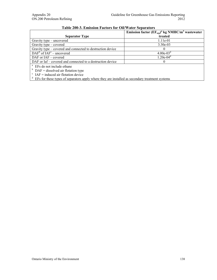|                                                                                                 | Emission factor $(EF_{\text{sep}})^{a}$ kg NMHC/m <sup>3</sup> wastewater |  |  |
|-------------------------------------------------------------------------------------------------|---------------------------------------------------------------------------|--|--|
| <b>Separator Type</b>                                                                           | treated                                                                   |  |  |
| Gravity type – uncovered                                                                        | 1.11e-01                                                                  |  |  |
| Gravity type – covered                                                                          | $3.30e-03$                                                                |  |  |
| Gravity type – covered and connected to destruction device                                      | $\theta$                                                                  |  |  |
| $DAFb$ of $IAFc$ – uncovered                                                                    | $4.00e-03^d$                                                              |  |  |
| $DAF$ or $IAF$ – covered                                                                        | $1.20e-04^d$                                                              |  |  |
| DAF or Iaf – covered and connected to a destruction device                                      | $\Omega$                                                                  |  |  |
| EFs do not include ethane                                                                       |                                                                           |  |  |
| $DAF =$ dissolved air flotation type                                                            |                                                                           |  |  |
| $\epsilon$ IAF = induced air flotation device                                                   |                                                                           |  |  |
| EFs for these types of separators apply where they are installed as secondary treatment systems |                                                                           |  |  |

## **Table 200-3. Emission Factors for Oil/Water Separators**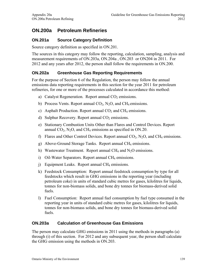# **ON.200a Petroleum Refineries**

## **ON.201a Source Category Definition**

Source category definition as specified in ON.201.

The sources in this category may follow the reporting, calculation, sampling, analysis and measurement requirements of ON.203a, ON.204a , ON.203 or ON204 in 2011. For 2012 and any years after 2012, the person shall follow the requirements in ON.200.

## **ON.202a Greenhouse Gas Reporting Requirements**

For the purpose of Section 6 of the Regulation, the person may follow the annual emissions data reporting requirements in this section for the year 2011 for petroleum refineries, for one or more of the processes calculated in accordance this method:

- a) Catalyst Regeneration. Report annual  $CO<sub>2</sub>$  emissions.
- b) Process Vents. Report annual  $CO<sub>2</sub>$ , N<sub>2</sub>O, and CH<sub>4</sub> emissions.
- c) Asphalt Production. Report annual  $CO<sub>2</sub>$  and CH<sub>4</sub> emissions.
- d) Sulphur Recovery. Report annual  $CO<sub>2</sub>$  emissions.
- e) Stationary Combustion Units Other than Flares and Control Devices. Report annual  $CO_2$ , N<sub>2</sub>O, and CH<sub>4</sub> emissions as specified in ON.20.
- f) Flares and Other Control Devices. Report annual  $CO<sub>2</sub>$ , N<sub>2</sub>O, and CH<sub>4</sub> emissions.
- g) Above-Ground Storage Tanks. Report annual CH<sub>4</sub> emissions.
- h) Wastewater Treatment. Report annual  $CH<sub>4</sub>$  and  $N<sub>2</sub>O$  emissions.
- i) Oil-Water Separators. Report annual  $CH_4$  emissions.
- $j)$  Equipment Leaks. Report annual CH<sub>4</sub> emissions.
- k) Feedstock Consumption: Report annual feedstock consumption by type for all feedstocks which result in GHG emissions in the reporting year (including petroleum coke) in units of standard cubic metres for gases, kilolitres for liquids, tonnes for non-biomass solids, and bone dry tonnes for biomass-derived solid fuels.
- l) Fuel Consumption: Report annual fuel consumption by fuel type consumed in the reporting year in units of standard cubic metres for gases, kilolitres for liquids, tonnes for non-biomass solids, and bone dry tonnes for biomass-derived solid fuels.

#### **ON.203a Calculation of Greenhouse Gas Emissions**

The person may calculate GHG emissions in 2011 using the methods in paragraphs (a) through (i) of this section. For 2012 and any subsequent year, the person shall calculate the GHG emission using the methods in ON.203.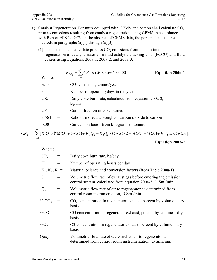- a) Catalyst Regeneration. For units equipped with CEMS, the person shall calculate  $CO<sub>2</sub>$ process emissions resulting from catalyst regeneration using CEMS in accordance with Report EPS 1/PG/7. In the absence of CEMS data, the person shall use the methods in paragraphs  $(a)(1)$  through  $(a)(3)$ .
	- (1) The person shall calculate process  $CO<sub>2</sub>$  emissions from the continuous regeneration of catalyst material in fluid catalytic cracking units (FCCU) and fluid cokers using Equations 200a-1, 200a-2, and 200a-3.

Where:  
\n
$$
E_{CO_2} = \sum_{d=1}^{Y} CR_d \times CF \times 3.664 \times 0.001
$$
\n
$$
E_{CO2} = CO_2
$$
 emissions, tonnes/year  
\n
$$
Y =
$$
\nNumber of operating days in the year  
\n
$$
CR_d =
$$
\nDaily coke burn rate, calculated from equation 200a-2,

- kg/day  $CF =$  Carbon fraction in coke burned
- 3.664 = Ratio of molecular weights, carbon dioxide to carbon
- $0.001 =$  Conversion factor from kilograms to to

$$
0.001 =
$$
 Conversion factor from kilograms to tonnes

$$
CR_d = \left[ \sum_{i=1}^{H} \left[ K_1 Q_r \times ( \%CO_2 + \%CO) + K_2 Q_a - K_3 Q_r \times ( \%CO / 2 + \%CO_2 + \%CO_2) + K_3 Q_{\text{cxy}} \times \% O_{\text{cxy}} \right]_i \right]
$$
  
Equation 200a-2

| $CR_d$               |                 | Daily coke burn rate, kg/day                                                                                                                |
|----------------------|-----------------|---------------------------------------------------------------------------------------------------------------------------------------------|
| H                    | $\!\!\!=\!\!\!$ | Number of operating hours per day                                                                                                           |
| $K_1, K_2, K_3 =$    |                 | Material balance and conversion factors (from Table 200a-1)                                                                                 |
| $Q_{r}$              | $=$             | Volumetric flow rate of exhaust gas before entering the emission<br>control system, calculated from equation 200a-3, D Sm <sup>3</sup> /min |
| $Q_{a}$              | $=$             | Volumetric flow rate of air to regenerator as determined from<br>control room instrumentation, D $\text{Sm}^3/\text{min}$                   |
| $\%$ CO <sub>2</sub> |                 | $CO2$ concentration in regenerator exhaust, percent by volume – dry<br>basis                                                                |
| %CO                  |                 | CO concentration in regenerator exhaust, percent by volume – dry<br>basis                                                                   |
| $\%$ O2              |                 | O2 concentration in regenerator exhaust, percent by volume $-$ dry<br>basis                                                                 |
| Qoxy                 |                 | Volumetric flow rate of O2 enriched air to regenerator as<br>determined from control room instrumentation, D Sm3/min                        |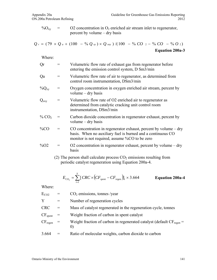$\%O_{xy}$  = O2 concentration in  $O_2$  enriched air stream inlet to regenerator, percent by volume – dry basis

$$
Q_r = (79 \times Q_a + (100 - %Q_{xy}) \times Q_{oxy}) / (100 - %CO_2 - %CO - %O_2)
$$
  
Equation 200a-3

| Qr                  | $=$                                          | Volumetric flow rate of exhaust gas from regenerator before<br>entering the emission control system, D Sm3/min                                                                      |
|---------------------|----------------------------------------------|-------------------------------------------------------------------------------------------------------------------------------------------------------------------------------------|
| Qa                  | $\displaystyle \qquad \qquad =\qquad \qquad$ | Volumetric flow rate of air to regenerator, as determined from<br>control room instrumentation, DSm3/min                                                                            |
| $\%Q_{xy}$          | $=$                                          | Oxygen concentration in oxygen enriched air stream, percent by<br>volume $-$ dry basis                                                                                              |
| $Q_{oxy}$           | $=$                                          | Volumetric flow rate of O2 enriched air to regenerator as<br>determined from catalytic cracking unit control room<br>instrumentation, DSm3/min                                      |
| % CO <sub>2</sub>   | $\!\!\!=\!\!\!$                              | Carbon dioxide concentration in regenerator exhaust, percent by<br>volume $-$ dry basis                                                                                             |
| $\%CO$              | $\!\!\!=\!\!\!\!$                            | CO concentration in regenerator exhaust, percent by volume $-$ dry<br>basis. When no auxiliary fuel is burned and a continuous CO<br>monitor is not required, assume %CO to be zero |
| $\%$ O <sub>2</sub> | $=$                                          | O2 concentration in regenerator exhaust, percent by volume $-$ dry<br>basis                                                                                                         |
|                     |                                              | (2) The person shall calculate process $CO2$ emissions resulting from<br>periodic catalyst regeneration using Equation 200a-4.                                                      |
|                     |                                              | $E_{CO_2} = \sum_{i=1}^{I} [CRC \times (CF_{spent} - CF_{regen})]_i \times 3.664$<br><b>Equation 200a-4</b>                                                                         |
| Where:              |                                              |                                                                                                                                                                                     |

| $E_{CO2}$           |     | $CO2$ emissions, tonnes /year                                                                         |
|---------------------|-----|-------------------------------------------------------------------------------------------------------|
| Y                   | $=$ | Number of regeneration cycles                                                                         |
| <b>CRC</b>          |     | Mass of catalyst regenerated in the regeneration cycle, tonnes                                        |
| CF <sub>spent</sub> |     | Weight fraction of carbon in spent catalyst                                                           |
| $CF_{regen}$        |     | Weight fraction of carbon in regenerated catalyst (default $CF_{\text{regen}} =$<br>$\left( 0\right)$ |
| 3.664               |     | Ratio of molecular weights, carbon dioxide to carbon                                                  |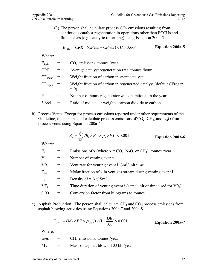(3) The person shall calculate process  $CO<sub>2</sub>$  emissions resulting from continuous catalyst regeneration in operations other than FCCUs and fluid cokers (e.g. catalytic reforming) using Equation 200a-5.

$$
E_{CO_2} = CRR \times (CF_{spent} - CF_{regen}) \times H \times 3.664
$$
 Equation 200a-5

Where:

| $E_{CO2}$                      |     | $CO2$ emissions, tonnes /year                                               |
|--------------------------------|-----|-----------------------------------------------------------------------------|
| <b>CRR</b>                     | $=$ | Average catalyst regeneration rate, tonnes /hour                            |
| $\mathrm{CF}_{\mathrm{spent}}$ |     | Weight fraction of carbon in spent catalyst                                 |
| $\mathrm{CF}_\mathrm{regen}$   |     | Weight fraction of carbon in regenerated catalyst (default CFregen<br>$= 0$ |
| H                              |     | Number of hours regenerator was operational in the year                     |
| 3.664                          |     | Ratio of molecular weights, carbon dioxide to carbon                        |
|                                |     |                                                                             |

b) Process Vents. Except for process emissions reported under other requirements of the Guideline, the person shall calculate process emissions of  $CO<sub>2</sub>$ , CH<sub>4</sub>, and N<sub>2</sub>O from process vents using Equation 200a-6.

$$
E_x = \sum_{i=1}^{Y} VR_i \times F_{x,i} \times \rho_x \times VT_i \times 0.001
$$
 **Equation 200a-6**

Where:

| $E_{x}$       |     | Emissions of x (where $x = CO_2$ , N <sub>2</sub> O, or CH <sub>4</sub> ), tonnes/year |
|---------------|-----|----------------------------------------------------------------------------------------|
| Y             | $=$ | Number of venting events                                                               |
| $VR_i$        |     | Vent rate for venting event i, $\text{Sm}^3$ /unit time                                |
| $\rm F_{x.i}$ | $=$ | Molar fraction of x in vent gas stream during venting event i                          |
| $P_{x}$       |     | Density of x, kg/ $\text{Sm}^3$                                                        |
| $VT_i$        |     | Time duration of venting event i (same unit of time used for $VR_i$ )                  |
| 0.001         | $=$ | Conversion factor from kilograms to tonnes                                             |
|               |     |                                                                                        |

c) Asphalt Production. The person shall calculate  $CH_4$  and  $CO_2$  process emissions from asphalt blowing activities using Equations 200a-7 and 200a-8.

$$
E_{CH4} = (M_A \times EF \times \rho_{CH4}) \times (1 - \frac{DE}{100}) \times 0.001
$$
 **Equation 200a-7**

| $\rm E_{CH4}$ | $=$ | $CH4$ emissions, tonnes /year       |
|---------------|-----|-------------------------------------|
| $\rm M_A$     | $=$ | Mass of asphalt blown, 103 bbl/year |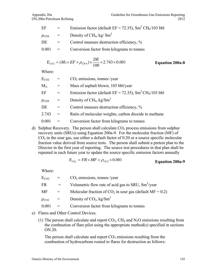| EF                     | $\mathbf{r} = \mathbf{r}$ | Emission factor (default $EF = 72.35$ ), $Sm3 CH4/103$ bbl |
|------------------------|---------------------------|------------------------------------------------------------|
| $\rho$ CH <sub>4</sub> | $\lambda = 1$             | Density of CH <sub>4</sub> , kg/ $Sm^3$                    |
| DE                     | $=$                       | Control measure destruction efficiency, %                  |
| 0.001                  | $\alpha_{\rm c} = 0.05$   | Conversion factor from kilograms to tonnes                 |

$$
E_{CO2} = (M_A \times EF \times \rho_{CH4}) \times \frac{DE}{100} \times 2.743 \times 0.001
$$
 Equation 200a-8

| $E_{CO2}$              | $=$ | $CO2$ emissions, tonnes /year                                          |
|------------------------|-----|------------------------------------------------------------------------|
| $M_A$                  | $=$ | Mass of asphalt blown, 103 bbl/year                                    |
| EF                     | $=$ | Emission factor (default EF = 72.35), $\text{Sm}^3\text{CH}_4/103$ bbl |
| $\rho$ CH <sub>4</sub> |     | Density of CH <sub>4</sub> , kg/Sm <sup>3</sup>                        |
| DE                     | $=$ | Control measure destruction efficiency, %                              |
| 2.743                  | $=$ | Ratio of molecular weights, carbon dioxide to methane                  |
| 0.001                  |     | Conversion factor from kilograms to tonnes                             |

d) Sulphur Recovery. The person shall calculate  $CO<sub>2</sub>$  process emissions from sulphur recovery units (SRUs) using Equation 200a-9. For the molecular fraction (MF) of  $CO<sub>2</sub>$  in the sour gas, use either a default factor of 0.20 or a source specific molecular fraction value derived from source tests. The person shall submit a pretest plan to the Director in the first year of reporting. The source test procedures in that plan shall be repeated in each future year to update the source specific emission factors annually

$$
E_{CO_2} = FR \times MF \times \rho_{CO2} \times 0.001
$$
 **Equation 200a-9**

Where:

| $E_{CO2}$    | $=$ | $CO2$ emissions, tonnes /year                                |
|--------------|-----|--------------------------------------------------------------|
| FR           |     | Volumetric flow rate of acid gas to SRU, $\text{Sm}^3$ /year |
| MF           |     | Molecular fraction of $CO_2$ in sour gas (default MF = 0.2)  |
| $\rho_{CO2}$ | $=$ | Density of $CO_2$ , kg/Sm <sup>3</sup>                       |
| 0.001        | $=$ | Conversion factor from kilograms to tonnes                   |

- e) Flares and Other Control Devices.
	- (1) The person shall calculate and report  $CO<sub>2</sub>$ , CH<sub>4</sub> and N<sub>2</sub>O emissions resulting from the combustion of flare pilot using the appropriate method(s) specified in sections ON.20.

The person shall calculate and report  $CO<sub>2</sub>$  emissions resulting from the combustion of hydrocarbons routed to flares for destruction as follows: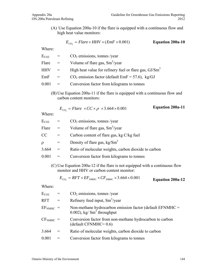(A) Use Equation 200a-10 if the flare is equipped with a continuous flow and high heat value monitors:

$$
E_{CO_2} = \text{Flare} \times \text{HHV} \times (\text{EmF} \times 0.001) \qquad \text{Equation 200a-10}
$$

Where:

| $E_{CO2}$  | $=$      | $CO2$ emissions, tonnes /year                            |
|------------|----------|----------------------------------------------------------|
| Flare      | $=$      | Volume of flare gas, $Sm^3$ /year                        |
| <b>HHV</b> | $\equiv$ | High heat value for refinery fuel or flare gas, $GI/Sm3$ |
| EmF        | $=$      | $CO2$ emission factor (default EmF = 57.6), kg/GJ        |
| 0.001      | $=$      | Conversion factor from kilograms to tonnes               |
|            |          |                                                          |

(B) Use Equation 200a-11 if the flare is equipped with a continuous flow and carbon content monitors:

$$
E_{CO_2} = \text{Flare} \times CC \times \rho \times 3.664 \times 0.001 \qquad \text{Equation 200a-11}
$$

Where:

| $E_{CO2}$ |                       | $CO2$ emissions, tonnes /year                                                                                                                                                                                                                                                                                                                                  |
|-----------|-----------------------|----------------------------------------------------------------------------------------------------------------------------------------------------------------------------------------------------------------------------------------------------------------------------------------------------------------------------------------------------------------|
| Flare     | $=$                   | Volume of flare gas, $\text{Sm}^3/\text{year}$                                                                                                                                                                                                                                                                                                                 |
| CC        |                       | Carbon content of flare gas, kg C/kg fuel                                                                                                                                                                                                                                                                                                                      |
| $\Omega$  |                       | Density of flare gas, $kg/Sm3$                                                                                                                                                                                                                                                                                                                                 |
| 3.664     | $=$                   | Ratio of molecular weights, carbon dioxide to carbon                                                                                                                                                                                                                                                                                                           |
| 0.001     | $=$                   | Conversion factor from kilograms to tonnes                                                                                                                                                                                                                                                                                                                     |
|           | $\sqrt{N}$ $\sqrt{N}$ | $\Gamma$ $\left($ $\right)$ $\left($ $\right)$ $\left($ $\right)$ $\left($ $\right)$ $\left($ $\right)$ $\left($ $\right)$ $\left($ $\right)$ $\left($ $\right)$ $\left($ $\right)$ $\left($ $\right)$ $\left($ $\right)$ $\left($ $\right)$ $\left($ $\right)$ $\left($ $\right)$ $\left($ $\right)$ $\left($ $\right)$ $\left($ $\right)$ $\left($ $\right)$ |

(C) Use Equation 200a-12 if the flare is not equipped with a continuous flow monitor and HHV or carbon content monitor:

$$
E_{CO_2} = RFT \times EF_{MMFC} \times CF_{MMFC} \times 3.664 \times 0.001
$$
 **Equation 200a-12**

| $CO2$ emissions, tonnes /year<br>$E_{CO2}$                                                                        |  |
|-------------------------------------------------------------------------------------------------------------------|--|
| Refinery feed input, $Sm3/year$<br><b>RFT</b><br>$=$                                                              |  |
| Non-methane hydrocarbon emission factor (default EFNMHC $=$<br>$EFNMHC$ =<br>0.002), kg/ $\text{Sm}^3$ throughput |  |
| Conversion factor from non-methane hydrocarbon to carbon<br>$CFNMHC$ =<br>$(default CFNMHC=0.6)$                  |  |
| Ratio of molecular weights, carbon dioxide to carbon<br>3.664                                                     |  |
| 0.001<br>Conversion factor from kilograms to tonnes                                                               |  |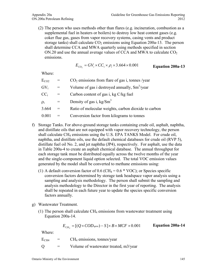(2) The person who uses methods other than flares (e.g. incineration, combustion as a supplemental fuel in heaters or boilers) to destroy low heat content gases (e.g. coker flue gas, gases from vapor recovery systems, casing vents and product storage tanks) shall calculate  $CO<sub>2</sub>$  emissions using Equation 200a-13. The person shall determine CCA and MWA quarterly using methods specified in section ON.20 and use the annual average values of CCA and MWA to calculate  $CO<sub>2</sub>$ emissions.

$$
E_{CO_2} = GV_i \times CC_i \times \rho_i \times 3.664 \times 0.001
$$
 Equation 200a-13

Where:

| $E_{CO2}$              | $=$ | $CO2$ emissions from flare of gas i, tonnes /year       |
|------------------------|-----|---------------------------------------------------------|
| GV <sub>i</sub>        | $=$ | Volume of gas i destroyed annually, $\text{Sm}^3$ /year |
| $\text{CC}_{\text{i}}$ |     | Carbon content of gas i, kg C/kg fuel                   |
| $\rho_i$               |     | Density of gas i, $kg/Sm3$                              |
| 3.664                  |     | Ratio of molecular weights, carbon dioxide to carbon    |
| 0.001                  | $=$ | Conversion factor from kilograms to tonnes              |

- f) Storage Tanks. For above-ground storage tanks containing crude oil, asphalt, naphtha, and distillate oils that are not equipped with vapor recovery technology, the person shall calculate CH<sub>4</sub> emissions using the U.S. EPA TANKS Model. For crude oil, naphtha, and distillate oils, use the default chemical databases for crude oil (RVP 5), distillate fuel oil No. 2, and jet naphtha (JP4), respectively. For asphalt, use the data in Table 200a-4 to create an asphalt chemical database. The annual throughput for each storage tank must be distributed equally across the twelve months of the year and the single-component liquid option selected. The total VOC emission values generated by the model shall be converted to methane emissions using:
	- (1) A default conversion factor of 0.6 (CH<sub>4</sub> =  $0.6 * \text{VOC}$ ); or Species specific conversion factors determined by storage tank headspace vapor analysis using a sampling and analysis methodology. The person shall submit the sampling and analysis methodology to the Director in the first year of reporting. The analysis shall be repeated in each future year to update the species specific conversion factors annually.
- g) Wastewater Treatment.
	- (1) The person shall calculate  $CH_4$  emissions from wastewater treatment using Equation 200a-14.

$$
E_{CH_4} = [(Q \times COD_{\text{gave}}) - S] \times B \times MCF \times 0.001
$$
 Equation 200a-14

| $\rm E_{CH4}$ | $=$ | $CH4$ emissions, tonnes/year          |
|---------------|-----|---------------------------------------|
| О             | $=$ | Volume of wastewater treated, m3/year |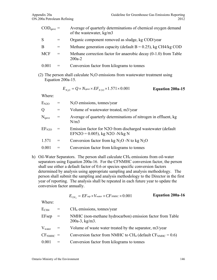| $\text{COD}_{\text{gave}} =$ |     | Average of quarterly determinations of chemical oxygen demand<br>of the wastewater, kg/m3 |
|------------------------------|-----|-------------------------------------------------------------------------------------------|
| S                            |     | Organic component removed as sludge, kg COD/year                                          |
| B                            | $=$ | Methane generation capacity (default $B = 0.25$ ), kg CH4/kg COD                          |
| <b>MCF</b>                   | $=$ | Methane correction factor for anaerobic decay $(0-1.0)$ from Table<br>$200a-2$            |
| 0.001                        |     | Conversion factor from kilograms to tonnes                                                |

(2) The person shall calculate  $N_2O$  emissions from wastewater treatment using Equation 200a-15.

$$
E_{N_2O} = Q \times N_{\text{gave}} \times EF_{N2O} \times 1.571 \times 0.001
$$
 **Equation 200a-15**

Where:

| $E_{N2O}$         |     | $N_2O$ emissions, tonnes/year                                                                 |
|-------------------|-----|-----------------------------------------------------------------------------------------------|
| Q                 | $=$ | Volume of wastewater treated, m3/year                                                         |
| $N_{\text{qave}}$ | $=$ | Average of quarterly determinations of nitrogen in effluent, kg<br>N/m3                       |
| EF <sub>N2O</sub> |     | Emission factor for N2O from discharged wastewater (default<br>EFN2O = 0.005), kg N2O -N/kg N |
| 1.571             | $=$ | Conversion factor from kg $N_2O$ -N to kg $N_2O$                                              |
| 0.001             |     | Conversion factor from kilograms to tonnes                                                    |

h) Oil-Water Separators. The person shall calculate CH<sub>4</sub> emissions from oil-water separators using Equation 200a-16. For the CFNMHC conversion factor, the person shall use either a default factor of 0.6 or species specific conversion factors determined by analysis using appropriate sampling and analysis methodology. The person shall submit the sampling and analysis methodology to the Director in the first year of reporting. The analysis shall be repeated in each future year to update the conversion factor annually.

$$
E_{CH_4} = EF_{sep} \times V_{water} \times CF_{NMHC} \times 0.001
$$
 **Equation 200a-16**

| $\rm E_{CH4}$   | $=$                               | $CH4$ emissions, tonnes/year                                                       |
|-----------------|-----------------------------------|------------------------------------------------------------------------------------|
| EFsep           | $\hspace{0.1cm} = \hspace{0.1cm}$ | NMHC (non-methane hydrocarbon) emission factor from Table<br>$200a-3$ , kg/m3.     |
| $\rm V_{water}$ |                                   | Volume of waste water treated by the separator, m3/year                            |
| $CFNMHC$ =      |                                   | Conversion factor from NMHC to CH <sub>4</sub> (default $CF_{\text{NMEC}} = 0.6$ ) |
| 0.001           | $=$                               | Conversion factor from kilograms to tonnes                                         |
|                 |                                   |                                                                                    |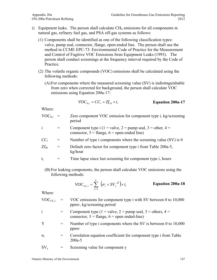- i) Equipment leaks. The person shall calculate  $CH_4$  emissions for all components in natural gas, refinery fuel gas, and PSA off-gas systems as follows:
	- (1) Components shall be identified as one of the following classification types: valve, pump seal, connector, flange, open-ended line. The person shall use the method in CCME EPC-73: Environmental Code of Practice for the Measurement and Control of Fugitive VOC Emissions from Equipment Leaks (1993). The person shall conduct screenings at the frequency interval required by the Code of Practice.
	- (2) The volatile organic compounds (VOC) emissions shall be calculated using the following methods:
		- (A)For components where the measured screening value (SV) is indistinguishable from zero when corrected for background, the person shall calculate VOC emissions using Equation 200a-17:

$$
VOC_{0,i} = CC_i \times Zf_{i0} \times t_i
$$
 Equation 200a-17

Where:

- $VOC<sub>0,i</sub>$  = Zero component VOC emission for component type i, kg/screening period
- i  $=$  Component type i (1 = valve, 2 = pump seal, 3 = other, 4 = connector,  $5 = \text{flange}$ ,  $6 = \text{open-ended line}$ )
- $CC_i$  = Number of type i components where the screening value (SV) is 0
- $Zf_{i0}$  = Default zero factor for component type i from Table 200a-5, kg/hour
- $t_i$  = Time lapse since last screening for component type i, hours
	- (B) For leaking components, the person shall calculate VOC emissions using the following methods:

$$
VOC_{LC,i} = \sum_{y=1}^{Y} \left( \sigma_i \times SV_{y}^{\beta i} \right) \times t_i
$$
 Equation 200a-18

| $VOC_{LC,i}$ | VOC emissions for component type i with SV between 0 to 10,000<br>ppmv, kg/screening period                                  |
|--------------|------------------------------------------------------------------------------------------------------------------------------|
| $\mathbf{i}$ | Component type (1 = valve, 2 = pump seal, 3 = others, 4 =<br>connector, $5 = \text{flange}$ , $6 = \text{open ended-line}$ ) |
| Y            | Number of type i components where the SV is between 0 to $10,000$<br>ppmy                                                    |
| $\sigma_i$   | Correlation equation coefficient for component type i from Table<br>$200a - 5$                                               |
| $SV_{V}$     | Screening value for component y                                                                                              |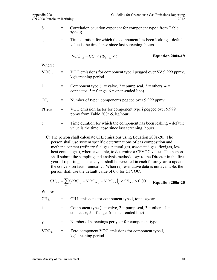$\beta_i$  = Correlation equation exponent for component type i from Table 200a-5

 $t_i$  = Time duration for which the component has been leaking – default value is the time lapse since last screening, hours

$$
VOC_{P,i} = CC_i \times PF_{iP-10} \times t_i
$$
 Equation 200a-19

Where:

| $VOC_{P,i}$ | $\equiv$ | VOC emissions for component type i pegged over SV 9,999 ppmv, |
|-------------|----------|---------------------------------------------------------------|
|             |          | kg/screening period                                           |

$$
= \text{Component type } (1 = \text{value}, 2 = \text{pump seal}, 3 = \text{others}, 4 = \text{connector}, 5 = \text{flange}, 6 = \text{open-ended line})
$$

- $CC_i$  = Number of type i components pegged over 9,999 ppmv
- $PF_{iP-10}$  = VOC emission factor for component type i pegged over 9,999 ppmv from Table 200a-5, kg/hour

$$
t_i
$$
 = Time duration for which the component has been leaking – default value is the time lapse since last screening, hours

(C) The person shall calculate  $CH_4$  emissions using Equation 200a-20. The person shall use system specific determinations of gas composition and methane content (refinery fuel gas, natural gas, associated gas, flexigas, low heat content gas), where available, to determine a CFVOC value. The person shall submit the sampling and analysis methodology to the Director in the first year of reporting. The analysis shall be repeated in each future year to update the conversion factor annually. When representative data is not available, the person shall use the default value of 0.6 for CFVOC.

$$
CH_{4,i} = \sum_{y=1}^{Y} (VOC_{0,i} + VOC_{LC,i} + VOC_{P,i})_{y} \times CF_{VOC} \times 0.001
$$
 Equation 200a-20

Where:

| $CH_{4,i}$   | CH4 emissions for component type i, tonnes/year                                                                              |  |
|--------------|------------------------------------------------------------------------------------------------------------------------------|--|
| $\mathbf{1}$ | Component type (1 = valve, 2 = pump seal, 3 = others, 4 =<br>connector, $5 = \text{flange}$ , $6 = \text{open-ended line}$ ) |  |
| <b>V</b>     | Number of screenings per year for component type i                                                                           |  |
| $VOC_{0,i}$  | Zero component VOC emissions for component type i,                                                                           |  |

kg/screening period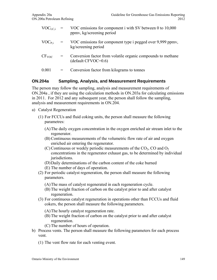| $VOC_{LC,i}$      | VOC emissions for component i with SV between 0 to 10,000<br>ppmv, kg/screening period |
|-------------------|----------------------------------------------------------------------------------------|
| $VOC_{P,i}$       | VOC emissions for component type i pegged over 9,999 ppmy,<br>kg/screening period      |
| CF <sub>VOC</sub> | Conversion factor from volatile organic compounds to methane<br>$(default CFVOC=0.6)$  |
| 0.001             | Conversion factor from kilograms to tonnes                                             |

#### **ON.204a Sampling, Analysis, and Measurement Requirements**

The person may follow the sampling, analysis and measurement requirements of ON.204a , if they are using the calculation methods in ON.203a for calculating emissions in 2011. For 2012 and any subsequent year, the person shall follow the sampling, analysis and measurement requirements in ON.204.

- a) Catalyst Regeneration
	- (1) For FCCUs and fluid coking units, the person shall measure the following parametres:
		- (A)The daily oxygen concentration in the oxygen enriched air stream inlet to the regenerator.
		- (B)Continuous measurements of the volumetric flow rate of air and oxygen enriched air entering the regenerator.
		- (C) Continuous or weekly periodic measurements of the  $CO<sub>2</sub>$ , CO and  $O<sub>2</sub>$ concentrations in the regenerator exhaust gas, to be determined by individual jurisdictions.
		- (D)Daily determinations of the carbon content of the coke burned
		- (E) The number of days of operation.
	- (2) For periodic catalyst regeneration, the person shall measure the following parameters.
		- (A)The mass of catalyst regenerated in each regeneration cycle.
		- (B) The weight fraction of carbon on the catalyst prior to and after catalyst regeneration.
	- (3) For continuous catalyst regeneration in operations other than FCCUs and fluid cokers, the person shall measure the following parameters.
		- (A)The hourly catalyst regeneration rate.
		- (B) The weight fraction of carbon on the catalyst prior to and after catalyst regeneration.
		- (C) The number of hours of operation.
- b) Process vents. The person shall measure the following parameters for each process vent.
	- (1) The vent flow rate for each venting event.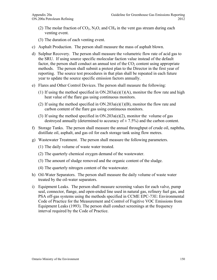- (2) The molar fraction of  $CO_2$ , N<sub>2</sub>O, and CH<sub>4</sub> in the vent gas stream during each venting event.
- (3) The duration of each venting event.
- c) Asphalt Production. The person shall measure the mass of asphalt blown.
- d) Sulphur Recovery. The person shall measure the volumetric flow rate of acid gas to the SRU. If using source specific molecular faction value instead of the default factor, the person shall conduct an annual test of the  $CO<sub>2</sub>$  content using appropriate methods. The person shall submit a pretest plan to the Director in the first year of reporting. The source test procedures in that plan shall be repeated in each future year to update the source specific emission factors annually.
- e) Flares and Other Control Devices. The person shall measure the following:
	- (1) If using the method specified in  $ON.203a(e)(1)(A)$ , monitor the flow rate and high heat value of the flare gas using continuous monitors.
	- (2) If using the method specified in ON.203a(e)(1)(B), monitor the flow rate and carbon content of the flare gas using continuous monitors.
	- (3) If using the method specified in ON.203a(e)(2), monitor the volume of gas destroyed annually (determined to accuracy of  $\pm$  7.5%) and the carbon content.
- f) Storage Tanks. The person shall measure the annual throughput of crude oil, naphtha, distillate oil, asphalt, and gas oil for each storage tank using flow metres.
- g) Wastewater Treatment. The person shall measure the following parameters.
	- (1) The daily volume of waste water treated.
	- (2) The quarterly chemical oxygen demand of the wastewater.
	- (3) The amount of sludge removed and the organic content of the sludge.
	- (4) The quarterly nitrogen content of the wastewater.
- h) Oil-Water Separators. The person shall measure the daily volume of waste water treated by the oil-water separators.
- i) Equipment Leaks. The person shall measure screening values for each valve, pump seal, connector, flange, and open-ended line used in natural gas, refinery fuel gas, and PSA off-gas systems using the methods specified in CCME EPC-73E: Environmental Code of Practice for the Measurement and Control of Fugitive VOC Emissions from Equipment Leaks (1993). The person shall conduct screenings at the frequency interval required by the Code of Practice.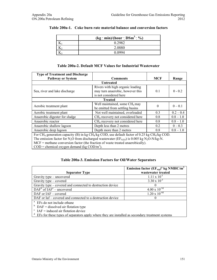| $(kg : min)/(hour \cdot DSm3 \cdot %)$ |
|----------------------------------------|
|                                        |
| 2.0880                                 |
| Ი Ი994                                 |

#### **Table 200a-1. Coke burn rate material balance and conversion factors**

#### **Table 200a-2. Default MCF Values for Industrial Wastewater**

| <b>Type of Treatment and Discharge</b>                                                                                            |                                                                                                |          |             |  |
|-----------------------------------------------------------------------------------------------------------------------------------|------------------------------------------------------------------------------------------------|----------|-------------|--|
| <b>Pathway or System</b>                                                                                                          | <b>Comments</b>                                                                                | MCF      | Range       |  |
|                                                                                                                                   | <b>Untreated</b>                                                                               |          |             |  |
| Sea, river and lake discharge                                                                                                     | Rivers with high organic loading<br>may turn anaerobic, however this<br>is not considered here | 0.1      | $0 - 0.2$   |  |
|                                                                                                                                   | <b>Treated</b>                                                                                 |          |             |  |
| Aerobic treatment plant                                                                                                           | Well maintained, some CH <sub>4</sub> may<br>be emitted from settling basins                   | $\Omega$ | $0 - 0.1$   |  |
| Aerobic treatment plant                                                                                                           | Not well maintained, overloaded                                                                | 0.3      | $0.2 - 0.4$ |  |
| Anaerobic digester for sludge                                                                                                     | $CH4$ recovery not considered here                                                             | 0.8      | $0.8 - 1.0$ |  |
| Anaerobic reactor                                                                                                                 | CH <sub>4</sub> recovery not considered here                                                   | 0.8      | $0.8 - 1.0$ |  |
| Anaerobic shallow lagoon                                                                                                          | Depth less than 2 metres                                                                       | 0.2      | $0 - 0.3$   |  |
| Anaerobic deep lagoon                                                                                                             | Depth more than 2 metres                                                                       | 0.8      | $0.8 - 1.0$ |  |
| For CH <sub>4</sub> generation capacity (B) in kg CH <sub>4</sub> /kg COD, use default factor of 0.25 kg CH <sub>4</sub> /kg COD. |                                                                                                |          |             |  |
| The emission factor for N <sub>2</sub> O from discharged wastewater (EF <sub>N2O</sub> ) is 0.005 kg N <sub>2</sub> O-N/kg-N.     |                                                                                                |          |             |  |
| $MCF$ = methane conversion factor (the fraction of waste treated anaerobically).                                                  |                                                                                                |          |             |  |
| $\text{COD}$ = chemical oxygen demand (kg $\text{COD/m}^3$ ).                                                                     |                                                                                                |          |             |  |

#### **Table 200a-3. Emission Factors for Oil/Water Separators**

|                                                            | Emission factor $(EF_{sep})^a$ kg NMHC/m <sup>3</sup> |  |  |  |
|------------------------------------------------------------|-------------------------------------------------------|--|--|--|
| <b>Separator Type</b>                                      | wastewater treated                                    |  |  |  |
| Gravity type – uncovered                                   | $1.11 \times 10^{-1}$                                 |  |  |  |
| Gravity type – covered                                     | 3.30 x $\overline{10^{-3}}$                           |  |  |  |
| Gravity type – covered and connected to destruction device |                                                       |  |  |  |
| $DAFb$ of $IAFc$ – uncovered                               | $4.00 \times 10^{-3d}$                                |  |  |  |
| $DAF$ or $IAF$ – covered                                   | $1.20 \times 10^{-4d}$                                |  |  |  |
| DAF or Iaf – covered and connected to a destruction device |                                                       |  |  |  |
| <sup>a</sup> EFs do not include ethane                     |                                                       |  |  |  |
| $b$ DAF = dissolved air flotation type                     |                                                       |  |  |  |
| $TAT - induced$ out flototion dovice                       |                                                       |  |  |  |

IAF = induced air flotation device

<sup>d</sup> EFs for these types of separators apply where they are installed as secondary treatment systems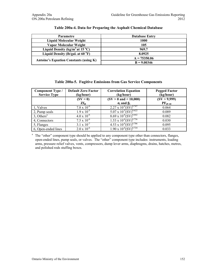| <b>Parametre</b>                                      | <b>Database Entry</b> |
|-------------------------------------------------------|-----------------------|
| Liquid Molecular Weight                               | 1000                  |
| Vapor Molecular Weight                                | 105                   |
| Liquid Density (kg/m <sup>3</sup> at 15 $^{\circ}$ C) | 969.7                 |
| Liquid Density (lb/gal. at $60^{\circ}F$ )            | 8.0925                |
| <b>Antoine's Equation Constants (using K)</b>         | $A = 75350.06$        |
|                                                       | $B = 9.00346$         |

#### **Table 200a-4. Data for Preparing the Asphalt Chemical Database**

| Table 200a-5. Fugitive Emissions from Gas Service Components |  |  |  |
|--------------------------------------------------------------|--|--|--|
|                                                              |  |  |  |

| Component Type /<br><b>Service Type</b> | <b>Default Zero Factor</b><br>(kg/hour) | <b>Correlation Equation</b><br>(kg/hour)    | <b>Pegged Factor</b><br>(kg/hour) |
|-----------------------------------------|-----------------------------------------|---------------------------------------------|-----------------------------------|
|                                         | $(SV = 0)$                              | $(SV > 0$ and $< 10,000$ )                  | (SV > 9,999)                      |
|                                         | $Zf_{i0}$                               | $\sigma_i$ and $\beta_i$                    | $PF_{iP-10}$                      |
| 1. Valves                               | $7.8 \times 10^{-6}$                    | $2.27 \times 10^{-6}$ (SV) <sup>0.747</sup> | 0.064                             |
| 2, Pump seals                           | $1.9 \times 10^{-5}$                    | 5.07 x $10^{-5}$ $\overline{(SV)^{0.622}}$  | 0.089                             |
| $3$ , Others <sup>a</sup>               | $4.0 \times 10^{-6}$                    | $8.69 \times 10^{-6} (SV)^{0.642}$          | 0.082                             |
| 4. Connectors                           | $7.5 \times 10^{-6}$                    | $1.53 \times 10^{-6} \text{(SV)}^{0.736}$   | 0.030                             |
| 5, Flanges                              | $3.1 \times 10^{-7}$                    | $4.53 \times 10^{-6} \text{(SV)}^{0.706}$   | 0.095                             |
| 6, Open-ended lines                     | $2.0 \times 10^{-6}$                    | $1.90 \times 10^{-6} (SV)^{0.724}$          | 0.033                             |

<sup>a</sup> The "other" component type should be applied to any component type other than connectors, flanges, open-ended lines, pump seals, or valves. The "other" component type includes: instruments, loading arms, pressure relief valves, vents, compressors, dump lever arms, diaphragms, drains, hatches, metres, and polished rods stuffing boxes.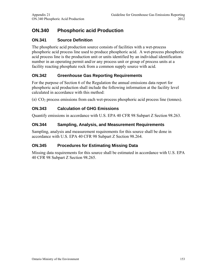# **ON.340 Phosphoric acid Production**

# **ON.341 Source Definition**

The phosphoric acid production source consists of facilities with a wet-process phosphoric acid process line used to produce phosphoric acid. A wet-process phosphoric acid process line is the production unit or units identified by an individual identification number in an operating permit and/or any process unit or group of process units at a facility reacting phosphate rock from a common supply source with acid.

# **ON.342 Greenhouse Gas Reporting Requirements**

For the purpose of Section 6 of the Regulation the annual emissions data report for phosphoric acid production shall include the following information at the facility level calculated in accordance with this method:

(a)  $CO<sub>2</sub>$  process emissions from each wet-process phosphoric acid process line (tonnes).

### **ON.343 Calculation of GHG Emissions**

Quantify emissions in accordance with U.S. EPA 40 CFR 98 Subpart Z Section 98.263.

### **ON.344 Sampling, Analysis, and Measurement Requirements**

Sampling, analysis and measurement requirements for this source shall be done in accordance with U.S. EPA 40 CFR 98 Subpart Z Section 98.264.

### **ON.345 Procedures for Estimating Missing Data**

Missing data requirements for this source shall be estimated in accordance with U.S. EPA 40 CFR 98 Subpart Z Section 98.265.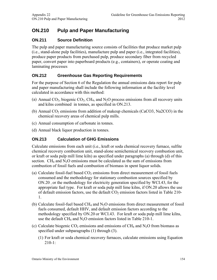# **ON.210 Pulp and Paper Manufacturing**

### **ON.211 Source Definition**

The pulp and paper manufacturing source consists of facilities that produce market pulp (i.e., stand-alone pulp facilities), manufacture pulp and paper (i.e., integrated facilities), produce paper products from purchased pulp, produce secondary fiber from recycled paper, convert paper into paperboard products (e.g., containers), or operate coating and laminating processes

# **ON.212 Greenhouse Gas Reporting Requirements**

For the purpose of Section 6 of the Regulation the annual emissions data report for pulp and paper manufacturing shall include the following information at the facility level calculated in accordance with this method:

- (a) Annual  $CO<sub>2</sub>$ , biogenic  $CO<sub>2</sub>$ , CH<sub>4</sub>, and N<sub>2</sub>O process emissions from all recovery units and kilns combined in tonnes, as specified in ON.213.
- (b) Annual  $CO<sub>2</sub>$  emissions from addition of makeup chemicals (CaCO3, Na2CO3) in the chemical recovery areas of chemical pulp mills.
- (c) Annual consumption of carbonate in tonnes.
- (d) Annual black liquor production in tonnes.

# **ON.213 Calculation of GHG Emissions**

Calculate emissions from each unit (i.e., kraft or soda chemical recovery furnace, sulfite chemical recovery combustion unit, stand-alone semichemical recovery combustion unit, or kraft or soda pulp mill lime kiln) as specified under paragraphs (a) through (d) of this section.  $CH_4$  and  $N_2O$  emissions must be calculated as the sum of emissions from combustion of fossil fuels and combustion of biomass in spent liquor solids.

- (a) Calculate fossil-fuel based  $CO<sub>2</sub>$  emissions from direct measurement of fossil fuels consumed and the methodology for stationary combustion sources specified by ON.20 , or the methodology for electricity generation specified by WCI.43, for the appropriate fuel type. For kraft or soda pulp mill lime kilns, if ON.20 allows the use of default emission factors, use the default  $CO<sub>2</sub>$  emission factors listed in Table 210-1.
- (b) Calculate fossil-fuel based CH<sub>4</sub> and  $N_2O$  emissions from direct measurement of fossil fuels consumed, default HHV, and default emission factors according to the methodology specified by ON.20 or WCI.43. For kraft or soda pulp mill lime kilns, use the default CH<sub>4</sub> and N<sub>2</sub>O emission factors listed in Table 210-1.
- (c) Calculate biogenic  $CO_2$  emissions and emissions of  $CH_4$  and  $N_2O$  from biomass as specified under subparagraphs (1) through (3).
	- (1) For kraft or soda chemical recovery furnaces, calculate emissions using Equation  $210-1$ :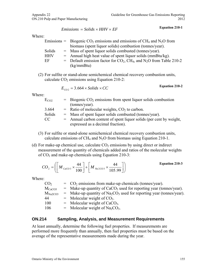$Emissions = Solids \times HHV \times EF$ 

Where:

|            | Emissions = Biogenic $CO_2$ emissions and emissions of CH <sub>4</sub> and N <sub>2</sub> O from |
|------------|--------------------------------------------------------------------------------------------------|
|            | biomass (spent liquor solids) combustion (tonnes/year).                                          |
| Solids     | $=$ Mass of spent liquor solids combusted (tonnes/year).                                         |
| <b>HHV</b> | $=$ Annual high heat value of spent liquor solids (mmBtu/kg).                                    |
| EF         | = Default emission factor for $CO_2$ , CH <sub>4</sub> , and N <sub>2</sub> O from Table 210-2   |
|            | (kg/mm Btu)                                                                                      |

(2) For sulfite or stand-alone semichemical chemical recovery combustion units, calculate  $CO<sub>2</sub>$  emissions using Equation 210-2:

$$
E_{CO2} = 3.664 \times Solids \times CC
$$

**Equation 210-2** 

Where:

| $E_{CO2}$ | $=$ Biogenic CO <sub>2</sub> emissions from spent liquor solids combustion |
|-----------|----------------------------------------------------------------------------|
|           | (tonnes/year).                                                             |
| 3.664     | $=$ Ratio of molecular weights, $CO2$ to carbon.                           |
| Solids    | $=$ Mass of spent liquor solids combusted (tonnes/year).                   |
| CC        | $=$ Annual carbon content of spent liquor solids (per cent by weight,      |
|           | expressed as a decimal fraction).                                          |

- (3) For sulfite or stand-alone semichemical chemical recovery combustion units, calculate emissions of  $CH_4$  and  $N_2O$  from biomass using Equation 210-1.
- (d) For make-up chemical use, calculate  $CO<sub>2</sub>$  emissions by using direct or indirect measurement of the quantity of chemicals added and ratios of the molecular weights of  $CO<sub>2</sub>$  and make-up chemicals using Equation 210-3:

$$
CO_2 = \left( \left[ M_{\text{CaCO 3}} \times \frac{44}{100} \right] + \left[ M_{\text{Na 2CO 3}} \times \frac{44}{105.99} \right] \right)
$$
 **Equation 210-3**

Where:

| CO <sub>2</sub><br>$=$ CO <sub>2</sub> emissions from make-up chemicals (tonnes/year).                         |  |
|----------------------------------------------------------------------------------------------------------------|--|
| $=$ Make-up quantity of CaCO <sub>3</sub> used for reporting year (tonnes/year).<br>$M_{CaCO3}$                |  |
| $=$ Make-up quantity of Na <sub>2</sub> CO <sub>3</sub> used for reporting year (tonnes/year).<br>$M_{Na2CO3}$ |  |
| 44<br>$=$ Molecular weight of $CO2$ .                                                                          |  |
| $=$ Molecular weight of CaCO <sub>3</sub> .<br>100                                                             |  |
| $=$ Molecular weight of Na <sub>2</sub> CO <sub>3</sub> .<br>106                                               |  |

#### **ON.214 Sampling, Analysis, and Measurement Requirements**

At least annually, determine the following fuel properties. If measurements are performed more frequently than annually, then fuel properties must be based on the average of the representative measurements made during the year.

**Equation 210-1**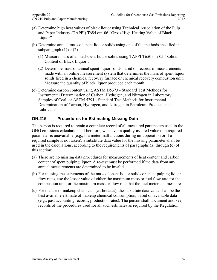- (a) Determine high heat values of black liquor using Technical Association of the Pulp and Paper Industry (TAPPI) T684 om-06 "Gross High Heating Value of Black Liquor".
- (b) Determine annual mass of spent liquor solids using one of the methods specified in subparagraph  $(1)$  or  $(2)$ 
	- (1) Measure mass of annual spent liquor solids using TAPPI T650 om-05 "Solids Content of Black Liquor".
	- (2) Determine mass of annual spent liquor solids based on records of measurements made with an online measurement system that determines the mass of spent liquor solids fired in a chemical recovery furnace or chemical recovery combustion unit. Measure the quantity of black liquor produced each month.
- (c) Determine carbon content using ASTM D5373 Standard Test Methods for Instrumental Determination of Carbon, Hydrogen, and Nitrogen in Laboratory Samples of Coal, or ASTM 5291 - Standard Test Methods for Instrumental Determination of Carbon, Hydrogen, and Nitrogen in Petroleum Products and Lubricants.

# **ON.215 Procedures for Estimating Missing Data**

The person is required to retain a complete record of all measured parameters used in the GHG emissions calculations. Therefore, whenever a quality-assured value of a required parameter is unavailable (e.g., if a meter malfunctions during unit operation or if a required sample is not taken), a substitute data value for the missing parameter shall be used in the calculations, according to the requirements of paragraphs (a) through (c) of this section:

- (a) There are no missing data procedures for measurements of heat content and carbon content of spent pulping liquor. A re-test must be performed if the data from any annual measurements are determined to be invalid.
- (b) For missing measurements of the mass of spent liquor solids or spent pulping liquor flow rates, use the lesser value of either the maximum mass or fuel flow rate for the combustion unit, or the maximum mass or flow rate that the fuel meter can measure.
- (c) For the use of makeup chemicals (carbonates), the substitute data value shall be the best available estimate of makeup chemical consumption, based on available data (e.g., past accounting records, production rates). The person shall document and keep records of the procedures used for all such estimates as required by the Regulation.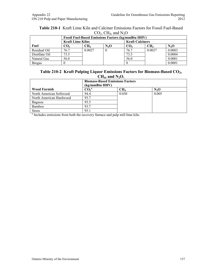| <b>Table 210-1</b> Kraft Lime Kiln and Calciner Emissions Factors for Fossil Fuel-Based |
|-----------------------------------------------------------------------------------------|
| $CO2$ , CH <sub>4</sub> , and N <sub>2</sub> O                                          |

|                | <b>Fossil Fuel-Based Emissions Factors (kg/mmBtu HHV)</b> |        |         |                        |                 |         |
|----------------|-----------------------------------------------------------|--------|---------|------------------------|-----------------|---------|
|                | <b>Kraft Lime Kilns</b>                                   |        |         | <b>Kraft Calciners</b> |                 |         |
| Fuel           | CO,                                                       | CH4    | $N_2$ O | CO <sub>2</sub>        | CH <sub>4</sub> | $N_2$ O |
| Residual Oil   | 76.7                                                      | 0.0027 | 0       | 76.7                   | 0.0027          | 0.0003  |
| Distillate Oil | 73.5                                                      |        |         | 73.5                   |                 | 0.0004  |
| Natural Gas    | 56.0                                                      |        |         | 56.0                   |                 | 0.0001  |
| <b>Biogas</b>  |                                                           |        |         |                        |                 | 0.0001  |

#### **Table 210-2 Kraft Pulping Liquor Emissions Factors for Biomass-Based CO2,**   $CH<sub>4</sub>$ , and  $N<sub>2</sub>O$ .

|                         | <b>Biomass-Based Emissions Factors</b><br>(kg/mmBtu HHV) |                 |         |  |
|-------------------------|----------------------------------------------------------|-----------------|---------|--|
| <b>Wood Furnish</b>     | CO <sub>2</sub> <sup>a</sup>                             | CH <sub>4</sub> | $N_2$ O |  |
| North American Softwood | 94.4                                                     | 0.030           | 0.005   |  |
| North American Hardwood | 93.7                                                     |                 |         |  |
| Bagasse                 | 95.5                                                     |                 |         |  |
| Bamboo                  | 93.7                                                     |                 |         |  |
| Straw                   | 95.1                                                     |                 |         |  |

Straw 95.1 95.1 and  $\frac{95.1}{\text{N}}$  and pulp mill lime kiln.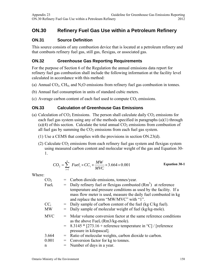# **ON.30 Refinery Fuel Gas Use within a Petroleum Refinery**

### **ON.31 Source Definition**

This source consists of any combustion device that is located at a petroleum refinery and that combusts refinery fuel gas, still gas, flexigas, or associated gas.

### **ON.32 Greenhouse Gas Reporting Requirements**

For the purpose of Section 6 of the Regulation the annual emissions data report for refinery fuel gas combustion shall include the following information at the facility level calculated in accordance with this method:

- (a) Annual  $CO<sub>2</sub>$ , CH<sub>4</sub>, and N<sub>2</sub>O emissions from refinery fuel gas combustion in tonnes.
- (b) Annual fuel consumption in units of standard cubic meters.
- (c) Average carbon content of each fuel used to compute  $CO<sub>2</sub>$  emissions.

# **ON.33 Calculation of Greenhouse Gas Emissions**

- (a) Calculation of  $CO<sub>2</sub>$  Emissions. The person shall calculate daily  $CO<sub>2</sub>$  emissions for each fuel gas system using any of the methods specified in paragraphs (a)(1) through (a)(4) of this section. Calculate the total annual  $CO<sub>2</sub>$  emissions from combustion of all fuel gas by summing the  $CO<sub>2</sub>$  emissions from each fuel gas system.
	- (1) Use a CEMS that complies with the provisions in section ON.23(d).
	- (2) Calculate  $CO<sub>2</sub>$  emissions from each refinery fuel gas system and flexigas system using measured carbon content and molecular weight of the gas and Equation 30- 1.

$$
CO_2 = \sum_{i=1}^{n} \ Fuel_i \times CC_i \times \frac{MW}{MVC} \times 3.664 \times 0.001
$$
 Equation 30-1

| CO <sub>2</sub>        |     | = Carbon dioxide emissions, tonnes/year.                                             |
|------------------------|-----|--------------------------------------------------------------------------------------|
| Fueli                  | $=$ | Daily refinery fuel or flexigas combusted $(Rm3)$ at reference                       |
|                        |     | temperature and pressure conditions as used by the facility. If a                    |
|                        |     | mass flow meter is used, measure the daily fuel combusted in kg                      |
|                        |     | and replace the term "MW/MVC" with "1".                                              |
| $\text{CC}_{\text{i}}$ |     | $=$ Daily sample of carbon content of the fuel (kg C/kg fuel).                       |
| MW                     |     | Daily sample of molecular weight of fuel (kg/kg-mole).                               |
| <b>MVC</b>             |     | = Molar volume conversion factor at the same reference conditions                    |
|                        |     | as the above Fuel, $(Rm3/kg$ -mole).                                                 |
|                        |     | $= 8.3145 * [273.16 + \text{reference temperature in } ^{\circ}C]/[\text{reference}$ |
|                        |     | pressure in kilopascal].                                                             |
| 3.664                  |     | $=$ Ratio of molecular weights, carbon dioxide to carbon.                            |
| 0.001                  | $=$ | Conversion factor for kg to tonnes.                                                  |
| n                      |     | $=$ Number of days in a year.                                                        |
|                        |     |                                                                                      |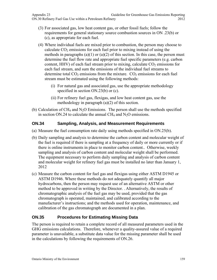- (3) For associated gas, low heat content gas, or other fossil fuels; follow the requirements for general stationary source combustion sources in ON .23(b) or (c), as appropriate for each fuel.
- (4) Where individual fuels are mixed prior to combustion, the person may choose to calculate  $CO<sub>2</sub>$  emissions for each fuel prior to mixing instead of using the methods in paragraphs  $(a)(1)$  or  $(a)(2)$  of this section. In this case, the person must determine the fuel flow rate and appropriate fuel specific parameters (e.g. carbon content, HHV) of each fuel stream prior to mixing, calculate  $CO<sub>2</sub>$  emissions for each fuel stream, and sum the emissions of the individual fuel streams to determine total  $CO<sub>2</sub>$  emissions from the mixture.  $CO<sub>2</sub>$  emissions for each fuel stream must be estimated using the following methods:
	- (i) For natural gas and associated gas, use the appropriate methodology specified in section ON.23(b) or (c).
	- (ii) For refinery fuel gas, flexigas, and low heat content gas, use the methodology in paragraph (a)(2) of this section.
- (b) Calculation of  $CH_4$  and  $N_2O$  Emissions. The person shall use the methods specified in section ON.24 to calculate the annual CH<sub>4</sub> and N<sub>2</sub>O emissions.

# **ON.34 Sampling, Analysis, and Measurement Requirements**

- (a) Measure the fuel consumption rate daily using methods specified in ON.25(b).
- (b) Daily sampling and analysis to determine the carbon content and molecular weight of the fuel is required if there is sampling at a frequency of daily or more currently or if there is online instruments in place to monitor carbon content.. Otherwise, weekly sampling and analysis of carbon content and molecular weight shall be performed. The equipment necessary to perform daily sampling and analysis of carbon content and molecular weight for refinery fuel gas must be installed no later than January 1, 2012
- (c) Measure the carbon content for fuel gas and flexigas using either ASTM D1945 or ASTM D1946. Where these methods do not adequately quantify all major hydrocarbons, then the person may request use of an alternative ASTM or other method to be approved in writing by the Director. . Alternatively, the results of chromatographic analysis of the fuel gas may be used, provided that the gas chromatograph is operated, maintained, and calibrated according to the manufacturer's instructions; and the methods used for operation, maintenance, and calibration of the gas chromatograph are documented in a plan.

# **ON.35 Procedures for Estimating Missing Data**

The person is required to retain a complete record of all measured parameters used in the GHG emissions calculations. Therefore, whenever a quality-assured value of a required parameter is unavailable, a substitute data value for the missing parameter shall be used in the calculations by following the requirements of ON.26.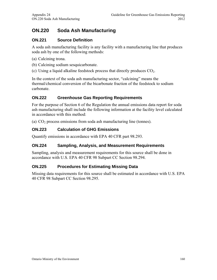# **ON.220 Soda Ash Manufacturing**

### **ON.221 Source Definition**

A soda ash manufacturing facility is any facility with a manufacturing line that produces soda ash by one of the following methods:

- (a) Calcining trona.
- (b) Calcining sodium sesquicarbonate.
- (c) Using a liquid alkaline feedstock process that directly produces  $CO<sub>2</sub>$ .

In the context of the soda ash manufacturing sector, "calcining" means the thermal/chemical conversion of the bicarbonate fraction of the feedstock to sodium carbonate.

#### **ON.222 Greenhouse Gas Reporting Requirements**

For the purpose of Section 6 of the Regulation the annual emissions data report for soda ash manufacturing shall include the following information at the facility level calculated in accordance with this method:

(a)  $CO<sub>2</sub>$  process emissions from soda ash manufacturing line (tonnes).

### **ON.223 Calculation of GHG Emissions**

Quantify emissions in accordance with EPA 40 CFR part 98.293.

#### **ON.224 Sampling, Analysis, and Measurement Requirements**

Sampling, analysis and measurement requirements for this source shall be done in accordance with U.S. EPA 40 CFR 98 Subpart CC Section 98.294.

#### **ON.225 Procedures for Estimating Missing Data**

Missing data requirements for this source shall be estimated in accordance with U.S. EPA 40 CFR 98 Subpart CC Section 98.295.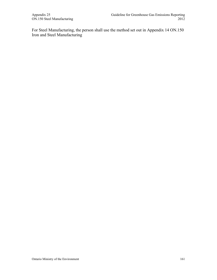For Steel Manufacturing, the person shall use the method set out in Appendix 14 ON.150 Iron and Steel Manufacturing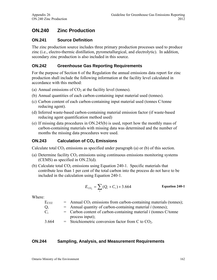# **ON.240 Zinc Production**

#### **ON.241 Source Definition**

The zinc production source includes three primary production processes used to produce zinc (i.e., electro-thermic distillation, pyrometallurgical, and electrolytic). In addition, secondary zinc production is also included in this source.

#### **ON.242 Greenhouse Gas Reporting Requirements**

For the purpose of Section 6 of the Regulation the annual emissions data report for zinc production shall include the following information at the facility level calculated in accordance with this method:

- (a) Annual emissions of  $CO<sub>2</sub>$  at the facility level (tonnes).
- (b) Annual quantities of each carbon-containing input material used (tonnes).
- (c) Carbon content of each carbon-containing input material used (tonnes C/tonne reducing agent).
- (d) Inferred waste-based carbon-containing material emission factor (if waste-based reducing agent quantification method used)
- (e) If missing data procedures in ON.245(b) is used, report how the monthly mass of carbon-containing materials with missing data was determined and the number of months the missing data procedures were used.

#### **ON.243** Calculation of CO<sub>2</sub> Emissions

Calculate total  $CO<sub>2</sub>$  emissions as specified under paragraph (a) or (b) of this section.

- (a) Determine facility  $CO<sub>2</sub>$  emissions using continuous emissions monitoring systems (CEMS) as specified in ON.23(d).
- (b) Calculate total  $CO<sub>2</sub>$  emissions using Equation 240-1. Specific materials that contribute less than 1 per cent of the total carbon into the process do not have to be included in the calculation using Equation 240-1.

$$
E_{CO_2} = \sum_i (Q_i \times C_i) \times 3.664
$$
 Equation 240-1

Where:

| $E_{CO2}$ | $=$ Annual CO <sub>2</sub> emissions from carbon-containing materials (tonnes); |
|-----------|---------------------------------------------------------------------------------|
| $Q_i$     | $=$ Annual quantity of carbon-containing material <i>i</i> (tonnes);            |
| $C_i$     | $=$ Carbon content of carbon-containing material <i>i</i> (tonnes C/tonne       |
|           | process input);                                                                 |
| 3.664     | = Stoichiometric conversion factor from C to $CO2$ .                            |

#### **ON.244 Sampling, Analysis, and Measurement Requirements**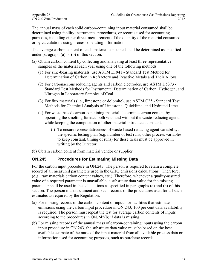The annual mass of each solid carbon-containing input material consumed shall be determined using facility instruments, procedures, or records used for accounting purposes, including either direct measurement of the quantity of the material consumed or by calculations using process operating information.

The average carbon content of each material consumed shall be determined as specified under paragraph (a) or (b) of this section.

- (a) Obtain carbon content by collecting and analyzing at least three representative samples of the material each year using one of the following methods:
	- (1) For zinc-bearing materials, use ASTM E1941 Standard Test Method for Determination of Carbon in Refractory and Reactive Metals and Their Alloys.
	- (2) For carbonaceous reducing agents and carbon electrodes, use ASTM D5373 Standard Test Methods for Instrumental Determination of Carbon, Hydrogen, and Nitrogen in Laboratory Samples of Coal.
	- (3) For flux materials (i.e., limestone or dolomite), use ASTM C25 Standard Test Methods for Chemical Analysis of Limestone, Quicklime, and Hydrated Lime.
	- (4) For waste-based carbon-containing material, determine carbon content by operating the smelting furnace both with and without the waste-reducing agents while keeping the composition of other material introduced constant.
		- (i) To ensure representativeness of waste-based reducing agent variability, the specific testing plan (e.g. number of test runs, other process variables to keep constant, timing of runs) for these trials must be approved in writing by the Director.
- (b) Obtain carbon content from material vendor or supplier.

### **ON.245 Procedures for Estimating Missing Data**

For the carbon input procedure in ON.243, The person is required to retain a complete record of all measured parameters used in the GHG emissions calculations. Therefore, (e.g., raw materials carbon content values, etc.). Therefore, whenever a quality-assured value of a required parameter is unavailable, a substitute data value for the missing parameter shall be used in the calculations as specified in paragraphs (a) and (b) of this section. The person must document and keep records of the procedures used for all such estimates as required by the Regulation.

- (a) For missing records of the carbon content of inputs for facilities that estimate emissions using the carbon input procedure in ON.243; 100 per cent data availability is required. The person must repeat the test for average carbon contents of inputs according to the procedures in ON.245(b) if data is missing.
- (b) For missing records of the annual mass of carbon-containing inputs using the carbon input procedure in ON.243, the substitute data value must be based on the best available estimate of the mass of the input material from all available process data or information used for accounting purposes, such as purchase records.